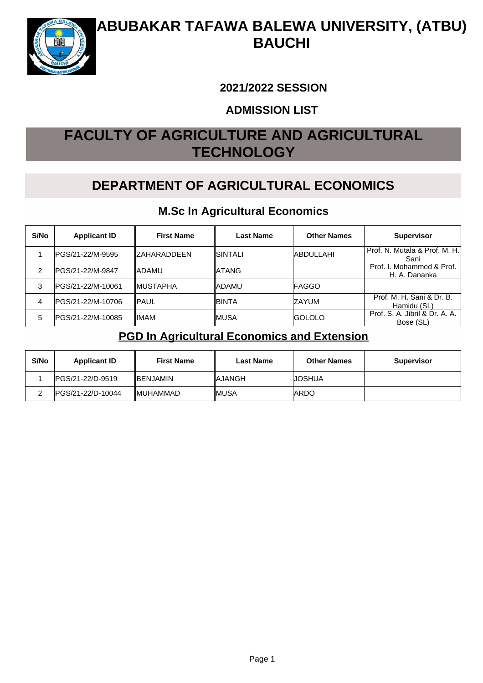

#### **2021/2022 SESSION**

#### **ADMISSION LIST**

# **FACULTY OF AGRICULTURE AND AGRICULTURAL TECHNOLOGY**

## **DEPARTMENT OF AGRICULTURAL ECONOMICS**

#### **M.Sc In Agricultural Economics**

| S/No | <b>Applicant ID</b> | <b>First Name</b> | Last Name | <b>Other Names</b> | <b>Supervisor</b>                           |
|------|---------------------|-------------------|-----------|--------------------|---------------------------------------------|
|      | IPGS/21-22/M-9595   | IZAHARADDEEN      | ISINTALI  | <b>ABDULLAHI</b>   | Prof. N. Mutala & Prof. M. H.<br>Sani       |
|      | IPGS/21-22/M-9847   | ladamu            | ∥ATANG    |                    | Prof. I. Mohammed & Prof.<br>H. A. Dananka  |
| 3    | IPGS/21-22/M-10061  | <b>IMUSTAPHA</b>  | ∥ADAMU    | <b>IFAGGO</b>      |                                             |
| 4    | IPGS/21-22/M-10706  | ∥PAUL             | ∥BINTA    | IZAYUM             | Prof. M. H. Sani & Dr. B.<br>Hamidu (SL)    |
| 5    | PGS/21-22/M-10085   | IIMAM             | ∥MUSA     | <b>IGOLOLO</b>     | Prof. S. A. Jibril & Dr. A. A.<br>Bose (SL) |

#### **PGD In Agricultural Economics and Extension**

| S/No | <b>Applicant ID</b>      | <b>First Name</b> | <b>Last Name</b> | <b>Other Names</b> | <b>Supervisor</b> |
|------|--------------------------|-------------------|------------------|--------------------|-------------------|
|      | <b>IPGS/21-22/D-9519</b> | <b>IBENJAMIN</b>  | <b>IAJANGH</b>   | <b>JOSHUA</b>      |                   |
|      | IPGS/21-22/D-10044       | <b>IMUHAMMAD</b>  | ∥MUSA            | IARDO              |                   |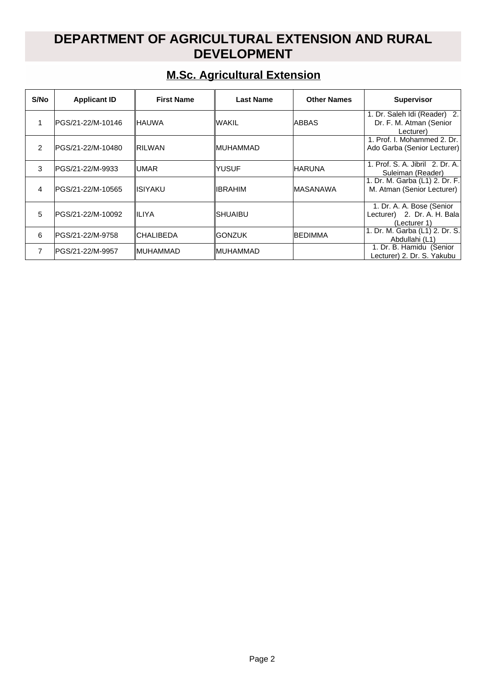### **DEPARTMENT OF AGRICULTURAL EXTENSION AND RURAL DEVELOPMENT**

## **M.Sc. Agricultural Extension**

| S/No          | <b>Applicant ID</b> | <b>First Name</b> | <b>Last Name</b> | <b>Other Names</b> | <b>Supervisor</b>                                                        |
|---------------|---------------------|-------------------|------------------|--------------------|--------------------------------------------------------------------------|
|               | PGS/21-22/M-10146   | ∥HAUWA            | lwakil           | <b>ABBAS</b>       | 1. Dr. Saleh Idi (Reader) 2.<br>Dr. F. M. Atman (Senior<br>Lecturer)     |
| $\mathcal{P}$ | IPGS/21-22/M-10480  | <b>RILWAN</b>     | ∥MUHAMMAD        |                    | 1. Prof. I. Mohammed 2. Dr.<br>Ado Garba (Senior Lecturer)               |
| 3             | IPGS/21-22/M-9933   | ∥UMAR             | <b>YUSUF</b>     | <b>IHARUNA</b>     | 1. Prof. S. A. Jibril 2. Dr. A.<br>Suleiman (Reader)                     |
| 4             | IPGS/21-22/M-10565  | ∥ISIYAKU          | <b>IBRAHIM</b>   | <b>IMASANAWA</b>   | 1. Dr. M. Garba (L1) 2. Dr. F.<br>M. Atman (Senior Lecturer)             |
| 5             | IPGS/21-22/M-10092  | IILIYA            | ISHUAIBU         |                    | 1. Dr. A. A. Bose (Senior<br>Lecturer) 2. Dr. A. H. Bala<br>(Lecturer 1) |
| 6             | lPGS/21-22/M-9758   | ∥CHALIBEDA        | <b>GONZUK</b>    | <b>BEDIMMA</b>     | 1. Dr. M. Garba (L1) 2. Dr. S.<br>Abdullahi (L1)                         |
| 7             | lPGS/21-22/M-9957   | ∥MUHAMMAD         | ∥MUHAMMAD        |                    | 1. Dr. B. Hamidu (Senior<br>Lecturer) 2. Dr. S. Yakubu                   |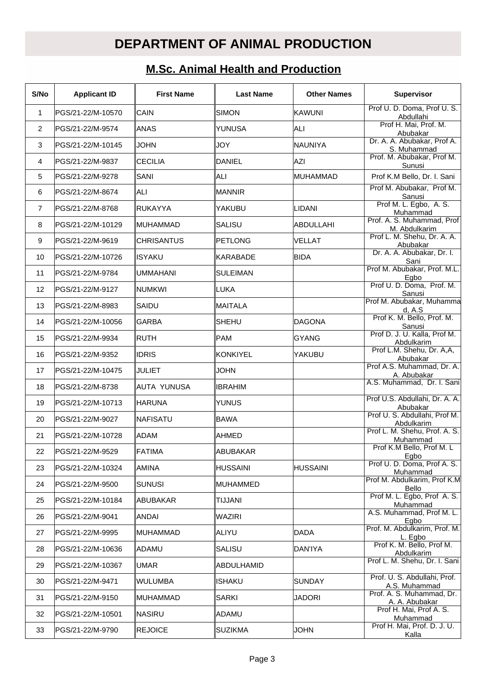# **DEPARTMENT OF ANIMAL PRODUCTION**

## **M.Sc. Animal Health and Production**

| S/No           | <b>Applicant ID</b> | <b>First Name</b> | <b>Last Name</b> | <b>Other Names</b> | <b>Supervisor</b>                             |
|----------------|---------------------|-------------------|------------------|--------------------|-----------------------------------------------|
| $\mathbf{1}$   | PGS/21-22/M-10570   | <b>CAIN</b>       | <b>SIMON</b>     | <b>KAWUNI</b>      | Prof U. D. Doma, Prof U. S.<br>Abdullahi      |
| $\overline{2}$ | PGS/21-22/M-9574    | <b>ANAS</b>       | YUNUSA           | ALI                | Prof H. Mai, Prof. M.<br>Abubakar             |
| 3              | PGS/21-22/M-10145   | <b>JOHN</b>       | JOY              | <b>NAUNIYA</b>     | Dr. A. A. Abubakar, Prof A.<br>S. Muhammad    |
| 4              | PGS/21-22/M-9837    | <b>CECILIA</b>    | <b>DANIEL</b>    | AZI                | Prof. M. Abubakar, Prof M.<br>Sunusi          |
| 5              | PGS/21-22/M-9278    | SANI              | ALI              | <b>MUHAMMAD</b>    | Prof K.M Bello, Dr. I. Sani                   |
| 6              | PGS/21-22/M-8674    | lALI              | MANNIR           |                    | Prof M. Abubakar, Prof M.<br>Sanusi           |
| $\overline{7}$ | PGS/21-22/M-8768    | RUKAYYA           | YAKUBU           | <b>LIDANI</b>      | Prof M. L. Egbo, A. S.<br>Muhammad            |
| 8              | IPGS/21-22/M-10129  | MUHAMMAD          | SALISU           | ABDULLAHI          | Prof. A. S. Muhammad, Prof<br>M. Abdulkarim   |
| 9              | PGS/21-22/M-9619    | <b>CHRISANTUS</b> | PETLONG          | <b>VELLAT</b>      | Prof L. M. Shehu, Dr. A. A.<br>Abubakar       |
| 10             | PGS/21-22/M-10726   | <b>ISYAKU</b>     | KARABADE         | <b>BIDA</b>        | Dr. A. A. Abubakar, Dr. I.<br>Sani            |
| 11             | IPGS/21-22/M-9784   | UMMAHANI          | <b>SULEIMAN</b>  |                    | Prof M. Abubakar, Prof. M.L.<br>Egbo          |
| 12             | PGS/21-22/M-9127    | Inumkwi           | LUKA             |                    | Prof U. D. Doma, Prof. M.<br>Sanusi           |
| 13             | PGS/21-22/M-8983    | SAIDU             | MAITALA          |                    | Prof M. Abubakar, Muhamma<br>d, A.S           |
| 14             | PGS/21-22/M-10056   | <b>GARBA</b>      | <b>SHEHU</b>     | <b>DAGONA</b>      | Prof K. M. Bello, Prof. M.<br>Sanusi          |
| 15             | PGS/21-22/M-9934    | <b>RUTH</b>       | PAM              | <b>GYANG</b>       | Prof D. J. U. Kalla, Prof M.<br>Abdulkarim    |
| 16             | PGS/21-22/M-9352    | <b>IDRIS</b>      | KONKIYEL         | YAKUBU             | Prof L.M. Shehu, Dr. A,A,<br>Abubakar         |
| 17             | PGS/21-22/M-10475   | JULIET            | <b>JOHN</b>      |                    | Prof A.S. Muhammad, Dr. A.<br>A. Abubakar     |
| 18             | PGS/21-22/M-8738    | IAUTA YUNUSA      | <b>IBRAHIM</b>   |                    | A.S. Muhammad, Dr. I. Sani                    |
| 19             | PGS/21-22/M-10713   | <b>IHARUNA</b>    | <b>YUNUS</b>     |                    | Prof U.S. Abdullahi, Dr. A. A.<br>Abubakar    |
| 20             | IPGS/21-22/M-9027   | ∥NAFISATU         | BAWA             |                    | Prof U. S. Abdullahi, Prof M.<br>Abdulkarim   |
| 21             | PGS/21-22/M-10728   | <b>ADAM</b>       | AHMED            |                    | Prof L. M. Shehu, Prof. A. S.<br>Muhammad     |
| 22             | PGS/21-22/M-9529    | ∥FATIMA           | ABUBAKAR         |                    | Prof K.M Bello, Prof M. L<br>Egbo             |
| 23             | PGS/21-22/M-10324   | <b>AMINA</b>      | <b>HUSSAINI</b>  | <b>HUSSAINI</b>    | Prof U. D. Doma, Prof A. S.<br>Muhammad       |
| 24             | PGS/21-22/M-9500    | <b>SUNUSI</b>     | MUHAMMED         |                    | Prof M. Abdulkarim, Prof K.M<br>Bello         |
| 25             | PGS/21-22/M-10184   | ABUBAKAR          | TIJJANI          |                    | Prof M. L. Egbo, Prof A. S.<br>Muhammad       |
| 26             | PGS/21-22/M-9041    | ANDAI             | WAZIRI           |                    | A.S. Muhammad, Prof M. L.<br>Egbo             |
| 27             | PGS/21-22/M-9995    | ∥MUHAMMAD         | ALIYU            | <b>DADA</b>        | Prof. M. Abdulkarim, Prof. M.<br>L. Egbo      |
| 28             | PGS/21-22/M-10636   | ∥ADAMU            | SALISU           | DAN'IYA            | Prof K. M. Bello, Prof M.<br>Abdulkarim       |
| 29             | PGS/21-22/M-10367   | ∣UMAR             | ABDULHAMID       |                    | Prof L. M. Shehu, Dr. I. Sani                 |
| 30             | PGS/21-22/M-9471    | WULUMBA           | <b>ISHAKU</b>    | <b>SUNDAY</b>      | Prof. U. S. Abdullahi, Prof.<br>A.S. Muhammad |
| 31             | PGS/21-22/M-9150    | ∥MUHAMMAD         | <b>SARKI</b>     | <b>JADORI</b>      | Prof. A. S. Muhammad, Dr.<br>A. A. Abubakar   |
| 32             | PGS/21-22/M-10501   | ∥NASIRU           | ADAMU            |                    | Prof H. Mai, Prof A. S.<br>Muhammad           |
| 33             | PGS/21-22/M-9790    | <b>REJOICE</b>    | SUZIKMA          | <b>JOHN</b>        | Prof H. Mai, Prof. D. J. U.<br>Kalla          |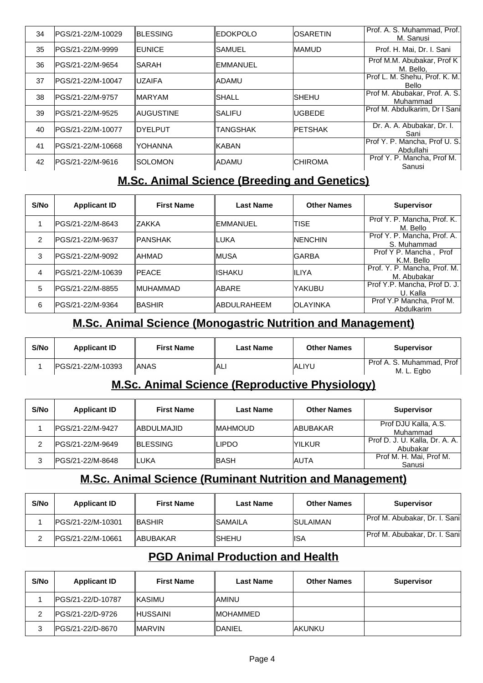| 34 | PGS/21-22/M-10029  | <b>IBLESSING</b>      | <b>EDOKPOLO</b>  | <b>IOSARETIN</b> | Prof. A. S. Muhammad, Prof.<br>M. Sanusi   |
|----|--------------------|-----------------------|------------------|------------------|--------------------------------------------|
| 35 | IPGS/21-22/M-9999  | <b>IEUNICE</b>        | <b>SAMUEL</b>    | <b>MAMUD</b>     | Prof. H. Mai, Dr. I. Sani                  |
| 36 | IPGS/21-22/M-9654  | <b>ISARAH</b>         | <b>IEMMANUEL</b> |                  | Prof M.M. Abubakar, Prof K<br>M. Bello,    |
| 37 | IPGS/21-22/M-10047 | <b>IUZAIFA</b>        | ladamu           |                  | Prof L. M. Shehu, Prof. K. M.<br>Bello     |
| 38 | IPGS/21-22/M-9757  | <b>IMARYAM</b>        | ISHALL           | ISHEHU           | Prof M. Abubakar, Prof. A. S.<br>Muhammad  |
| 39 | IPGS/21-22/M-9525  | <b>IAUGUSTINE</b>     | ISALIFU          | <b>UGBEDE</b>    | Prof M. Abdulkarim, Dr I Sani              |
| 40 | IPGS/21-22/M-10077 | <b>IDYELPUT</b>       | <b>TANGSHAK</b>  | <b>IPETSHAK</b>  | Dr. A. A. Abubakar, Dr. I.<br>Sani         |
| 41 | IPGS/21-22/M-10668 | IYOHANNA              | IKABAN           |                  | Prof Y. P. Mancha, Prof U. S.<br>Abdullahi |
| 42 | IPGS/21-22/M-9616  | <i><b>SOLOMON</b></i> | ladamu           | <b>CHIROMA</b>   | Prof Y. P. Mancha, Prof M.<br>Sanusi       |

#### **M.Sc. Animal Science (Breeding and Genetics)**

| S/No | <b>Applicant ID</b> | <b>First Name</b> | Last Name           | <b>Other Names</b> | <b>Supervisor</b>                           |
|------|---------------------|-------------------|---------------------|--------------------|---------------------------------------------|
|      | IPGS/21-22/M-8643   | IZAKKA            | IEMMANUEL           | <b>TISE</b>        | Prof Y. P. Mancha, Prof. K.<br>M. Bello     |
| 2    | IPGS/21-22/M-9637   | ∥PANSHAK          | ∥LUKA               | <b>INENCHIN</b>    | Prof Y. P. Mancha, Prof. A.<br>S. Muhammad  |
| 3    | IPGS/21-22/M-9092   | ∥AHMAD            | IMUSA               | <b>GARBA</b>       | Prof Y P. Mancha, Prof<br>K.M. Bello        |
| 4    | IPGS/21-22/M-10639  | <b>IPEACE</b>     | IISHAKU             | IILIYA             | Prof. Y. P. Mancha, Prof. M.<br>M. Abubakar |
| 5    | IPGS/21-22/M-8855   | ∥MUHAMMAD         | IABARE              | YAKUBU             | Prof Y.P. Mancha, Prof D. J.<br>U. Kalla    |
| 6    | PGS/21-22/M-9364    | ∥BASHIR           | <b>IABDULRAHEEM</b> | IOLAYINKA          | Prof Y.P Mancha, Prof M.<br>Abdulkarim      |

#### **M.Sc. Animal Science (Monogastric Nutrition and Management)**

| S/No | <b>Applicant ID</b> | <b>First Name</b> | <b>Last Name</b> | <b>Other Names</b> | <b>Supervisor</b>                         |
|------|---------------------|-------------------|------------------|--------------------|-------------------------------------------|
|      | IPGS/21-22/M-10393  | IANAS             | ∥ALI             | <b>ALIYU</b>       | Prof A. S. Muhammad. Prof  <br>M. L. Egbo |

#### **M.Sc. Animal Science (Reproductive Physiology)**

| S/No | <b>Applicant ID</b> | <b>First Name</b>  | <b>Last Name</b> | <b>Other Names</b> | <b>Supervisor</b>                          |
|------|---------------------|--------------------|------------------|--------------------|--------------------------------------------|
|      | IPGS/21-22/M-9427   | <b>IABDULMAJID</b> | ∥MAHMOUD         | <b>JABUBAKAR</b>   | Prof DJU Kalla, A.S.<br>Muhammad           |
|      | IPGS/21-22/M-9649   | <b>IBLESSING</b>   | LIPDO            | <b>IYILKUR</b>     | Prof D. J. U. Kalla, Dr. A. A.<br>Abubakar |
|      | IPGS/21-22/M-8648   | ILUKA              | ∥BASH            | IAUTA              | Prof M. H. Mai, Prof M.<br>Sanusi          |

#### **M.Sc. Animal Science (Ruminant Nutrition and Management)**

| S/No | <b>Applicant ID</b> | <b>First Name</b> | <b>Last Name</b> | <b>Other Names</b> | <b>Supervisor</b>              |
|------|---------------------|-------------------|------------------|--------------------|--------------------------------|
|      | IPGS/21-22/M-10301  | <b>IBASHIR</b>    | <b>ISAMAILA</b>  | <b>ISULAIMAN</b>   | Prof M. Abubakar, Dr. I. Sanil |
|      | IPGS/21-22/M-10661  | <b>IABUBAKAR</b>  | ISHEHU           | IISA               | Prof M. Abubakar, Dr. I. Sanil |

#### **PGD Animal Production and Health**

| S/No | <b>Applicant ID</b>     | <b>First Name</b> | Last Name        | <b>Other Names</b> | <b>Supervisor</b> |
|------|-------------------------|-------------------|------------------|--------------------|-------------------|
|      | IPGS/21-22/D-10787      | <b>IKASIMU</b>    | <b>IAMINU</b>    |                    |                   |
|      | IPGS/21-22/D-9726       | <b>IHUSSAINI</b>  | <b>IMOHAMMED</b> |                    |                   |
|      | <b>PGS/21-22/D-8670</b> | <b>IMARVIN</b>    | <b>IDANIEL</b>   | <b>IAKUNKU</b>     |                   |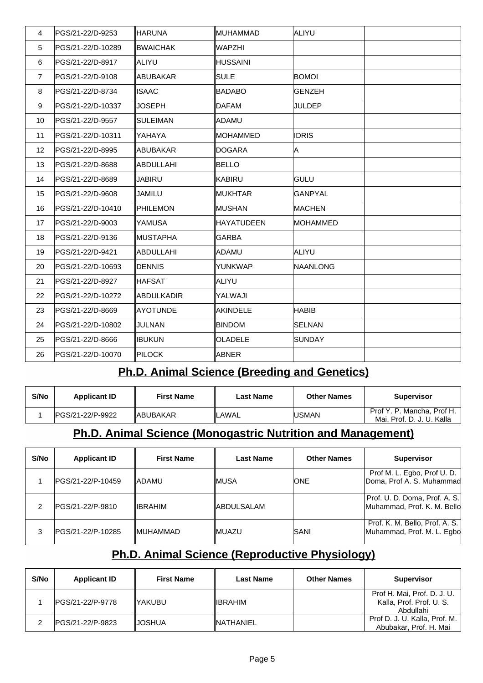| $\overline{4}$ | PGS/21-22/D-9253   | HARUNA            | MUHAMMAD          | ALIYU           |  |
|----------------|--------------------|-------------------|-------------------|-----------------|--|
| 5              | PGS/21-22/D-10289  | <b>BWAICHAK</b>   | WAPZHI            |                 |  |
| 6              | PGS/21-22/D-8917   | <b>ALIYU</b>      | <b>HUSSAINI</b>   |                 |  |
| $\overline{7}$ | PGS/21-22/D-9108   | ABUBAKAR          | <b>SULE</b>       | <b>BOMOI</b>    |  |
| 8              | PGS/21-22/D-8734   | <b>ISAAC</b>      | <b>BADABO</b>     | <b>GENZEH</b>   |  |
| 9              | PGS/21-22/D-10337  | <b>JOSEPH</b>     | <b>DAFAM</b>      | <b>JULDEP</b>   |  |
| 10             | PGS/21-22/D-9557   | <b>SULEIMAN</b>   | ADAMU!            |                 |  |
| 11             | PGS/21-22/D-10311  | YAHAYA            | <b>MOHAMMED</b>   | <b>IDRIS</b>    |  |
| 12             | PGS/21-22/D-8995   | ABUBAKAR          | DOGARA            | A               |  |
| 13             | PGS/21-22/D-8688   | <b>ABDULLAHI</b>  | <b>BELLO</b>      |                 |  |
| 14             | PGS/21-22/D-8689   | JABIRU            | KABIRU            | <b>GULU</b>     |  |
| 15             | PGS/21-22/D-9608   | JAMILU            | <b>MUKHTAR</b>    | <b>GANPYAL</b>  |  |
| 16             | PGS/21-22/D-10410  | <b>PHILEMON</b>   | MUSHAN            | <b>MACHEN</b>   |  |
| 17             | PGS/21-22/D-9003   | <b>YAMUSA</b>     | <b>HAYATUDEEN</b> | <b>MOHAMMED</b> |  |
| 18             | PGS/21-22/D-9136   | ∥MUSTAPHA         | <b>GARBA</b>      |                 |  |
| 19             | PGS/21-22/D-9421   | <b>ABDULLAHI</b>  | ADAMU             | ALIYU           |  |
| 20             | PGS/21-22/D-10693  | DENNIS            | YUNKWAP           | <b>NAANLONG</b> |  |
| 21             | PGS/21-22/D-8927   | ∥HAFSAT           | ALIYU             |                 |  |
| 22             | PGS/21-22/D-10272  | <b>ABDULKADIR</b> | YALWAJI           |                 |  |
| 23             | PGS/21-22/D-8669   | <b>AYOTUNDE</b>   | <b>AKINDELE</b>   | <b>HABIB</b>    |  |
| 24             | PGS/21-22/D-10802  | JULNAN            | <b>BINDOM</b>     | <b>SELNAN</b>   |  |
| 25             | PGS/21-22/D-8666   | <b>IBUKUN</b>     | <b>OLADELE</b>    | <b>SUNDAY</b>   |  |
| 26             | IPGS/21-22/D-10070 | <b>PILOCK</b>     | ABNER             |                 |  |

### **Ph.D. Animal Science (Breeding and Genetics)**

| S/No | <b>Applicant ID</b> | <b>First Name</b> | Last Name | <b>Other Names</b> | <b>Supervisor</b>                                       |
|------|---------------------|-------------------|-----------|--------------------|---------------------------------------------------------|
|      | IPGS/21-22/P-9922   | ∥ABUBAKAR         | _AWAL     | <b>IUSMAN</b>      | Prof Y. P. Mancha, Prof H.<br>Mai. Prof. D. J. U. Kalla |

### **Ph.D. Animal Science (Monogastric Nutrition and Management)**

| S/No | <b>Applicant ID</b> | <b>First Name</b> | Last Name   | <b>Other Names</b> | <b>Supervisor</b>                                            |
|------|---------------------|-------------------|-------------|--------------------|--------------------------------------------------------------|
|      | IPGS/21-22/P-10459  | <b>IADAMU</b>     | ∥MUSA       | <b>ONE</b>         | Prof M. L. Egbo, Prof U. D.<br>Doma, Prof A. S. Muhammad     |
| 2    | PGS/21-22/P-9810    | ∥IBRAHIM          | ∥ABDULSALAM |                    | Prof. U. D. Doma, Prof. A. S.<br>Muhammad, Prof. K. M. Bello |
| 3    | IPGS/21-22/P-10285  | <b>IMUHAMMAD</b>  | ∥MUAZU      | ISANI              | Prof. K. M. Bello, Prof. A. S.<br>Muhammad, Prof. M. L. Egbo |

### **Ph.D. Animal Science (Reproductive Physiology)**

| S/No | <b>Applicant ID</b> | <b>First Name</b> | <b>Last Name</b>  | <b>Other Names</b> | <b>Supervisor</b>                                                    |
|------|---------------------|-------------------|-------------------|--------------------|----------------------------------------------------------------------|
|      | IPGS/21-22/P-9778   | ∥YAKUBU           | ∥IBRAHIM          |                    | Prof H. Mai, Prof. D. J. U.<br>Kalla, Prof. Prof. U. S.<br>Abdullahi |
|      | IPGS/21-22/P-9823   | <b>IJOSHUA</b>    | <b>INATHANIEL</b> |                    | Prof D. J. U. Kalla, Prof. M.<br>Abubakar, Prof. H. Mai              |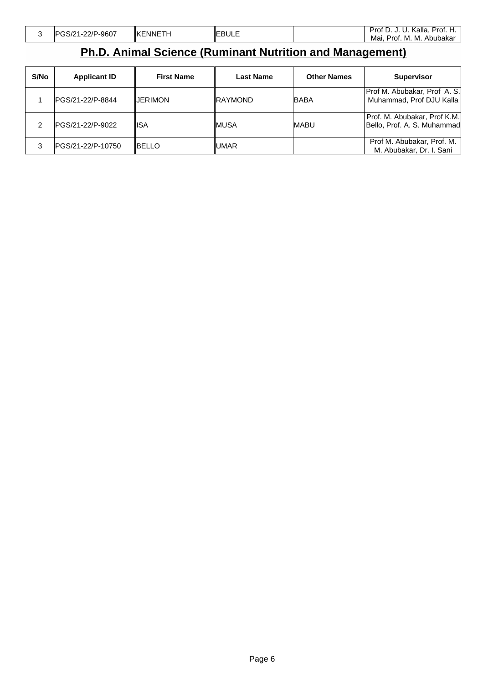| .-22/P-9607<br>$\sim$ $\sim$ $\sim$ $\sim$<br>∍. • | :NNETH<br><b>IKE</b> | <b>IEBULE</b> | Prof.<br>Kalla.<br>Prof<br>ີ<br>ັ<br>ັ<br>. |
|----------------------------------------------------|----------------------|---------------|---------------------------------------------|
|                                                    |                      |               | M.<br>Mai.<br>Abubakar<br>-Prof.<br>M.      |

 $\begin{bmatrix} \phantom{-} \\ \phantom{-} \end{bmatrix}$ 

# **Ph.D. Animal Science (Ruminant Nutrition and Management)**

| S/No | <b>Applicant ID</b> | <b>First Name</b> | Last Name      | <b>Other Names</b> | <b>Supervisor</b>                                           |
|------|---------------------|-------------------|----------------|--------------------|-------------------------------------------------------------|
|      | IPGS/21-22/P-8844   | <b>JERIMON</b>    | <b>RAYMOND</b> | <b>BABA</b>        | Prof M. Abubakar, Prof A. S.<br>Muhammad, Prof DJU Kalla    |
| 2    | PGS/21-22/P-9022    | IISA              | IMUSA          | <b>IMABU</b>       | Prof. M. Abubakar, Prof K.M.<br>Bello, Prof. A. S. Muhammad |
| 3    | IPGS/21-22/P-10750  | IBELLO            | UMAR           |                    | Prof M. Abubakar, Prof. M.<br>M. Abubakar, Dr. I. Sani      |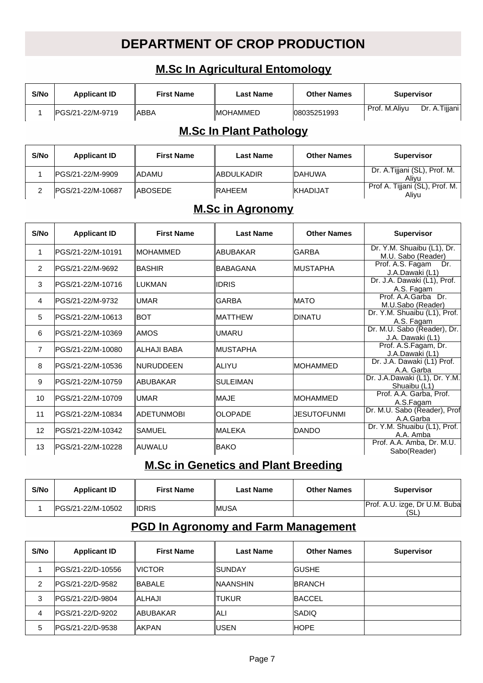## **DEPARTMENT OF CROP PRODUCTION**

### **M.Sc In Agricultural Entomology**

| S/No           | <b>Applicant ID</b>            | <b>First Name</b> | <b>Last Name</b>        | <b>Other Names</b> | <b>Supervisor</b>                                      |  |  |  |  |  |
|----------------|--------------------------------|-------------------|-------------------------|--------------------|--------------------------------------------------------|--|--|--|--|--|
| 1              | lPGS/21-22/M-9719              | lABBA             | <b>MOHAMMED</b>         | 08035251993        | Prof. M.Aliyu<br>Dr. A.Tijjani                         |  |  |  |  |  |
|                | <b>M.Sc In Plant Pathology</b> |                   |                         |                    |                                                        |  |  |  |  |  |
| S/No           | <b>Applicant ID</b>            | <b>First Name</b> | <b>Last Name</b>        | <b>Other Names</b> | Supervisor                                             |  |  |  |  |  |
| 1              | PGS/21-22/M-9909               | ladamu            | <b>ABDULKADIR</b>       | <b>DAHUWA</b>      | Dr. A.Tijjani (SL), Prof. M.<br>Aliyu                  |  |  |  |  |  |
| 2              | PGS/21-22/M-10687              | ABOSEDE           | RAHEEM                  | KHADIJAT           | Prof A. Tijjani (SL), Prof. M.<br>Alivu                |  |  |  |  |  |
|                |                                |                   | <b>M.Sc in Agronomy</b> |                    |                                                        |  |  |  |  |  |
| S/No           | <b>Applicant ID</b>            | <b>First Name</b> | <b>Last Name</b>        | <b>Other Names</b> | <b>Supervisor</b>                                      |  |  |  |  |  |
| $\mathbf{1}$   | PGS/21-22/M-10191              | IMOHAMMED         | <b>ABUBAKAR</b>         | <b>GARBA</b>       | Dr. Y.M. Shuaibu (L1), Dr.<br>M.U. Sabo (Reader)       |  |  |  |  |  |
| $\overline{2}$ | PGS/21-22/M-9692               | ∥BASHIR           | <b>BABAGANA</b>         | MUSTAPHA           | Prof. A.S. Fagam<br>Dr.<br>J.A.Dawaki (L1)             |  |  |  |  |  |
| 3              | PGS/21-22/M-10716              | ILUKMAN           | <b>IDRIS</b>            |                    | Dr. J.A. Dawaki (L1), Prof.<br>A.S. Fagam              |  |  |  |  |  |
| 4              | PGS/21-22/M-9732               | ∥UMAR             | <b>GARBA</b>            | <b>MATO</b>        | Prof. A.A.Garba Dr.<br>M.U.Sabo (Reader)               |  |  |  |  |  |
| 5              | PGS/21-22/M-10613              | ∥вот              | <b>MATTHEW</b>          | <b>DINATU</b>      | Dr. Y.M. Shuaibu (L1), Prof.<br>A.S. Fagam             |  |  |  |  |  |
| 6              | PGS/21-22/M-10369              | IAMOS             | <b>UMARU</b>            |                    | Dr. M.U. Sabo (Reader), Dr.<br>J.A. Dawaki (L1)        |  |  |  |  |  |
| $\overline{7}$ | PGS/21-22/M-10080              | ∥ALHAJI BABA      | MUSTAPHA                |                    | Prof. A.S.Fagam, Dr.<br>J.A.Dawaki (L1)                |  |  |  |  |  |
| 8              | PGS/21-22/M-10536              | ∥NURUDDEEN        | ∣ALIYU                  | MOHAMMED           | Dr. J.A. Dawaki (L1) Prof.<br>A.A. Garba               |  |  |  |  |  |
| 9              | PGS/21-22/M-10759              | ∥ABUBAKAR         | <b>SULEIMAN</b>         |                    | Dr. J.A.Dawaki (L1), Dr. Y.M.                          |  |  |  |  |  |
| 10             | PGS/21-22/M-10709              | ∥UMAR             | <b>MAJE</b>             | MOHAMMED           | Shuaibu (L1)<br>Prof. A.A. Garba, Prof.                |  |  |  |  |  |
| 11             | PGS/21-22/M-10834              | <b>ADETUNMOBI</b> | <b>OLOPADE</b>          | <b>JESUTOFUNMI</b> | A.S.Fagam<br>Dr. M.U. Sabo (Reader), Prof              |  |  |  |  |  |
| 12             | PGS/21-22/M-10342              | ∥SAMUEL           | MALEKA                  | DANDO              | A.A.Garba<br>Dr. Y.M. Shuaibu (L1), Prof.              |  |  |  |  |  |
| 13             | PGS/21-22/M-10228              | <b>AUWALU</b>     | <b>BAKO</b>             |                    | A.A. Amba<br>Prof. A.A. Amba, Dr. M.U.<br>Sabo(Reader) |  |  |  |  |  |

### **M.Sc in Genetics and Plant Breeding**

| S/No | <b>Applicant ID</b> | <b>First Name</b> | Last Name | <b>Other Names</b> | <b>Supervisor</b>                    |
|------|---------------------|-------------------|-----------|--------------------|--------------------------------------|
|      | IPGS/21-22/M-10502  | <b>IIDRIS</b>     | ∥MUSA     |                    | Prof. A.U. izge, Dr U.M. Buba<br>'SL |

### **PGD In Agronomy and Farm Management**

| S/No | <b>Applicant ID</b> | <b>First Name</b> | <b>Last Name</b> | <b>Other Names</b> | <b>Supervisor</b> |
|------|---------------------|-------------------|------------------|--------------------|-------------------|
|      | IPGS/21-22/D-10556  | <b>IVICTOR</b>    | ISUNDAY          | <b>IGUSHE</b>      |                   |
| 2    | IPGS/21-22/D-9582   | <b>IBABALE</b>    | INAANSHIN        | <b>IBRANCH</b>     |                   |
| 3    | IPGS/21-22/D-9804   | IALHAJI           | TUKUR            | <b>IBACCEL</b>     |                   |
| 4    | IPGS/21-22/D-9202   | ∥ABUBAKAR         | ALI              | <b>ISADIQ</b>      |                   |
| 5    | IPGS/21-22/D-9538   | <b>IAKPAN</b>     | USEN             | <b>HOPE</b>        |                   |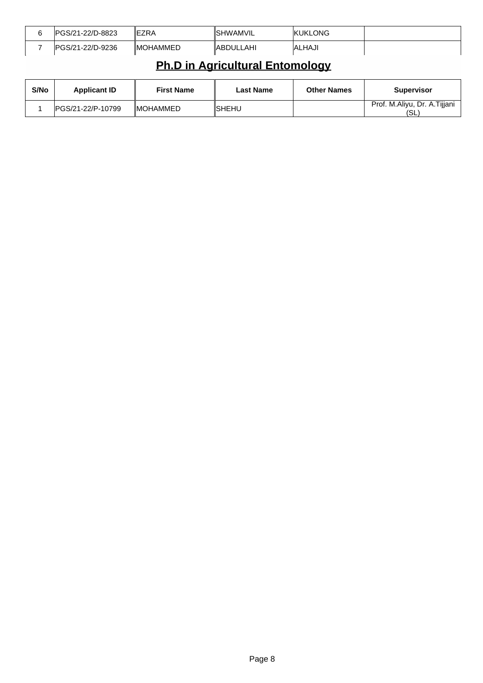| IPGS/21-22/D-8823 | <b>IEZRA</b>     | ISHWAMVIL  | IKUKLONG      |  |
|-------------------|------------------|------------|---------------|--|
| IPGS/21-22/D-9236 | <b>IMOHAMMED</b> | ∥ABDULLAHI | <b>ALHAJI</b> |  |

# **Ph.D in Agricultural Entomology**

| S/No | <b>Applicant ID</b> | <b>First Name</b> | Last Name | <b>Other Names</b> | Supervisor                          |
|------|---------------------|-------------------|-----------|--------------------|-------------------------------------|
|      | IPGS/21-22/P-10799  | <b>IMOHAMMED</b>  | ∥SHEHU    |                    | Prof. M.Aliyu, Dr. A.Tijjani<br>'SL |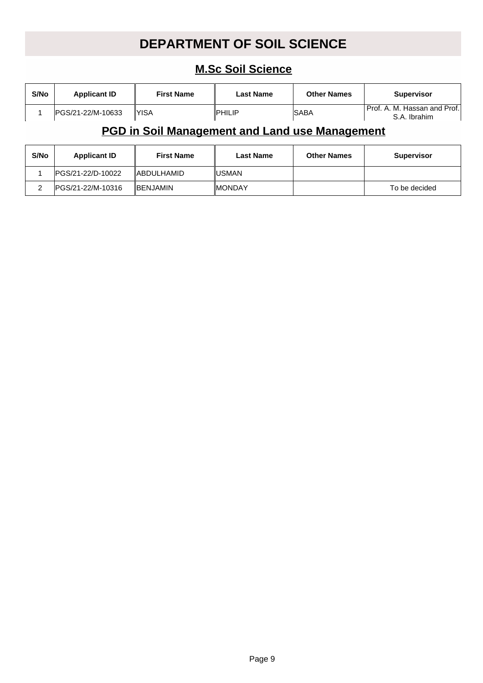# **DEPARTMENT OF SOIL SCIENCE**

### **M.Sc Soil Science**

| S/No | <b>Applicant ID</b> | <b>First Name</b> | <b>Last Name</b> | <b>Other Names</b> | <b>Supervisor</b>                               |
|------|---------------------|-------------------|------------------|--------------------|-------------------------------------------------|
|      | IPGS/21-22/M-10633  | 'YISA             | <b>IPHILIP</b>   | <b>ISABA</b>       | l Prof. A. M. Hassan and Prof.I<br>S.A. Ibrahim |

### **PGD in Soil Management and Land use Management**

| S/No | <b>Applicant ID</b> | <b>First Name</b> | <b>Last Name</b> | <b>Other Names</b> | <b>Supervisor</b> |
|------|---------------------|-------------------|------------------|--------------------|-------------------|
|      | IPGS/21-22/D-10022  | IABDULHAMID       | IUSMAN           |                    |                   |
|      | IPGS/21-22/M-10316  | <b>IBENJAMIN</b>  | ∥MONDAY          |                    | To be decided     |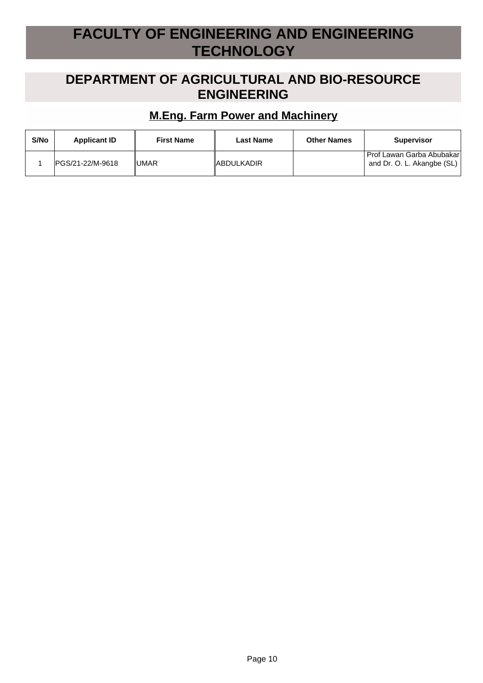# **FACULTY OF ENGINEERING AND ENGINEERING TECHNOLOGY**

### **DEPARTMENT OF AGRICULTURAL AND BIO-RESOURCE ENGINEERING**

#### **M.Eng. Farm Power and Machinery**

| S/No | <b>Applicant ID</b> | <b>First Name</b> | Last Name         | <b>Other Names</b> | <b>Supervisor</b>                                       |
|------|---------------------|-------------------|-------------------|--------------------|---------------------------------------------------------|
|      | IPGS/21-22/M-9618   | I∪MAR             | <b>ABDULKADIR</b> |                    | Prof Lawan Garba Abubakar<br>and Dr. O. L. Akangbe (SL) |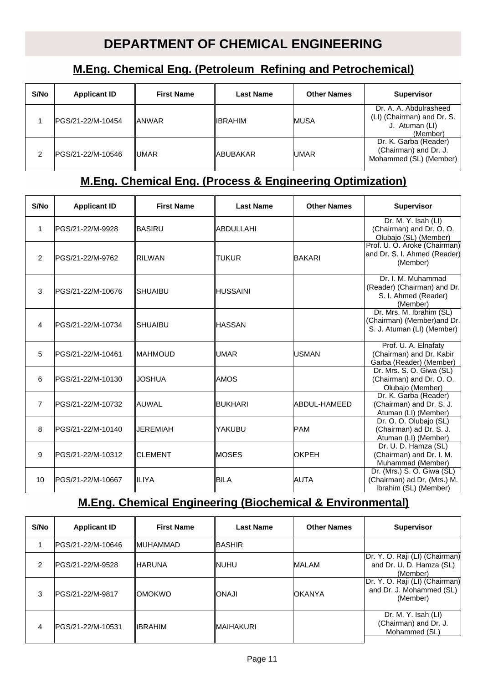## **DEPARTMENT OF CHEMICAL ENGINEERING**

### **M.Eng. Chemical Eng. (Petroleum Refining and Petrochemical)**

| S/No | <b>Applicant ID</b> | <b>First Name</b> | <b>Last Name</b> | <b>Other Names</b> | <b>Supervisor</b>                                                                  |
|------|---------------------|-------------------|------------------|--------------------|------------------------------------------------------------------------------------|
|      | IPGS/21-22/M-10454  | <b>ANWAR</b>      | ∥IBRAHIM         | <b>IMUSA</b>       | Dr. A. A. Abdulrasheed<br>(LI) (Chairman) and Dr. S.<br>J. Atuman (LI)<br>(Member) |
|      | IPGS/21-22/M-10546  | IUMAR             | ∥ABUBAKAR        | IUMAR              | Dr. K. Garba (Reader)<br>(Chairman) and Dr. J.<br>Mohammed (SL) (Member)           |

#### **M.Eng. Chemical Eng. (Process & Engineering Optimization)**

| S/No           | <b>Applicant ID</b> | <b>First Name</b> | <b>Last Name</b> | <b>Other Names</b> | <b>Supervisor</b>                                                                     |
|----------------|---------------------|-------------------|------------------|--------------------|---------------------------------------------------------------------------------------|
| 1              | PGS/21-22/M-9928    | <b>BASIRU</b>     | ABDULLAHI        |                    | Dr. M. Y. Isah (LI)<br>(Chairman) and Dr. O. O.<br>Olubajo (SL) (Member)              |
| 2              | PGS/21-22/M-9762    | IRILWAN           | <b>TUKUR</b>     | <b>BAKARI</b>      | Prof. U. O. Aroke (Chairman)<br>and Dr. S. I. Ahmed (Reader)<br>(Member)              |
| 3              | PGS/21-22/M-10676   | <b>SHUAIBU</b>    | <b>HUSSAINI</b>  |                    | Dr. I. M. Muhammad<br>(Reader) (Chairman) and Dr.<br>S. I. Ahmed (Reader)<br>(Member) |
| $\overline{4}$ | PGS/21-22/M-10734   | <b>SHUAIBU</b>    | <b>HASSAN</b>    |                    | Dr. Mrs. M. Ibrahim (SL)<br>(Chairman) (Member) and Dr.<br>S. J. Atuman (LI) (Member) |
| 5              | PGS/21-22/M-10461   | ∥MAHMOUD          | <b>UMAR</b>      | <b>IUSMAN</b>      | Prof. U. A. Elnafaty<br>(Chairman) and Dr. Kabir<br>Garba (Reader) (Member)           |
| 6              | PGS/21-22/M-10130   | <b>JOSHUA</b>     | <b>AMOS</b>      |                    | Dr. Mrs. S. O. Giwa (SL)<br>(Chairman) and Dr. O. O.<br>Olubajo (Member)              |
| $\overline{7}$ | PGS/21-22/M-10732   | lauwal            | BUKHARI          | IABDUL-HAMEED      | Dr. K. Garba (Reader)<br>(Chairman) and Dr. S. J.<br>Atuman (LI) (Member)             |
| 8              | PGS/21-22/M-10140   | <b>JEREMIAH</b>   | YAKUBU           | <b>PAM</b>         | Dr. O. O. Olubajo (SL)<br>(Chairman) ad Dr. S. J.<br>Atuman (LI) (Member)             |
| 9              | PGS/21-22/M-10312   | <b>CLEMENT</b>    | MOSES            | <b>OKPEH</b>       | Dr. U. D. Hamza (SL)<br>(Chairman) and Dr. I. M.<br>Muhammad (Member)                 |
| 10             | PGS/21-22/M-10667   | ∥ILIYA            | <b>BILA</b>      | <b>AUTA</b>        | Dr. (Mrs.) S. O. Giwa (SL)<br>(Chairman) ad Dr, (Mrs.) M.<br>Ibrahim (SL) (Member)    |

### **M.Eng. Chemical Engineering (Biochemical & Environmental)**

| S/No          | <b>Applicant ID</b> | <b>First Name</b> | <b>Last Name</b> | <b>Other Names</b> | <b>Supervisor</b>                                                      |
|---------------|---------------------|-------------------|------------------|--------------------|------------------------------------------------------------------------|
|               | IPGS/21-22/M-10646  | <b>IMUHAMMAD</b>  | <b>BASHIR</b>    |                    |                                                                        |
| $\mathcal{P}$ | lPGS/21-22/M-9528   | <b>IHARUNA</b>    | ∥NUHU            | <b>IMALAM</b>      | Dr. Y. O. Raji (LI) (Chairman)<br>and Dr. U. D. Hamza (SL)<br>(Member) |
| 3             | PGS/21-22/M-9817    | <b>IOMOKWO</b>    | ILANOI           | <b>IOKANYA</b>     | Dr. Y. O. Raji (LI) (Chairman)<br>and Dr. J. Mohammed (SL)<br>(Member) |
| 4             | IPGS/21-22/M-10531  | <b>IIBRAHIM</b>   | ∥MAIHAKURI       |                    | Dr. M. Y. Isah (LI)<br>(Chairman) and Dr. J.<br>Mohammed (SL)          |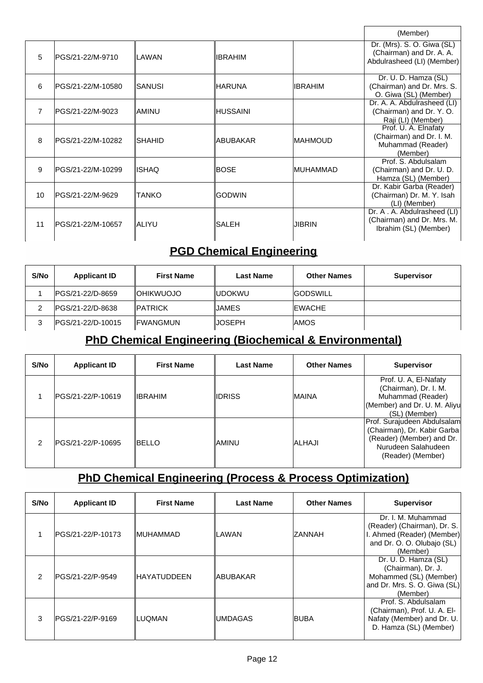|                |                    |                 |                 |                 | (Member)                                                                             |
|----------------|--------------------|-----------------|-----------------|-----------------|--------------------------------------------------------------------------------------|
| 5              | IPGS/21-22/M-9710  | ∥LAWAN          | IIBRAHIM        |                 | Dr. (Mrs). S. O. Giwa (SL)<br>(Chairman) and Dr. A. A.<br>Abdulrasheed (LI) (Member) |
| 6              | IPGS/21-22/M-10580 | ISANUSI         | ∥HARUNA         | <b>IIBRAHIM</b> | Dr. U. D. Hamza (SL)<br>(Chairman) and Dr. Mrs. S.<br>O. Giwa (SL) (Member)          |
| $\overline{7}$ | IPGS/21-22/M-9023  | IAMINU          | ∥HUSSAINI       |                 | Dr. A. A. Abdulrasheed (LI)<br>(Chairman) and Dr. Y. O.<br>Raji (LI) (Member)        |
| 8              | IPGS/21-22/M-10282 | <b>I</b> SHAHID | <b>ABUBAKAR</b> | IMAHMOUD        | Prof. U. A. Elnafaty<br>(Chairman) and Dr. I. M.<br>Muhammad (Reader)<br>(Member)    |
| 9              | IPGS/21-22/M-10299 | ∥ISHAQ          | lBOSE           | IMUHAMMAD       | Prof. S. Abdulsalam<br>(Chairman) and Dr. U. D.<br>Hamza (SL) (Member)               |
| 10             | IPGS/21-22/M-9629  | ITANKO          | <b>GODWIN</b>   |                 | Dr. Kabir Garba (Reader)<br>(Chairman) Dr. M. Y. Isah<br>(LI) (Member)               |
| 11             | IPGS/21-22/M-10657 | IALIYU          | ISALEH          | IJIBRIN         | Dr. A. A. Abdulrasheed (LI)<br>(Chairman) and Dr. Mrs. M.<br>Ibrahim (SL) (Member)   |

### **PGD Chemical Engineering**

| S/No | <b>Applicant ID</b> | <b>First Name</b> | <b>Last Name</b> | <b>Other Names</b> | <b>Supervisor</b> |
|------|---------------------|-------------------|------------------|--------------------|-------------------|
|      | IPGS/21-22/D-8659   | <b>IOHIKWUOJO</b> | ∥UDOKWU          | <b>GODSWILL</b>    |                   |
|      | IPGS/21-22/D-8638   | <b>IPATRICK</b>   | IJAMES           | <b>IEWACHE</b>     |                   |
| J    | IPGS/21-22/D-10015  | IFWANGMUN         | IJOSEPH          | <b>IAMOS</b>       |                   |

## **PhD Chemical Engineering (Biochemical & Environmental)**

| S/No | <b>Applicant ID</b> | <b>First Name</b> | <b>Last Name</b> | <b>Other Names</b> | <b>Supervisor</b>                                                                                                                   |
|------|---------------------|-------------------|------------------|--------------------|-------------------------------------------------------------------------------------------------------------------------------------|
|      | IPGS/21-22/P-10619  | <b>IIBRAHIM</b>   | <b>IDRISS</b>    | <b>MAINA</b>       | Prof. U. A, El-Nafaty<br>(Chairman), Dr. I. M.<br>Muhammad (Reader)<br>(Member) and Dr. U. M. Aliyu<br>(SL) (Member)                |
| 2    | IPGS/21-22/P-10695  | <b>IBELLO</b>     | ∥AMINU           | <b>ALHAJI</b>      | Prof. Surajudeen Abdulsalam<br>(Chairman), Dr. Kabir Garba<br>(Reader) (Member) and Dr.<br>Nurudeen Salahudeen<br>(Reader) (Member) |

# **PhD Chemical Engineering (Process & Process Optimization)**

| S/No | <b>Applicant ID</b> | <b>First Name</b> | <b>Last Name</b> | <b>Other Names</b> | <b>Supervisor</b>                                                                                                         |
|------|---------------------|-------------------|------------------|--------------------|---------------------------------------------------------------------------------------------------------------------------|
|      | IPGS/21-22/P-10173  | ∥MUHAMMAD         | ILAWAN           | ZANNAH             | Dr. I. M. Muhammad<br>(Reader) (Chairman), Dr. S.<br>I. Ahmed (Reader) (Member)<br>and Dr. O. O. Olubajo (SL)<br>(Member) |
| 2    | IPGS/21-22/P-9549   | IHAYATUDDEEN      | ∥ABUBAKAR        |                    | Dr. U. D. Hamza (SL)<br>(Chairman), Dr. J.<br>Mohammed (SL) (Member)<br>and Dr. Mrs. S. O. Giwa (SL)<br>(Member)          |
| 3    | IPGS/21-22/P-9169   | ∥LUOMAN           | <b>UMDAGAS</b>   | <b>BUBA</b>        | Prof. S. Abdulsalam<br>(Chairman), Prof. U. A. El-<br>Nafaty (Member) and Dr. U.<br>D. Hamza (SL) (Member)                |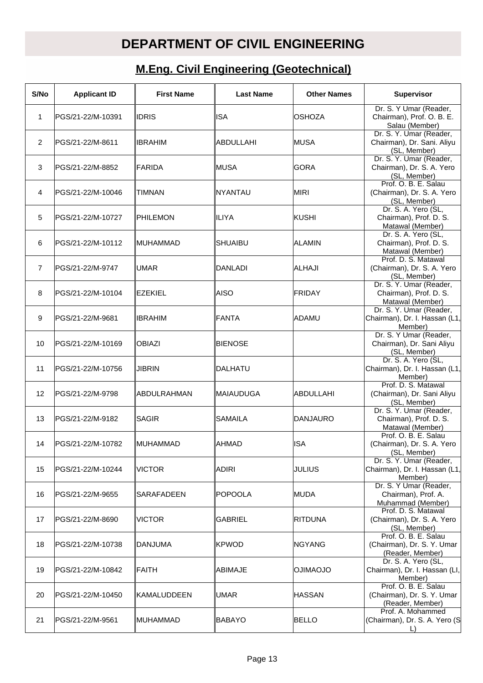# **DEPARTMENT OF CIVIL ENGINEERING**

# **M.Eng. Civil Engineering (Geotechnical)**

| S/No           | <b>Applicant ID</b> | <b>First Name</b> | <b>Last Name</b> | <b>Other Names</b> | <b>Supervisor</b>                                                      |
|----------------|---------------------|-------------------|------------------|--------------------|------------------------------------------------------------------------|
| 1              | PGS/21-22/M-10391   | ∥IDRIS            | ISA              | <b>OSHOZA</b>      | Dr. S. Y Umar (Reader,<br>Chairman), Prof. O. B. E.<br>Salau (Member)  |
| 2              | PGS/21-22/M-8611    | <b>IBRAHIM</b>    | ABDULLAHI        | <b>IMUSA</b>       | Dr. S. Y. Umar (Reader,<br>Chairman), Dr. Sani. Aliyu<br>(SL, Member)  |
| 3              | PGS/21-22/M-8852    | <b>FARIDA</b>     | <b>MUSA</b>      | <b>GORA</b>        | Dr. S. Y. Umar (Reader,<br>Chairman), Dr. S. A. Yero<br>(SL, Member)   |
| 4              | PGS/21-22/M-10046   | <b>TIMNAN</b>     | <b>NYANTAU</b>   | <b>MIRI</b>        | Prof. O. B. E. Salau<br>(Chairman), Dr. S. A. Yero<br>(SL, Member)     |
| 5              | PGS/21-22/M-10727   | ∥PHILEMON         | <b>ILIYA</b>     | KUSHI              | Dr. S. A. Yero (SL,<br>Chairman), Prof. D. S.<br>Matawal (Member)      |
| 6              | PGS/21-22/M-10112   | ∥MUHAMMAD         | <b>SHUAIBU</b>   | <b>ALAMIN</b>      | Dr. S. A. Yero (SL,<br>Chairman), Prof. D. S.<br>Matawal (Member)      |
| $\overline{7}$ | PGS/21-22/M-9747    | ∣UMAR             | <b>DANLADI</b>   | ALHAJI             | Prof. D. S. Matawal<br>(Chairman), Dr. S. A. Yero<br>(SL, Member)      |
| 8              | PGS/21-22/M-10104   | EZEKIEL           | AISO             | <b>FRIDAY</b>      | Dr. S. Y. Umar (Reader,<br>Chairman), Prof. D. S.<br>Matawal (Member)  |
| 9              | PGS/21-22/M-9681    | <b>IBRAHIM</b>    | FANTA            | ADAMU              | Dr. S. Y. Umar (Reader,<br>Chairman), Dr. I. Hassan (L1,<br>Member)    |
| 10             | PGS/21-22/M-10169   | <b>OBIAZI</b>     | <b>BIENOSE</b>   |                    | Dr. S. Y Umar (Reader,<br>Chairman), Dr. Sani Aliyu<br>(SL, Member)    |
| 11             | PGS/21-22/M-10756   | ∥JIBRIN           | DALHATU          |                    | Dr. S. A. Yero (SL,<br>Chairman), Dr. I. Hassan (L1,<br>Member)        |
| 12             | PGS/21-22/M-9798    | ∥ABDULRAHMAN      | MAIAUDUGA        | ABDULLAHI          | Prof. D. S. Matawal<br>(Chairman), Dr. Sani Aliyu<br>(SL, Member)      |
| 13             | PGS/21-22/M-9182    | ∥SAGIR            | <b>SAMAILA</b>   | <b>DANJAURO</b>    | Dr. S. Y. Umar (Reader,<br>Chairman), Prof. D. S.<br>Matawal (Member)  |
| 14             | PGS/21-22/M-10782   | ∥MUHAMMAD         | ∥AHMAD           | <b>ISA</b>         | Prof. O. B. E. Salau<br>(Chairman), Dr. S. A. Yero<br>(SL, Member)     |
| 15             | PGS/21-22/M-10244   | <b>VICTOR</b>     | ADIRI            | JULIUS             | Dr. S. Y. Umar (Reader,<br>Chairman), Dr. I. Hassan (L1,<br>Member)    |
| 16             | PGS/21-22/M-9655    | ISARAFADEEN       | POPOOLA          | <b>MUDA</b>        | Dr. S. Y Umar (Reader,<br>Chairman), Prof. A.<br>Muhammad (Member)     |
| 17             | PGS/21-22/M-8690    | VICTOR            | <b>GABRIEL</b>   | <b>RITDUNA</b>     | Prof. D. S. Matawal<br>(Chairman), Dr. S. A. Yero<br>(SL, Member)      |
| 18             | PGS/21-22/M-10738   | ∥DANJUMA          | <b>KPWOD</b>     | <b>NGYANG</b>      | Prof. O. B. E. Salau<br>(Chairman), Dr. S. Y. Umar<br>(Reader, Member) |
| 19             | PGS/21-22/M-10842   | ∥FAITH            | ∥ABIMAJE         | <b>OUOAMILO</b>    | Dr. S. A. Yero (SL,<br>Chairman), Dr. I. Hassan (LI,<br>Member)        |
| 20             | PGS/21-22/M-10450   | ∥KAMALUDDEEN      | <b>UMAR</b>      | <b>HASSAN</b>      | Prof. O. B. E. Salau<br>(Chairman), Dr. S. Y. Umar<br>(Reader, Member) |
| 21             | PGS/21-22/M-9561    | ∥MUHAMMAD         | <b>BABAYO</b>    | <b>BELLO</b>       | Prof. A. Mohammed<br>(Chairman), Dr. S. A. Yero (S<br>I)               |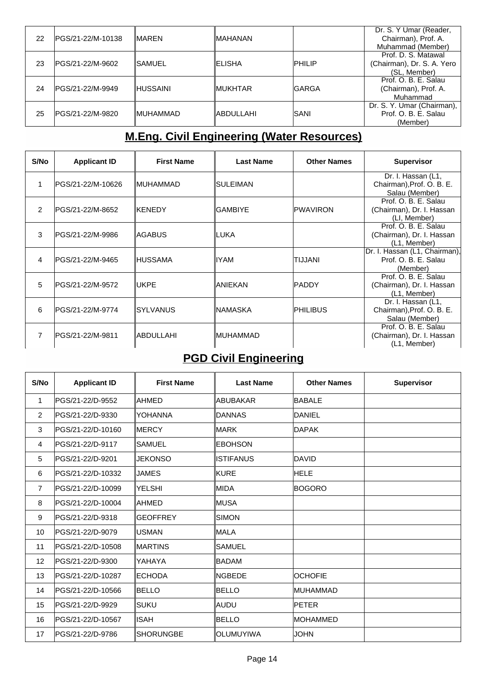|    |                    |                  |                |               | Dr. S. Y Umar (Reader,     |
|----|--------------------|------------------|----------------|---------------|----------------------------|
| 22 | IPGS/21-22/M-10138 | <b>IMAREN</b>    | ∥MAHANAN       |               | Chairman), Prof. A.        |
|    |                    |                  |                |               | Muhammad (Member)          |
|    |                    |                  |                |               | Prof. D. S. Matawal        |
| 23 | IPGS/21-22/M-9602  | ISAMUEL          | <b>IELISHA</b> | <b>PHILIP</b> | (Chairman), Dr. S. A. Yero |
|    |                    |                  |                |               | (SL, Member)               |
|    |                    |                  |                |               | Prof. O. B. E. Salau       |
| 24 | IPGS/21-22/M-9949  | <b>HUSSAINI</b>  | ∥MUKHTAR       | lGARGA        | (Chairman), Prof. A.       |
|    |                    |                  |                |               | Muhammad                   |
|    |                    |                  |                |               | Dr. S. Y. Umar (Chairman), |
| 25 | PGS/21-22/M-9820   | <b>IMUHAMMAD</b> | ∥ABDULLAHI     | <b>ISANI</b>  | Prof. O. B. E. Salau       |
|    |                    |                  |                |               | (Member)                   |

# **M.Eng. Civil Engineering (Water Resources)**

| S/No          | <b>Applicant ID</b> | <b>First Name</b> | <b>Last Name</b> | <b>Other Names</b> | <b>Supervisor</b>                           |
|---------------|---------------------|-------------------|------------------|--------------------|---------------------------------------------|
|               |                     |                   |                  |                    | Dr. I. Hassan (L1,                          |
|               | IPGS/21-22/M-10626  | ∥MUHAMMAD         | ISULEIMAN        |                    | Chairman), Prof. O. B. E.<br>Salau (Member) |
|               |                     |                   |                  |                    | Prof. O. B. E. Salau                        |
| $\mathcal{P}$ | PGS/21-22/M-8652    | ∥KENEDY           | <b>GAMBIYE</b>   | <b>PWAVIRON</b>    | (Chairman), Dr. I. Hassan                   |
|               |                     |                   |                  |                    | (LI, Member)                                |
| 3             | PGS/21-22/M-9986    | IAGABUS           | ∥LUKA            |                    | Prof. O. B. E. Salau                        |
|               |                     |                   |                  |                    | (Chairman), Dr. I. Hassan<br>(L1, Member)   |
|               |                     |                   |                  |                    | Dr. I. Hassan (L1, Chairman),               |
| 4             | IPGS/21-22/M-9465   | ∥HUSSAMA          | llYAM            | ITIJJANI           | Prof. O. B. E. Salau                        |
|               |                     |                   |                  |                    | (Member)                                    |
|               |                     |                   |                  |                    | Prof. O. B. E. Salau                        |
| 5             | IPGS/21-22/M-9572   | <b>IUKPE</b>      | ∥ANIEKAN         | <b>IPADDY</b>      | (Chairman), Dr. I. Hassan                   |
|               |                     |                   |                  |                    | (L1, Member)                                |
|               |                     |                   |                  |                    | Dr. I. Hassan (L1,                          |
| 6             | IPGS/21-22/M-9774   | ISYLVANUS         | ∥NAMASKA         | <b>PHILIBUS</b>    | Chairman), Prof. O. B. E.                   |
|               |                     |                   |                  |                    | Salau (Member)                              |
|               |                     |                   |                  |                    | Prof. O. B. E. Salau                        |
| 7             | IPGS/21-22/M-9811   | ∥ABDULLAHI        | ∥MUHAMMAD        |                    | (Chairman), Dr. I. Hassan                   |
|               |                     |                   |                  |                    | (L1, Member)                                |

## **PGD Civil Engineering**

| S/No           | <b>Applicant ID</b> | <b>First Name</b> | <b>Last Name</b> | <b>Other Names</b> | <b>Supervisor</b> |
|----------------|---------------------|-------------------|------------------|--------------------|-------------------|
| $\mathbf 1$    | PGS/21-22/D-9552    | lahmed            | ABUBAKAR         | <b>BABALE</b>      |                   |
| $\overline{2}$ | PGS/21-22/D-9330    | <b>YOHANNA</b>    | DANNAS           | DANIEL             |                   |
| 3              | PGS/21-22/D-10160   | <b>MERCY</b>      | MARK             | <b>DAPAK</b>       |                   |
| $\overline{4}$ | PGS/21-22/D-9117    | <b>SAMUEL</b>     | <b>EBOHSON</b>   |                    |                   |
| 5              | PGS/21-22/D-9201    | <b>JEKONSO</b>    | IISTIFANUS       | <b>DAVID</b>       |                   |
| 6              | PGS/21-22/D-10332   | <b>JAMES</b>      | KURE             | <b>HELE</b>        |                   |
| $\overline{7}$ | PGS/21-22/D-10099   | YELSHI            | MIDA             | <b>BOGORO</b>      |                   |
| 8              | PGS/21-22/D-10004   | <b>AHMED</b>      | MUSA             |                    |                   |
| 9              | PGS/21-22/D-9318    | <b>IGEOFFREY</b>  | <b>ISIMON</b>    |                    |                   |
| 10             | PGS/21-22/D-9079    | <b>USMAN</b>      | MALA             |                    |                   |
| 11             | PGS/21-22/D-10508   | <b>IMARTINS</b>   | <b>SAMUEL</b>    |                    |                   |
| 12             | PGS/21-22/D-9300    | YAHAYA            | BADAM            |                    |                   |
| 13             | PGS/21-22/D-10287   | <b>ECHODA</b>     | <b>NGBEDE</b>    | <b>OCHOFIE</b>     |                   |
| 14             | PGS/21-22/D-10566   | <b>BELLO</b>      | BELLO            | IMUHAMMAD          |                   |
| 15             | PGS/21-22/D-9929    | Isuku             | IAUDU            | <b>PETER</b>       |                   |
| 16             | IPGS/21-22/D-10567  | lisah             | BELLO            | <b>IMOHAMMED</b>   |                   |
| 17             | PGS/21-22/D-9786    | <b>ISHORUNGBE</b> | IOLUMUYIWA       | <b>JOHN</b>        |                   |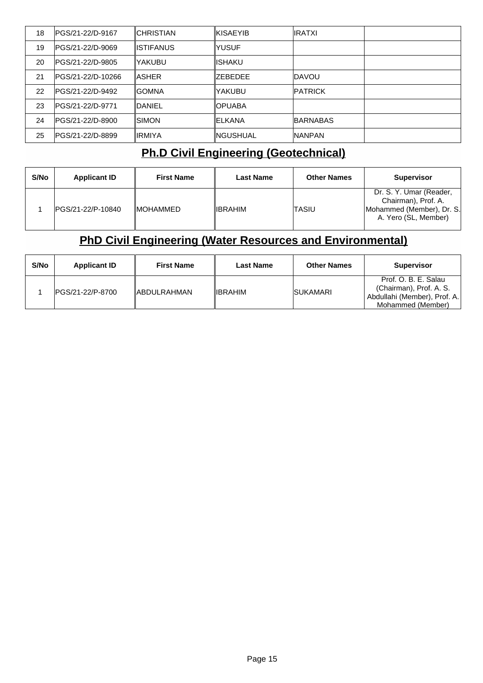| 18 | IPGS/21-22/D-9167        | ICHRISTIAN     | ∥KISAEYIB | <b>IRATXI</b>   |  |
|----|--------------------------|----------------|-----------|-----------------|--|
| 19 | IPGS/21-22/D-9069        | IISTIFANUS     | YUSUF     |                 |  |
| 20 | IPGS/21-22/D-9805        | YAKUBU         | lishaku   |                 |  |
| 21 | IPGS/21-22/D-10266       | IASHER         | IZEBEDEE  | <b>IDAVOU</b>   |  |
| 22 | <b>IPGS/21-22/D-9492</b> | IGOMNA         | YAKUBU    | <b>IPATRICK</b> |  |
| 23 | IPGS/21-22/D-9771        | <b>IDANIEL</b> | IOPUABA   |                 |  |
| 24 | PGS/21-22/D-8900         | ISIMON         | IELKANA   | <b>BARNABAS</b> |  |
| 25 | IPGS/21-22/D-8899        | IIRMIYA        | ∥NGUSHUAL | <b>INANPAN</b>  |  |

## **Ph.D Civil Engineering (Geotechnical)**

| S/No | <b>Applicant ID</b> | <b>First Name</b> | <b>Last Name</b> | <b>Other Names</b> | <b>Supervisor</b>                                                                                   |
|------|---------------------|-------------------|------------------|--------------------|-----------------------------------------------------------------------------------------------------|
|      | IPGS/21-22/P-10840  | <b>IMOHAMMED</b>  | <b>IIBRAHIM</b>  | ITASIU             | Dr. S. Y. Umar (Reader,<br>Chairman), Prof. A.<br>Mohammed (Member), Dr. S.<br>A. Yero (SL, Member) |

## **PhD Civil Engineering (Water Resources and Environmental)**

| S/No | <b>Applicant ID</b> | <b>First Name</b>   | <b>Last Name</b> | <b>Other Names</b> | <b>Supervisor</b>                                                                                    |
|------|---------------------|---------------------|------------------|--------------------|------------------------------------------------------------------------------------------------------|
|      | IPGS/21-22/P-8700   | <b>IABDULRAHMAN</b> | ∥IBRAHIM         | <b>ISUKAMARI</b>   | Prof. O. B. E. Salau<br>(Chairman), Prof. A. S.<br>Abdullahi (Member), Prof. A.<br>Mohammed (Member) |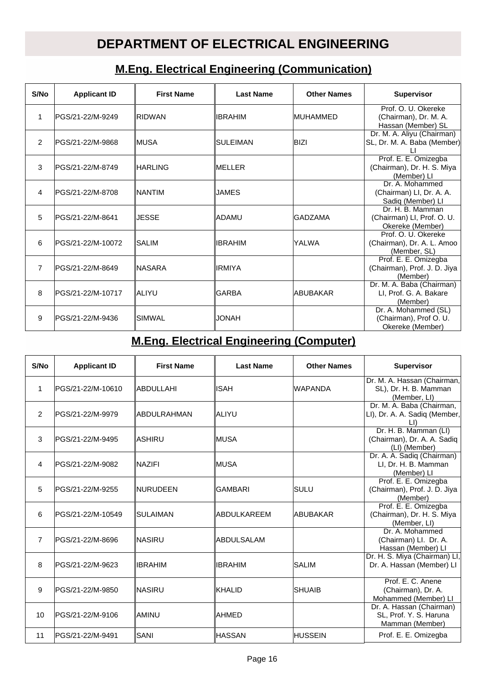## **DEPARTMENT OF ELECTRICAL ENGINEERING**

### **M.Eng. Electrical Engineering (Communication)**

| S/No           | <b>Applicant ID</b> | <b>First Name</b> | <b>Last Name</b> | <b>Other Names</b> | <b>Supervisor</b>                                                  |
|----------------|---------------------|-------------------|------------------|--------------------|--------------------------------------------------------------------|
| 1              | PGS/21-22/M-9249    | IRIDWAN           | ∥IBRAHIM         | IMUHAMMED          | Prof. O. U. Okereke<br>(Chairman), Dr. M. A.<br>Hassan (Member) SL |
| 2              | IPGS/21-22/M-9868   | ∥MUSA             | ISULEIMAN        | BIZI               | Dr. M. A. Aliyu (Chairman)<br>SL, Dr. M. A. Baba (Member)          |
| 3              | IPGS/21-22/M-8749   | ∥HARLING          | ∥MELLER          |                    | Prof. E. E. Omizegba<br>(Chairman), Dr. H. S. Miya<br>(Member) LI  |
| 4              | IPGS/21-22/M-8708   | INANTIM           | IJAMES           |                    | Dr. A. Mohammed<br>(Chairman) LI, Dr. A. A.<br>Sadiq (Member) Ll   |
| 5              | PGS/21-22/M-8641    | <b>JESSE</b>      | ∥ADAMU           | <b>GADZAMA</b>     | Dr. H. B. Mamman<br>(Chairman) LI, Prof. O. U.<br>Okereke (Member) |
| 6              | IPGS/21-22/M-10072  | <b>SALIM</b>      | ∥IBRAHIM         | YALWA              | Prof. O. U. Okereke<br>(Chairman), Dr. A. L. Amoo<br>(Member, SL)  |
| $\overline{7}$ | IPGS/21-22/M-8649   | ∥NASARA           | ∥IRMIYA          |                    | Prof. E. E. Omizegba<br>(Chairman), Prof. J. D. Jiya<br>(Member)   |
| 8              | PGS/21-22/M-10717   | laliyu            | IGARBA           | ABUBAKAR           | Dr. M. A. Baba (Chairman)<br>LI, Prof. G. A. Bakare<br>(Member)    |
| 9              | PGS/21-22/M-9436    | <b>SIMWAL</b>     | HAVOLI           |                    | Dr. A. Mohammed (SL)<br>(Chairman), Prof O. U.<br>Okereke (Member) |

### **M.Eng. Electrical Engineering (Computer)**

| S/No           | <b>Applicant ID</b> | <b>First Name</b> | <b>Last Name</b>    | <b>Other Names</b> | Supervisor                                                            |
|----------------|---------------------|-------------------|---------------------|--------------------|-----------------------------------------------------------------------|
| 1              | PGS/21-22/M-10610   | <b>ABDULLAHI</b>  | ∥ISAH               | <b>WAPANDA</b>     | Dr. M. A. Hassan (Chairman,<br>SL), Dr. H. B. Mamman<br>(Member, LI)  |
| $\overline{2}$ | IPGS/21-22/M-9979   | ∥ABDULRAHMAN      | ∥ALIYU              |                    | Dr. M. A. Baba (Chairman,<br>LI), Dr. A. A. Sadiq (Member,            |
| 3              | IPGS/21-22/M-9495   | ∥ASHIRU           | ∥MUSA               |                    | Dr. H. B. Mamman (LI)<br>(Chairman), Dr. A. A. Sadiq<br>(LI) (Member) |
| 4              | PGS/21-22/M-9082    | <b>INAZIFI</b>    | ∥MUSA               |                    | Dr. A. A. Sadiq (Chairman)<br>LI, Dr. H. B. Mamman<br>(Member) LI     |
| 5              | PGS/21-22/M-9255    | INURUDEEN         | IGAMBARI            | <b>SULU</b>        | Prof. E. E. Omizegba<br>(Chairman), Prof. J. D. Jiya<br>(Member)      |
| 6              | IPGS/21-22/M-10549  | SULAIMAN          | <b>IABDULKAREEM</b> | <b>IABUBAKAR</b>   | Prof. E. E. Omizegba<br>(Chairman), Dr. H. S. Miya<br>(Member, LI)    |
| $\overline{7}$ | IPGS/21-22/M-8696   | INASIRU           | ∥ABDULSALAM         |                    | Dr. A. Mohammed<br>(Chairman) Ll. Dr. A.<br>Hassan (Member) Ll        |
| 8              | IPGS/21-22/M-9623   | <b>IBRAHIM</b>    | ∥IBRAHIM            | <b>SALIM</b>       | Dr. H. S. Miya (Chairman) LI,<br>Dr. A. Hassan (Member) Ll            |
| 9              | IPGS/21-22/M-9850   | <b>INASIRU</b>    | <b>IKHALID</b>      | ISHUAIB            | Prof. E. C. Anene<br>(Chairman), Dr. A.<br>Mohammed (Member) LI       |
| 10             | PGS/21-22/M-9106    | IAMINU            | ∥AHMED              |                    | Dr. A. Hassan (Chairman)<br>SL. Prof. Y. S. Haruna<br>Mamman (Member) |
| 11             | PGS/21-22/M-9491    | <b>SANI</b>       | ∥HASSAN             | <b>HUSSEIN</b>     | Prof. E. E. Omizegba                                                  |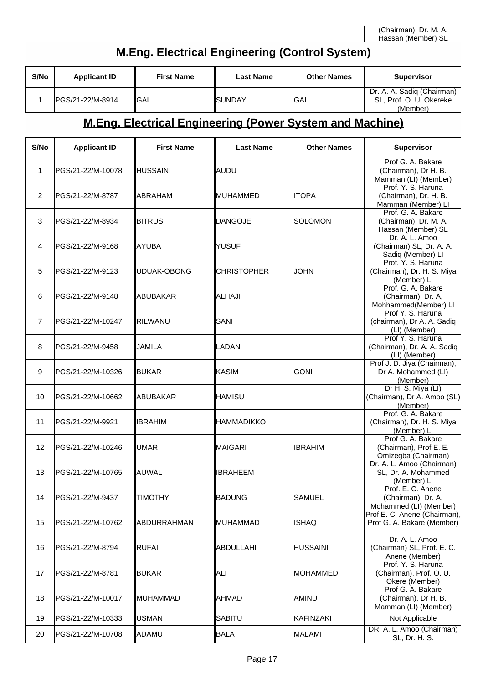### **M.Eng. Electrical Engineering (Control System)**

| S/No | <b>Applicant ID</b> | <b>First Name</b> | <b>Last Name</b> | <b>Other Names</b> | <b>Supervisor</b>                                     |
|------|---------------------|-------------------|------------------|--------------------|-------------------------------------------------------|
|      | IPGS/21-22/M-8914   | ∥GAI              | <b>ISUNDAY</b>   | IGAI               | Dr. A. A. Sadig (Chairman)<br>SL, Prof. O. U. Okereke |
|      |                     |                   |                  |                    | (Member)                                              |

## **M.Eng. Electrical Engineering (Power System and Machine)**

| S/No           | <b>Applicant ID</b> | <b>First Name</b> | <b>Last Name</b>   | <b>Other Names</b> | Supervisor                                                         |
|----------------|---------------------|-------------------|--------------------|--------------------|--------------------------------------------------------------------|
| 1              | PGS/21-22/M-10078   | ∥HUSSAINI         | ∥AUDU              |                    | Prof G. A. Bakare<br>(Chairman), Dr H. B.<br>Mamman (LI) (Member)  |
| $\overline{2}$ | PGS/21-22/M-8787    | IABRAHAM          | <b>IMUHAMMED</b>   | <b>ITOPA</b>       | Prof. Y. S. Haruna<br>(Chairman), Dr. H. B.<br>Mamman (Member) Ll  |
| 3              | PGS/21-22/M-8934    | <b>BITRUS</b>     | DANGOJE            | <b>SOLOMON</b>     | Prof. G. A. Bakare<br>(Chairman), Dr. M. A.<br>Hassan (Member) SL  |
| 4              | PGS/21-22/M-9168    | ∥AYUBA            | IYUSUF             |                    | Dr. A. L. Amoo<br>(Chairman) SL, Dr. A. A.<br>Sadiq (Member) Ll    |
| 5              | PGS/21-22/M-9123    | UDUAK-OBONG       | <b>CHRISTOPHER</b> | <b>JOHN</b>        | Prof. Y. S. Haruna<br>(Chairman), Dr. H. S. Miya<br>(Member) LI    |
| 6              | PGS/21-22/M-9148    | ∥ABUBAKAR         | <b>ALHAJI</b>      |                    | Prof. G. A. Bakare<br>(Chairman), Dr. A,<br>Mohhammed(Member) LI   |
| $\overline{7}$ | PGS/21-22/M-10247   | ∥RILWANU          | SANI               |                    | Prof Y. S. Haruna<br>(chairman), Dr A. A. Sadiq<br>(LI) (Member)   |
| 8              | PGS/21-22/M-9458    | IJAMILA           | LADAN              |                    | Prof Y. S. Haruna<br>(Chairman), Dr. A. A. Sadiq<br>(LI) (Member)  |
| 9              | PGS/21-22/M-10326   | <b>BUKAR</b>      | ∥KASIM             | GONI               | Prof J. D. Jiya (Chairman),<br>Dr A. Mohammed (LI)<br>(Member)     |
| 10             | PGS/21-22/M-10662   | ∥ABUBAKAR         | IHAMISU            |                    | Dr H. S. Miya (LI)<br>(Chairman), Dr A. Amoo (SL)<br>(Member)      |
| 11             | PGS/21-22/M-9921    | IIBRAHIM          | IHAMMADIKKO        |                    | Prof. G. A. Bakare<br>(Chairman), Dr. H. S. Miya<br>(Member) LI    |
| 12             | PGS/21-22/M-10246   | UMAR              | ∥MAIGARI           | <b>IBRAHIM</b>     | Prof G. A. Bakare<br>(Chairman), Prof E. E.<br>Omizegba (Chairman) |
| 13             | PGS/21-22/M-10765   | ∥AUWAL            | <b>IBRAHEEM</b>    |                    | Dr. A. L. Amoo (Chairman)<br>SL, Dr. A. Mohammed<br>(Member) LI    |
| 14             | PGS/21-22/M-9437    | ∥TIMOTHY          | ∥BADUNG            | <b>SAMUEL</b>      | Prof. E. C. Anene<br>(Chairman), Dr. A.<br>Mohammed (LI) (Member)  |
| 15             | PGS/21-22/M-10762   | ∥ABDURRAHMAN      | ∥MUHAMMAD          | <b>ISHAQ</b>       | Prof E. C. Anene (Chairman),<br>Prof G. A. Bakare (Member)         |
| 16             | PGS/21-22/M-8794    | ∥RUFAI            | <b>ABDULLAHI</b>   | <b>HUSSAINI</b>    | Dr. A. L. Amoo<br>(Chairman) SL, Prof. E. C.<br>Anene (Member)     |
| 17             | PGS/21-22/M-8781    | ∥BUKAR            | ∥ALI               | <b>MOHAMMED</b>    | Prof. Y. S. Haruna<br>(Chairman), Prof. O. U.<br>Okere (Member)    |
| 18             | PGS/21-22/M-10017   | ∥MUHAMMAD         | <b>AHMAD</b>       | AMINU              | Prof G. A. Bakare<br>(Chairman), Dr H. B.<br>Mamman (LI) (Member)  |
| 19             | PGS/21-22/M-10333   | <b>USMAN</b>      | <b>SABITU</b>      | KAFINZAKI          | Not Applicable                                                     |
| 20             | PGS/21-22/M-10708   | ADAMU             | <b>BALA</b>        | <b>MALAMI</b>      | DR. A. L. Amoo (Chairman)<br>SL, Dr. H. S.                         |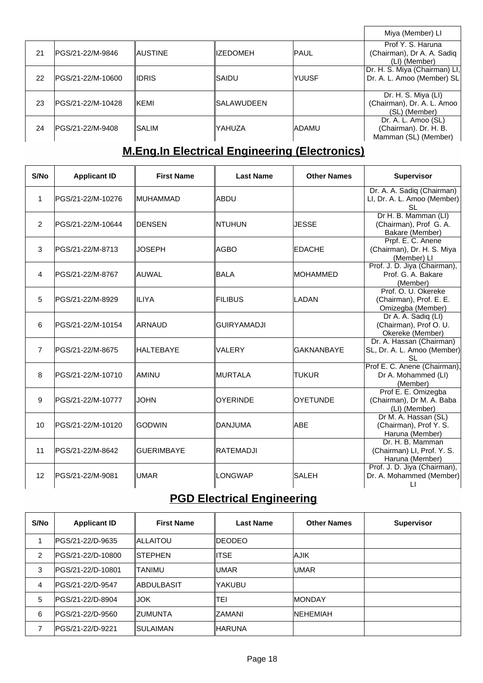|    |                    |          |                  |               | Miya (Member) LI              |
|----|--------------------|----------|------------------|---------------|-------------------------------|
|    |                    |          |                  |               | Prof Y. S. Haruna             |
| 21 | PGS/21-22/M-9846   | IAUSTINE | <b>IIZEDOMEH</b> | <b>PAUL</b>   | (Chairman), Dr A. A. Sadiq    |
|    |                    |          |                  |               | (LI) (Member)                 |
|    |                    |          |                  |               | Dr. H. S. Miya (Chairman) LI, |
| 22 | IPGS/21-22/M-10600 | IIDRIS.  | ISAIDU           | <b>IYUUSF</b> | Dr. A. L. Amoo (Member) SL    |
|    |                    |          |                  |               |                               |
|    |                    |          |                  |               | Dr. H. S. Miya (LI)           |
| 23 | IPGS/21-22/M-10428 | IKEMI    | ISALAWUDEEN      |               | (Chairman), Dr. A. L. Amoo    |
|    |                    |          |                  |               | (SL) (Member)                 |
|    |                    |          |                  |               | Dr. A. L. Amoo (SL)           |
| 24 | lPGS/21-22/M-9408  | ISALIM   | lyahuza          | <b>ADAMU</b>  | (Chairman). Dr. H. B.         |
|    |                    |          |                  |               | Mamman (SL) (Member)          |

# **M.Eng.In Electrical Engineering (Electronics)**

| S/No           | <b>Applicant ID</b> | <b>First Name</b> | <b>Last Name</b>   | <b>Other Names</b> | <b>Supervisor</b>                                                      |
|----------------|---------------------|-------------------|--------------------|--------------------|------------------------------------------------------------------------|
| 1              | PGS/21-22/M-10276   | ∥MUHAMMAD         | ∥ABDU              |                    | Dr. A. A. Sadiq (Chairman)<br>LI, Dr. A. L. Amoo (Member)<br><b>SL</b> |
| 2              | PGS/21-22/M-10644   | ∥DENSEN           | <b>NTUHUN</b>      | <b>JESSE</b>       | Dr H. B. Mamman (LI)<br>(Chairman), Prof G. A.<br>Bakare (Member)      |
| 3              | lPGS/21-22/M-8713   | IJOSEPH           | ∥AGBO              | <b>EDACHE</b>      | Prpf. E. C. Anene<br>(Chairman), Dr. H. S. Miya<br>(Member) LI         |
| $\overline{4}$ | lPGS/21-22/M-8767   | ∥AUWAL            | BALA               | <b>MOHAMMED</b>    | Prof. J. D. Jiya (Chairman),<br>Prof. G. A. Bakare<br>(Member)         |
| 5              | lPGS/21-22/M-8929   | <b>IILIYA</b>     | <b>FILIBUS</b>     | <b>LADAN</b>       | Prof. O. U. Okereke<br>(Chairman), Prof. E. E.<br>Omizegba (Member)    |
| 6              | IPGS/21-22/M-10154  | <b>ARNAUD</b>     | <b>GUIRYAMADJI</b> |                    | Dr A. A. Sadiq (LI)<br>(Chairman), Prof O. U.<br>Okereke (Member)      |
| $\overline{7}$ | PGS/21-22/M-8675    | <b>IHALTEBAYE</b> | VALERY             | <b>GAKNANBAYE</b>  | Dr. A. Hassan (Chairman)<br>SL, Dr. A. L. Amoo (Member)<br><b>SL</b>   |
| 8              | PGS/21-22/M-10710   | IAMINU            | <b>IMURTALA</b>    | <b>TUKUR</b>       | Prof E. C. Anene (Chairman),<br>Dr A. Mohammed (LI)<br>(Member)        |
| 9              | PGS/21-22/M-10777   | IJOHN             | <b>OYERINDE</b>    | <b>OYETUNDE</b>    | Prof E. E. Omizegba<br>(Chairman), Dr M. A. Baba<br>(LI) (Member)      |
| 10             | PGS/21-22/M-10120   | ∥godwin           | <b>DANJUMA</b>     | <b>ABE</b>         | Dr M. A. Hassan (SL)<br>(Chairman), Prof Y. S.<br>Haruna (Member)      |
| 11             | PGS/21-22/M-8642    | <b>GUERIMBAYE</b> | <b>RATEMADJI</b>   |                    | Dr. H. B. Mamman<br>(Chairman) LI, Prof. Y. S.<br>Haruna (Member)      |
| 12             | PGS/21-22/M-9081    | UMAR <sup></sup>  | LONGWAP            | <b>SALEH</b>       | Prof. J. D. Jiya (Chairman),<br>Dr. A. Mohammed (Member)<br>$\Box$     |

# **PGD Electrical Engineering**

| S/No           | <b>Applicant ID</b> | <b>First Name</b> | <b>Last Name</b> | <b>Other Names</b> | <b>Supervisor</b> |
|----------------|---------------------|-------------------|------------------|--------------------|-------------------|
|                | IPGS/21-22/D-9635   | ∥ALLAITOU         | <b>IDEODEO</b>   |                    |                   |
| $\overline{2}$ | IPGS/21-22/D-10800  | ISTEPHEN          | ∥ITSE            | <b>AJIK</b>        |                   |
| 3              | IPGS/21-22/D-10801  | <b>ITANIMU</b>    | <b>IUMAR</b>     | <b>IUMAR</b>       |                   |
| 4              | PGS/21-22/D-9547    | ∥ABDULBASIT       | YAKUBU           |                    |                   |
| 5              | IPGS/21-22/D-8904   | IJOK              | TEI              | <b>IMONDAY</b>     |                   |
| 6              | IPGS/21-22/D-9560   | IZUMUNTA          | IZAMANI          | <b>INEHEMIAH</b>   |                   |
| 7              | IPGS/21-22/D-9221   | ISULAIMAN         | ∥HARUNA          |                    |                   |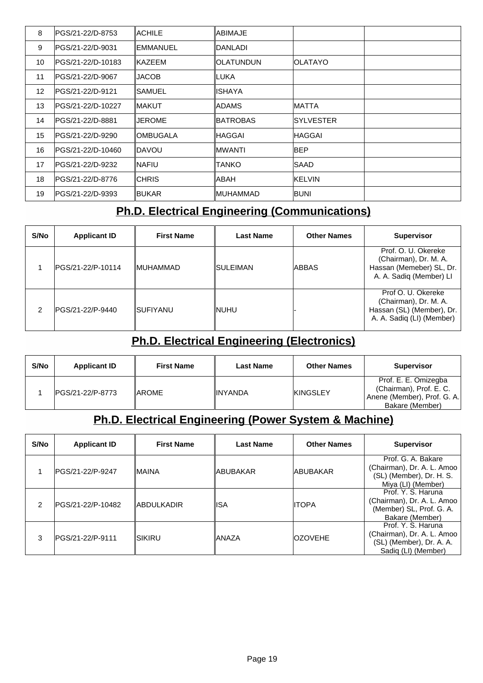| 8  | IPGS/21-22/D-8753  | <b>IACHILE</b> | ABIMAJE          |               |  |
|----|--------------------|----------------|------------------|---------------|--|
| 9  | lPGS/21-22/D-9031  | IEMMANUEL      | IDANLADI         |               |  |
| 10 | lPGS/21-22/D-10183 | <b>IKAZEEM</b> | <b>OLATUNDUN</b> | IOLATAYO      |  |
| 11 | lPGS/21-22/D-9067  | <b>JACOB</b>   | ILUKA            |               |  |
| 12 | lPGS/21-22/D-9121  | ISAMUEL        | ISHAYA           |               |  |
| 13 | lPGS/21-22/D-10227 | IMAKUT         | ADAMS            | <b>MATTA</b>  |  |
| 14 | IPGS/21-22/D-8881  | <b>JEROME</b>  | <b>BATROBAS</b>  | ISYLVESTER    |  |
| 15 | IPGS/21-22/D-9290  | IOMBUGALA      | HAGGAI           | IHAGGAI       |  |
| 16 | PGS/21-22/D-10460  | IDAVOU         | IMWANTI          | <b>BEP</b>    |  |
| 17 | lPGS/21-22/D-9232  | INAFIU         | TANKO            | ISAAD         |  |
| 18 | lPGS/21-22/D-8776  | <b>ICHRIS</b>  | ABAH             | <b>KELVIN</b> |  |
| 19 | IPGS/21-22/D-9393  | <b>IBUKAR</b>  | IMUHAMMAD        | <b>BUNI</b>   |  |

## **Ph.D. Electrical Engineering (Communications)**

| S/No | <b>Applicant ID</b> | <b>First Name</b> | <b>Last Name</b> | <b>Other Names</b> | <b>Supervisor</b>                                                                                     |
|------|---------------------|-------------------|------------------|--------------------|-------------------------------------------------------------------------------------------------------|
|      | IPGS/21-22/P-10114  | <b>IMUHAMMAD</b>  | ISULEIMAN        | IABBAS             | Prof. O. U. Okereke<br>(Chairman), Dr. M. A.<br>Hassan (Memeber) SL, Dr.<br>A. A. Sadiq (Member) LI   |
| 2    | PGS/21-22/P-9440    | <b>ISUFIYANU</b>  | INUHU            |                    | Prof O. U. Okereke<br>(Chairman), Dr. M. A.<br>Hassan (SL) (Member), Dr.<br>A. A. Sadiq (LI) (Member) |

### **Ph.D. Electrical Engineering (Electronics)**

| S/No | <b>Applicant ID</b> | <b>First Name</b> | <b>Last Name</b> | <b>Other Names</b> | <b>Supervisor</b>                                                                                 |
|------|---------------------|-------------------|------------------|--------------------|---------------------------------------------------------------------------------------------------|
|      | IPGS/21-22/P-8773   | <b>IAROME</b>     | <b>IINYANDA</b>  | <b>KINGSLEY</b>    | Prof. E. E. Omizegba<br>(Chairman), Prof. E. C.<br>Anene (Member), Prof. G. A.<br>Bakare (Member) |

### **Ph.D. Electrical Engineering (Power System & Machine)**

| S/No | <b>Applicant ID</b> | <b>First Name</b>  | <b>Last Name</b> | <b>Other Names</b> | <b>Supervisor</b>                                                                                   |
|------|---------------------|--------------------|------------------|--------------------|-----------------------------------------------------------------------------------------------------|
|      | IPGS/21-22/P-9247   | IMAINA             | IABUBAKAR        | <b>ABUBAKAR</b>    | Prof. G. A. Bakare<br>(Chairman), Dr. A. L. Amoo<br>(SL) (Member), Dr. H. S.<br>Miya (LI) (Member)  |
| 2    | IPGS/21-22/P-10482  | <b>IABDULKADIR</b> | ISA              | <b>IITOPA</b>      | Prof. Y. S. Haruna<br>(Chairman), Dr. A. L. Amoo<br>(Member) SL, Prof. G. A.<br>Bakare (Member)     |
| 3    | IPGS/21-22/P-9111   | ISIKIRU            | lANAZA           | <b>OZOVEHE</b>     | Prof. Y. S. Haruna<br>(Chairman), Dr. A. L. Amoo<br>(SL) (Member), Dr. A. A.<br>Sadiq (LI) (Member) |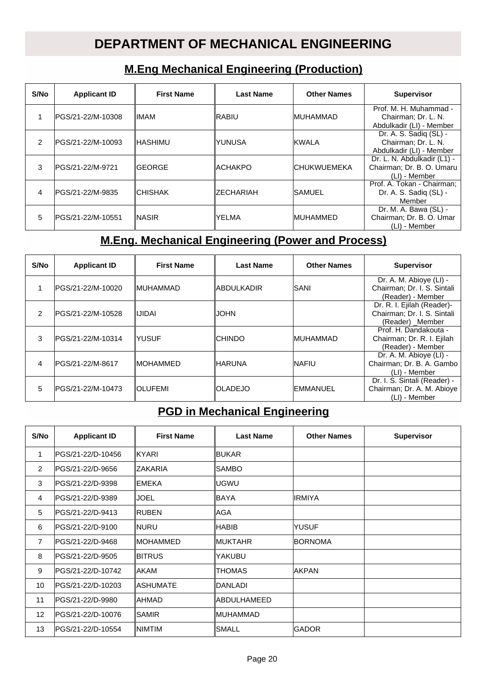## **DEPARTMENT OF MECHANICAL ENGINEERING**

### **M.Eng Mechanical Engineering (Production)**

| S/No           | <b>Applicant ID</b> | <b>First Name</b> | <b>Last Name</b>  | <b>Other Names</b>  | <b>Supervisor</b>                                                         |
|----------------|---------------------|-------------------|-------------------|---------------------|---------------------------------------------------------------------------|
|                | IPGS/21-22/M-10308  | <b>IIMAM</b>      | ∥RABIU            | <b>IMUHAMMAD</b>    | Prof. M. H. Muhammad -<br>Chairman; Dr. L. N.<br>Abdulkadir (LI) - Member |
| $\mathfrak{p}$ | IPGS/21-22/M-10093  | IHASHIMU          | IYUNUSA           | <b>KWALA</b>        | Dr. A. S. Sadiq (SL) -<br>Chairman; Dr. L. N.<br>Abdulkadir (LI) - Member |
| 3              | IPGS/21-22/M-9721   | ∥GEORGE           | ∥ACHAKPO          | <b>ICHUKWUEMEKA</b> | Dr. L. N. Abdulkadir (L1) -<br>Chairman; Dr. B. O. Umaru<br>(LI) - Member |
| 4              | IPGS/21-22/M-9835   | ICHISHAK          | <b>IZECHARIAH</b> | <b>SAMUEL</b>       | Prof. A. Tokan - Chairman;<br>Dr. A. S. Sadiq (SL) -<br>Member            |
| 5              | IPGS/21-22/M-10551  | INASIR            | lyelma            | <b>MUHAMMED</b>     | Dr. M. A. Bawa (SL) -<br>Chairman; Dr. B. O. Umar<br>(LI) - Member        |

### **M.Eng. Mechanical Engineering (Power and Process)**

| S/No | <b>Applicant ID</b> | <b>First Name</b> | <b>Last Name</b> | <b>Other Names</b> | <b>Supervisor</b>                                                            |
|------|---------------------|-------------------|------------------|--------------------|------------------------------------------------------------------------------|
|      | IPGS/21-22/M-10020  | <b>IMUHAMMAD</b>  | ∥ABDULKADIR      | <b>ISANI</b>       | Dr. A. M. Abioye (LI) -<br>Chairman; Dr. I. S. Sintali<br>(Reader) - Member  |
| 2    | IPGS/21-22/M-10528  | lijidai           | NHOLI            |                    | Dr. R. I. Ejilah (Reader)-<br>Chairman; Dr. I. S. Sintali<br>(Reader) Member |
| 3    | IPGS/21-22/M-10314  | IYUSUF            | <b>ICHINDO</b>   | <b>IMUHAMMAD</b>   | Prof. H. Dandakouta -<br>Chairman; Dr. R. I. Ejilah<br>(Reader) - Member     |
| 4    | IPGS/21-22/M-8617   | <b>IMOHAMMED</b>  | ∥HARUNA          | <b>INAFIU</b>      | Dr. A. M. Abiove (LI) -<br>Chairman; Dr. B. A. Gambo<br>(LI) - Member        |
| 5    | IPGS/21-22/M-10473  | <b>IOLUFEMI</b>   | <b>IOLADEJO</b>  | <b>EMMANUEL</b>    | Dr. I. S. Sintali (Reader) -<br>Chairman; Dr. A. M. Abioye<br>(LI) - Member  |

## **PGD in Mechanical Engineering**

| S/No           | <b>Applicant ID</b>     | <b>First Name</b> | <b>Last Name</b> | <b>Other Names</b> | <b>Supervisor</b> |
|----------------|-------------------------|-------------------|------------------|--------------------|-------------------|
| 1              | PGS/21-22/D-10456       | <b>IKYARI</b>     | ∥BUKAR           |                    |                   |
| $\overline{2}$ | PGS/21-22/D-9656        | <b>IZAKARIA</b>   | ISAMBO           |                    |                   |
| 3              | <b>PGS/21-22/D-9398</b> | <b>IEMEKA</b>     | ∥UGWU            |                    |                   |
| $\overline{4}$ | <b>PGS/21-22/D-9389</b> | <b>JOEL</b>       | ∥BAYA            | IIRMIYA            |                   |
| 5              | PGS/21-22/D-9413        | <b>IRUBEN</b>     | ∥AGA             |                    |                   |
| 6              | PGS/21-22/D-9100        | <b>INURU</b>      | ∥HABIB           | <b>YUSUF</b>       |                   |
| $\overline{7}$ | <b>PGS/21-22/D-9468</b> | ∥MOHAMMED         | ∥MUKTAHR         | <b>IBORNOMA</b>    |                   |
| 8              | PGS/21-22/D-9505        | <b>BITRUS</b>     | IYAKUBU          |                    |                   |
| 9              | IPGS/21-22/D-10742      | IAKAM             | I∏HOMAS          | <b>IAKPAN</b>      |                   |
| 10             | IPGS/21-22/D-10203      | <b>IASHUMATE</b>  | <b>IDANLADI</b>  |                    |                   |
| 11             | <b>PGS/21-22/D-9980</b> | ∥AHMAD            | ∥ABDULHAMEED     |                    |                   |
| 12             | PGS/21-22/D-10076       | <b>SAMIR</b>      | ∥MUHAMMAD        |                    |                   |
| 13             | IPGS/21-22/D-10554      | <b>INIMTIM</b>    | ISMALL           | <b>IGADOR</b>      |                   |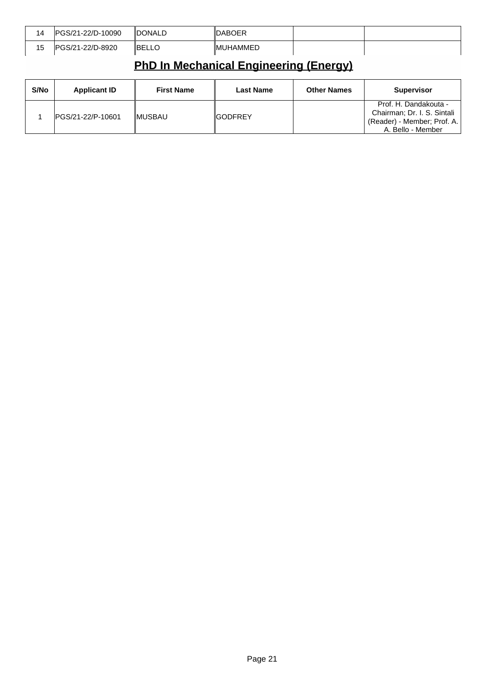| 14 | 1-22/D-10090<br>0.012<br>٦.          | <b>"DONALL</b> | <b>DABOER</b>  |  |
|----|--------------------------------------|----------------|----------------|--|
| 15 | 1-22/D-8920<br>20171<br>/ כוו<br>-57 | ∥BEI           | JHAMMED<br>⊣M∟ |  |

# **PhD In Mechanical Engineering (Energy)**

| S/No | <b>Applicant ID</b> | <b>First Name</b> | Last Name | <b>Other Names</b> | <b>Supervisor</b>                                                                                        |
|------|---------------------|-------------------|-----------|--------------------|----------------------------------------------------------------------------------------------------------|
|      | PGS/21-22/P-10601   | IMUSBAU           | ∥GODFREY  |                    | Prof. H. Dandakouta -<br>Chairman; Dr. I. S. Sintali<br>(Reader) - Member; Prof. A.<br>A. Bello - Member |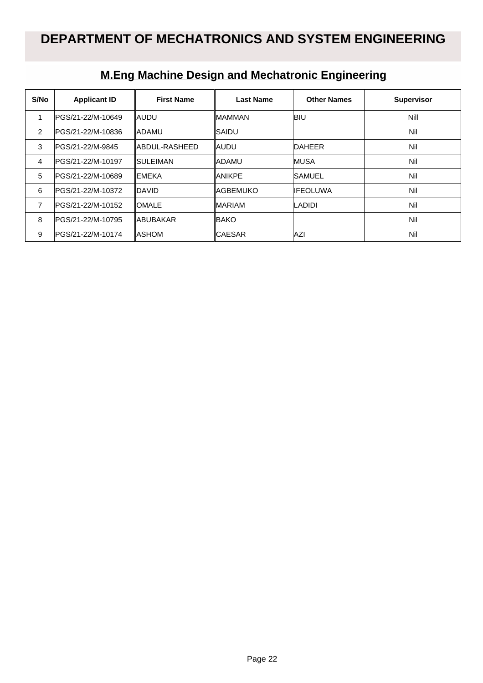## **DEPARTMENT OF MECHATRONICS AND SYSTEM ENGINEERING**

| S/No           | <b>Applicant ID</b> | <b>First Name</b> | <b>Last Name</b> | <b>Other Names</b> | <b>Supervisor</b> |
|----------------|---------------------|-------------------|------------------|--------------------|-------------------|
|                | IPGS/21-22/M-10649  | IAUDU             | <b>MAMMAN</b>    | <b>IBIU</b>        | Nill              |
| $\overline{2}$ | PGS/21-22/M-10836   | <b>IADAMU</b>     | ISAIDU           |                    | Nil               |
| 3              | PGS/21-22/M-9845    | ABDUL-RASHEED     | ∥AUDU            | <b>IDAHEER</b>     | Nil               |
| 4              | PGS/21-22/M-10197   | ISULEIMAN         | ladamu           | <b>IMUSA</b>       | Nil               |
| 5              | PGS/21-22/M-10689   | IEMEKA            | <b>ANIKPE</b>    | <b>ISAMUEL</b>     | Nil               |
| 6              | IPGS/21-22/M-10372  | IDAVID            | IAGBEMUKO        | <b>IIFEOLUWA</b>   | Nil               |
| 7              | PGS/21-22/M-10152   | <b>IOMALE</b>     | <b>MARIAM</b>    | <b>LADIDI</b>      | Nil               |
| 8              | PGS/21-22/M-10795   | ∥ABUBAKAR         | BAKO             |                    | Nil               |
| 9              | IPGS/21-22/M-10174  | <b>IASHOM</b>     | <b>CAESAR</b>    | <b>IAZI</b>        | Nil               |

## **M.Eng Machine Design and Mechatronic Engineering**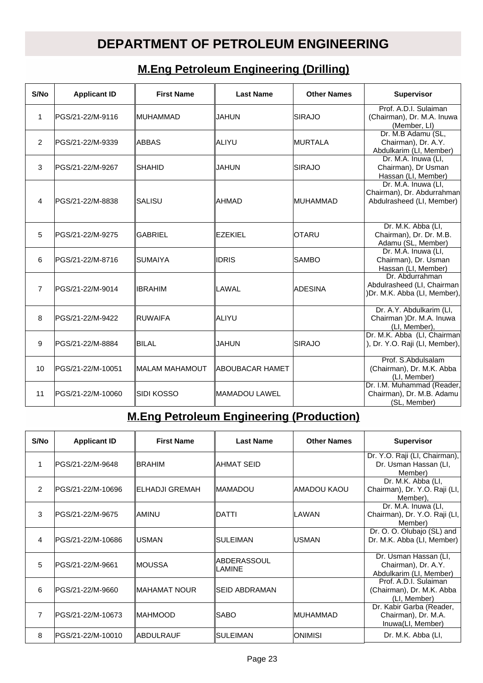## **DEPARTMENT OF PETROLEUM ENGINEERING**

### **M.Eng Petroleum Engineering (Drilling)**

| S/No           | <b>Applicant ID</b> | <b>First Name</b> | <b>Last Name</b> | <b>Other Names</b> | <b>Supervisor</b>                                                              |
|----------------|---------------------|-------------------|------------------|--------------------|--------------------------------------------------------------------------------|
| $\mathbf{1}$   | PGS/21-22/M-9116    | ∥MUHAMMAD         | IJAHUN           | <b>SIRAJO</b>      | Prof. A.D.I. Sulaiman<br>(Chairman), Dr. M.A. Inuwa<br>(Member, LI)            |
| $\overline{2}$ | PGS/21-22/M-9339    | IABBAS            | ∥ALIYU           | <b>IMURTALA</b>    | Dr. M.B Adamu (SL,<br>Chairman), Dr. A.Y.<br>Abdulkarim (LI, Member)           |
| 3              | PGS/21-22/M-9267    | ISHAHID           | IJAHUN           | <b>SIRAJO</b>      | Dr. M.A. Inuwa (LI,<br>Chairman), Dr Usman<br>Hassan (LI, Member)              |
| 4              | PGS/21-22/M-8838    | ISALISU           | ∥AHMAD           | <b>MUHAMMAD</b>    | Dr. M.A. Inuwa (LI,<br>Chairman), Dr. Abdurrahman<br>Abdulrasheed (LI, Member) |
| 5              | lPGS/21-22/M-9275   | <b>GABRIEL</b>    | <b>EZEKIEL</b>   | IOTARU             | Dr. M.K. Abba (LI,<br>Chairman), Dr. Dr. M.B.<br>Adamu (SL, Member)            |
| 6              | PGS/21-22/M-8716    | ISUMAIYA          | <b>IDRIS</b>     | <b>SAMBO</b>       | Dr. M.A. Inuwa (LI,<br>Chairman), Dr. Usman<br>Hassan (LI, Member)             |
| $\overline{7}$ | PGS/21-22/M-9014    | ∥IBRAHIM          | LAWAL            | <b>ADESINA</b>     | Dr. Abdurrahman<br>Abdulrasheed (LI, Chairman<br>)Dr. M.K. Abba (LI, Member),  |
| 8              | PGS/21-22/M-9422    | <b>IRUWAIFA</b>   | ∥ALIYU           |                    | Dr. A.Y. Abdulkarim (LI,<br>Chairman )Dr. M.A. Inuwa<br>(LI, Member),          |
| 9              | PGS/21-22/M-8884    | ∥BILAL            | IJAHUN           | ISIRAJO            | Dr. M.K. Abba (LI, Chairman<br>), Dr. Y.O. Raji (LI, Member),                  |
| 10             | PGS/21-22/M-10051   | MALAM MAHAMOUT    | ABOUBACAR HAMET  |                    | Prof. S.Abdulsalam<br>(Chairman), Dr. M.K. Abba<br>(LI, Member)                |
| 11             | PGS/21-22/M-10060   | ∥SIDI KOSSO       | MAMADOU LAWEL    |                    | Dr. I.M. Muhammad (Reader,<br>Chairman), Dr. M.B. Adamu<br>(SL, Member)        |

## **M.Eng Petroleum Engineering (Production)**

| S/No           | <b>Applicant ID</b> | <b>First Name</b> | <b>Last Name</b>               | <b>Other Names</b> | <b>Supervisor</b>                                                       |
|----------------|---------------------|-------------------|--------------------------------|--------------------|-------------------------------------------------------------------------|
| 1              | lPGS/21-22/M-9648   | <b>IBRAHIM</b>    | IAHMAT SEID                    |                    | Dr. Y.O. Raji (LI, Chairman),<br>Dr. Usman Hassan (LI,<br>Member)       |
| $\mathcal{P}$  | lPGS/21-22/M-10696  | ∥ELHADJI GREMAH   | <b>IMAMADOU</b>                | IAMADOU KAOU       | Dr. M.K. Abba (LI,<br>Chairman), Dr. Y.O. Raji (LI,<br>Member),         |
| 3              | IPGS/21-22/M-9675   | IAMINU            | <b>IDATTI</b>                  | <b>LAWAN</b>       | Dr. M.A. Inuwa (LI,<br>Chairman), Dr. Y.O. Raji (LI,<br>Member)         |
| 4              | IPGS/21-22/M-10686  | IUSMAN            | ∥SULEIMAN                      | <b>IUSMAN</b>      | Dr. O. O. Olubajo (SL) and<br>Dr. M.K. Abba (LI, Member)                |
| 5              | lPGS/21-22/M-9661   | ∥MOUSSA           | <b>IABDERASSOUL</b><br>ILAMINE |                    | Dr. Usman Hassan (LI,<br>Chairman), Dr. A.Y.<br>Abdulkarim (LI, Member) |
| 6              | PGS/21-22/M-9660    | ∥MAHAMAT NOUR     | <b>ISEID ABDRAMAN</b>          |                    | Prof. A.D.I. Sulaiman<br>(Chairman), Dr. M.K. Abba<br>(LI, Member)      |
| $\overline{7}$ | lPGS/21-22/M-10673  | IMAHMOOD          | ISABO                          | <b>IMUHAMMAD</b>   | Dr. Kabir Garba (Reader,<br>Chairman), Dr. M.A.<br>Inuwa(LI, Member)    |
| 8              | IPGS/21-22/M-10010  | ∥ABDULRAUF        | ∥SULEIMAN                      | IONIMISI           | Dr. M.K. Abba (LI,                                                      |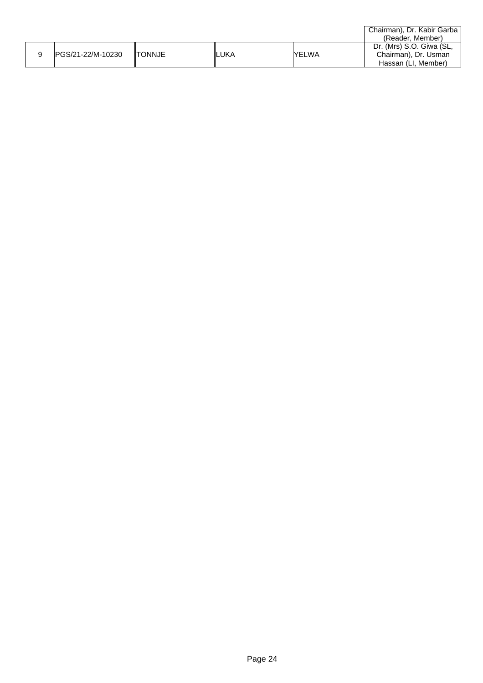|                   |                |       |              | Chairman), Dr. Kabir Garba |
|-------------------|----------------|-------|--------------|----------------------------|
|                   |                |       |              | (Reader, Member)           |
|                   |                |       |              | Dr. (Mrs) S.O. Giwa (SL,   |
| PGS/21-22/M-10230 | <b>ITONNJE</b> | ∥LUKA | <b>YELWA</b> | Chairman), Dr. Usman       |
|                   |                |       |              | Hassan (LI, Member)        |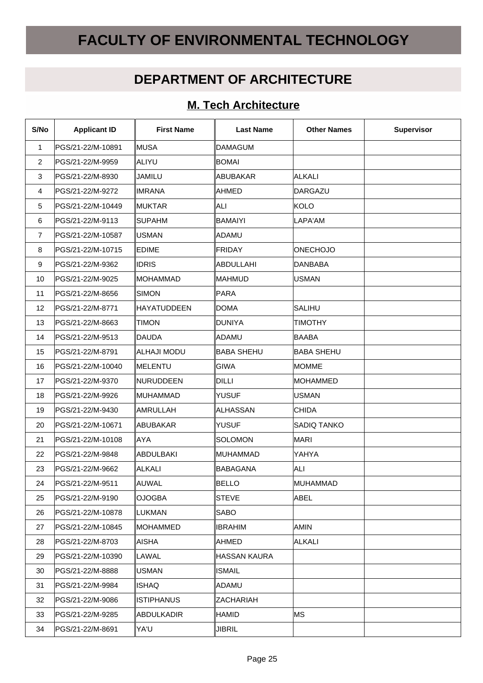# **FACULTY OF ENVIRONMENTAL TECHNOLOGY**

## **DEPARTMENT OF ARCHITECTURE**

#### **M. Tech Architecture**

| S/No           | <b>Applicant ID</b> | <b>First Name</b> | <b>Last Name</b>  | <b>Other Names</b> | Supervisor |
|----------------|---------------------|-------------------|-------------------|--------------------|------------|
| 1              | PGS/21-22/M-10891   | ∥MUSA             | <b>DAMAGUM</b>    |                    |            |
| $\overline{2}$ | PGS/21-22/M-9959    | ALIYU             | <b>BOMAI</b>      |                    |            |
| 3              | PGS/21-22/M-8930    | ∣JAMILU           | ABUBAKAR          | <b>ALKALI</b>      |            |
| 4              | PGS/21-22/M-9272    | ∥IMRANA           | ∥AHMED            | DARGAZU            |            |
| 5              | PGS/21-22/M-10449   | ∥MUKTAR           | ALI               | KOLO               |            |
| 6              | PGS/21-22/M-9113    | ∥SUPAHM           | <b>BAMAIYI</b>    | LAPA'AM            |            |
| $\overline{7}$ | PGS/21-22/M-10587   | ∥USMAN            | ADAMU             |                    |            |
| 8              | PGS/21-22/M-10715   | <b>EDIME</b>      | FRIDAY            | <b>ONECHOJO</b>    |            |
| 9              | PGS/21-22/M-9362    | <b>IDRIS</b>      | ABDULLAHI         | DANBABA            |            |
| 10             | PGS/21-22/M-9025    | ∥MOHAMMAD         | <b>MAHMUD</b>     | <b>USMAN</b>       |            |
| 11             | PGS/21-22/M-8656    | <b>SIMON</b>      | <b>PARA</b>       |                    |            |
| 12             | PGS/21-22/M-8771    | HAYATUDDEEN       | <b>DOMA</b>       | SALIHU             |            |
| 13             | PGS/21-22/M-8663    | <b>TIMON</b>      | <b>DUNIYA</b>     | <b>TIMOTHY</b>     |            |
| 14             | PGS/21-22/M-9513    | <b>DAUDA</b>      | ADAMU             | <b>BAABA</b>       |            |
| 15             | PGS/21-22/M-8791    | ∥ALHAJI MODU      | <b>BABA SHEHU</b> | <b>BABA SHEHU</b>  |            |
| 16             | PGS/21-22/M-10040   | ∥MELENTU          | GIWA              | <b>MOMME</b>       |            |
| 17             | PGS/21-22/M-9370    | ∥NURUDDEEN        | <b>DILLI</b>      | <b>MOHAMMED</b>    |            |
| 18             | PGS/21-22/M-9926    | ∥MUHAMMAD         | <b>YUSUF</b>      | <b>USMAN</b>       |            |
| 19             | PGS/21-22/M-9430    | ∥AMRULLAH         | ALHASSAN          | <b>CHIDA</b>       |            |
| 20             | PGS/21-22/M-10671   | ∥ABUBAKAR         | YUSUF             | <b>SADIQ TANKO</b> |            |
| 21             | PGS/21-22/M-10108   | <b>AYA</b>        | <b>SOLOMON</b>    | <b>MARI</b>        |            |
| 22             | PGS/21-22/M-9848    | ABDULBAKI         | MUHAMMAD          | YAHYA              |            |
| 23             | PGS/21-22/M-9662    | <b>ALKALI</b>     | <b>BABAGANA</b>   | <b>ALI</b>         |            |
| 24             | PGS/21-22/M-9511    | AUWAL             | <b>BELLO</b>      | MUHAMMAD           |            |
| 25             | PGS/21-22/M-9190    | ∣OJOGBA           | <b>STEVE</b>      | <b>ABEL</b>        |            |
| 26             | PGS/21-22/M-10878   | LUKMAN            | <b>SABO</b>       |                    |            |
| 27             | PGS/21-22/M-10845   | ∥MOHAMMED         | <b>IBRAHIM</b>    | <b>AMIN</b>        |            |
| 28             | PGS/21-22/M-8703    | ∥AISHA            | AHMED             | <b>ALKALI</b>      |            |
| 29             | PGS/21-22/M-10390   | ∥LAWAL            | HASSAN KAURA      |                    |            |
| 30             | PGS/21-22/M-8888    | ∥USMAN            | <b>ISMAIL</b>     |                    |            |
| 31             | PGS/21-22/M-9984    | ∥ISHAQ            | ADAMU             |                    |            |
| 32             | PGS/21-22/M-9086    | <b>ISTIPHANUS</b> | ZACHARIAH         |                    |            |
| 33             | PGS/21-22/M-9285    | ∥ABDULKADIR       | <b>HAMID</b>      | <b>MS</b>          |            |
| 34             | PGS/21-22/M-8691    | YA'U              | <b>JIBRIL</b>     |                    |            |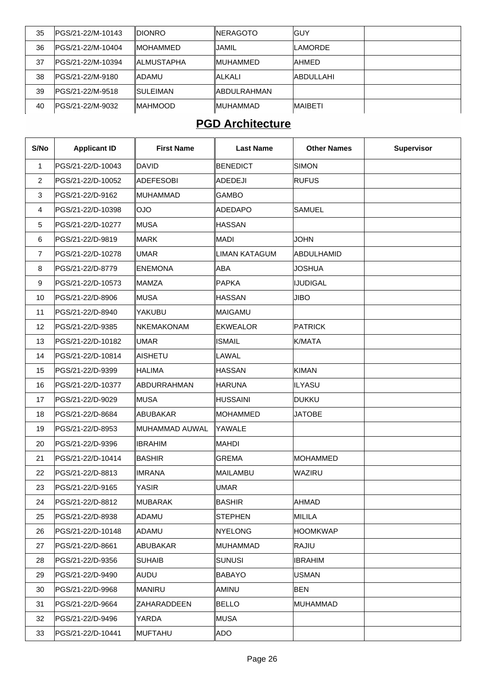| 35 | IPGS/21-22/M-10143 | idionro      | ∥NERAGOTO    | IGUY            |  |
|----|--------------------|--------------|--------------|-----------------|--|
| 36 | IPGS/21-22/M-10404 | IMOHAMMED.   | JAMIL        | ILAMORDE        |  |
| 37 | IPGS/21-22/M-10394 | IIALMUSTAPHA | ∥MUHAMMED    | IAHMED          |  |
| 38 | IPGS/21-22/M-9180  | <b>ADAMU</b> | ALKALI       | IABDULLAHI      |  |
| 39 | IPGS/21-22/M-9518  | ISULEIMAN    | IABDULRAHMAN |                 |  |
| 40 | IPGS/21-22/M-9032  | ∥MAHMOOD     | ∥MUHAMMAD    | <b>IMAIBETI</b> |  |

### **PGD Architecture**

| S/No           | <b>Applicant ID</b> | <b>First Name</b> | <b>Last Name</b> | <b>Other Names</b> | <b>Supervisor</b> |
|----------------|---------------------|-------------------|------------------|--------------------|-------------------|
| $\mathbf{1}$   | PGS/21-22/D-10043   | DAVID             | <b>BENEDICT</b>  | SIMON              |                   |
| $\overline{2}$ | PGS/21-22/D-10052   | ADEFESOBI         | ADEDEJI          | <b>RUFUS</b>       |                   |
| 3              | PGS/21-22/D-9162    | MUHAMMAD          | <b>GAMBO</b>     |                    |                   |
| 4              | PGS/21-22/D-10398   | OJO               | ADEDAPO          | <b>SAMUEL</b>      |                   |
| 5              | PGS/21-22/D-10277   | ∥MUSA             | <b>HASSAN</b>    |                    |                   |
| 6              | PGS/21-22/D-9819    | ∥MARK             | MADI             | <b>JOHN</b>        |                   |
| $\overline{7}$ | PGS/21-22/D-10278   | UMAR              | LIMAN KATAGUM    | ABDULHAMID         |                   |
| 8              | PGS/21-22/D-8779    | ENEMONA           | ABA              | <b>JOSHUA</b>      |                   |
| 9              | PGS/21-22/D-10573   | ∥MAMZA            | PAPKA            | <b>IJUDIGAL</b>    |                   |
| 10             | PGS/21-22/D-8906    | ∥MUSA             | HASSAN           | <b>JIBO</b>        |                   |
| 11             | PGS/21-22/D-8940    | YAKUBU            | MAIGAMU          |                    |                   |
| 12             | PGS/21-22/D-9385    | NKEMAKONAM        | <b>EKWEALOR</b>  | <b>PATRICK</b>     |                   |
| 13             | PGS/21-22/D-10182   | UMAR              | <b>ISMAIL</b>    | K/MATA             |                   |
| 14             | PGS/21-22/D-10814   | AISHETU           | LAWAL            |                    |                   |
| 15             | PGS/21-22/D-9399    | <b>HALIMA</b>     | <b>HASSAN</b>    | <b>KIMAN</b>       |                   |
| 16             | PGS/21-22/D-10377   | ABDURRAHMAN       | HARUNA           | <b>ILYASU</b>      |                   |
| 17             | PGS/21-22/D-9029    | ∥MUSA             | HUSSAINI         | DUKKU              |                   |
| 18             | PGS/21-22/D-8684    | ABUBAKAR          | MOHAMMED         | <b>JATOBE</b>      |                   |
| 19             | PGS/21-22/D-8953    | MUHAMMAD AUWAL    | YAWALE           |                    |                   |
| 20             | PGS/21-22/D-9396    | <b>IBRAHIM</b>    | MAHDI            |                    |                   |
| 21             | PGS/21-22/D-10414   | BASHIR            | <b>GREMA</b>     | MOHAMMED           |                   |
| 22             | PGS/21-22/D-8813    | <b>IMRANA</b>     | MAILAMBU         | <b>WAZIRU</b>      |                   |
| 23             | PGS/21-22/D-9165    | YASIR             | UMAR             |                    |                   |
| 24             | PGS/21-22/D-8812    | ∥MUBARAK          | <b>BASHIR</b>    | AHMAD              |                   |
| 25             | PGS/21-22/D-8938    | ∣ADAMU            | STEPHEN          | <b>MILILA</b>      |                   |
| 26             | PGS/21-22/D-10148   | ADAMU             | NYELONG          | <b>HOOMKWAP</b>    |                   |
| 27             | PGS/21-22/D-8661    | ABUBAKAR          | MUHAMMAD         | RAJIU              |                   |
| 28             | PGS/21-22/D-9356    | <b>SUHAIB</b>     | SUNUSI           | <b>IBRAHIM</b>     |                   |
| 29             | PGS/21-22/D-9490    | AUDU              | <b>BABAYO</b>    | USMAN              |                   |
| 30             | PGS/21-22/D-9968    | MANIRU            | AMINU            | <b>BEN</b>         |                   |
| 31             | PGS/21-22/D-9664    | ZAHARADDEEN       | <b>BELLO</b>     | MUHAMMAD           |                   |
| 32             | PGS/21-22/D-9496    | YARDA             | MUSA             |                    |                   |
| 33             | PGS/21-22/D-10441   | MUFTAHU           | ADO              |                    |                   |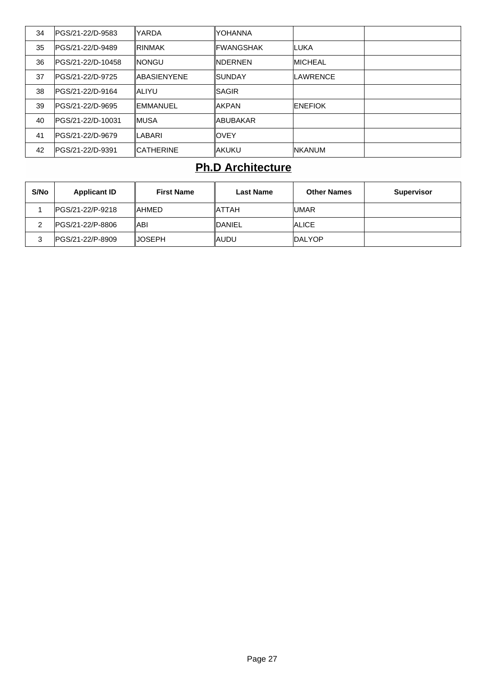| 34 | IPGS/21-22/D-9583  | YARDA            | IYOHANNA        |                 |  |
|----|--------------------|------------------|-----------------|-----------------|--|
| 35 | IPGS/21-22/D-9489  | IRINMAK          | ∥FWANGSHAK      | ILUKA           |  |
| 36 | IPGS/21-22/D-10458 | INONGU           | ∥NDERNEN        | <b>IMICHEAL</b> |  |
| 37 | IPGS/21-22/D-9725  | ∥ABASIFNYFNF     | ISUNDAY         | LAWRENCE        |  |
| 38 | IPGS/21-22/D-9164  | ∥ALIYU           | ISAGIR          |                 |  |
| 39 | IPGS/21-22/D-9695  | ∥EMMANUEL        | <b>AKPAN</b>    | <b>IENEFIOK</b> |  |
| 40 | IPGS/21-22/D-10031 | ∥MUSA            | <b>ABUBAKAR</b> |                 |  |
| 41 | IPGS/21-22/D-9679  | LABARI           | IOVEY           |                 |  |
| 42 | IPGS/21-22/D-9391  | <b>CATHERINE</b> | lakuku          | <b>INKANUM</b>  |  |

## **Ph.D Architecture**

| S/No | <b>Applicant ID</b> | <b>First Name</b> | <b>Last Name</b> | <b>Other Names</b> | <b>Supervisor</b> |
|------|---------------------|-------------------|------------------|--------------------|-------------------|
|      | IPGS/21-22/P-9218   | <b>IAHMED</b>     | IATTAH           | <b>IUMAR</b>       |                   |
|      | IPGS/21-22/P-8806   | ∥ABI              | <b>IDANIEL</b>   | <b>ALICE</b>       |                   |
|      | IPGS/21-22/P-8909   | IJOSEPH.          | ∥AUDU            | <b>IDALYOP</b>     |                   |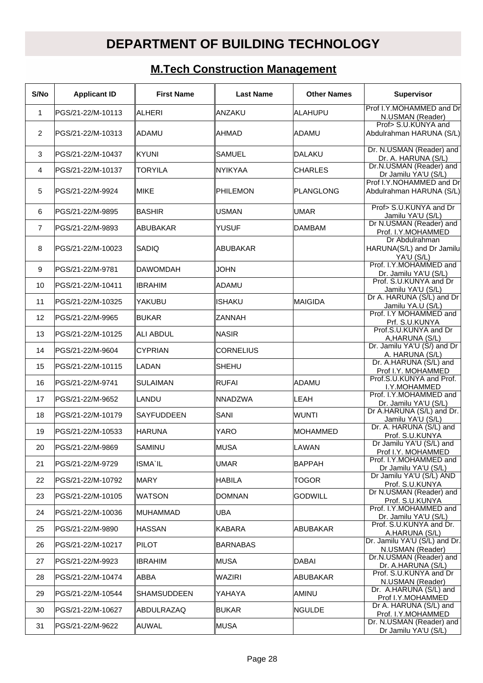# **DEPARTMENT OF BUILDING TECHNOLOGY**

# **M.Tech Construction Management**

| S/No           | <b>Applicant ID</b> | <b>First Name</b>  | <b>Last Name</b> | <b>Other Names</b> | <b>Supervisor</b>                                         |
|----------------|---------------------|--------------------|------------------|--------------------|-----------------------------------------------------------|
| $\mathbf{1}$   | PGS/21-22/M-10113   | <b>ALHERI</b>      | <b>ANZAKU</b>    | <b>ALAHUPU</b>     | Prof I.Y.MOHAMMED and Dr<br>N.USMAN (Reader)              |
| $\overline{2}$ | PGS/21-22/M-10313   | ADAMU              | AHMAD            | ADAMU              | Prof> S.U.KUNYA and<br>Abdulrahman HARUNA (S/L)           |
| 3              | PGS/21-22/M-10437   | ∥kyuni             | ISAMUEL          | <b>DALAKU</b>      | Dr. N.USMAN (Reader) and<br>Dr. A. HARUNA (S/L)           |
| 4              | PGS/21-22/M-10137   | <b>TORYILA</b>     | <b>NYIKYAA</b>   | <b>CHARLES</b>     | Dr.N.USMAN (Reader) and<br>Dr Jamilu YA'U (S/L)           |
| 5              | PGS/21-22/M-9924    | IMIKE              | PHILEMON         | <b>PLANGLONG</b>   | Prof I.Y.NOHAMMED and Dr<br>Abdulrahman HARUNA (S/L)      |
| 6              | PGS/21-22/M-9895    | <b>BASHIR</b>      | <b>USMAN</b>     | <b>UMAR</b>        | Prof> S.U.KUNYA and Dr<br>Jamilu YA'U (S/L)               |
| $\overline{7}$ | PGS/21-22/M-9893    | ABUBAKAR           | YUSUF            | <b>DAMBAM</b>      | Dr N.USMAN (Reader) and<br>Prof. I.Y.MOHAMMED             |
| 8              | PGS/21-22/M-10023   | SADIQ              | ABUBAKAR         |                    | Dr Abdulrahman<br>HARUNA(S/L) and Dr Jamilu<br>YA'U (S/L) |
| 9              | PGS/21-22/M-9781    | DAWOMDAH           | <b>JOHN</b>      |                    | Prof. I.Y.MOHAMMED and<br>Dr. Jamilu YA'U (S/L)           |
| 10             | IPGS/21-22/M-10411  | <b>IBRAHIM</b>     | ADAMU            |                    | Prof. S.U.KUNYA and Dr<br>Jamilu YA'U (S/L)               |
| 11             | PGS/21-22/M-10325   | YAKUBU             | <b>ISHAKU</b>    | <b>MAIGIDA</b>     | Dr A. HARUNA (S/L) and Dr<br>Jamilu YA.U (S/L)            |
| 12             | PGS/21-22/M-9965    | ∣BUKAR             | ZANNAH           |                    | Prof. I.Y MOHAMMED and<br>Prf. S.U.KUNYA                  |
| 13             | IPGS/21-22/M-10125  | <b>ALI ABDUL</b>   | <b>NASIR</b>     |                    | Prof.S.U.KUNYA and Dr<br>A, HARUNA (S/L)                  |
| 14             | PGS/21-22/M-9604    | <b>CYPRIAN</b>     | <b>CORNELIUS</b> |                    | Dr. Jamilu YA'U (S/) and Dr<br>A. HARUNA (S/L)            |
| 15             | PGS/21-22/M-10115   | <b>LADAN</b>       | SHEHU            |                    | Dr. A.HARUNA (S/L) and<br>Prof I.Y. MOHAMMED              |
| 16             | PGS/21-22/M-9741    | SULAIMAN           | RUFAI            | <b>ADAMU</b>       | Prof.S.U.KUNYA and Prof.<br>I.Y.MOHAMMED                  |
| 17             | PGS/21-22/M-9652    | ILANDU             | <b>NNADZWA</b>   | <b>LEAH</b>        | Prof. I.Y.MOHAMMED and<br>Dr. Jamilu YA'U (S/L)           |
| 18             | PGS/21-22/M-10179   | <b>SAYFUDDEEN</b>  | SANI             | <b>WUNTI</b>       | Dr A.HARUNA (S/L) and Dr.<br>Jamilu YA'U (S/L)            |
| 19             | PGS/21-22/M-10533   | <b>HARUNA</b>      | YARO             | <b>MOHAMMED</b>    | Dr. A. HARUNA (S/L) and<br>Prof. S.U.KUNYA                |
| 20             | PGS/21-22/M-9869    | SAMINU             | MUSA             | LAWAN              | Dr Jamilu YA'U (S/L) and<br>Prof I.Y. MOHAMMED            |
| 21             | PGS/21-22/M-9729    | ISMA`IL            | <b>UMAR</b>      | <b>BAPPAH</b>      | Prof. I.Y.MOHAMMED and<br>Dr Jamilu YA'U (S/L)            |
| 22             | PGS/21-22/M-10792   | IMARY.             | HABILA           | <b>TOGOR</b>       | Dr Jamilu YA'U (S/L) AND<br>Prof. S.U.KUNYA               |
| 23             | PGS/21-22/M-10105   | WATSON             | DOMNAN           | <b>GODWILL</b>     | Dr N.USMAN (Reader) and<br>Prof. S.U.KUNYA                |
| 24             | PGS/21-22/M-10036   | MUHAMMAD           | UBA              |                    | Prof. I.Y.MOHAMMED and<br>Dr. Jamilu YA'U (S/L)           |
| 25             | PGS/21-22/M-9890    | ∥HASSAN            | <b>KABARA</b>    | ABUBAKAR           | Prof. S.U.KUNYA and Dr.<br>A.HARUNA (S/L)                 |
| 26             | PGS/21-22/M-10217   | PILOT              | <b>BARNABAS</b>  |                    | Dr. Jamilu YA'U (S/L) and Dr.<br>N.USMAN (Reader)         |
| 27             | PGS/21-22/M-9923    | <b>IBRAHIM</b>     | MUSA             | <b>DABAI</b>       | Dr.N.USMAN (Reader) and<br>Dr. A.HARUNA (S/L)             |
| 28             | PGS/21-22/M-10474   | IABBA              | <b>WAZIRI</b>    | ABUBAKAR           | Prof. S.U.KUNYA and Dr<br>N.USMAN (Reader)                |
| 29             | PGS/21-22/M-10544   | <b>SHAMSUDDEEN</b> | YAHAYA           | AMINU              | Dr. A. HARUNA (S/L) and<br>Prof I.Y.MOHAMMED              |
| 30             | PGS/21-22/M-10627   | ABDULRAZAQ         | <b>BUKAR</b>     | <b>NGULDE</b>      | Dr A. HARUNA (S/L) and<br>Prof. I.Y.MOHAMMED              |
| 31             | PGS/21-22/M-9622    | ∥AUWAL             | ∥MUSA            |                    | Dr. N.USMAN (Reader) and<br>Dr Jamilu YA'U (S/L)          |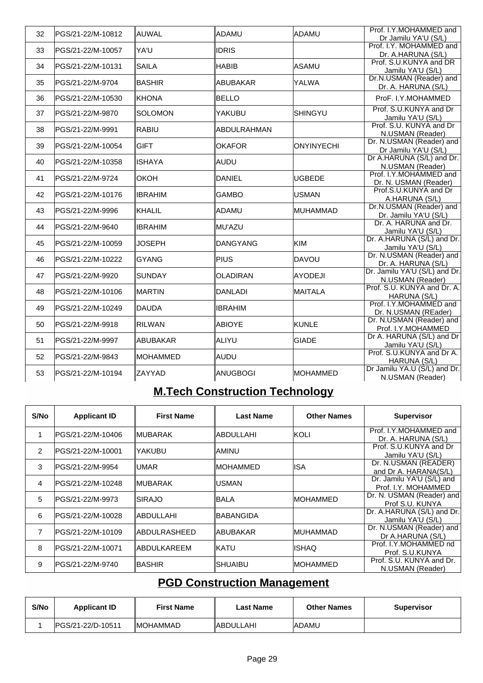| 32 | PGS/21-22/M-10812 | AUWAL           | ADAMU              | <b>ADAMU</b>      | Prof. I.Y.MOHAMMED and<br>Dr Jamilu YA'U (S/L)    |
|----|-------------------|-----------------|--------------------|-------------------|---------------------------------------------------|
| 33 | PGS/21-22/M-10057 | YA'U            | <b>IDRIS</b>       |                   | Prof. I.Y. MOHAMMED and                           |
| 34 | PGS/21-22/M-10131 | <b>SAILA</b>    | HABIB              | <b>ASAMU</b>      | Dr. A.HARUNA (S/L)<br>Prof. S.U.KUNYA and DR      |
|    |                   |                 |                    |                   | Jamilu YA'U (S/L)                                 |
| 35 | PGS/21-22/M-9704  | <b>BASHIR</b>   | ABUBAKAR           | YALWA             | Dr.N.USMAN (Reader) and<br>Dr. A. HARUNA (S/L)    |
| 36 | PGS/21-22/M-10530 | KHONA           | <b>BELLO</b>       |                   | ProF. I.Y.MOHAMMED                                |
| 37 | PGS/21-22/M-9870  | <b>SOLOMON</b>  | YAKUBU             | SHINGYU           | Prof. S.U.KUNYA and Dr<br>Jamilu YA'U (S/L)       |
| 38 | PGS/21-22/M-9991  | <b>RABIU</b>    | <b>ABDULRAHMAN</b> |                   | Prof. S.U. KUNYA and Dr<br>N.USMAN (Reader)       |
| 39 | PGS/21-22/M-10054 | <b>GIFT</b>     | <b>OKAFOR</b>      | <b>ONYINYECHI</b> | Dr. N.USMAN (Reader) and<br>Dr Jamilu YA'U (S/L)  |
| 40 | PGS/21-22/M-10358 | <b>ISHAYA</b>   | AUDU               |                   | Dr A.HARUNA (S/L) and Dr.                         |
|    |                   |                 |                    |                   | N.USMAN (Reader)<br>Prof. I.Y.MOHAMMED and        |
| 41 | PGS/21-22/M-9724  | <b>OKOH</b>     | DANIEL             | <b>UGBEDE</b>     | Dr. N. USMAN (Reader)                             |
| 42 | PGS/21-22/M-10176 | <b>IBRAHIM</b>  | <b>GAMBO</b>       | <b>USMAN</b>      | Prof.S.U.KUNYA and Dr<br>A.HARUNA (S/L)           |
| 43 | PGS/21-22/M-9996  | <b>KHALIL</b>   | ADAMU              | <b>MUHAMMAD</b>   | Dr.N.USMAN (Reader) and<br>Dr. Jamilu YA'U (S/L)  |
| 44 | PGS/21-22/M-9640  | <b>IBRAHIM</b>  | MU'AZU             |                   | Dr. A. HARUNA and Dr.<br>Jamilu YA'U (S/L)        |
| 45 | PGS/21-22/M-10059 | <b>JOSEPH</b>   | DANGYANG           | <b>KIM</b>        | Dr. A.HARUNA (S/L) and Dr.<br>Jamilu YA'U (S/L)   |
| 46 | PGS/21-22/M-10222 | <b>GYANG</b>    | PIUS               | <b>DAVOU</b>      | Dr. N.USMAN (Reader) and<br>Dr. A. HARUNA (S/L)   |
| 47 | PGS/21-22/M-9920  | <b>SUNDAY</b>   | <b>OLADIRAN</b>    | <b>AYODEJI</b>    | Dr. Jamilu YA'U (S/L) and Dr.<br>N.USMAN (Reader) |
| 48 | PGS/21-22/M-10106 | <b>MARTIN</b>   | <b>DANLADI</b>     | <b>MAITALA</b>    | Prof. S.U. KUNYA and Dr. A.<br>HARUNA (S/L)       |
| 49 | PGS/21-22/M-10249 | <b>DAUDA</b>    | <b>IBRAHIM</b>     |                   | Prof. I.Y.MOHAMMED and<br>Dr. N.USMAN (REader)    |
| 50 | PGS/21-22/M-9918  | <b>RILWAN</b>   | <b>ABIOYE</b>      | <b>KUNLE</b>      | Dr. N.USMAN (Reader) and<br>Prof. I.Y.MOHAMMED    |
| 51 | PGS/21-22/M-9997  | <b>ABUBAKAR</b> | ALIYU              | <b>GIADE</b>      | Dr A. HARUNA (S/L) and Dr                         |
|    |                   |                 |                    |                   | Jamilu YA'U (S/L)<br>Prof. S.U.KUNYA and Dr A.    |
| 52 | PGS/21-22/M-9843  | IMOHAMMED       | AUDU               |                   | HARUNA (S/L)                                      |
| 53 | PGS/21-22/M-10194 | ZAYYAD          | ANUGBOGI           | <b>MOHAMMED</b>   | Dr Jamilu YA.U (S/L) and Dr.<br>N.USMAN (Reader)  |

# **M.Tech Construction Technology**

| S/No           | <b>Applicant ID</b> | <b>First Name</b> | <b>Last Name</b> | <b>Other Names</b> | <b>Supervisor</b>                                |
|----------------|---------------------|-------------------|------------------|--------------------|--------------------------------------------------|
|                | PGS/21-22/M-10406   | ∥MUBARAK          | ∥ABDULLAHI       | KOLI               | Prof. I.Y.MOHAMMED and<br>Dr. A. HARUNA (S/L)    |
| $\overline{2}$ | IPGS/21-22/M-10001  | IYAKUBU           | IAMINU           |                    | Prof. S.U.KUNYA and Dr<br>Jamilu YA'U (S/L)      |
| 3              | IPGS/21-22/M-9954   | ∥UMAR             | ∥MOHAMMED        | IISA               | Dr. N.USMAN (READER)<br>and Dr A. HARANA(S/L)    |
| 4              | IPGS/21-22/M-10248  | ∥MUBARAK          | IUSMAN           |                    | Dr. Jamilu YA'U (S/L) and<br>Prof. I.Y. MOHAMMED |
| 5              | IPGS/21-22/M-9973   | <b>ISIRAJO</b>    | IBALA            | <b>IMOHAMMED</b>   | Dr. N. USMAN (Reader) and<br>Prof S.U. KUNYA     |
| 6              | IPGS/21-22/M-10028  | ∥ABDULLAHI        | <b>BABANGIDA</b> |                    | Dr. A.HARUNA (S/L) and Dr.<br>Jamilu YA'U (S/L)  |
| 7              | IPGS/21-22/M-10109  | ∥ABDULRASHEED     | ∥ABUBAKAR        | IMUHAMMAD          | Dr. N.USMAN (Reader) and<br>Dr A.HARUNA (S/L)    |
| 8              | IPGS/21-22/M-10071  | IABDULKAREEM      | ∥KATU            | IISHAQ             | Prof. I.Y.MOHAMMED nd<br>Prof. S.U.KUNYA         |
| 9              | IPGS/21-22/M-9740   | ∥BASHIR           | ISHUAIBU         | IMOHAMMED          | Prof. S.U. KUNYA and Dr.<br>N.USMAN (Reader)     |

## **PGD Construction Management**

| S/No | <b>Applicant ID</b> | <b>First Name</b> | Last Name  | <b>Other Names</b> | <b>Supervisor</b> |
|------|---------------------|-------------------|------------|--------------------|-------------------|
|      | IPGS/21-22/D-10511  | <b>IMOHAMMAD</b>  | IABDULLAHI | <b>ADAMU</b>       |                   |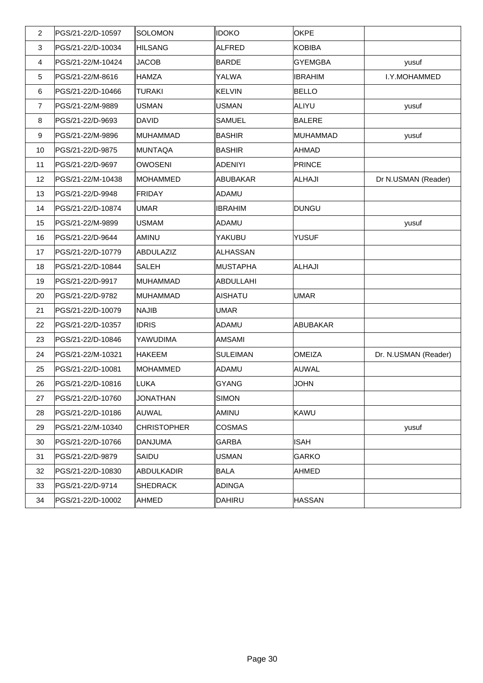| $\overline{2}$ | PGS/21-22/D-10597 | <i><b>SOLOMON</b></i> | <b>IDOKO</b>    | <b>OKPE</b>    |                      |
|----------------|-------------------|-----------------------|-----------------|----------------|----------------------|
| 3              | PGS/21-22/D-10034 | ∥HILSANG              | ALFRED          | KOBIBA         |                      |
| 4              | PGS/21-22/M-10424 | <b>JACOB</b>          | BARDE           | <b>GYEMGBA</b> | yusuf                |
| 5              | PGS/21-22/M-8616  | <b>IHAMZA</b>         | YALWA           | <b>IBRAHIM</b> | I.Y.MOHAMMED         |
| 6              | PGS/21-22/D-10466 | TURAKI                | KELVIN          | <b>BELLO</b>   |                      |
| $\overline{7}$ | PGS/21-22/M-9889  | ∥USMAN                | USMAN           | ALIYU          | yusuf                |
| 8              | PGS/21-22/D-9693  | ∥DAVID                | <b>SAMUEL</b>   | <b>BALERE</b>  |                      |
| 9              | PGS/21-22/M-9896  | ∥MUHAMMAD             | BASHIR          | MUHAMMAD       | yusuf                |
| 10             | PGS/21-22/D-9875  | ∥MUNTAQA              | BASHIR          | AHMAD          |                      |
| 11             | PGS/21-22/D-9697  | ∥OWOSENI              | ADENIYI         | PRINCE         |                      |
| 12             | PGS/21-22/M-10438 | ∥MOHAMMED             | ABUBAKAR        | <b>ALHAJI</b>  | Dr N.USMAN (Reader)  |
| 13             | PGS/21-22/D-9948  | ∥FRIDAY               | ADAMU           |                |                      |
| 14             | PGS/21-22/D-10874 | ∥UMAR                 | <b>IBRAHIM</b>  | DUNGU          |                      |
| 15             | PGS/21-22/M-9899  | ∥USMAM                | ADAMU           |                | yusuf                |
| 16             | PGS/21-22/D-9644  | ∥AMINU                | YAKUBU          | <b>YUSUF</b>   |                      |
| 17             | PGS/21-22/D-10779 | ∥ABDULAZIZ            | ALHASSAN        |                |                      |
| 18             | PGS/21-22/D-10844 | <b>SALEH</b>          | MUSTAPHA        | <b>ALHAJI</b>  |                      |
| 19             | PGS/21-22/D-9917  | ∥MUHAMMAD             | ABDULLAHI       |                |                      |
| 20             | PGS/21-22/D-9782  | ∥MUHAMMAD             | AISHATU         | <b>UMAR</b>    |                      |
| 21             | PGS/21-22/D-10079 | ∥NAJIB                | UMAR            |                |                      |
| 22             | PGS/21-22/D-10357 | ∥IDRIS                | ADAMU           | ABUBAKAR       |                      |
| 23             | PGS/21-22/D-10846 | YAWUDIMA              | AMSAMI          |                |                      |
| 24             | PGS/21-22/M-10321 | ∥HAKEEM               | <b>SULEIMAN</b> | <b>OMEIZA</b>  | Dr. N.USMAN (Reader) |
| 25             | PGS/21-22/D-10081 | ∥MOHAMMED             | ADAMU           | AUWAL          |                      |
| 26             | PGS/21-22/D-10816 | ∥LUKA                 | <b>GYANG</b>    | <b>JOHN</b>    |                      |
| 27             | PGS/21-22/D-10760 | <b>JONATHAN</b>       | <b>SIMON</b>    |                |                      |
| 28             | PGS/21-22/D-10186 | ∥AUWAL                | AMINU           | <b>KAWU</b>    |                      |
| 29             | PGS/21-22/M-10340 | ∥CHRISTOPHER          | <b>COSMAS</b>   |                | yusuf                |
| 30             | PGS/21-22/D-10766 | ∥DANJUMA              | GARBA           | <b>ISAH</b>    |                      |
| 31             | PGS/21-22/D-9879  | SAIDU                 | USMAN           | GARKO          |                      |
| 32             | PGS/21-22/D-10830 | ∥ABDULKADIR           | <b>BALA</b>     | AHMED          |                      |
| 33             | PGS/21-22/D-9714  | SHEDRACK              | ADINGA          |                |                      |
| 34             | PGS/21-22/D-10002 | ∥AHMED                | DAHIRU          | <b>HASSAN</b>  |                      |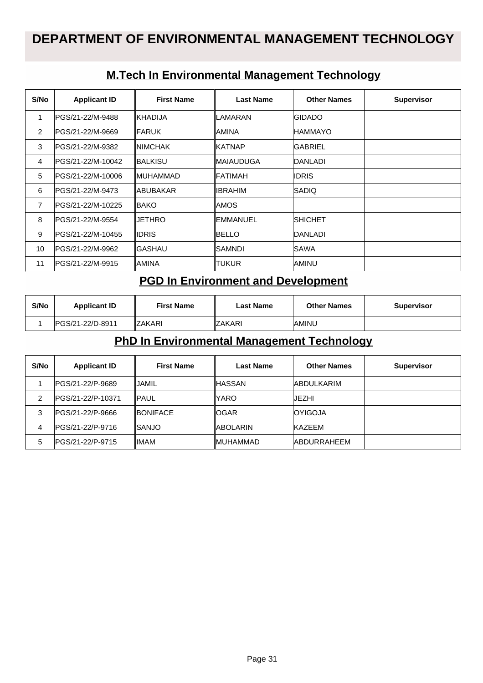#### **M.Tech In Environmental Management Technology**

| S/No           | <b>Applicant ID</b> | <b>First Name</b> | <b>Last Name</b> | <b>Other Names</b> | <b>Supervisor</b> |
|----------------|---------------------|-------------------|------------------|--------------------|-------------------|
| 1              | IPGS/21-22/M-9488   | <b>KHADIJA</b>    | ILAMARAN         | <b>IGIDADO</b>     |                   |
| $\overline{2}$ | IPGS/21-22/M-9669   | <b>IFARUK</b>     | IAMINA           | <b>IHAMMAYO</b>    |                   |
| 3              | PGS/21-22/M-9382    | <b>INIMCHAK</b>   | ∥KATNAP          | <b>GABRIEL</b>     |                   |
| 4              | IPGS/21-22/M-10042  | ∥BALKISU          | ∥MAIAUDUGA       | <b>IDANLADI</b>    |                   |
| 5              | IPGS/21-22/M-10006  | ∥MUHAMMAD         | ∥FATIMAH         | <b>IDRIS</b>       |                   |
| 6              | PGS/21-22/M-9473    | <b>IABUBAKAR</b>  | IIBRAHIM         | ISADIQ             |                   |
| 7              | IPGS/21-22/M-10225  | <b>IBAKO</b>      | IAMOS            |                    |                   |
| 8              | IPGS/21-22/M-9554   | <b>IJETHRO</b>    | <b>EMMANUEL</b>  | ISHICHET           |                   |
| 9              | IPGS/21-22/M-10455  | ∥IDRIS            | IBELLO           | <b>IDANLADI</b>    |                   |
| 10             | IPGS/21-22/M-9962   | ∥GASHAU           | ISAMNDI          | ISAWA              |                   |
| 11             | IPGS/21-22/M-9915   | IAMINA            | ∥TUKUR           | IAMINU             |                   |

#### **PGD In Environment and Development**

| S/No | <b>Applicant ID</b> | <b>First Name</b> | Last Name      | <b>Other Names</b> | <b>Supervisor</b> |
|------|---------------------|-------------------|----------------|--------------------|-------------------|
|      | IPGS/21-22/D-8911   | 'ZAKARI           | <b>IZAKARI</b> | <b>IAMINU</b>      |                   |

#### **PhD In Environmental Management Technology**

| S/No | <b>Applicant ID</b> | <b>First Name</b> | <b>Last Name</b> | <b>Other Names</b>  | <b>Supervisor</b> |
|------|---------------------|-------------------|------------------|---------------------|-------------------|
|      | PGS/21-22/P-9689    | IJAMIL            | ∥HASSAN          | <b>ABDULKARIM</b>   |                   |
| 2    | IPGS/21-22/P-10371  | IPAUL             | <b>YARO</b>      | IJEZHI              |                   |
| 3    | PGS/21-22/P-9666    | <b>IBONIFACE</b>  | IOGAR            | <b>OYIGOJA</b>      |                   |
| 4    | IPGS/21-22/P-9716   | ∥SANJO            | ∥ABOLARIN        | <b>KAZEEM</b>       |                   |
| 5    | PGS/21-22/P-9715    | ∥IMAM             | <b>IMUHAMMAD</b> | <b>IABDURRAHEEM</b> |                   |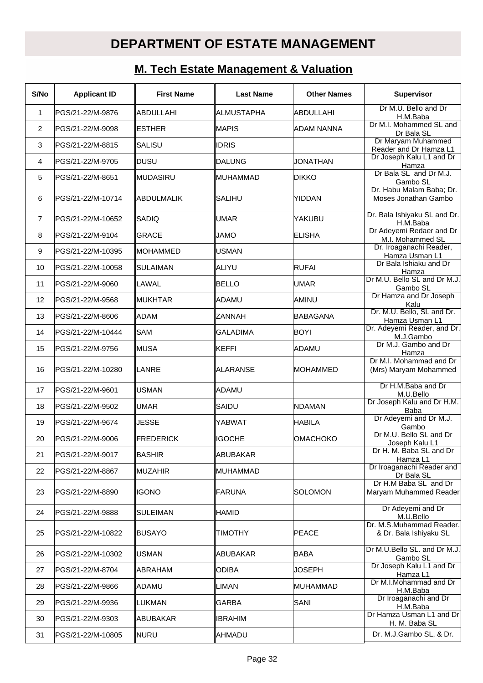# **DEPARTMENT OF ESTATE MANAGEMENT**

### **M. Tech Estate Management & Valuation**

| S/No           | <b>Applicant ID</b> | <b>First Name</b> | <b>Last Name</b>  | <b>Other Names</b> | <b>Supervisor</b>                                  |
|----------------|---------------------|-------------------|-------------------|--------------------|----------------------------------------------------|
| $\mathbf 1$    | PGS/21-22/M-9876    | ABDULLAHI         | <b>ALMUSTAPHA</b> | <b>ABDULLAHI</b>   | Dr M.U. Bello and Dr<br>H.M.Baba                   |
| 2              | PGS/21-22/M-9098    | <b>ESTHER</b>     | MAPIS             | <b>ADAM NANNA</b>  | Dr M.I. Mohammed SL and<br>Dr Bala SL              |
| 3              | PGS/21-22/M-8815    | <b>SALISU</b>     | <b>IDRIS</b>      |                    | Dr Maryam Muhammed<br>Reader and Dr Hamza L1       |
| 4              | PGS/21-22/M-9705    | DUSU              | DALUNG            | <b>JONATHAN</b>    | Dr Joseph Kalu L1 and Dr<br>Hamza                  |
| 5              | PGS/21-22/M-8651    | ∣MUDASIRU         | MUHAMMAD          | <b>DIKKO</b>       | Dr Bala SL and Dr M.J.<br>Gambo SL                 |
| 6              | PGS/21-22/M-10714   | <b>ABDULMALIK</b> | <b>SALIHU</b>     | <b>YIDDAN</b>      | Dr. Habu Malam Baba; Dr.<br>Moses Jonathan Gambo   |
| $\overline{7}$ | PGS/21-22/M-10652   | SADIQ             | <b>UMAR</b>       | YAKUBU             | Dr. Bala Ishiyaku SL and Dr.<br>H.M.Baba           |
| 8              | PGS/21-22/M-9104    | <b>GRACE</b>      | <b>OMAL</b>       | <b>ELISHA</b>      | Dr Adeyemi Redaer and Dr<br>M.I. Mohammed SL       |
| 9              | PGS/21-22/M-10395   | <b>MOHAMMED</b>   | lusman            |                    | Dr. Iroaganachi Reader,<br>Hamza Usman L1          |
| 10             | PGS/21-22/M-10058   | <b>SULAIMAN</b>   | ALIYU             | <b>RUFAI</b>       | Dr Bala Ishiaku and Dr<br>Hamza                    |
| 11             | PGS/21-22/M-9060    | <b>LAWAL</b>      | BELLO             | <b>UMAR</b>        | Dr M.U. Bello SL and Dr M.J.<br>Gambo SL           |
| 12             | PGS/21-22/M-9568    | IMUKHTAR          | ADAMU             | IAMINU             | Dr Hamza and Dr Joseph<br>Kalu                     |
| 13             | PGS/21-22/M-8606    | ADAM              | <b>ZANNAH</b>     | <b>BABAGANA</b>    | Dr. M.U. Bello, SL and Dr.<br>Hamza Usman L1       |
| 14             | PGS/21-22/M-10444   | SAM               | <b>GALADIMA</b>   | <b>BOYI</b>        | Dr. Adeyemi Reader, and Dr.<br>M.J.Gambo           |
| 15             | PGS/21-22/M-9756    | ∣MUSA             | KEFFI             | ADAMU              | Dr M.J. Gambo and Dr<br>Hamza                      |
| 16             | PGS/21-22/M-10280   | <b>LANRE</b>      | ALARANSE          | <b>IMOHAMMED</b>   | Dr M.I. Mohammad and Dr<br>(Mrs) Maryam Mohammed   |
| 17             | PGS/21-22/M-9601    | USMAN             | ADAMU             |                    | Dr H.M.Baba and Dr<br>M.U.Bello                    |
| 18             | PGS/21-22/M-9502    | <b>UMAR</b>       | SAIDU             | <b>NDAMAN</b>      | Dr Joseph Kalu and Dr H.M.<br><b>Baba</b>          |
| 19             | PGS/21-22/M-9674    | <b>JESSE</b>      | YABWAT            | <b>HABILA</b>      | Dr Adeyemi and Dr M.J.<br>Gambo                    |
| 20             | PGS/21-22/M-9006    | FREDERICK         | <b>IGOCHE</b>     | <b>OMACHOKO</b>    | Dr M.U. Bello SL and Dr<br>Joseph Kalu L1          |
| 21             | PGS/21-22/M-9017    | BASHIR            | ABUBAKAR          |                    | Dr H. M. Baba SL and Dr<br>Hamza L1                |
| 22             | PGS/21-22/M-8867    | MUZAHIR           | MUHAMMAD          |                    | Dr Iroaganachi Reader and<br>Dr Bala SL            |
| 23             | PGS/21-22/M-8890    | <b>I</b> IGONO    | <b>FARUNA</b>     | <b>SOLOMON</b>     | Dr H.M Baba SL and Dr<br>Maryam Muhammed Reader    |
| 24             | PGS/21-22/M-9888    | <b>SULEIMAN</b>   | <b>HAMID</b>      |                    | Dr Adeyemi and Dr<br>M.U.Bello                     |
| 25             | PGS/21-22/M-10822   | BUSAYO            | <b>TIMOTHY</b>    | <b>PEACE</b>       | Dr. M.S.Muhammad Reader.<br>& Dr. Bala Ishiyaku SL |
| 26             | PGS/21-22/M-10302   | USMAN             | ABUBAKAR          | <b>BABA</b>        | Dr M.U.Bello SL. and Dr M.J.<br>Gambo SL           |
| 27             | PGS/21-22/M-8704    | ABRAHAM           | <b>ODIBA</b>      | <b>JOSEPH</b>      | Dr Joseph Kalu L1 and Dr<br>Hamza L1               |
| 28             | PGS/21-22/M-9866    | ADAMU             | LIMAN             | MUHAMMAD           | Dr M.I.Mohammad and Dr<br>H.M.Baba                 |
| 29             | PGS/21-22/M-9936    | LUKMAN            | <b>GARBA</b>      | SANI               | Dr Iroaganachi and Dr<br>H.M.Baba                  |
| 30             | PGS/21-22/M-9303    | ABUBAKAR          | <b>IBRAHIM</b>    |                    | Dr Hamza Usman L1 and Dr<br>H. M. Baba SL          |
| 31             | PGS/21-22/M-10805   | NURU              | AHMADU            |                    | Dr. M.J.Gambo SL, & Dr.                            |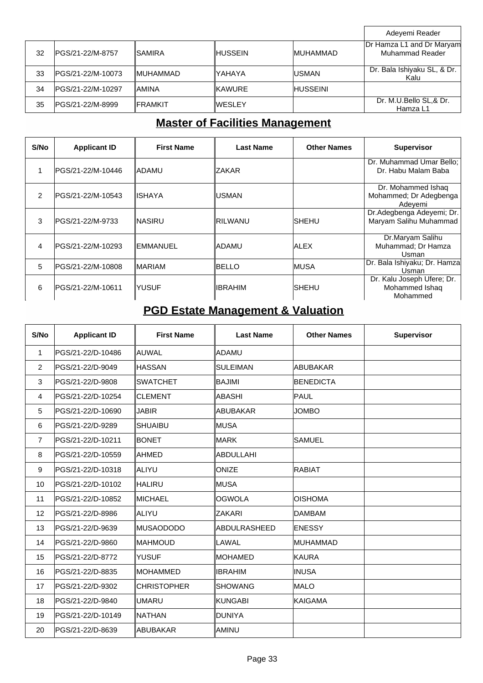|    |                    |                  |                |                  | Adeyemi Reader                               |
|----|--------------------|------------------|----------------|------------------|----------------------------------------------|
| 32 | IPGS/21-22/M-8757  | <b>ISAMIRA</b>   | ∥HUSSEIN       | <b>IMUHAMMAD</b> | Dr Hamza L1 and Dr Maryam<br>Muhammad Reader |
| 33 | IPGS/21-22/M-10073 | <b>IMUHAMMAD</b> | lYAHAYA        | <b>IUSMAN</b>    | Dr. Bala Ishiyaku SL, & Dr.<br>Kalu          |
| 34 | IPGS/21-22/M-10297 | <b>AMINA</b>     | <b>IKAWURE</b> | <b>HUSSEINI</b>  |                                              |
| 35 | IPGS/21-22/M-8999  | <b>IFRAMKIT</b>  | ∥WESLEY        |                  | Dr. M.U.Bello SL,& Dr.<br>Hamza L1           |

٦

# **Master of Facilities Management**

| S/No           | <b>Applicant ID</b> | <b>First Name</b> | Last Name       | <b>Other Names</b> | <b>Supervisor</b>                                        |
|----------------|---------------------|-------------------|-----------------|--------------------|----------------------------------------------------------|
| 1              | PGS/21-22/M-10446   | <b>IADAMU</b>     | <b>ZAKAR</b>    |                    | Dr. Muhammad Umar Bello;<br>Dr. Habu Malam Baba          |
| $\mathfrak{p}$ | IPGS/21-22/M-10543  | IISHAYA           | IUSMAN          |                    | Dr. Mohammed Ishaq<br>Mohammed; Dr Adegbenga<br>Adevemi  |
| 3              | IPGS/21-22/M-9733   | ∥NASIRU           | IRILWANU        | SHEHU              | Dr.Adegbenga Adeyemi; Dr.<br>Maryam Salihu Muhammad      |
| 4              | IPGS/21-22/M-10293  | ∥EMMANUEL         | IADAMU          | <b>IALEX</b>       | Dr.Maryam Salihu<br>Muhammad; Dr Hamza<br>Usman          |
| 5              | IPGS/21-22/M-10808  | IMARIAM           | IBELLO          | IMUSA              | Dr. Bala Ishiyaku; Dr. Hamza<br>Usman                    |
| 6              | IPGS/21-22/M-10611  | IYUSUF            | <b>IIBRAHIM</b> | SHEHU              | Dr. Kalu Joseph Ufere; Dr.<br>Mohammed Ishaq<br>Mohammed |

# **PGD Estate Management & Valuation**

| S/No           | <b>Applicant ID</b> | <b>First Name</b>  | <b>Last Name</b> | <b>Other Names</b> | <b>Supervisor</b> |
|----------------|---------------------|--------------------|------------------|--------------------|-------------------|
| $\mathbf{1}$   | PGS/21-22/D-10486   | <b>AUWAL</b>       | ∥ADAMU           |                    |                   |
| $\overline{2}$ | PGS/21-22/D-9049    | <b>HASSAN</b>      | ISULEIMAN        | ABUBAKAR           |                   |
| 3              | PGS/21-22/D-9808    | <b>SWATCHET</b>    | IBAJIMI          | <b>BENEDICTA</b>   |                   |
| 4              | PGS/21-22/D-10254   | <b>CLEMENT</b>     | ∥ABASHI          | PAUL               |                   |
| 5              | PGS/21-22/D-10690   | JABIR              | ∥ABUBAKAR        | <b>JOMBO</b>       |                   |
| 6              | PGS/21-22/D-9289    | <b>SHUAIBU</b>     | ∥MUSA            |                    |                   |
| $\overline{7}$ | PGS/21-22/D-10211   | <b>BONET</b>       | ∥MARK            | <b>SAMUEL</b>      |                   |
| 8              | PGS/21-22/D-10559   | AHMED              | ∥ABDULLAHI       |                    |                   |
| 9              | PGS/21-22/D-10318   | ALIYU              | ∥ONIZE           | <b>RABIAT</b>      |                   |
| 10             | PGS/21-22/D-10102   | HALIRU             | ∥MUSA            |                    |                   |
| 11             | PGS/21-22/D-10852   | <b>IMICHAEL</b>    | ∥OGWOLA          | <b>OISHOMA</b>     |                   |
| 12             | PGS/21-22/D-8986    | <b>ALIYU</b>       | <b>IZAKARI</b>   | <b>DAMBAM</b>      |                   |
| 13             | PGS/21-22/D-9639    | MUSAODODO          | ∥ABDULRASHEED    | <b>ENESSY</b>      |                   |
| 14             | PGS/21-22/D-9860    | <b>MAHMOUD</b>     | ∥LAWAL           | <b>MUHAMMAD</b>    |                   |
| 15             | PGS/21-22/D-8772    | <b>YUSUF</b>       | IMOHAMED         | <b>KAURA</b>       |                   |
| 16             | PGS/21-22/D-8835    | <b>MOHAMMED</b>    | ∥IBRAHIM         | <b>INUSA</b>       |                   |
| 17             | PGS/21-22/D-9302    | <b>CHRISTOPHER</b> | ISHOWANG         | <b>MALO</b>        |                   |
| 18             | PGS/21-22/D-9840    | <b>UMARU</b>       | ∥KUNGABI         | <b>KAIGAMA</b>     |                   |
| 19             | PGS/21-22/D-10149   | NATHAN             | ∥DUNIYA          |                    |                   |
| 20             | PGS/21-22/D-8639    | <b>ABUBAKAR</b>    | ∥AMINU           |                    |                   |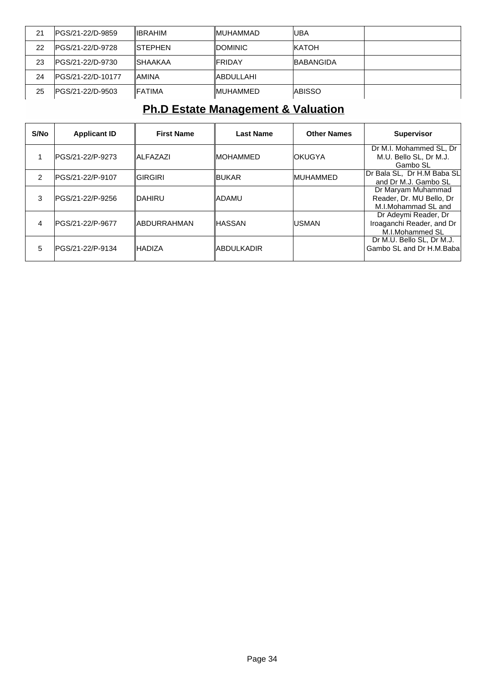| 21 | IPGS/21-22/D-9859       | <b>IIBRAHIM</b> | <b>IMUHAMMAD</b> | luba              |  |
|----|-------------------------|-----------------|------------------|-------------------|--|
| 22 | <b>PGS/21-22/D-9728</b> | <b>ISTEPHEN</b> | <b>IDOMINIC</b>  | <b>IKATOH</b>     |  |
| 23 | IPGS/21-22/D-9730       | <b>ISHAAKAA</b> | ∥FRIDAY          | <b>IBABANGIDA</b> |  |
| 24 | IPGS/21-22/D-10177      | <b>AMINA</b>    | ∥ABDULLAHI       |                   |  |
| 25 | IPGS/21-22/D-9503       | <b>IFATIMA</b>  | <b>IMUHAMMED</b> | <b>IABISSO</b>    |  |

## **Ph.D Estate Management & Valuation**

| S/No | <b>Applicant ID</b> | <b>First Name</b>   | <b>Last Name</b> | <b>Other Names</b> | <b>Supervisor</b>                                                     |
|------|---------------------|---------------------|------------------|--------------------|-----------------------------------------------------------------------|
|      | IPGS/21-22/P-9273   | <b>IALFAZAZI</b>    | ∥MOHAMMED        | <b>OKUGYA</b>      | Dr M.I. Mohammed SL, Dr<br>M.U. Bello SL, Dr M.J.<br>Gambo SL         |
| 2    | IPGS/21-22/P-9107   | IGIRGIRI            | ∥BUKAR           | <b>IMUHAMMED</b>   | Dr Bala SL, Dr H.M Baba SL<br>and Dr M.J. Gambo SL                    |
| 3    | lPGS/21-22/P-9256   | IDAHIRU             | ladamu           |                    | Dr Maryam Muhammad<br>Reader, Dr. MU Bello, Dr<br>M.I.Mohammad SL and |
| 4    | IPGS/21-22/P-9677   | <b>IABDURRAHMAN</b> | ⊪ASSAN           | <b>USMAN</b>       | Dr Adeymi Reader, Dr<br>Iroaganchi Reader, and Dr<br>M.I.Mohammed SL  |
| 5    | IPGS/21-22/P-9134   | <b>IHADIZA</b>      | IABDULKADIR      |                    | Dr M.U. Bello SL, Dr M.J.<br>Gambo SL and Dr H.M.Baba                 |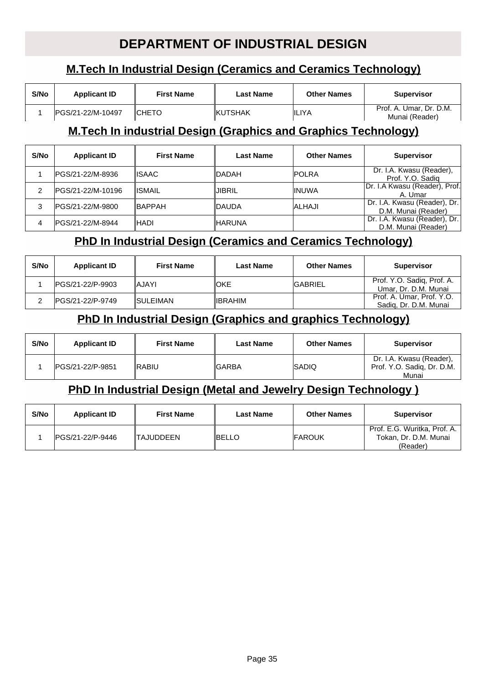## **DEPARTMENT OF INDUSTRIAL DESIGN**

## **M.Tech In Industrial Design (Ceramics and Ceramics Technology)**

| S/No | <b>Applicant ID</b> | <b>First Name</b> | Last Name       | <b>Other Names</b> | <b>Supervisor</b>                         |
|------|---------------------|-------------------|-----------------|--------------------|-------------------------------------------|
|      | IPGS/21-22/M-10497  | ICHETO            | <b>IKUTSHAK</b> | <b>IILIYA</b>      | Prof. A. Umar, Dr. D.M.<br>Munai (Reader) |

#### **M.Tech In industrial Design (Graphics and Graphics Technology)**

| S/No | <b>Applicant ID</b> | <b>First Name</b> | <b>Last Name</b> | <b>Other Names</b> | <b>Supervisor</b>                                   |
|------|---------------------|-------------------|------------------|--------------------|-----------------------------------------------------|
|      | IPGS/21-22/M-8936   | IISAAC.           | <b>DADAH</b>     | <b>IPOLRA</b>      | Dr. I.A. Kwasu (Reader),<br>Prof. Y.O. Sadig        |
|      | PGS/21-22/M-10196   | IISMAIL           | JIBRIL           | <b>IINUWA</b>      | Dr. I.A Kwasu (Reader), Prof.<br>A. Umar            |
| 3    | IPGS/21-22/M-9800   | <b>IBAPPAH</b>    | <b>DAUDA</b>     | <b>ALHAJI</b>      | Dr. I.A. Kwasu (Reader), Dr.<br>D.M. Munai (Reader) |
| 4    | PGS/21-22/M-8944    | ∥HADI             | <b>HARUNA</b>    |                    | Dr. I.A. Kwasu (Reader), Dr.<br>D.M. Munai (Reader) |

#### **PhD In Industrial Design (Ceramics and Ceramics Technology)**

| S/No | <b>Applicant ID</b> | <b>First Name</b> | <b>Last Name</b> | <b>Other Names</b> | <b>Supervisor</b>                                  |
|------|---------------------|-------------------|------------------|--------------------|----------------------------------------------------|
|      | IPGS/21-22/P-9903   | IAJAYI            | ∥OKE             | <b>IGABRIEL</b>    | Prof. Y.O. Sadig, Prof. A.<br>Umar, Dr. D.M. Munai |
|      | IPGS/21-22/P-9749   | <b>ISULEIMAN</b>  | <b>IIBRAHIM</b>  |                    | Prof. A. Umar, Prof. Y.O.<br>Sadig, Dr. D.M. Munai |

### **PhD In Industrial Design (Graphics and graphics Technology)**

| S/No | <b>Applicant ID</b> | <b>First Name</b> | <b>Last Name</b> | <b>Other Names</b> | <b>Supervisor</b>                                               |
|------|---------------------|-------------------|------------------|--------------------|-----------------------------------------------------------------|
|      | IPGS/21-22/P-9851   | IRABIU            | ∥GARBA           | <b>ISADIQ</b>      | Dr. I.A. Kwasu (Reader),<br>Prof. Y.O. Sadig, Dr. D.M.<br>Munai |

#### **PhD In Industrial Design (Metal and Jewelry Design Technology )**

| S/No | <b>Applicant ID</b> | <b>First Name</b> | <b>Last Name</b> | <b>Other Names</b> | <b>Supervisor</b>                                                 |
|------|---------------------|-------------------|------------------|--------------------|-------------------------------------------------------------------|
|      | IPGS/21-22/P-9446   | <b>ITAJUDDEEN</b> | IBELLO           | <b>IFAROUK</b>     | Prof. E.G. Wuritka, Prof. A.<br>Tokan, Dr. D.M. Munai<br>(Reader) |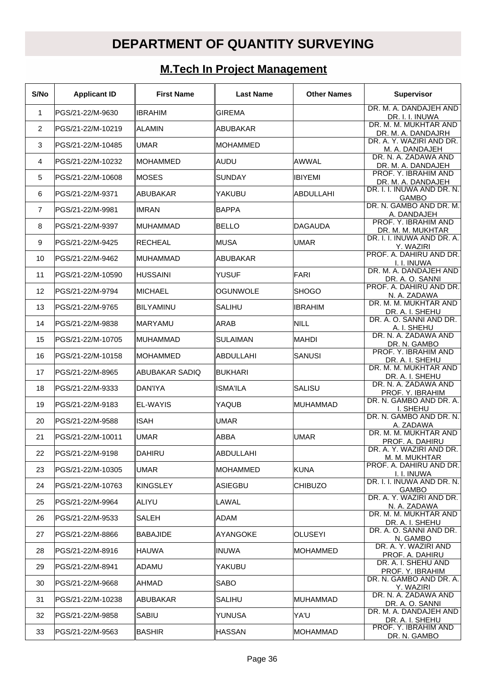# **DEPARTMENT OF QUANTITY SURVEYING**

# **M.Tech In Project Management**

| S/No           | <b>Applicant ID</b> | <b>First Name</b> | <b>Last Name</b> | <b>Other Names</b> | <b>Supervisor</b>                           |
|----------------|---------------------|-------------------|------------------|--------------------|---------------------------------------------|
| $\mathbf{1}$   | PGS/21-22/M-9630    | <b>IBRAHIM</b>    | <b>GIREMA</b>    |                    | DR. M. A. DANDAJEH AND<br>DR. I. I. INUWA   |
| 2              | PGS/21-22/M-10219   | ALAMIN            | ABUBAKAR         |                    | DR. M. M. MUKHTAR AND<br>DR. M. A. DANDAJRH |
| 3              | PGS/21-22/M-10485   | <b>IUMAR</b>      | IMOHAMMED        |                    | DR. A. Y. WAZIRI AND DR.<br>M. A. DANDAJEH  |
| 4              | PGS/21-22/M-10232   | IMOHAMMED         | ∥AUDU            | AWWAL              | DR. N. A. ZADAWA AND<br>DR. M. A. DANDAJEH  |
| 5              | PGS/21-22/M-10608   | IMOSES            | <b>SUNDAY</b>    | <b>IBIYEMI</b>     | PROF. Y. IBRAHIM AND<br>DR. M. A. DANDAJEH  |
| 6              | PGS/21-22/M-9371    | IABUBAKAR         | YAKUBU           | <b>ABDULLAHI</b>   | DR. I. I. INUWA AND DR. N.<br><b>GAMBO</b>  |
| $\overline{7}$ | PGS/21-22/M-9981    | IIMRAN            | <b>BAPPA</b>     |                    | DR. N. GAMBO AND DR. M.<br>A. DANDAJEH      |
| 8              | PGS/21-22/M-9397    | IMUHAMMAD         | <b>BELLO</b>     | <b>IDAGAUDA</b>    | PROF. Y. IBRAHIM AND<br>DR. M. M. MUKHTAR   |
| 9              | PGS/21-22/M-9425    | RECHEAL           | ∥MUSA            | <b>UMAR</b>        | DR. I. I. INUWA AND DR. A.<br>Y. WAZIRI     |
| 10             | PGS/21-22/M-9462    | IMUHAMMAD         | ∥ABUBAKAR        |                    | PROF. A. DAHIRU AND DR.<br>I. I. INUWA      |
| 11             | PGS/21-22/M-10590   | IHUSSAINI         | <b>YUSUF</b>     | <b>FARI</b>        | DR. M. A. DANDAJEH AND<br>DR. A. O. SANNI   |
| 12             | PGS/21-22/M-9794    | IMICHAEL          | OGUNWOLE         | <b>SHOGO</b>       | PROF. A. DAHIRU AND DR.<br>N. A. ZADAWA     |
| 13             | PGS/21-22/M-9765    | IBILYAMINU        | SALIHU           | <b>IBRAHIM</b>     | DR. M. M. MUKHTAR AND<br>DR. A. I. SHEHU    |
| 14             | PGS/21-22/M-9838    | IMARYAMU          | ARAB             | <b>NILL</b>        | DR. A. O. SANNI AND DR.<br>A. I. SHEHU      |
| 15             | PGS/21-22/M-10705   | IMUHAMMAD         | <b>SULAIMAN</b>  | <b>MAHDI</b>       | DR. N. A. ZADAWA AND<br>DR. N. GAMBO        |
| 16             | PGS/21-22/M-10158   | ∥MOHAMMED         | ∥ABDULLAHI       | SANUSI             | PROF. Y. IBRAHIM AND<br>DR. A. I. SHEHU     |
| 17             | PGS/21-22/M-8965    | ABUBAKAR SADIQ    | BUKHARI          |                    | DR. M. M. MUKHTAR AND<br>DR. A. I. SHEHU    |
| 18             | PGS/21-22/M-9333    | IDAN'IYA          | IISMA'ILA        | <b>SALISU</b>      | DR. N. A. ZADAWA AND<br>PROF. Y. IBRAHIM    |
| 19             | PGS/21-22/M-9183    | <b>EL-WAYIS</b>   | YAQUB            | MUHAMMAD           | DR. N. GAMBO AND DR. A.<br>I. SHEHU         |
| 20             | PGS/21-22/M-9588    | <b>ISAH</b>       | <b>UMAR</b>      |                    | DR. N. GAMBO AND DR. N.<br>A. ZADAWA        |
| 21             | PGS/21-22/M-10011   | IUMAR             | ∥ABBA            | <b>UMAR</b>        | DR. M. M. MUKHTAR AND<br>PROF. A. DAHIRU    |
| 22             | PGS/21-22/M-9198    | DAHIRU            | ABDULLAHI        |                    | DR. A. Y. WAZIRI AND DR.<br>M. M. MUKHTAR   |
| 23             | PGS/21-22/M-10305   | <b>UMAR</b>       | <b>MOHAMMED</b>  | <b>KUNA</b>        | PROF. A. DAHIRU AND DR.<br>I. I. INUWA      |
| 24             | PGS/21-22/M-10763   | IKINGSLEY         | ∥ASIEGBU         | <b>CHIBUZO</b>     | DR. I. I. INUWA AND DR. N.<br>GAMBO         |
| 25             | PGS/21-22/M-9964    | ∥ALIYU            | LAWAL            |                    | DR. A. Y. WAZIRI AND DR.<br>N. A. ZADAWA    |
| 26             | PGS/21-22/M-9533    | <b>SALEH</b>      | ADAM             |                    | DR. M. M. MUKHTAR AND<br>DR. A. I. SHEHU    |
| 27             | PGS/21-22/M-8866    | BABAJIDE          | ∥AYANGOKE        | <b>OLUSEYI</b>     | DR. A. O. SANNI AND DR.<br>N. GAMBO         |
| 28             | PGS/21-22/M-8916    | IHAUWA            | ∥INUWA           | MOHAMMED           | DR. A. Y. WAZIRI AND<br>PROF. A. DAHIRU     |
| 29             | PGS/21-22/M-8941    | IADAMU            | YAKUBU           |                    | DR. A. I. SHEHU AND<br>PROF. Y. IBRAHIM     |
| 30             | PGS/21-22/M-9668    | ∥AHMAD            | <b>SABO</b>      |                    | DR. N. GAMBO AND DR. A.<br>Y. WAZIRI        |
| 31             | PGS/21-22/M-10238   | ABUBAKAR          | SALIHU           | MUHAMMAD           | DR. N. A. ZADAWA AND<br>DR. A. O. SANNI     |
| 32             | PGS/21-22/M-9858    | <b>SABIU</b>      | YUNUSA           | YA'U               | DR. M. A. DANDAJEH AND<br>DR. A. I. SHEHU   |
| 33             | PGS/21-22/M-9563    | BASHIR            | ∥HASSAN          | MOHAMMAD           | PROF. Y. IBRAHIM AND<br>DR. N. GAMBO        |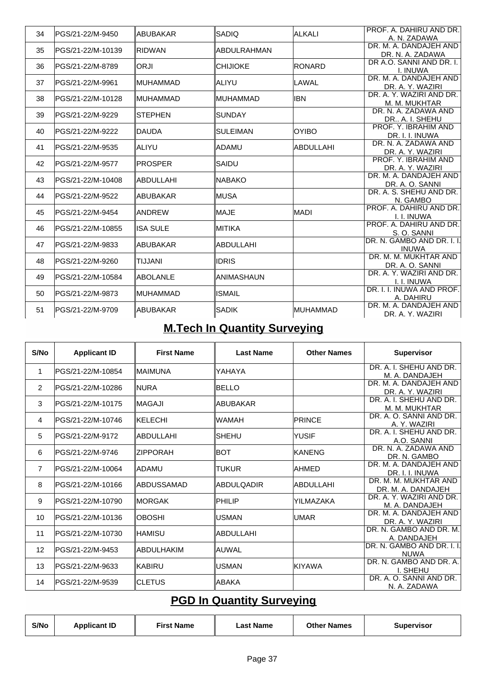| 34 | PGS/21-22/M-9450   | ∥ABUBAKAR   | <b>SADIO</b>     | ALKALI           | PROF. A. DAHIRU AND DR.                      |
|----|--------------------|-------------|------------------|------------------|----------------------------------------------|
|    |                    |             |                  |                  | A. N. ZADAWA                                 |
| 35 | lPGS/21-22/M-10139 | IRIDWAN     | ∥ABDULRAHMAN     |                  | DR. M. A. DANDAJEH AND                       |
|    |                    |             |                  |                  | DR. N. A. ZADAWA<br>DR A.O. SANNI AND DR. I. |
| 36 | lPGS/21-22/M-8789  | ∥ORJI       | <b>CHIJIOKE</b>  | <b>RONARD</b>    | I. INUWA                                     |
| 37 | lPGS/21-22/M-9961  | ∥MUHAMMAD   | ∥ALIYU           | LAWAL            | DR. M. A. DANDAJEH AND                       |
|    |                    |             |                  |                  | DR. A. Y. WAZIRI                             |
| 38 | lPGS/21-22/M-10128 | ∥MUHAMMAD   | IMUHAMMAD        | libn             | DR. A. Y. WAZIRI AND DR.                     |
|    |                    |             |                  |                  | M. M. MUKHTAR                                |
| 39 | PGS/21-22/M-9229   | ISTEPHEN    | <b>SUNDAY</b>    |                  | DR. N. A. ZADAWA AND                         |
|    |                    |             |                  |                  | DR., A. I. SHEHU                             |
| 40 | PGS/21-22/M-9222   | ∥DAUDA      | <b>SULEIMAN</b>  | <b>OYIBO</b>     | PROF. Y. IBRAHIM AND                         |
|    |                    |             |                  |                  | DR. I. I. INUWA<br>DR. N. A. ZADAWA AND      |
| 41 | PGS/21-22/M-9535   | ∥ALIYU      | ladamu           | <b>ABDULLAHI</b> |                                              |
|    |                    |             |                  |                  | DR. A. Y. WAZIRI<br>PROF. Y. IBRAHIM AND     |
| 42 | lPGS/21-22/M-9577  | IPROSPER    | SAIDU            |                  | DR. A. Y. WAZIRI                             |
|    |                    |             |                  |                  | DR. M. A. DANDAJEH AND                       |
| 43 | IPGS/21-22/M-10408 | ∥ABDULLAHI  | INABAKO          |                  | DR. A. O. SANNI                              |
|    |                    |             |                  |                  | DR. A. S. SHEHU AND DR.                      |
| 44 | PGS/21-22/M-9522   | ∥ABUBAKAR   | IMUSA            |                  | N. GAMBO                                     |
| 45 | IPGS/21-22/M-9454  | ∥ANDREW     | <b>MAJE</b>      | <b>MADI</b>      | PROF. A. DAHIRU AND DR.                      |
|    |                    |             |                  |                  | I. I. INUWA                                  |
| 46 | PGS/21-22/M-10855  | IISA SULE   | MITIKA           |                  | PROF. A. DAHIRU AND DR.                      |
|    |                    |             |                  |                  | S. O. SANNI                                  |
| 47 | PGS/21-22/M-9833   | ∥ABUBAKAR   | <b>ABDULLAHI</b> |                  | DR. N. GAMBO AND DR. I. I                    |
|    |                    |             |                  |                  | <b>INUWA</b>                                 |
| 48 | PGS/21-22/M-9260   | TIJJANI     | <b>IDRIS</b>     |                  | DR. M. M. MUKHTAR AND                        |
|    |                    |             |                  |                  | DR. A. O. SANNI<br>DR. A. Y. WAZIRI AND DR.  |
| 49 | PGS/21-22/M-10584  | ∥ABOI ANI F | IANIMASHAUN      |                  | I. I. INUWA                                  |
|    |                    |             |                  |                  | DR. I. I. INUWA AND PROF.                    |
| 50 | lPGS/21-22/M-9873  | ∥MUHAMMAD   | ISMAIL           |                  | A. DAHIRU                                    |
|    |                    |             |                  |                  | DR. M. A. DANDAJEH AND                       |
| 51 | PGS/21-22/M-9709   | ∥ABUBAKAR   | <b>SADIK</b>     | <b>MUHAMMAD</b>  | DR. A. Y. WAZIRI                             |

# **M.Tech In Quantity Surveying**

| S/No           | <b>Applicant ID</b> | <b>First Name</b> | <b>Last Name</b>  | <b>Other Names</b> | <b>Supervisor</b>                         |
|----------------|---------------------|-------------------|-------------------|--------------------|-------------------------------------------|
| 1              | lPGS/21-22/M-10854  | IMAIMUNA          | lyahaya           |                    | DR. A. I. SHEHU AND DR.<br>M. A. DANDAJEH |
| $\overline{2}$ | lPGS/21-22/M-10286  | INURA             | IBELLO            |                    | DR. M. A. DANDAJEH AND                    |
|                |                     |                   |                   |                    | DR. A. Y. WAZIRI                          |
| 3              | lPGS/21-22/M-10175  | IMAGAJI           | ∥ABUBAKAR         |                    | DR. A. I. SHEHU AND DR.<br>M. M. MUKHTAR  |
| 4              | lPGS/21-22/M-10746  | IKELECHI          | ∥WAMAH            | <b>IPRINCE</b>     | DR. A. O. SANNI AND DR.<br>A. Y. WAZIRI   |
|                |                     |                   |                   |                    | DR. A. I. SHEHU AND DR.                   |
| 5              | IPGS/21-22/M-9172   | IABDULLAHI        | ISHEHU            | YUSIF              | A.O. SANNI                                |
|                |                     |                   |                   |                    | DR. N. A. ZADAWA AND                      |
| 6              | lPGS/21-22/M-9746   | <b>IZIPPORAH</b>  | IBOT              | IKANENG            | DR. N. GAMBO                              |
|                |                     |                   |                   |                    | DR. M. A. DANDAJEH AND                    |
| $\overline{7}$ | lPGS/21-22/M-10064  | IADAMU            | ∥TUKUR            | <b>AHMED</b>       | DR. I. I. INUWA                           |
| 8              | PGS/21-22/M-10166   | IABDUSSAMAD       | <b>ABDULQADIR</b> | IABDULLAHI         | DR. M. M. MUKHTAR AND                     |
|                |                     |                   |                   |                    | DR. M. A. DANDAJEH                        |
| 9              | lPGS/21-22/M-10790  | IMORGAK           | IPHILIP           | YILMAZAKA          | DR. A. Y. WAZIRI AND DR.                  |
|                |                     |                   |                   |                    | M. A. DANDAJEH                            |
| 10             | lPGS/21-22/M-10136  | <b>OBOSHI</b>     | ∥USMAN            | IUMAR              | DR. M. A. DANDAJEH AND                    |
|                |                     |                   |                   |                    | DR. A. Y. WAZIRI                          |
| 11             | lPGS/21-22/M-10730  | IHAMISU           | ∥ABDULLAHI        |                    | DR. N. GAMBO AND DR. M.                   |
|                |                     |                   |                   |                    | A. DANDAJEH                               |
| 12             | lPGS/21-22/M-9453   | IABDULHAKIM       | ∥AUWAL            |                    | DR. N. GAMBO AND DR. I. I.                |
|                |                     |                   |                   |                    | <b>NUWA</b>                               |
| 13             | lPGS/21-22/M-9633   | IKABIRU           | ∥USMAN            | İKIYAWA            | DR. N. GAMBO AND DR. A.                   |
|                |                     |                   |                   |                    | I. SHEHU<br>DR. A. O. SANNI AND DR.       |
| 14             | IPGS/21-22/M-9539   | <b>ICLETUS</b>    | ∥ABAKA            |                    | N. A. ZADAWA                              |
|                |                     |                   |                   |                    |                                           |

## **PGD In Quantity Surveying**

| S/No | <b>Applicant ID</b> | First Name | Last Name | <b>Other Names</b> | <b>Supervisor</b> |
|------|---------------------|------------|-----------|--------------------|-------------------|
|------|---------------------|------------|-----------|--------------------|-------------------|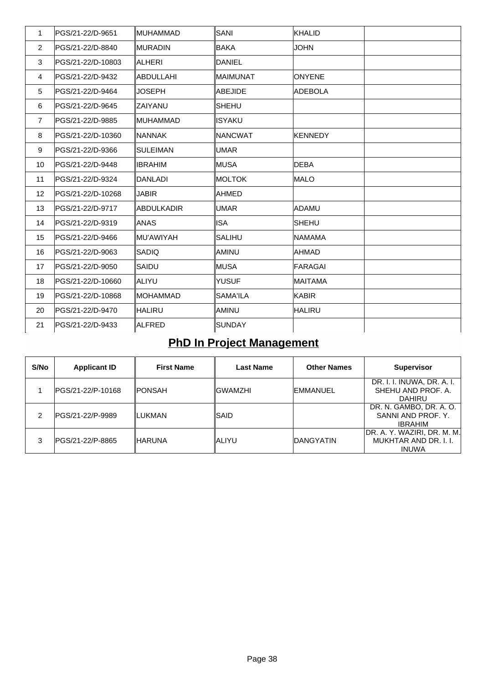| 1              | PGS/21-22/D-9651  | ∥MUHAMMAD      | SANI           | KHALID         |  |
|----------------|-------------------|----------------|----------------|----------------|--|
| $\overline{2}$ | PGS/21-22/D-8840  | ∥MURADIN       | BAKA           | <b>JOHN</b>    |  |
| 3              | PGS/21-22/D-10803 | ∥ALHERI        | <b>DANIEL</b>  |                |  |
| 4              | PGS/21-22/D-9432  | ∥ABDULLAHI     | MAIMUNAT       | <b>ONYENE</b>  |  |
| 5              | PGS/21-22/D-9464  | <b>JOSEPH</b>  | ABEJIDE        | <b>ADEBOLA</b> |  |
| 6              | PGS/21-22/D-9645  | ZAIYANU        | <b>SHEHU</b>   |                |  |
| $\overline{7}$ | PGS/21-22/D-9885  | ∥MUHAMMAD      | ISYAKU         |                |  |
| 8              | PGS/21-22/D-10360 | INANNAK        | <b>NANCWAT</b> | <b>KENNEDY</b> |  |
| 9              | PGS/21-22/D-9366  | ISULEIMAN      | UMAR           |                |  |
| 10             | PGS/21-22/D-9448  | IIBRAHIM       | MUSA           | <b>DEBA</b>    |  |
| 11             | PGS/21-22/D-9324  | <b>DANLADI</b> | MOLTOK         | <b>MALO</b>    |  |
| 12             | PGS/21-22/D-10268 | <b>JABIR</b>   | AHMED          |                |  |
| 13             | PGS/21-22/D-9717  | ∥ABDULKADIR    | UMAR           | ADAMU          |  |
| 14             | PGS/21-22/D-9319  | ∥ANAS          | ISA            | <b>SHEHU</b>   |  |
| 15             | PGS/21-22/D-9466  | ∥MU'AWIYAH     | SALIHU         | <b>INAMAMA</b> |  |
| 16             | PGS/21-22/D-9063  | SADIQ          | AMINU          | IAHMAD         |  |
| 17             | PGS/21-22/D-9050  | ISAIDU         | MUSA           | <b>FARAGAI</b> |  |
| 18             | PGS/21-22/D-10660 | ∥ALIYU         | <b>YUSUF</b>   | <b>MAITAMA</b> |  |
| 19             | PGS/21-22/D-10868 | IMOHAMMAD      | SAMA'ILA       | <b>KABIR</b>   |  |
| 20             | PGS/21-22/D-9470  | ∥HALIRU        | ∥AMINU         | <b>HALIRU</b>  |  |
| 21             | lPGS/21-22/D-9433 | ∥ALFRED        | <b>SUNDAY</b>  |                |  |

# **PhD In Project Management**

| S/No | <b>Applicant ID</b> | <b>First Name</b> | Last Name | <b>Other Names</b> | <b>Supervisor</b>                                                    |
|------|---------------------|-------------------|-----------|--------------------|----------------------------------------------------------------------|
|      | PGS/21-22/P-10168   | ∥PONSAH           | IGWAMZHI  | IEMMANUEL          | DR. I. I. INUWA, DR. A. I.<br>SHEHU AND PROF. A.<br><b>DAHIRU</b>    |
| 2    | IPGS/21-22/P-9989   | ILUKMAN           | ISAID     |                    | DR. N. GAMBO, DR. A. O.<br>SANNI AND PROF. Y.<br><b>IBRAHIM</b>      |
| 3    | PGS/21-22/P-8865    | ∥HARUNA           | IALIYU    | IDANGYATIN         | DR. A. Y. WAZIRI, DR. M. M.<br>MUKHTAR AND DR. I. I.<br><b>INUWA</b> |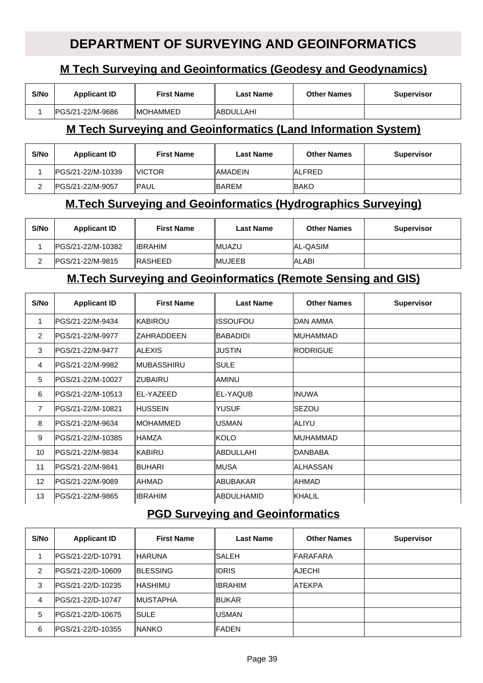#### **DEPARTMENT OF SURVEYING AND GEOINFORMATICS**

#### **M Tech Surveying and Geoinformatics (Geodesy and Geodynamics)**

| S/No | <b>Applicant ID</b> | First Name       | Last Name        | <b>Other Names</b> | Supervisor |
|------|---------------------|------------------|------------------|--------------------|------------|
|      | IPGS/21-22/M-9686   | <b>IMOHAMMED</b> | <b>ABDULLAHI</b> |                    |            |

#### **M Tech Surveying and Geoinformatics (Land Information System)**

| S/No | <b>Applicant ID</b> | <b>First Name</b> | <b>Last Name</b> | <b>Other Names</b> | <b>Supervisor</b> |
|------|---------------------|-------------------|------------------|--------------------|-------------------|
|      | IPGS/21-22/M-10339  | <b>IVICTOR</b>    | <b>AMADEIN</b>   | <b>ALFRED</b>      |                   |
|      | IPGS/21-22/M-9057   | <b>IPAUL</b>      | <b>IBAREM</b>    | <b>BAKO</b>        |                   |

#### **M.Tech Surveying and Geoinformatics (Hydrographics Surveying)**

| S/No | <b>Applicant ID</b> | <b>First Name</b> | <b>Last Name</b> | <b>Other Names</b> | <b>Supervisor</b> |
|------|---------------------|-------------------|------------------|--------------------|-------------------|
|      | IPGS/21-22/M-10382  | <b>IIBRAHIM</b>   | <b>IMUAZU</b>    | <b>AL-QASIM</b>    |                   |
|      | IPGS/21-22/M-9815   | <b>IRASHEED</b>   | <b>IMUJEEB</b>   | <b>ALABI</b>       |                   |

#### **M.Tech Surveying and Geoinformatics (Remote Sensing and GIS)**

| S/No            | <b>Applicant ID</b>     | <b>First Name</b>  | <b>Last Name</b> | <b>Other Names</b> | <b>Supervisor</b> |
|-----------------|-------------------------|--------------------|------------------|--------------------|-------------------|
|                 | IPGS/21-22/M-9434       | <b>IKABIROU</b>    | <b>ISSOUFOU</b>  | IDAN AMMA          |                   |
| $\overline{2}$  | PGS/21-22/M-9977        | <b>IZAHRADDEEN</b> | BABADIDI         | IMUHAMMAD          |                   |
| 3               | IPGS/21-22/M-9477       | IALEXIS            | IJUSTIN          | <b>IRODRIGUE</b>   |                   |
| $\overline{4}$  | <b>PGS/21-22/M-9982</b> | ∥MUBASSHIRU        | ISULE            |                    |                   |
| 5               | IPGS/21-22/M-10027      | IZUBAIRU           | IAMINU           |                    |                   |
| 6               | PGS/21-22/M-10513       | <b>IEL-YAZEED</b>  | IEL-YAQUB        | <b>INUWA</b>       |                   |
| $\overline{7}$  | IPGS/21-22/M-10821      | ⊪HUSSEIN           | <b>YUSUF</b>     | <b>SEZOU</b>       |                   |
| 8               | PGS/21-22/M-9634        | IMOHAMMED          | <b>IUSMAN</b>    | <b>ALIYU</b>       |                   |
| 9               | IPGS/21-22/M-10385      | ∥HAMZA             | IKOLO            | <b>IMUHAMMAD</b>   |                   |
| 10              | IPGS/21-22/M-9834       | IKABIRU            | <b>ABDULLAHI</b> | <b>IDANBABA</b>    |                   |
| 11              | IPGS/21-22/M-9841       | <b>BUHARI</b>      | IMUSA            | IALHASSAN          |                   |
| 12 <sup>2</sup> | IPGS/21-22/M-9089       | IAHMAD             | <b>ABUBAKAR</b>  | IAHMAD             |                   |
| 13              | IPGS/21-22/M-9865       | IIBRAHIM           | ∥ABDULHAMID      | KHALIL             |                   |

#### **PGD Surveying and Geoinformatics**

| S/No           | <b>Applicant ID</b> | <b>First Name</b> | <b>Last Name</b> | <b>Other Names</b> | <b>Supervisor</b> |
|----------------|---------------------|-------------------|------------------|--------------------|-------------------|
|                | IPGS/21-22/D-10791  | IHARUNA           | ISALEH           | <b>FARAFARA</b>    |                   |
| $\mathfrak{p}$ | IPGS/21-22/D-10609  | <b>IBLESSING</b>  | ∥IDRIS           | <b>AJECHI</b>      |                   |
| 3              | IPGS/21-22/D-10235  | IHASHIMU          | <b>IIBRAHIM</b>  | <b>ATEKPA</b>      |                   |
| 4              | IPGS/21-22/D-10747  | <b>IMUSTAPHA</b>  | <b>BUKAR</b>     |                    |                   |
| 5              | IPGS/21-22/D-10675  | ISULE.            | IUSMAN           |                    |                   |
| 6              | IPGS/21-22/D-10355  | <b>INANKO</b>     | <b>IFADEN</b>    |                    |                   |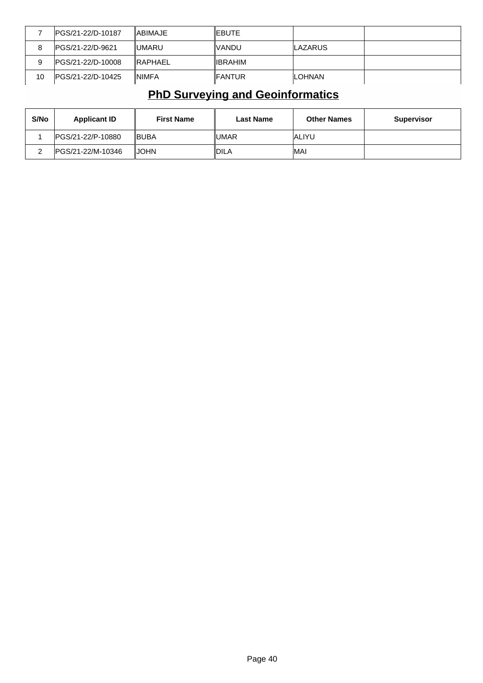|    | IPGS/21-22/D-10187 | IABIMAJE        | ∥EBUTE          |                 |  |
|----|--------------------|-----------------|-----------------|-----------------|--|
| 8  | IPGS/21-22/D-9621  | <b>IIUMARU</b>  | IVANDU.         | <b>ILAZARUS</b> |  |
| 9  | IPGS/21-22/D-10008 | <b>IRAPHAEL</b> | <b>IIBRAHIM</b> |                 |  |
| 10 | IPGS/21-22/D-10425 | <b>INIMFA</b>   | ∥FANTUR         | <b>ILOHNAN</b>  |  |

## **PhD Surveying and Geoinformatics**

| S/No | <b>Applicant ID</b> | <b>First Name</b> | Last Name | <b>Other Names</b> | <b>Supervisor</b> |
|------|---------------------|-------------------|-----------|--------------------|-------------------|
|      | IPGS/21-22/P-10880  | <b>IBUBA</b>      | IUMAR     | IALIYU             |                   |
|      | IPGS/21-22/M-10346  | <b>JOHN</b>       | ∥DILA     | <b>IMAI</b>        |                   |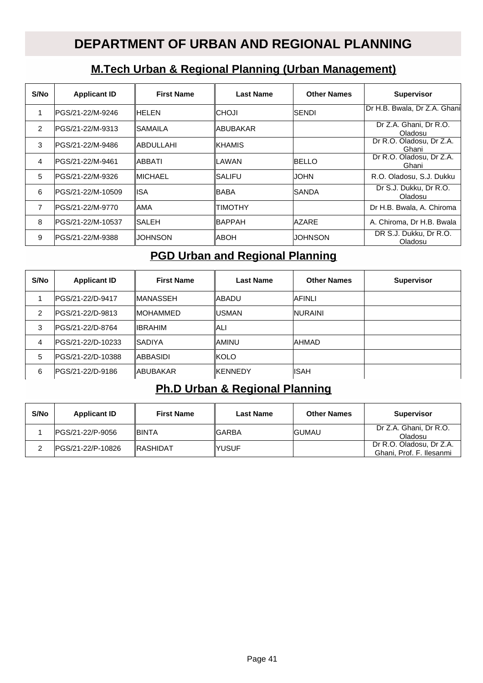### **DEPARTMENT OF URBAN AND REGIONAL PLANNING**

#### **M.Tech Urban & Regional Planning (Urban Management)**

| S/No           | <b>Applicant ID</b> | <b>First Name</b> | <b>Last Name</b> | <b>Other Names</b> | <b>Supervisor</b>                 |
|----------------|---------------------|-------------------|------------------|--------------------|-----------------------------------|
| 1              | IPGS/21-22/M-9246   | IHELEN            | ICHOJI           | <b>SENDI</b>       | Dr H.B. Bwala, Dr Z.A. Ghani      |
| $\mathfrak{p}$ | IPGS/21-22/M-9313   | ISAMAILA          | IABUBAKAR        |                    | Dr Z.A. Ghani, Dr R.O.<br>Oladosu |
| 3              | IPGS/21-22/M-9486   | IABDULLAHI        | <b>IKHAMIS</b>   |                    | Dr R.O. Oladosu, Dr Z.A.<br>Ghani |
| 4              | IPGS/21-22/M-9461   | IABBATI           | ILAWAN           | BELLO              | Dr R.O. Oladosu, Dr Z.A.<br>Ghani |
| 5              | IPGS/21-22/M-9326   | IMICHAEL          | ISALIFU          | <b>JOHN</b>        | R.O. Oladosu, S.J. Dukku          |
| 6              | IPGS/21-22/M-10509  | lISA              | IBABA            | SANDA              | Dr S.J. Dukku, Dr R.O.<br>Oladosu |
| 7              | IPGS/21-22/M-9770   | IAMA              | TIMOTHY          |                    | Dr H.B. Bwala, A. Chiroma         |
| 8              | IPGS/21-22/M-10537  | lSALEH            | <b>BAPPAH</b>    | AZARE              | A. Chiroma, Dr H.B. Bwala         |
| 9              | IPGS/21-22/M-9388   | JOHNSON           | IABOH            | JOHNSON            | DR S.J. Dukku, Dr R.O.<br>Oladosu |

#### **PGD Urban and Regional Planning**

| S/No | <b>Applicant ID</b> | <b>First Name</b> | <b>Last Name</b> | <b>Other Names</b> | <b>Supervisor</b> |
|------|---------------------|-------------------|------------------|--------------------|-------------------|
|      | IPGS/21-22/D-9417   | ∥MANASSEH         | ∥ABADU           | <b>AFINLI</b>      |                   |
| 2    | IPGS/21-22/D-9813   | ∥MOHAMMED         | ∥USMAN           | <b>INURAINI</b>    |                   |
| 3    | IPGS/21-22/D-8764   | IIBRAHIM          | ∥ALI             |                    |                   |
| 4    | IPGS/21-22/D-10233  | ISADIYA           | ∥AMINU           | <b>AHMAD</b>       |                   |
| 5    | lPGS/21-22/D-10388  | IABBASIDI         | ∥KOLO            |                    |                   |
| 6    | lPGS/21-22/D-9186   | ∥ABUBAKAR         | <b>IKENNEDY</b>  | <b>IISAH</b>       |                   |

#### **Ph.D Urban & Regional Planning**

| S/No | <b>Applicant ID</b> | <b>First Name</b> | <b>Last Name</b> | <b>Other Names</b> | <b>Supervisor</b>                                    |
|------|---------------------|-------------------|------------------|--------------------|------------------------------------------------------|
|      | IPGS/21-22/P-9056   | <b>IBINTA</b>     | ∥GARBA           | <b>IGUMAU</b>      | Dr Z.A. Ghani, Dr R.O.<br>Oladosu                    |
|      | IPGS/21-22/P-10826  | <b>IRASHIDAT</b>  | IYUSUF           |                    | Dr R.O. Oladosu. Dr Z.A.<br>Ghani, Prof. F. Ilesanmi |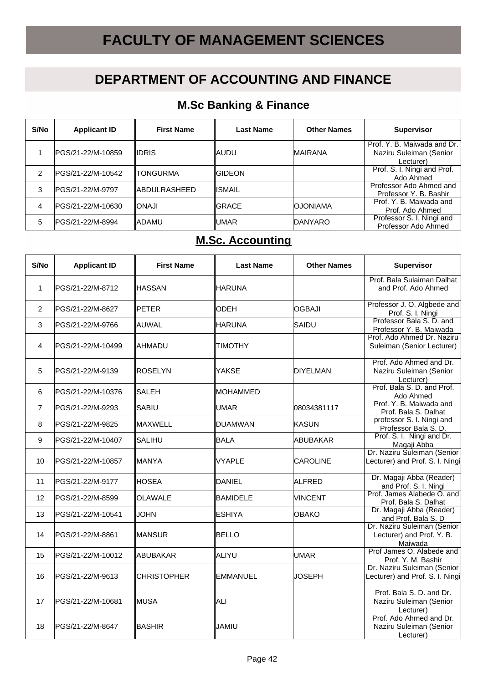# **FACULTY OF MANAGEMENT SCIENCES**

## **DEPARTMENT OF ACCOUNTING AND FINANCE**

#### **M.Sc Banking & Finance**

| S/No | <b>Applicant ID</b> | <b>First Name</b> | <b>Last Name</b> | <b>Other Names</b> | <b>Supervisor</b>                                                     |
|------|---------------------|-------------------|------------------|--------------------|-----------------------------------------------------------------------|
|      | IPGS/21-22/M-10859  | IIDRIS            | ∥AUDU            | <b>IMAIRANA</b>    | Prof. Y. B. Maiwada and Dr.  <br>Naziru Suleiman (Senior<br>Lecturer) |
| 2    | PGS/21-22/M-10542   | ITONGURMA         | <b>IGIDEON</b>   |                    | Prof. S. I. Ningi and Prof.<br>Ado Ahmed                              |
| 3    | IPGS/21-22/M-9797   | ∥ABDULRASHEED     | ∥ISMAIL          |                    | Professor Ado Ahmed and<br>Professor Y. B. Bashir                     |
| 4    | IPGS/21-22/M-10630  | IIONAJI           | IGRACE           | <b>OJONIAMA</b>    | Prof. Y. B. Maiwada and<br>Prof. Ado Ahmed                            |
| 5    | IPGS/21-22/M-8994   | ∥ADAMU            | IUMAR            | <b>IDANYARO</b>    | Professor S. I. Ningi and<br>Professor Ado Ahmed                      |

#### **M.Sc. Accounting**

| S/No              | <b>Applicant ID</b> | <b>First Name</b>  | <b>Last Name</b> | <b>Other Names</b> | <b>Supervisor</b>                                                   |
|-------------------|---------------------|--------------------|------------------|--------------------|---------------------------------------------------------------------|
| 1                 | lPGS/21-22/M-8712   | HASSAN             | ∥HARUNA          |                    | Prof. Bala Sulaiman Dalhat<br>and Prof. Ado Ahmed                   |
| $\overline{2}$    | lPGS/21-22/M-8627   | <b>PETER</b>       | <b>ODEH</b>      | lOGBAJI            | Professor J. O. Algbede and<br>Prof. S. I. Ningi                    |
| 3                 | PGS/21-22/M-9766    | ∥AUWAL             | ∥HARUNA          | SAIDU              | Professor Bala S. D. and<br>Professor Y. B. Maiwada                 |
| 4                 | IPGS/21-22/M-10499  | IAHMADU            | <b>TIMOTHY</b>   |                    | Prof. Ado Ahmed Dr. Naziru<br>Suleiman (Senior Lecturer)            |
| 5                 | PGS/21-22/M-9139    | <b>ROSELYN</b>     | <b>YAKSE</b>     | <b>DIYELMAN</b>    | Prof. Ado Ahmed and Dr.<br>Naziru Suleiman (Senior<br>Lecturer)     |
| 6                 | lPGS/21-22/M-10376  | <b>SALEH</b>       | ∥MOHAMMED        |                    | Prof. Bala S. D. and Prof.<br>Ado Ahmed                             |
| $\overline{7}$    | PGS/21-22/M-9293    | SABIU              | UMAR             | 08034381117        | Prof. Y. B. Maiwada and<br>Prof. Bala S. Dalhat                     |
| 8                 | lPGS/21-22/M-9825   | IMAXWELL           | DUAMWAN          | <b>KASUN</b>       | professor S. I. Ningi and<br>Professor Bala S. D.                   |
| 9                 | PGS/21-22/M-10407   | <b>SALIHU</b>      | <b>BALA</b>      | ABUBAKAR           | Prof. S. I. Ningi and Dr.<br>Magaji Abba                            |
| 10                | PGS/21-22/M-10857   | ∥MANYA             | <b>VYAPLE</b>    | <b>CAROLINE</b>    | Dr. Naziru Suleiman (Senior<br>Lecturer) and Prof. S. I. Ningi      |
| 11                | PGS/21-22/M-9177    | <b>HOSEA</b>       | DANIEL           | ALFRED             | Dr. Magaji Abba (Reader)<br>and Prof. S. I. Ningi                   |
| $12 \overline{ }$ | PGS/21-22/M-8599    | <b>OLAWALE</b>     | <b>BAMIDELE</b>  | VINCENT            | Prof. James Alabede O. and<br>Prof. Bala S. Dalhat                  |
| 13                | PGS/21-22/M-10541   | <b>JOHN</b>        | <b>ESHIYA</b>    | <b>IOBAKO</b>      | Dr. Magaji Abba (Reader)<br>and Prof. Bala S. D                     |
| 14                | lPGS/21-22/M-8861   | ∥MANSUR            | <b>BELLO</b>     |                    | Dr. Naziru Suleiman (Senior<br>Lecturer) and Prof. Y. B.<br>Maiwada |
| 15                | PGS/21-22/M-10012   | ∥ABUBAKAR          | ∥ALIYU           | <b>UMAR</b>        | Prof James O. Alabede and<br>Prof. Y. M. Bashir                     |
| 16                | PGS/21-22/M-9613    | <b>CHRISTOPHER</b> | <b>EMMANUEL</b>  | JOSEPH             | Dr. Naziru Suleiman (Senior<br>Lecturer) and Prof. S. I. Ningi      |
| 17                | IPGS/21-22/M-10681  | ∥MUSA              | ∥ALI             |                    | Prof. Bala S. D. and Dr.<br>Naziru Suleiman (Senior<br>Lecturer)    |
| 18                | lPGS/21-22/M-8647   | IBASHIR            | ∥JAMIU           |                    | Prof. Ado Ahmed and Dr.<br>Naziru Suleiman (Senior<br>Lecturer)     |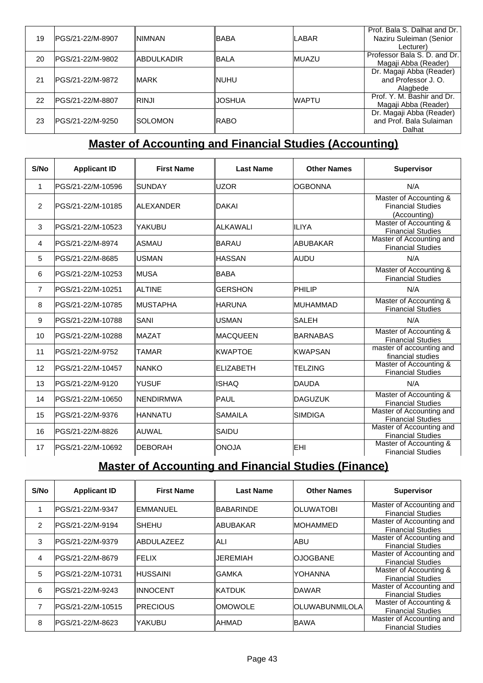|    |                   |              |              |               | Prof. Bala S. Dalhat and Dr. |
|----|-------------------|--------------|--------------|---------------|------------------------------|
| 19 | IPGS/21-22/M-8907 | INIMNAN      | ∥BABA        | <b>LABAR</b>  | Naziru Suleiman (Senior      |
|    |                   |              |              |               | Lecturer)                    |
| 20 | PGS/21-22/M-9802  | IABDULKADIR  | <b>IBALA</b> | <b>IMUAZU</b> | Professor Bala S. D. and Dr. |
|    |                   |              |              |               | Magaji Abba (Reader)         |
|    |                   |              |              |               | Dr. Magaji Abba (Reader)     |
| 21 | PGS/21-22/M-9872  | <b>IMARK</b> | <b>INUHU</b> |               | and Professor J. O.          |
|    |                   |              |              |               | Alagbede                     |
| 22 | IPGS/21-22/M-8807 | IRINJI       | IJOSHUA      | <b>WAPTU</b>  | Prof. Y. M. Bashir and Dr.   |
|    |                   |              |              |               | Magaji Abba (Reader)         |
|    |                   |              |              |               | Dr. Magaji Abba (Reader)     |
| 23 | PGS/21-22/M-9250  | ISOLOMON     | IRABO        |               | and Prof. Bala Sulaiman      |
|    |                   |              |              |               | Dalhat                       |
|    |                   |              |              |               |                              |

### **Master of Accounting and Financial Studies (Accounting)**

| S/No            | <b>Applicant ID</b> | <b>First Name</b> | <b>Last Name</b> | <b>Other Names</b> | <b>Supervisor</b>                                                  |
|-----------------|---------------------|-------------------|------------------|--------------------|--------------------------------------------------------------------|
| 1               | PGS/21-22/M-10596   | ISUNDAY           | luzor            | <b>OGBONNA</b>     | N/A                                                                |
| $\overline{2}$  | PGS/21-22/M-10185   | IALEXANDER        | IDAKAI           |                    | Master of Accounting &<br><b>Financial Studies</b><br>(Accounting) |
| 3               | PGS/21-22/M-10523   | YAKUBU            | ALKAWALI         | ILIYA              | Master of Accounting &<br><b>Financial Studies</b>                 |
| 4               | PGS/21-22/M-8974    | IASMAU            | BARAU            | <b>ABUBAKAR</b>    | Master of Accounting and<br><b>Financial Studies</b>               |
| 5               | lPGS/21-22/M-8685   | lUSMAN            | <b>HASSAN</b>    | <b>AUDU</b>        | N/A                                                                |
| 6               | PGS/21-22/M-10253   | IMUSA             | BABA             |                    | Master of Accounting &<br><b>Financial Studies</b>                 |
| $\overline{7}$  | PGS/21-22/M-10251   | <b>ALTINE</b>     | <b>GERSHON</b>   | PHILIP             | N/A                                                                |
| 8               | lPGS/21-22/M-10785  | IMUSTAPHA         | <b>HARUNA</b>    | <b>MUHAMMAD</b>    | Master of Accounting &<br><b>Financial Studies</b>                 |
| 9               | PGS/21-22/M-10788   | SANI              | <b>USMAN</b>     | <b>SALEH</b>       | N/A                                                                |
| 10 <sup>1</sup> | PGS/21-22/M-10288   | <b>IMAZAT</b>     | <b>MACQUEEN</b>  | <b>BARNABAS</b>    | Master of Accounting &<br><b>Financial Studies</b>                 |
| 11              | PGS/21-22/M-9752    | <b>TAMAR</b>      | <b>KWAPTOE</b>   | <b>KWAPSAN</b>     | master of accounting and<br>financial studies                      |
| 12              | PGS/21-22/M-10457   | INANKO            | <b>ELIZABETH</b> | TELZING            | Master of Accounting &<br><b>Financial Studies</b>                 |
| 13              | PGS/21-22/M-9120    | <b>YUSUF</b>      | <b>ISHAQ</b>     | <b>DAUDA</b>       | N/A                                                                |
| 14              | PGS/21-22/M-10650   | <b>INENDIRMWA</b> | PAUL             | <b>DAGUZUK</b>     | Master of Accounting &<br><b>Financial Studies</b>                 |
| 15              | lPGS/21-22/M-9376   | IHANNATU          | <b>SAMAILA</b>   | <b>SIMDIGA</b>     | Master of Accounting and<br><b>Financial Studies</b>               |
| 16              | PGS/21-22/M-8826    | lauwal            | SAIDU            |                    | Master of Accounting and<br><b>Financial Studies</b>               |
| 17              | PGS/21-22/M-10692   | <b>DEBORAH</b>    | <b>ONOJA</b>     | EHI                | Master of Accounting &<br><b>Financial Studies</b>                 |

### **Master of Accounting and Financial Studies (Finance)**

| S/No           | <b>Applicant ID</b> | <b>First Name</b> | <b>Last Name</b> | <b>Other Names</b>    | <b>Supervisor</b>                                    |
|----------------|---------------------|-------------------|------------------|-----------------------|------------------------------------------------------|
|                | IPGS/21-22/M-9347   | <b>IEMMANUEL</b>  | <b>BABARINDE</b> | <b>OLUWATOBI</b>      | Master of Accounting and<br><b>Financial Studies</b> |
| $\overline{2}$ | IPGS/21-22/M-9194   | ISHEHU            | IABUBAKAR        | <b>IMOHAMMED</b>      | Master of Accounting and<br><b>Financial Studies</b> |
| 3              | IPGS/21-22/M-9379   | <b>ABDULAZEEZ</b> | IALI             | <b>ABU</b>            | Master of Accounting and<br><b>Financial Studies</b> |
| 4              | IPGS/21-22/M-8679   | IFELIX            | IJEREMIAH        | <b>OJOGBANE</b>       | Master of Accounting and<br><b>Financial Studies</b> |
| 5              | IPGS/21-22/M-10731  | <b>IHUSSAINI</b>  | IGAMKA           | IYOHANNA              | Master of Accounting &<br><b>Financial Studies</b>   |
| 6              | IPGS/21-22/M-9243   | <b>IINNOCENT</b>  | ∥KATDUK          | <b>IDAWAR</b>         | Master of Accounting and<br><b>Financial Studies</b> |
| 7              | IPGS/21-22/M-10515  | <b>IPRECIOUS</b>  | <b>IOMOWOLE</b>  | <b>OLUWABUNMILOLA</b> | Master of Accounting &<br><b>Financial Studies</b>   |
| 8              | PGS/21-22/M-8623    | lyakubu           | AHMAD            | <b>IBAWA</b>          | Master of Accounting and<br><b>Financial Studies</b> |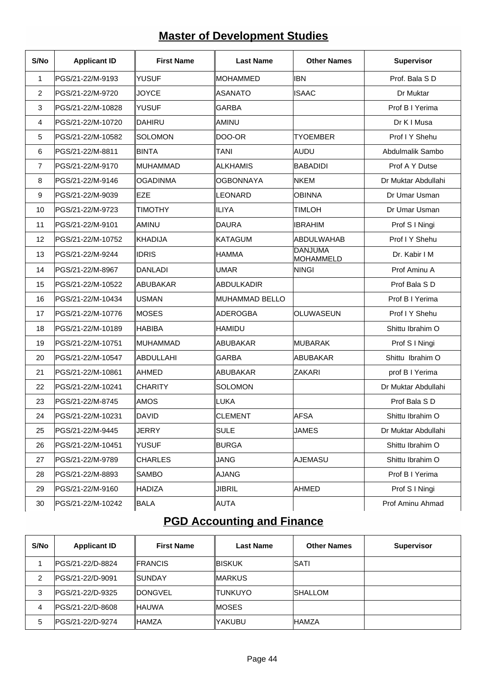# **Master of Development Studies**

| S/No           | <b>Applicant ID</b> | <b>First Name</b> | <b>Last Name</b> | <b>Other Names</b>                 | Supervisor          |
|----------------|---------------------|-------------------|------------------|------------------------------------|---------------------|
| $\mathbf{1}$   | PGS/21-22/M-9193    | <b>YUSUF</b>      | ∥MOHAMMED        | <b>IBN</b>                         | Prof. Bala S D      |
| 2              | PGS/21-22/M-9720    | <b>JOYCE</b>      | ∣ASANATO         | <b>ISAAC</b>                       | Dr Muktar           |
| 3              | PGS/21-22/M-10828   | <b>YUSUF</b>      | <b>GARBA</b>     |                                    | Prof B I Yerima     |
| 4              | PGS/21-22/M-10720   | <b>DAHIRU</b>     | IAMINU           |                                    | Dr K I Musa         |
| 5              | PGS/21-22/M-10582   | <b>SOLOMON</b>    | ∥DOO-OR          | <b>TYOEMBER</b>                    | Prof I Y Shehu      |
| 6              | PGS/21-22/M-8811    | BINTA             | <b>TANI</b>      | AUDU                               | Abdulmalik Sambo    |
| $\overline{7}$ | PGS/21-22/M-9170    | MUHAMMAD          | ∥ALKHAMIS        | <b>BABADIDI</b>                    | Prof A Y Dutse      |
| 8              | PGS/21-22/M-9146    | <b>OGADINMA</b>   | <b>OGBONNAYA</b> | <b>NKEM</b>                        | Dr Muktar Abdullahi |
| 9              | PGS/21-22/M-9039    | EZE               | ∥LEONARD         | <b>OBINNA</b>                      | Dr Umar Usman       |
| 10             | PGS/21-22/M-9723    | <b>TIMOTHY</b>    | ∥ILIYA           | <b>TIMLOH</b>                      | Dr Umar Usman       |
| 11             | PGS/21-22/M-9101    | AMINU             | DAURA            | <b>IBRAHIM</b>                     | Prof S I Ningi      |
| 12             | PGS/21-22/M-10752   | <b>KHADIJA</b>    | IKATAGUM         | <b>ABDULWAHAB</b>                  | Prof I Y Shehu      |
| 13             | PGS/21-22/M-9244    | <b>IDRIS</b>      | ∥HAMMA           | <b>DANJUMA</b><br><b>MOHAMMELD</b> | Dr. Kabir I M       |
| 14             | PGS/21-22/M-8967    | DANLADI           | ∥UMAR            | <b>NINGI</b>                       | Prof Aminu A        |
| 15             | PGS/21-22/M-10522   | <b>ABUBAKAR</b>   | ∥ABDULKADIR      |                                    | Prof Bala S D       |
| 16             | PGS/21-22/M-10434   | USMAN             | ∥MUHAMMAD BELLO  |                                    | Prof B I Yerima     |
| 17             | PGS/21-22/M-10776   | IMOSES            | ∥ADEROGBA        | OLUWASEUN                          | Prof I Y Shehu      |
| 18             | PGS/21-22/M-10189   | <b>HABIBA</b>     | ∥HAMIDU          |                                    | Shittu Ibrahim O    |
| 19             | PGS/21-22/M-10751   | ∥MUHAMMAD         | ∥ABUBAKAR        | <b>MUBARAK</b>                     | Prof S I Ningi      |
| 20             | PGS/21-22/M-10547   | ABDULLAHI         | ∥GARBA           | <b>ABUBAKAR</b>                    | Shittu Ibrahim O    |
| 21             | PGS/21-22/M-10861   | <b>AHMED</b>      | ∥ABUBAKAR        | <b>ZAKARI</b>                      | prof B I Yerima     |
| 22             | PGS/21-22/M-10241   | <b>CHARITY</b>    | ∥SOLOMON         |                                    | Dr Muktar Abdullahi |
| 23             | PGS/21-22/M-8745    | ∣AMOS             | ∥LUKA            |                                    | Prof Bala S D       |
| 24             | PGS/21-22/M-10231   | DAVID             | ∥CLEMENT         | <b>AFSA</b>                        | Shittu Ibrahim O    |
| 25             | PGS/21-22/M-9445    | JERRY             | SULE             | <b>JAMES</b>                       | Dr Muktar Abdullahi |
| 26             | PGS/21-22/M-10451   | <b>YUSUF</b>      | ∥BURGA           |                                    | Shittu Ibrahim O    |
| 27             | PGS/21-22/M-9789    | <b>CHARLES</b>    | <b>JANG</b>      | AJEMASU                            | Shittu Ibrahim O    |
| 28             | PGS/21-22/M-8893    | <b>SAMBO</b>      | ∥AJANG           |                                    | Prof B I Yerima     |
| 29             | PGS/21-22/M-9160    | <b>HADIZA</b>     | <b>JIBRIL</b>    | AHMED                              | Prof S I Ningi      |
| 30             | PGS/21-22/M-10242   | BALA              | ∥AUTA            |                                    | Prof Aminu Ahmad    |

#### **PGD Accounting and Finance**

| S/No | <b>Applicant ID</b>     | <b>First Name</b> | <b>Last Name</b> | <b>Other Names</b> | <b>Supervisor</b> |
|------|-------------------------|-------------------|------------------|--------------------|-------------------|
|      | IPGS/21-22/D-8824       | <b>IFRANCIS</b>   | ∥BISKUK          | ISATI              |                   |
| 2    | IPGS/21-22/D-9091       | ∥SUNDAY           | ∥MARKUS          |                    |                   |
| 3    | IPGS/21-22/D-9325       | <b>IDONGVEL</b>   | Itunkuyo         | ISHALLOM           |                   |
| 4    | <b>PGS/21-22/D-8608</b> | <b>IHAUWA</b>     | lMOSES           |                    |                   |
| 5    | IPGS/21-22/D-9274       | ∥HAMZA            | lyakubu          | <b>HAMZA</b>       |                   |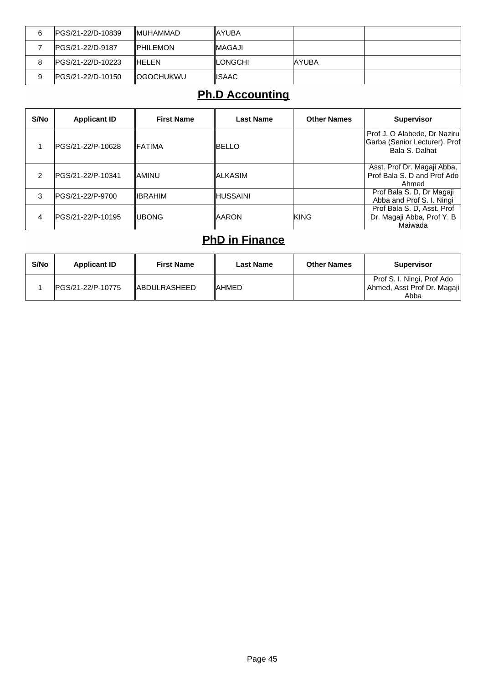| 6 | IPGS/21-22/D-10839 | <b>IMUHAMMAD</b>  | ∥AYUBA          |        |  |
|---|--------------------|-------------------|-----------------|--------|--|
|   | IPGS/21-22/D-9187  | <b>IPHILEMON</b>  | <b>IMAGAJI</b>  |        |  |
| 8 | IPGS/21-22/D-10223 | <b>IHELEN</b>     | <b>ILONGCHI</b> | IAYUBA |  |
| 9 | IPGS/21-22/D-10150 | <b>IOGOCHUKWU</b> | <b>IISAAC</b>   |        |  |

### **Ph.D Accounting**

| S/No | <b>Applicant ID</b> | <b>First Name</b> | Last Name    | <b>Other Names</b> | <b>Supervisor</b>                                                               |
|------|---------------------|-------------------|--------------|--------------------|---------------------------------------------------------------------------------|
|      | IPGS/21-22/P-10628  | <b>IFATIMA</b>    | IBELLO       |                    | Prof J. O Alabede, Dr Naziru<br>Garba (Senior Lecturer), Prof<br>Bala S. Dalhat |
| 2    | IPGS/21-22/P-10341  | IAMINU            | IALKASIM     |                    | Asst. Prof Dr. Magaji Abba,  <br>Prof Bala S. D and Prof Ado<br>Ahmed           |
| 3    | IPGS/21-22/P-9700   | <b>IIBRAHIM</b>   | IHUSSAINI    |                    | Prof Bala S. D, Dr Magaji<br>Abba and Prof S. I. Ningi                          |
| 4    | IPGS/21-22/P-10195  | <b>IUBONG</b>     | <b>AARON</b> | IKING              | Prof Bala S. D. Asst. Prof<br>Dr. Magaji Abba, Prof Y. B<br>Maiwada             |

#### **PhD in Finance**

| S/No | <b>Applicant ID</b> | <b>First Name</b>    | <b>Last Name</b> | <b>Other Names</b> | <b>Supervisor</b>                                           |
|------|---------------------|----------------------|------------------|--------------------|-------------------------------------------------------------|
|      | IPGS/21-22/P-10775  | <b>IABDULRASHEED</b> | IAHMED           |                    | Prof S. I. Ningi, Prof Ado<br>  Ahmed, Asst Prof Dr. Magaji |
|      |                     |                      |                  |                    | Abba                                                        |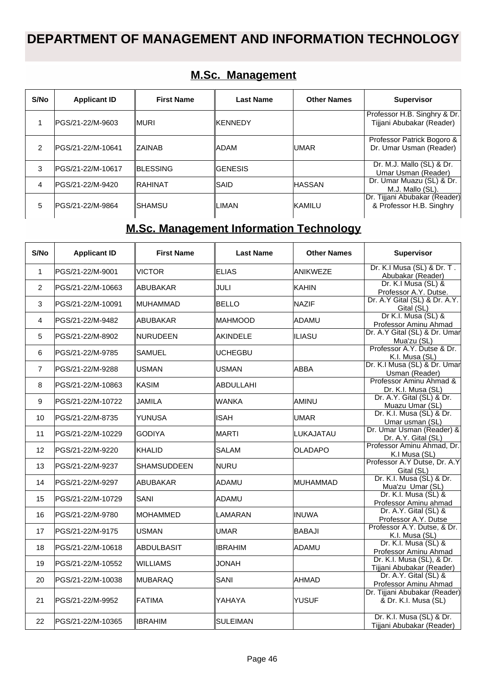### **DEPARTMENT OF MANAGEMENT AND INFORMATION TECHNOLOGY**

| S/No | <b>Applicant ID</b> | <b>First Name</b> | Last Name       | <b>Other Names</b> | <b>Supervisor</b>                                         |
|------|---------------------|-------------------|-----------------|--------------------|-----------------------------------------------------------|
|      | IPGS/21-22/M-9603   | ∥MURI             | <b>IKENNEDY</b> |                    | Professor H.B. Singhry & Dr.<br>Tijjani Abubakar (Reader) |
| 2    | IPGS/21-22/M-10641  | <b>IZAINAB</b>    | <b>ADAM</b>     | <b>IUMAR</b>       | Professor Patrick Bogoro &<br>Dr. Umar Usman (Reader)     |
| 3    | IPGS/21-22/M-10617  | <b>IBLESSING</b>  | <b>GENESIS</b>  |                    | Dr. M.J. Mallo (SL) & Dr.<br>Umar Usman (Reader)          |
| 4    | lPGS/21-22/M-9420   | IRAHINAT          | ∥SAID           | <b>IHASSAN</b>     | Dr. Umar Muazu (SL) & Dr.<br>M.J. Mallo (SL).             |
| 5    | lPGS/21-22/M-9864   | ISHAMSU           | ∥LIMAN          | KAMILU             | Dr. Tijjani Abubakar (Reader)<br>& Professor H.B. Singhry |

#### **M.Sc. Management**

## **M.Sc. Management Information Technology**

| S/No           | <b>Applicant ID</b> | <b>First Name</b> | <b>Last Name</b> | <b>Other Names</b> | <b>Supervisor</b>                                      |
|----------------|---------------------|-------------------|------------------|--------------------|--------------------------------------------------------|
| $\mathbf{1}$   | PGS/21-22/M-9001    | <b>VICTOR</b>     | <b>ELIAS</b>     | ANIKWEZE           | Dr. K.I Musa (SL) & Dr. T.<br>Abubakar (Reader)        |
| $\overline{2}$ | PGS/21-22/M-10663   | ABUBAKAR          | JULI             | <b>KAHIN</b>       | Dr. K.I Musa (SL) &<br>Professor A.Y. Dutse.           |
| 3              | PGS/21-22/M-10091   | <b>MUHAMMAD</b>   | <b>BELLO</b>     | <b>NAZIF</b>       | Dr. A.Y Gital (SL) & Dr. A.Y.<br>Gital (SL)            |
| $\overline{4}$ | PGS/21-22/M-9482    | ABUBAKAR          | <b>MAHMOOD</b>   | ADAMU              | Dr K.I. Musa (SL) &<br>Professor Aminu Ahmad           |
| 5              | PGS/21-22/M-8902    | <b>NURUDEEN</b>   | AKINDELE         | <b>ILIASU</b>      | Dr. A.Y Gital (SL) & Dr. Umar<br>Mua'zu (SL)           |
| 6              | PGS/21-22/M-9785    | SAMUEL            | <b>UCHEGBU</b>   |                    | Professor A.Y. Dutse & Dr.<br>K.I. Musa (SL)           |
| $\overline{7}$ | PGS/21-22/M-9288    | USMAN             | <b>USMAN</b>     | <b>ABBA</b>        | Dr. K.I Musa (SL) & Dr. Umar<br>Usman (Reader)         |
| 8              | PGS/21-22/M-10863   | KASIM             | ABDULLAHI        |                    | Professor Aminu Ahmad &<br>Dr. K.I. Musa (SL)          |
| 9              | PGS/21-22/M-10722   | JAMILA            | <b>WANKA</b>     | AMINU              | Dr. A.Y. Gital (SL) & Dr.<br>Muazu Umar (SL)           |
| 10             | PGS/21-22/M-8735    | YUNUSA            | <b>ISAH</b>      | <b>UMAR</b>        | Dr. K.I. Musa (SL) & Dr.<br>Umar usman (SL)            |
| 11             | PGS/21-22/M-10229   | GODIYA            | MARTI            | LUKAJATAU          | Dr. Umar Usman (Reader) &<br>Dr. A.Y. Gital (SL)       |
| 12             | PGS/21-22/M-9220    | <b>KHALID</b>     | <b>SALAM</b>     | <b>OLADAPO</b>     | Professor Aminu Ahmad, Dr.<br>K.I Musa (SL)            |
| 13             | PGS/21-22/M-9237    | SHAMSUDDEEN       | <b>NURU</b>      |                    | Professor A.Y Dutse, Dr. A.Y<br>Gital (SL)             |
| 14             | PGS/21-22/M-9297    | ABUBAKAR          | ADAMU            | <b>MUHAMMAD</b>    | Dr. K.I. Musa (SL) & Dr.<br>Mua'zu Umar (SL)           |
| 15             | PGS/21-22/M-10729   | <b>SANI</b>       | ADAMU            |                    | Dr. K.I. Musa (SL) &<br>Professor Aminu ahmad          |
| 16             | PGS/21-22/M-9780    | <b>IMOHAMMED</b>  | LAMARAN          | <b>INUWA</b>       | Dr. A.Y. Gital (SL) &<br>Professor A.Y. Dutse          |
| 17             | lPGS/21-22/M-9175   | <b>USMAN</b>      | <b>UMAR</b>      | <b>BABAJI</b>      | Professor A.Y. Dutse, & Dr.<br>K.I. Musa (SL)          |
| 18             | IPGS/21-22/M-10618  | ABDULBASIT        | <b>IBRAHIM</b>   | ADAMU              | Dr. K.I. Musa (SL) &<br>Professor Aminu Ahmad          |
| 19             | PGS/21-22/M-10552   | <b>WILLIAMS</b>   | <b>JONAH</b>     |                    | Dr. K.I. Musa (SL), & Dr.<br>Tijjani Abubakar (Reader) |
| 20             | PGS/21-22/M-10038   | <b>MUBARAQ</b>    | SANI             | AHMAD              | Dr. A.Y. Gital (SL) &<br>Professor Aminu Ahmad         |
| 21             | PGS/21-22/M-9952    | <b>FATIMA</b>     | YAHAYA           | <b>YUSUF</b>       | Dr. Tijjani Abubakar (Reader)<br>& Dr. K.I. Musa (SL)  |
| 22             | PGS/21-22/M-10365   | IBRAHIM           | SULEIMAN         |                    | Dr. K.I. Musa (SL) & Dr.<br>Tijjani Abubakar (Reader)  |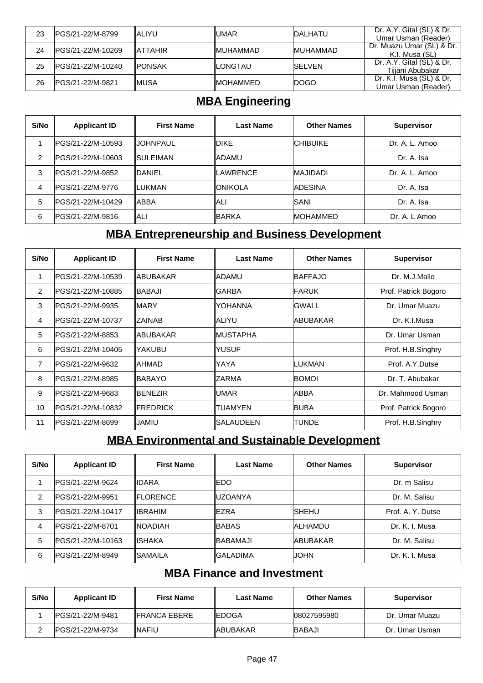| 23 | IPGS/21-22/M-8799  | IALIYU         | ∥UMAR            | <b>IDALHATU</b>  | Dr. A.Y. Gital (SL) & Dr.<br>Umar Usman (Reader) |
|----|--------------------|----------------|------------------|------------------|--------------------------------------------------|
| 24 | IPGS/21-22/M-10269 | <b>ATTAHIR</b> | <b>IMUHAMMAD</b> | <b>IMUHAMMAD</b> | Dr. Muazu Umar (SL) & Dr.<br>K.I. Musa (SL)      |
| 25 | IPGS/21-22/M-10240 | <b>IPONSAK</b> | <b>ILONGTAU</b>  | <b>ISELVEN</b>   | Dr. A.Y. Gital (SL) & Dr.<br>Tijjani Abubakar    |
| 26 | IPGS/21-22/M-9821  | IMUSA          | <b>IMOHAMMED</b> | <b>IDOGO</b>     | Dr. K.I. Musa (SL) & Dr.<br>Umar Usman (Reader)  |

#### **MBA Engineering**

| S/No | <b>Applicant ID</b> | <b>First Name</b> | <b>Last Name</b> | <b>Other Names</b> | <b>Supervisor</b> |
|------|---------------------|-------------------|------------------|--------------------|-------------------|
|      | IPGS/21-22/M-10593  | IIJOHNPAUL        | <b>IDIKE</b>     | <b>ICHIBUIKE</b>   | Dr. A. L. Amoo    |
| 2    | IPGS/21-22/M-10603  | ISULEIMAN         | ∥ADAMU           |                    | Dr. A. Isa        |
| 3    | IPGS/21-22/M-9852   | IDANIEL           | <b>ILAWRENCE</b> | <b>IMAJIDADI</b>   | Dr. A. L. Amoo    |
| 4    | IPGS/21-22/M-9776   | ∥LUKMAN           | ∥ONIKOLA         | <b>ADESINA</b>     | Dr. A. Isa        |
| 5    | IPGS/21-22/M-10429  | IABBA             | ∥ALI             | <b>ISANI</b>       | Dr. A. Isa        |
| 6    | IPGS/21-22/M-9816   | IALI              | ∥BARKA           | <b>IMOHAMMED</b>   | Dr. A. L Amoo     |

#### **MBA Entrepreneurship and Business Development**

| S/No           | <b>Applicant ID</b> | <b>First Name</b> | <b>Last Name</b> | <b>Other Names</b> | <b>Supervisor</b>    |
|----------------|---------------------|-------------------|------------------|--------------------|----------------------|
|                | IPGS/21-22/M-10539  | ∥ABUBAKAR         | ∥ADAMU           | <b>IBAFFAJO</b>    | Dr. M.J.Mallo        |
| $\overline{2}$ | IPGS/21-22/M-10885  | ∥BABAJI           | ∥GARBA           | <b>IFARUK</b>      | Prof. Patrick Bogoro |
| 3              | IPGS/21-22/M-9935   | IMARY             | ∥YOHANNA         | <b>GWALL</b>       | Dr. Umar Muazu       |
| $\overline{4}$ | IPGS/21-22/M-10737  | IZAINAB           | ∥ALIYU           | IABUBAKAR          | Dr. K.I.Musa         |
| 5              | IPGS/21-22/M-8853   | ∥ABUBAKAR         | ∥MUSTAPHA        |                    | Dr. Umar Usman       |
| 6              | IPGS/21-22/M-10405  | YAKUBU            | IYUSUF           |                    | Prof. H.B.Singhry    |
| $\overline{7}$ | IPGS/21-22/M-9632   | IAHMAD            | ∥YAYA            | ILUKMAN            | Prof. A.Y.Dutse      |
| 8              | IPGS/21-22/M-8985   | ∥BABAYO           | ∥ZARMA           | <b>BOMOI</b>       | Dr. T. Abubakar      |
| 9              | IPGS/21-22/M-9683   | <b>BENEZIR</b>    | ∥UMAR            | ABBA               | Dr. Mahmood Usman    |
| 10             | IPGS/21-22/M-10832  | <b>IFREDRICK</b>  | ltuamyen         | <b>BUBA</b>        | Prof. Patrick Bogoro |
| 11             | IPGS/21-22/M-8699   | JAMIU             | ∥SALAUDEEN       | <b>TUNDE</b>       | Prof. H.B.Singhry    |

#### **MBA Environmental and Sustainable Development**

| S/No | <b>Applicant ID</b> | <b>First Name</b> | <b>Last Name</b> | <b>Other Names</b> | <b>Supervisor</b> |
|------|---------------------|-------------------|------------------|--------------------|-------------------|
|      | IPGS/21-22/M-9624   | ∥IDARA            | IEDO             |                    | Dr. m Salisu      |
| 2    | IPGS/21-22/M-9951   | <b>IFLORENCE</b>  | luzoanya         |                    | Dr. M. Salisu     |
| 3    | IPGS/21-22/M-10417  | ⊪IBRAHIM          | <b>IEZRA</b>     | <b>ISHEHU</b>      | Prof. A. Y. Dutse |
| 4    | IPGS/21-22/M-8701   | <b>INOADIAH</b>   | ∥BABAS           | <b>ALHAMDU</b>     | Dr. K. I. Musa    |
| 5    | PGS/21-22/M-10163   | IISHAKA           | IBABAMAJI        | <b>ABUBAKAR</b>    | Dr. M. Salisu     |
| 6    | IPGS/21-22/M-8949   | ∥SAMAILA          | IGALADIMA        | IJOHN              | Dr. K. I. Musa    |

#### **MBA Finance and Investment**

| S/No | <b>Applicant ID</b> | <b>First Name</b>    | Last Name     | <b>Other Names</b> | <b>Supervisor</b> |
|------|---------------------|----------------------|---------------|--------------------|-------------------|
|      | IPGS/21-22/M-9481   | <b>IFRANCA EBERE</b> | <b>IEDOGA</b> | 108027595980       | Dr. Umar Muazu    |
|      | IPGS/21-22/M-9734   | INAFIU               | ∥ABUBAKAR     | <b>IBABAJI</b>     | Dr. Umar Usman    |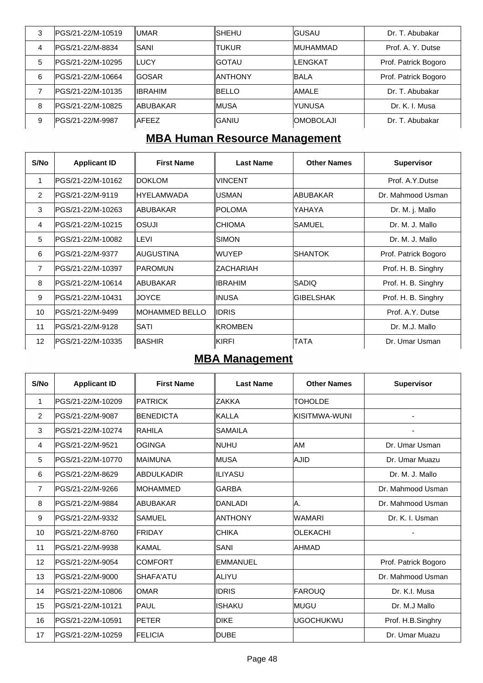| 3 | IPGS/21-22/M-10519 | IUMAR            | ISHEHU   | IGUSAU           | Dr. T. Abubakar      |
|---|--------------------|------------------|----------|------------------|----------------------|
| 4 | PGS/21-22/M-8834   | ISANI            | ∥TUKUR   | <b>MUHAMMAD</b>  | Prof. A. Y. Dutse    |
| 5 | PGS/21-22/M-10295  | ILUCY            | IGOTAU   | <b>ILENGKAT</b>  | Prof. Patrick Bogoro |
| 6 | lPGS/21-22/M-10664 | <b>IGOSAR</b>    | ∥ANTHONY | <b>BALA</b>      | Prof. Patrick Bogoro |
|   | lPGS/21-22/M-10135 | <b>IIBRAHIM</b>  | IBELLO   | <b>AMALE</b>     | Dr. T. Abubakar      |
| 8 | PGS/21-22/M-10825  | <b>IABUBAKAR</b> | ∥MUSA    | IYUNUSA          | Dr. K. I. Musa       |
| 9 | PGS/21-22/M-9987   | <b>IAFEEZ</b>    | IGANIU   | <b>OMOBOLAJI</b> | Dr. T. Abubakar      |

### **MBA Human Resource Management**

| S/No              | <b>Applicant ID</b> | <b>First Name</b> | <b>Last Name</b> | <b>Other Names</b> | <b>Supervisor</b>    |
|-------------------|---------------------|-------------------|------------------|--------------------|----------------------|
| 1                 | PGS/21-22/M-10162   | <b>IDOKLOM</b>    | <b>VINCENT</b>   |                    | Prof. A.Y.Dutse      |
| 2                 | IPGS/21-22/M-9119   | ∥HYELAMWADA       | IUSMAN           | ABUBAKAR           | Dr. Mahmood Usman    |
| 3                 | IPGS/21-22/M-10263  | ∥ABUBAKAR         | IPOLOMA          | YAHAYA             | Dr. M. j. Mallo      |
| 4                 | lPGS/21-22/M-10215  | losuji            | <b>CHIOMA</b>    | <b>SAMUEL</b>      | Dr. M. J. Mallo      |
| 5                 | PGS/21-22/M-10082   | ILEVI             | <b>SIMON</b>     |                    | Dr. M. J. Mallo      |
| 6                 | lPGS/21-22/M-9377   | ∥AUGUSTINA        | lwuyep           | <b>SHANTOK</b>     | Prof. Patrick Bogoro |
| $\overline{7}$    | IPGS/21-22/M-10397  | ∥PAROMUN          | IZACHARIAH       |                    | Prof. H. B. Singhry  |
| 8                 | lPGS/21-22/M-10614  | ∥ABUBAKAR         | <b>IBRAHIM</b>   | SADIQ              | Prof. H. B. Singhry  |
| 9                 | IPGS/21-22/M-10431  | <b>JOYCE</b>      | ∥INUSA           | <b>GIBELSHAK</b>   | Prof. H. B. Singhry  |
| 10                | IPGS/21-22/M-9499   | ∥MOHAMMED BELLO   | <b>IDRIS</b>     |                    | Prof. A.Y. Dutse     |
| 11                | IPGS/21-22/M-9128   | ISATI             | IKROMBEN         |                    | Dr. M.J. Mallo       |
| $12 \overline{ }$ | IPGS/21-22/M-10335  | IBASHIR           | IKIRFI           | TATA               | Dr. Umar Usman       |

### **MBA Management**

| S/No            | <b>Applicant ID</b> | <b>First Name</b> | <b>Last Name</b> | <b>Other Names</b> | <b>Supervisor</b>    |
|-----------------|---------------------|-------------------|------------------|--------------------|----------------------|
| 1               | PGS/21-22/M-10209   | <b>PATRICK</b>    | <b>ZAKKA</b>     | <b>TOHOLDE</b>     |                      |
| $\overline{2}$  | PGS/21-22/M-9087    | <b>BENEDICTA</b>  | <b>KALLA</b>     | İKISITMWA-WUNI     | ٠                    |
| 3               | PGS/21-22/M-10274   | <b>RAHILA</b>     | <b>SAMAILA</b>   |                    |                      |
| 4               | PGS/21-22/M-9521    | <b>OGINGA</b>     | <b>NUHU</b>      | AM                 | Dr. Umar Usman       |
| 5               | PGS/21-22/M-10770   | <b>IMAIMUNA</b>   | MUSA             | <b>AJID</b>        | Dr. Umar Muazu       |
| 6               | PGS/21-22/M-8629    | ABDULKADIR        | ∥ILIYASU         |                    | Dr. M. J. Mallo      |
| $\overline{7}$  | PGS/21-22/M-9266    | <b>IMOHAMMED</b>  | <b>GARBA</b>     |                    | Dr. Mahmood Usman    |
| 8               | PGS/21-22/M-9884    | ABUBAKAR          | DANLADI          | Α.                 | Dr. Mahmood Usman    |
| 9               | PGS/21-22/M-9332    | ISAMUEL           | <b>ANTHONY</b>   | <b>WAMARI</b>      | Dr. K. I. Usman      |
| 10 <sup>1</sup> | PGS/21-22/M-8760    | <b>FRIDAY</b>     | <b>CHIKA</b>     | <b>OLEKACHI</b>    |                      |
| 11              | PGS/21-22/M-9938    | <b>KAMAL</b>      | SANI             | <b>AHMAD</b>       |                      |
| 12              | PGS/21-22/M-9054    | <b>COMFORT</b>    | <b>EMMANUEL</b>  |                    | Prof. Patrick Bogoro |
| 13              | PGS/21-22/M-9000    | SHAFA'ATU         | ALIYU            |                    | Dr. Mahmood Usman    |
| 14              | PGS/21-22/M-10806   | <b>OMAR</b>       | <b>IDRIS</b>     | <b>FAROUQ</b>      | Dr. K.I. Musa        |
| 15              | PGS/21-22/M-10121   | <b>PAUL</b>       | <b>ISHAKU</b>    | lmugu              | Dr. M.J Mallo        |
| 16              | PGS/21-22/M-10591   | PETER             | <b>DIKE</b>      | <b>UGOCHUKWU</b>   | Prof. H.B.Singhry    |
| 17              | PGS/21-22/M-10259   | FELICIA           | DUBE             |                    | Dr. Umar Muazu       |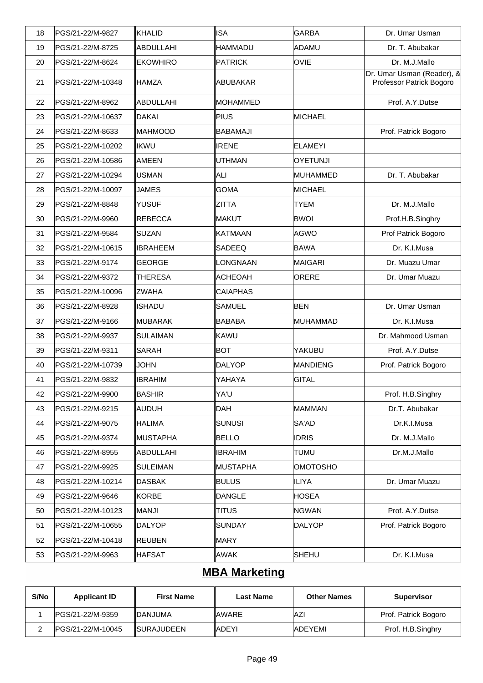| 18 | PGS/21-22/M-9827  | <b>KHALID</b>    | <b>ISA</b>      | GARBA            | Dr. Umar Usman                                         |
|----|-------------------|------------------|-----------------|------------------|--------------------------------------------------------|
| 19 | PGS/21-22/M-8725  | <b>ABDULLAHI</b> | <b>HAMMADU</b>  | ADAMU            | Dr. T. Abubakar                                        |
| 20 | PGS/21-22/M-8624  | <b>EKOWHIRO</b>  | <b>PATRICK</b>  | <b>OVIE</b>      | Dr. M.J.Mallo                                          |
| 21 | PGS/21-22/M-10348 | IHAMZA           | ABUBAKAR        |                  | Dr. Umar Usman (Reader), &<br>Professor Patrick Bogoro |
| 22 | PGS/21-22/M-8962  | <b>ABDULLAHI</b> | MOHAMMED        |                  | Prof. A.Y.Dutse                                        |
| 23 | PGS/21-22/M-10637 | <b>DAKAI</b>     | PIUS            | <b>MICHAEL</b>   |                                                        |
| 24 | PGS/21-22/M-8633  | MAHMOOD          | BABAMAJI        |                  | Prof. Patrick Bogoro                                   |
| 25 | PGS/21-22/M-10202 | <b>IKWU</b>      | <b>IRENE</b>    | <b>ELAMEYI</b>   |                                                        |
| 26 | PGS/21-22/M-10586 | <b>AMEEN</b>     | <b>UTHMAN</b>   | <b>OYETUNJI</b>  |                                                        |
| 27 | PGS/21-22/M-10294 | <b>USMAN</b>     | ALI             | <b>IMUHAMMED</b> | Dr. T. Abubakar                                        |
| 28 | PGS/21-22/M-10097 | <b>JAMES</b>     | <b>GOMA</b>     | MICHAEL          |                                                        |
| 29 | PGS/21-22/M-8848  | <b>YUSUF</b>     | <b>ZITTA</b>    | <b>TYEM</b>      | Dr. M.J.Mallo                                          |
| 30 | PGS/21-22/M-9960  | <b>REBECCA</b>   | MAKUT           | <b>BWOI</b>      | Prof.H.B.Singhry                                       |
| 31 | PGS/21-22/M-9584  | <b>SUZAN</b>     | <b>KATMAAN</b>  | AGWO             | Prof Patrick Bogoro                                    |
| 32 | PGS/21-22/M-10615 | <b>IBRAHEEM</b>  | <b>SADEEQ</b>   | <b>BAWA</b>      | Dr. K.I.Musa                                           |
| 33 | PGS/21-22/M-9174  | <b>GEORGE</b>    | LONGNAAN        | MAIGARI          | Dr. Muazu Umar                                         |
| 34 | PGS/21-22/M-9372  | <b>THERESA</b>   | ACHEOAH         | ORERE            | Dr. Umar Muazu                                         |
| 35 | PGS/21-22/M-10096 | <b>ZWAHA</b>     | <b>CAIAPHAS</b> |                  |                                                        |
| 36 | PGS/21-22/M-8928  | <b>ISHADU</b>    | <b>SAMUEL</b>   | <b>BEN</b>       | Dr. Umar Usman                                         |
| 37 | PGS/21-22/M-9166  | <b>MUBARAK</b>   | <b>BABABA</b>   | MUHAMMAD         | Dr. K.I.Musa                                           |
| 38 | PGS/21-22/M-9937  | <b>SULAIMAN</b>  | KAWU            |                  | Dr. Mahmood Usman                                      |
| 39 | PGS/21-22/M-9311  | <b>SARAH</b>     | <b>BOT</b>      | YAKUBU           | Prof. A.Y.Dutse                                        |
| 40 | PGS/21-22/M-10739 | <b>JOHN</b>      | DALYOP          | MANDIENG         | Prof. Patrick Bogoro                                   |
| 41 | PGS/21-22/M-9832  | <b>IBRAHIM</b>   | YAHAYA          | <b>GITAL</b>     |                                                        |
| 42 | PGS/21-22/M-9900  | ∥BASHIR          | YA'U            |                  | Prof. H.B.Singhry                                      |
| 43 | PGS/21-22/M-9215  | <b>AUDUH</b>     | <b>DAH</b>      | MAMMAN           | Dr.T. Abubakar                                         |
| 44 | PGS/21-22/M-9075  | <b>HALIMA</b>    | <b>SUNUSI</b>   | SA'AD            | Dr.K.I.Musa                                            |
| 45 | PGS/21-22/M-9374  | MUSTAPHA         | <b>BELLO</b>    | <b>IDRIS</b>     | Dr. M.J.Mallo                                          |
| 46 | PGS/21-22/M-8955  | ABDULLAHI        | <b>IBRAHIM</b>  | <b>TUMU</b>      | Dr.M.J.Mallo                                           |
| 47 | PGS/21-22/M-9925  | <b>SULEIMAN</b>  | MUSTAPHA        | <b>OMOTOSHO</b>  |                                                        |
| 48 | PGS/21-22/M-10214 | DASBAK           | <b>BULUS</b>    | <b>ILIYA</b>     | Dr. Umar Muazu                                         |
| 49 | PGS/21-22/M-9646  | KORBE            | <b>DANGLE</b>   | <b>HOSEA</b>     |                                                        |
| 50 | PGS/21-22/M-10123 | MANJI            | <b>TITUS</b>    | <b>NGWAN</b>     | Prof. A.Y.Dutse                                        |
| 51 | PGS/21-22/M-10655 | <b>DALYOP</b>    | <b>SUNDAY</b>   | DALYOP           | Prof. Patrick Bogoro                                   |
| 52 | PGS/21-22/M-10418 | <b>REUBEN</b>    | MARY            |                  |                                                        |
| 53 | PGS/21-22/M-9963  | ∥HAFSAT          | AWAK            | SHEHU            | Dr. K.I.Musa                                           |

### **MBA Marketing**

| S/No | <b>Applicant ID</b> | <b>First Name</b>  | <b>Last Name</b> | <b>Other Names</b> | <b>Supervisor</b>    |
|------|---------------------|--------------------|------------------|--------------------|----------------------|
|      | IPGS/21-22/M-9359   | <b>IDANJUMA</b>    | ∥AWARE           | IAZI               | Prof. Patrick Bogoro |
|      | IPGS/21-22/M-10045  | <b>ISURAJUDEEN</b> | ∥ADEYI           | IADEYEMI           | Prof. H.B.Singhry    |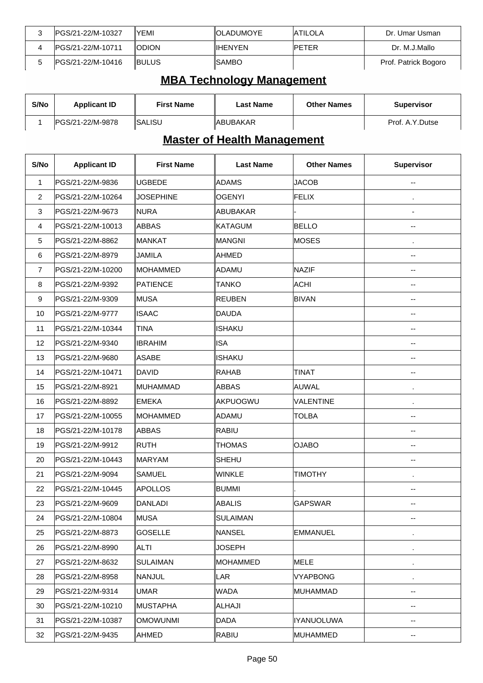| IPGS/21-22/M-10327 | YEMI          | <b>IOLADUMOYE</b> | <b>IATILOLA</b> | Dr. Umar Usman       |
|--------------------|---------------|-------------------|-----------------|----------------------|
| IPGS/21-22/M-10711 | <b>IODION</b> | ⊪IHENYEN          | <b>IPETER</b>   | Dr. M.J.Mallo        |
| IPGS/21-22/M-10416 | <b>IBULUS</b> | ISAMBO            |                 | Prof. Patrick Bogoro |

# **MBA Technology Management**

| S/No | <b>Applicant ID</b> | <b>First Name</b>     | Last Name        | <b>Other Names</b> | <b>Supervisor</b> |
|------|---------------------|-----------------------|------------------|--------------------|-------------------|
|      | IPGS/21-22/M-9878   | <i><b>ISALISU</b></i> | <b>IABUBAKAR</b> |                    | Prof. A.Y.Dutse   |

# **Master of Health Management**

| S/No                    | <b>Applicant ID</b> | <b>First Name</b> | <b>Last Name</b> | <b>Other Names</b> | <b>Supervisor</b> |
|-------------------------|---------------------|-------------------|------------------|--------------------|-------------------|
| 1                       | PGS/21-22/M-9836    | <b>UGBEDE</b>     | ADAMS            | <b>JACOB</b>       |                   |
| $\overline{c}$          | PGS/21-22/M-10264   | <b>JOSEPHINE</b>  | <b>OGENYI</b>    | <b>FELIX</b>       | ٠                 |
| 3                       | PGS/21-22/M-9673    | ∥NURA             | <b>ABUBAKAR</b>  |                    |                   |
| $\overline{\mathbf{4}}$ | PGS/21-22/M-10013   | ABBAS             | <b>KATAGUM</b>   | <b>BELLO</b>       | --                |
| 5                       | PGS/21-22/M-8862    | MANKAT            | MANGNI           | <b>MOSES</b>       | $\blacksquare$    |
| 6                       | PGS/21-22/M-8979    | <b>JAMILA</b>     | <b>AHMED</b>     |                    | $-$               |
| $\overline{7}$          | PGS/21-22/M-10200   | MOHAMMED          | ADAMU            | <b>NAZIF</b>       | --                |
| 8                       | PGS/21-22/M-9392    | PATIENCE          | TANKO            | <b>ACHI</b>        | --                |
| 9                       | PGS/21-22/M-9309    | ∣MUSA             | <b>REUBEN</b>    | <b>BIVAN</b>       | --                |
| 10                      | PGS/21-22/M-9777    | <b>ISAAC</b>      | <b>DAUDA</b>     |                    | --                |
| 11                      | PGS/21-22/M-10344   | <b>TINA</b>       | <b>ISHAKU</b>    |                    | --                |
| 12                      | PGS/21-22/M-9340    | <b>IBRAHIM</b>    | <b>ISA</b>       |                    | --                |
| 13                      | PGS/21-22/M-9680    | <b>ASABE</b>      | <b>ISHAKU</b>    |                    | --                |
| 14                      | PGS/21-22/M-10471   | DAVID             | <b>RAHAB</b>     | <b>TINAT</b>       | --                |
| 15                      | PGS/21-22/M-8921    | MUHAMMAD          | ABBAS            | <b>AUWAL</b>       | $\blacksquare$    |
| 16                      | PGS/21-22/M-8892    | <b>EMEKA</b>      | AKPUOGWU         | <b>VALENTINE</b>   | $\cdot$           |
| 17                      | PGS/21-22/M-10055   | MOHAMMED          | ADAMU            | <b>TOLBA</b>       | --                |
| 18                      | PGS/21-22/M-10178   | ABBAS             | RABIU            |                    | --                |
| 19                      | PGS/21-22/M-9912    | ∣ruth             | <b>THOMAS</b>    | <b>OJABO</b>       | --                |
| 20                      | PGS/21-22/M-10443   | ∥MARYAM           | <b>SHEHU</b>     |                    | --                |
| 21                      | PGS/21-22/M-9094    | <b>SAMUEL</b>     | WINKLE           | <b>TIMOTHY</b>     | $\blacksquare$    |
| 22                      | PGS/21-22/M-10445   | APOLLOS           | <b>BUMMI</b>     |                    |                   |
| 23                      | PGS/21-22/M-9609    | <b>DANLADI</b>    | <b>ABALIS</b>    | <b>GAPSWAR</b>     |                   |
| 24                      | PGS/21-22/M-10804   | ∥MUSA             | SULAIMAN         |                    |                   |
| 25                      | PGS/21-22/M-8873    | <b>GOSELLE</b>    | <b>NANSEL</b>    | <b>EMMANUEL</b>    |                   |
| 26                      | PGS/21-22/M-8990    | ∥ALTI             | JOSEPH           |                    | ٠                 |
| 27                      | PGS/21-22/M-8632    | <b>SULAIMAN</b>   | MOHAMMED         | <b>MELE</b>        | ٠                 |
| 28                      | PGS/21-22/M-8958    | <b>NANJUL</b>     | LAR              | <b>VYAPBONG</b>    | $\cdot$           |
| 29                      | PGS/21-22/M-9314    | <b>UMAR</b>       | WADA             | <b>MUHAMMAD</b>    | --                |
| 30                      | PGS/21-22/M-10210   | MUSTAPHA          | ALHAJI           |                    |                   |
| 31                      | PGS/21-22/M-10387   | <b>OMOWUNMI</b>   | <b>DADA</b>      | <b>IYANUOLUWA</b>  |                   |
| 32                      | PGS/21-22/M-9435    | ∥AHMED            | RABIU            | <b>MUHAMMED</b>    |                   |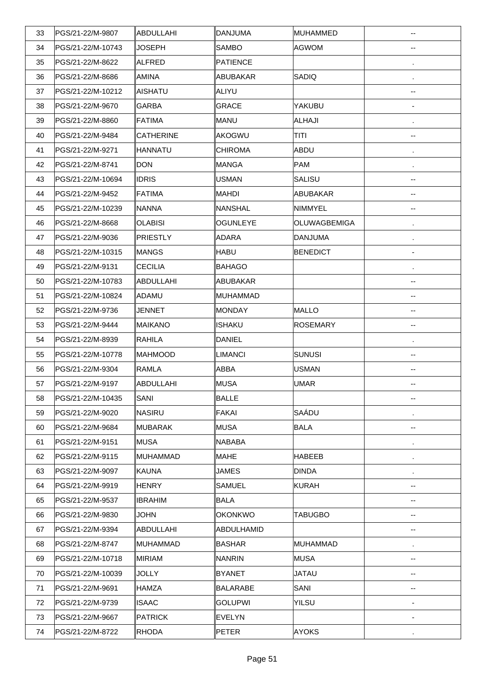| 33 | PGS/21-22/M-9807  | ∥ABDULLAHI     | <b>DANJUMA</b>  | MUHAMMED        | --                       |
|----|-------------------|----------------|-----------------|-----------------|--------------------------|
| 34 | PGS/21-22/M-10743 | <b>JOSEPH</b>  | <b>SAMBO</b>    | <b>AGWOM</b>    | --                       |
| 35 | PGS/21-22/M-8622  | ∥ALFRED        | <b>PATIENCE</b> |                 |                          |
| 36 | PGS/21-22/M-8686  | ∥AMINA         | <b>ABUBAKAR</b> | SADIQ           | $\cdot$                  |
| 37 | PGS/21-22/M-10212 | ∥AISHATU       | ALIYU           |                 | $\overline{\phantom{a}}$ |
| 38 | PGS/21-22/M-9670  | GARBA          | <b>GRACE</b>    | YAKUBU          | $\overline{\phantom{a}}$ |
| 39 | PGS/21-22/M-8860  | ∥FATIMA        | MANU            | ALHAJI          |                          |
| 40 | PGS/21-22/M-9484  | CATHERINE      | AKOGWU          | <b>TITI</b>     | $\overline{\phantom{a}}$ |
| 41 | PGS/21-22/M-9271  | ∥HANNATU       | <b>CHIROMA</b>  | ABDU            |                          |
| 42 | PGS/21-22/M-8741  | DON            | <b>MANGA</b>    | <b>PAM</b>      | $\cdot$                  |
| 43 | PGS/21-22/M-10694 | <b>IDRIS</b>   | USMAN           | <b>SALISU</b>   | --                       |
| 44 | PGS/21-22/M-9452  | <b>FATIMA</b>  | <b>MAHDI</b>    | ABUBAKAR        | --                       |
| 45 | PGS/21-22/M-10239 | ∥NANNA         | NANSHAL         | <b>NIMMYEL</b>  | --                       |
| 46 | PGS/21-22/M-8668  | <b>OLABISI</b> | <b>OGUNLEYE</b> | OLUWAGBEMIGA    | $\cdot$                  |
| 47 | PGS/21-22/M-9036  | PRIESTLY       | ADARA           | <b>DANJUMA</b>  |                          |
| 48 | PGS/21-22/M-10315 | ∥MANGS         | <b>HABU</b>     | <b>BENEDICT</b> | $\overline{\phantom{a}}$ |
| 49 | PGS/21-22/M-9131  | <b>CECILIA</b> | <b>BAHAGO</b>   |                 |                          |
| 50 | PGS/21-22/M-10783 | ∥ABDULLAHI     | ABUBAKAR        |                 | $\overline{\phantom{a}}$ |
| 51 | PGS/21-22/M-10824 | ∥ADAMU         | MUHAMMAD        |                 | $\overline{\phantom{a}}$ |
| 52 | PGS/21-22/M-9736  | JENNET         | <b>MONDAY</b>   | <b>MALLO</b>    | $\overline{\phantom{a}}$ |
| 53 | PGS/21-22/M-9444  | ∥MAIKANO       | ISHAKU          | <b>ROSEMARY</b> | $\overline{\phantom{a}}$ |
| 54 | PGS/21-22/M-8939  | <b>RAHILA</b>  | <b>DANIEL</b>   |                 | $\cdot$                  |
| 55 | PGS/21-22/M-10778 | ∥MAHMOOD       | <b>LIMANCI</b>  | <b>SUNUSI</b>   | $\overline{\phantom{a}}$ |
| 56 | PGS/21-22/M-9304  | <b>RAMLA</b>   | <b>ABBA</b>     | <b>USMAN</b>    | --                       |
| 57 | PGS/21-22/M-9197  | ∥ABDULLAHI     | MUSA            | <b>UMAR</b>     | --                       |
| 58 | PGS/21-22/M-10435 | SANI           | <b>BALLE</b>    |                 | --                       |
| 59 | PGS/21-22/M-9020  | ∥NASIRU        | <b>FAKAI</b>    | SAÁDU           |                          |
| 60 | PGS/21-22/M-9684  | ∥MUBARAK       | MUSA            | <b>BALA</b>     | --                       |
| 61 | PGS/21-22/M-9151  | ∥MUSA          | <b>NABABA</b>   |                 |                          |
| 62 | PGS/21-22/M-9115  | ∥MUHAMMAD      | <b>MAHE</b>     | <b>HABEEB</b>   |                          |
| 63 | PGS/21-22/M-9097  | ∥KAUNA         | JAMES           | <b>DINDA</b>    | $\cdot$                  |
| 64 | PGS/21-22/M-9919  | ∥HENRY         | SAMUEL          | <b>KURAH</b>    | --                       |
| 65 | PGS/21-22/M-9537  | <b>IBRAHIM</b> | <b>BALA</b>     |                 | --                       |
| 66 | PGS/21-22/M-9830  | <b>JOHN</b>    | <b>OKONKWO</b>  | <b>TABUGBO</b>  | --                       |
| 67 | PGS/21-22/M-9394  | ∥ABDULLAHI     | ABDULHAMID      |                 | --                       |
| 68 | PGS/21-22/M-8747  | ∥MUHAMMAD      | <b>BASHAR</b>   | MUHAMMAD        |                          |
| 69 | PGS/21-22/M-10718 | ∥MIRIAM        | <b>NANRIN</b>   | <b>MUSA</b>     | --                       |
| 70 | PGS/21-22/M-10039 | JOLLY          | <b>BYANET</b>   | <b>JATAU</b>    | --                       |
| 71 | PGS/21-22/M-9691  | ∥HAMZA         | <b>BALARABE</b> | SANI            | --                       |
| 72 | PGS/21-22/M-9739  | <b>ISAAC</b>   | <b>GOLUPWI</b>  | YILSU           |                          |
| 73 | PGS/21-22/M-9667  | ∥PATRICK       | <b>EVELYN</b>   |                 | ÷,                       |
| 74 | PGS/21-22/M-8722  | ∥RHODA         | <b>PETER</b>    | <b>AYOKS</b>    |                          |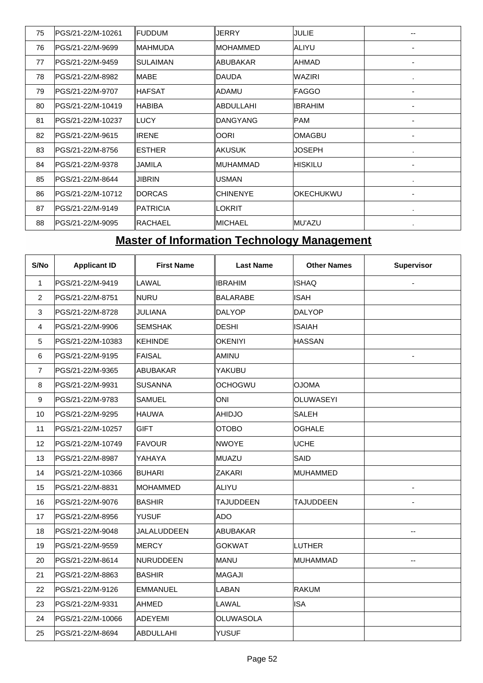| 75 | PGS/21-22/M-10261  | <b>IFUDDUM</b>   | JERRY            | JULIE             |   |
|----|--------------------|------------------|------------------|-------------------|---|
| 76 | lPGS/21-22/M-9699  | ∥MAHMUDA         | <b>MOHAMMED</b>  | <b>JALIYU</b>     | - |
| 77 | PGS/21-22/M-9459   | ISULAIMAN        | <b>ABUBAKAR</b>  | IAHMAD            |   |
| 78 | PGS/21-22/M-8982   | IMABE            | <b>DAUDA</b>     | <b>WAZIRI</b>     |   |
| 79 | lPGS/21-22/M-9707  | ∥HAFSAT          | <b>ADAMU</b>     | <b>IFAGGO</b>     | - |
| 80 | lPGS/21-22/M-10419 | ∥HABIBA          | <b>ABDULLAHI</b> | <b>IIBRAHIM</b>   | ٠ |
| 81 | IPGS/21-22/M-10237 | ILUCY            | <b>DANGYANG</b>  | <b>PAM</b>        | ۰ |
| 82 | lPGS/21-22/M-9615  | <b>IIRENE</b>    | <b>OORI</b>      | <b>IOMAGBU</b>    | ٠ |
| 83 | lPGS/21-22/M-8756  | IESTHER          | <b>AKUSUK</b>    | <b>JOSEPH</b>     | ٠ |
| 84 | PGS/21-22/M-9378   | IJAMILA          | <b>IMUHAMMAD</b> | <b>IHISKILU</b>   | ۰ |
| 85 | IPGS/21-22/M-8644  | IJIBRIN          | <b>USMAN</b>     |                   |   |
| 86 | PGS/21-22/M-10712  | ∥DORCAS          | <b>CHINENYE</b>  | <b>IOKECHUKWU</b> | ٠ |
| 87 | PGS/21-22/M-9149   | <b>IPATRICIA</b> | LOKRIT           |                   | ٠ |
| 88 | PGS/21-22/M-9095   | ∥RACHAEL         | <b>IMICHAEL</b>  | <b>IMU'AZU</b>    |   |

## **Master of Information Technology Management**

| S/No           | <b>Applicant ID</b> | <b>First Name</b> | <b>Last Name</b> | <b>Other Names</b> | <b>Supervisor</b>        |
|----------------|---------------------|-------------------|------------------|--------------------|--------------------------|
| $\mathbf{1}$   | PGS/21-22/M-9419    | LAWAL             | <b>IBRAHIM</b>   | <b>ISHAQ</b>       |                          |
| $\overline{2}$ | PGS/21-22/M-8751    | <b>NURU</b>       | <b>BALARABE</b>  | <b>ISAH</b>        |                          |
| 3              | PGS/21-22/M-8728    | JULIANA           | <b>DALYOP</b>    | DALYOP             |                          |
| $\overline{4}$ | PGS/21-22/M-9906    | <b>SEMSHAK</b>    | DESHI            | <b>ISAIAH</b>      |                          |
| $\sqrt{5}$     | PGS/21-22/M-10383   | KEHINDE           | <b>OKENIYI</b>   | <b>HASSAN</b>      |                          |
| 6              | PGS/21-22/M-9195    | FAISAL            | AMINU            |                    | ä,                       |
| $\overline{7}$ | PGS/21-22/M-9365    | ABUBAKAR          | YAKUBU           |                    |                          |
| 8              | PGS/21-22/M-9931    | SUSANNA           | <b>OCHOGWU</b>   | <b>AMOLO</b>       |                          |
| 9              | PGS/21-22/M-9783    | <b>SAMUEL</b>     | <b>ONI</b>       | <b>OLUWASEYI</b>   |                          |
| 10             | PGS/21-22/M-9295    | ∥HAUWA            | <b>AHIDJO</b>    | SALEH              |                          |
| 11             | PGS/21-22/M-10257   | <b>GIFT</b>       | <b>OTOBO</b>     | <b>OGHALE</b>      |                          |
| 12             | PGS/21-22/M-10749   | FAVOUR            | <b>NWOYE</b>     | <b>UCHE</b>        |                          |
| 13             | PGS/21-22/M-8987    | YAHAYA            | <b>MUAZU</b>     | SAID               |                          |
| 14             | PGS/21-22/M-10366   | <b>BUHARI</b>     | ZAKARI           | MUHAMMED           |                          |
| 15             | PGS/21-22/M-8831    | <b>IMOHAMMED</b>  | <b>ALIYU</b>     |                    |                          |
| 16             | PGS/21-22/M-9076    | ∥BASHIR           | <b>TAJUDDEEN</b> | <b>TAJUDDEEN</b>   |                          |
| 17             | PGS/21-22/M-8956    | <b>YUSUF</b>      | <b>ADO</b>       |                    |                          |
| 18             | PGS/21-22/M-9048    | JALALUDDEEN       | <b>ABUBAKAR</b>  |                    | --                       |
| 19             | PGS/21-22/M-9559    | MERCY             | <b>GOKWAT</b>    | LUTHER             |                          |
| 20             | PGS/21-22/M-8614    | NURUDDEEN         | <b>MANU</b>      | MUHAMMAD           | $\overline{\phantom{a}}$ |
| 21             | PGS/21-22/M-8863    | ∥BASHIR           | <b>MAGAJI</b>    |                    |                          |
| 22             | PGS/21-22/M-9126    | <b>EMMANUEL</b>   | LABAN            | <b>RAKUM</b>       |                          |
| 23             | PGS/21-22/M-9331    | AHMED             | LAWAL            | <b>ISA</b>         |                          |
| 24             | PGS/21-22/M-10066   | ADEYEMI           | OLUWASOLA        |                    |                          |
| 25             | PGS/21-22/M-8694    | ABDULLAHI         | <b>YUSUF</b>     |                    |                          |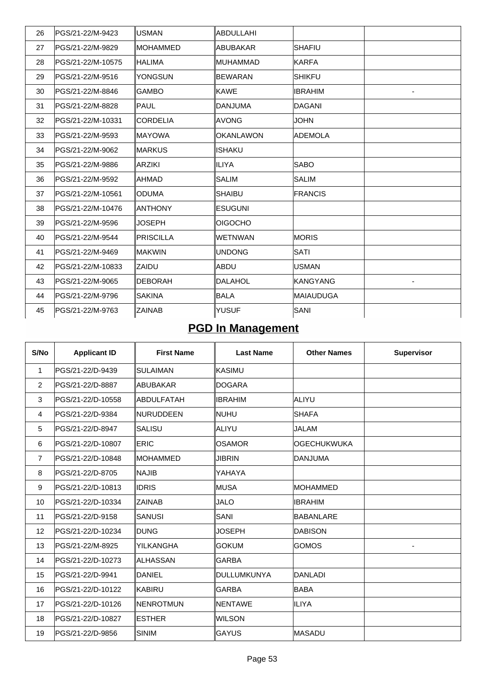| 26 | lPGS/21-22/M-9423  | ∥USMAN          | ABDULLAHI        |                   |  |
|----|--------------------|-----------------|------------------|-------------------|--|
| 27 | PGS/21-22/M-9829   | ∥MOHAMMED       | ABUBAKAR         | <b>SHAFIU</b>     |  |
| 28 | IPGS/21-22/M-10575 | <b>IHALIMA</b>  | <b>IMUHAMMAD</b> | <b>KARFA</b>      |  |
| 29 | PGS/21-22/M-9516   | ∥YONGSUN        | <b>BEWARAN</b>   | <b>SHIKFU</b>     |  |
| 30 | PGS/21-22/M-8846   | IGAMBO          | <b>KAWE</b>      | <b>IBRAHIM</b>    |  |
| 31 | PGS/21-22/M-8828   | <b>PAUL</b>     | DANJUMA          | <b>DAGANI</b>     |  |
| 32 | IPGS/21-22/M-10331 | ∥CORDELIA       | IAVONG           | JOHN              |  |
| 33 | PGS/21-22/M-9593   | ∥MAYOWA         | <b>OKANLAWON</b> | <b>ADEMOLA</b>    |  |
| 34 | PGS/21-22/M-9062   | ∥MARKUS         | ISHAKU           |                   |  |
| 35 | PGS/21-22/M-9886   | ∥ARZIKI         | <b>ILIYA</b>     | <b>SABO</b>       |  |
| 36 | PGS/21-22/M-9592   | ∥AHMAD          | SALIM            | <b>SALIM</b>      |  |
| 37 | PGS/21-22/M-10561  | IODUMA          | <b>SHAIBU</b>    | FRANCIS           |  |
| 38 | lPGS/21-22/M-10476 | ∥ANTHONY        | <b>ESUGUNI</b>   |                   |  |
| 39 | PGS/21-22/M-9596   | ∥JOSEPH         | <b>OIGOCHO</b>   |                   |  |
| 40 | lPGS/21-22/M-9544  | ∥PRISCILLA      | <b>WETNWAN</b>   | <b>IMORIS</b>     |  |
| 41 | PGS/21-22/M-9469   | ∥MAKWIN         | <b>UNDONG</b>    | <b>SATI</b>       |  |
| 42 | IPGS/21-22/M-10833 | IZAIDU          | ABDU             | <b>USMAN</b>      |  |
| 43 | PGS/21-22/M-9065   | <b>IDEBORAH</b> | <b>DALAHOL</b>   | <b>IKANGYANG</b>  |  |
| 44 | lPGS/21-22/M-9796  | ISAKINA         | <b>BALA</b>      | <b>IMAIAUDUGA</b> |  |
| 45 | PGS/21-22/M-9763   | ∥ZAINAB         | <b>YUSUF</b>     | SANI              |  |

# **PGD In Management**

| S/No           | <b>Applicant ID</b> | <b>First Name</b> | <b>Last Name</b> | <b>Other Names</b> | <b>Supervisor</b> |
|----------------|---------------------|-------------------|------------------|--------------------|-------------------|
| 1              | PGS/21-22/D-9439    | <b>SULAIMAN</b>   | <b>KASIMU</b>    |                    |                   |
| 2              | PGS/21-22/D-8887    | <b>ABUBAKAR</b>   | <b>DOGARA</b>    |                    |                   |
| 3              | PGS/21-22/D-10558   | ABDULFATAH        | <b>IBRAHIM</b>   | ALIYU              |                   |
| $\overline{4}$ | PGS/21-22/D-9384    | <b>INURUDDEEN</b> | <b>NUHU</b>      | <b>SHAFA</b>       |                   |
| 5              | PGS/21-22/D-8947    | <b>SALISU</b>     | ALIYU            | <b>JALAM</b>       |                   |
| 6              | PGS/21-22/D-10807   | <b>ERIC</b>       | <b>OSAMOR</b>    | <b>OGECHUKWUKA</b> |                   |
| $\overline{7}$ | PGS/21-22/D-10848   | <b>MOHAMMED</b>   | <b>JIBRIN</b>    | <b>IDANJUMA</b>    |                   |
| 8              | PGS/21-22/D-8705    | <b>NAJIB</b>      | YAHAYA           |                    |                   |
| 9              | PGS/21-22/D-10813   | <b>IDRIS</b>      | MUSA             | <b>MOHAMMED</b>    |                   |
| 10             | PGS/21-22/D-10334   | <b>ZAINAB</b>     | <b>JALO</b>      | <b>IBRAHIM</b>     |                   |
| 11             | PGS/21-22/D-9158    | <b>SANUSI</b>     | <b>SANI</b>      | BABANLARE          |                   |
| 12             | PGS/21-22/D-10234   | <b>DUNG</b>       | JOSEPH           | <b>DABISON</b>     |                   |
| 13             | PGS/21-22/M-8925    | YILKANGHA         | <b>GOKUM</b>     | <b>IGOMOS</b>      |                   |
| 14             | PGS/21-22/D-10273   | ∥ALHASSAN         | <b>GARBA</b>     |                    |                   |
| 15             | PGS/21-22/D-9941    | <b>DANIEL</b>     | DULLUMKUNYA      | <b>DANLADI</b>     |                   |
| 16             | PGS/21-22/D-10122   | IKABIRU           | <b>GARBA</b>     | <b>BABA</b>        |                   |
| 17             | PGS/21-22/D-10126   | <b>NENROTMUN</b>  | <b>NENTAWE</b>   | <b>ILIYA</b>       |                   |
| 18             | PGS/21-22/D-10827   | <b>ESTHER</b>     | <b>WILSON</b>    |                    |                   |
| 19             | PGS/21-22/D-9856    | <b>SINIM</b>      | <b>GAYUS</b>     | <b>MASADU</b>      |                   |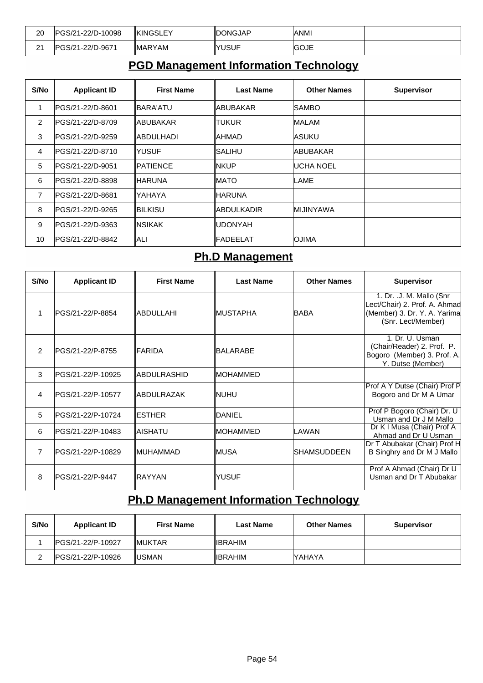| 20            | IPGS/21-22/D-10098 | <b>KINGSLEY</b> | ∥DONGJAP | <b>ANMI</b> |  |
|---------------|--------------------|-----------------|----------|-------------|--|
| $\sim$<br>. I | IPGS/21-22/D-9671  | <b>IMARYAM</b>  | IYUSUF   | IGOJE       |  |

#### **PGD Management Information Technology**

| S/No           | <b>Applicant ID</b> | <b>First Name</b> | <b>Last Name</b> | <b>Other Names</b> | <b>Supervisor</b> |
|----------------|---------------------|-------------------|------------------|--------------------|-------------------|
| 1              | lPGS/21-22/D-8601   | ∥BARA'ATU         | ∥ABUBAKAR        | ISAMBO             |                   |
| 2              | PGS/21-22/D-8709    | ∥ABUBAKAR         | ltukur           | MALAM              |                   |
| 3              | IPGS/21-22/D-9259   | ABDULHADI         | IAHMAD.          | <b>IASUKU</b>      |                   |
| $\overline{4}$ | PGS/21-22/D-8710    | IYUSUF            | ISALIHU          | IABUBAKAR          |                   |
| 5              | lPGS/21-22/D-9051   | <b>IPATIENCE</b>  | INKUP            | <b>UCHA NOEL</b>   |                   |
| 6              | lPGS/21-22/D-8898   | ∥HARUNA           | IMATO            | LAME               |                   |
| $\overline{7}$ | lPGS/21-22/D-8681   | lYAHAYA           | <b>HARUNA</b>    |                    |                   |
| 8              | IPGS/21-22/D-9265   | ∥BILKISU          | ∥ABDULKADIR      | IMIJINYAWA         |                   |
| 9              | PGS/21-22/D-9363    | INSIKAK           | IUDONYAH         |                    |                   |
| 10             | PGS/21-22/D-8842    | lALI              | <b>IFADEELAT</b> | <b>OJIMA</b>       |                   |

#### **Ph.D Management**

| S/No           | <b>Applicant ID</b>     | <b>First Name</b> | <b>Last Name</b> | <b>Other Names</b> | <b>Supervisor</b>                                                                                               |
|----------------|-------------------------|-------------------|------------------|--------------------|-----------------------------------------------------------------------------------------------------------------|
| 1              | PGS/21-22/P-8854        | ∥ABDULLAHI        | ∥MUSTAPHA        | <b>BABA</b>        | 1. Dr. .J. M. Mallo (Snr<br>Lect/Chair) 2. Prof. A. Ahmad<br>(Member) 3. Dr. Y. A. Yarima<br>(Snr. Lect/Member) |
| $\mathfrak{p}$ | <b>PGS/21-22/P-8755</b> | <b>IFARIDA</b>    | BALARABE         |                    | 1. Dr. U. Usman<br>(Chair/Reader) 2. Prof. P.<br>Bogoro (Member) 3. Prof. A.<br>Y. Dutse (Member)               |
| 3              | lPGS/21-22/P-10925      | ∥ABDULRASHID      | ∥MOHAMMED        |                    |                                                                                                                 |
| $\overline{4}$ | PGS/21-22/P-10577       | ∥ABDULRAZAK       | INUHU            |                    | Prof A Y Dutse (Chair) Prof P<br>Bogoro and Dr M A Umar                                                         |
| 5              | lPGS/21-22/P-10724      | <b>IESTHER</b>    | <b>IDANIEL</b>   |                    | Prof P Bogoro (Chair) Dr. U<br>Usman and Dr J M Mallo                                                           |
| 6              | lPGS/21-22/P-10483      | IAISHATU          | ∥MOHAMMED        | <b>LAWAN</b>       | Dr K I Musa (Chair) Prof A<br>Ahmad and Dr U Usman                                                              |
| $\overline{7}$ | IPGS/21-22/P-10829      | ∥MUHAMMAD         | ∥MUSA            | ISHAMSUDDEEN       | Dr T Abubakar (Chair) Prof H<br>B Singhry and Dr M J Mallo                                                      |
| 8              | IPGS/21-22/P-9447       | IRAYYAN           | YUSUF            |                    | Prof A Ahmad (Chair) Dr U<br>Usman and Dr T Abubakar                                                            |

## **Ph.D Management Information Technology**

| S/No | <b>Applicant ID</b> | <b>First Name</b> | Last Name       | <b>Other Names</b> | <b>Supervisor</b> |
|------|---------------------|-------------------|-----------------|--------------------|-------------------|
|      | IPGS/21-22/P-10927  | <b>IMUKTAR</b>    | <b>IIBRAHIM</b> |                    |                   |
|      | IPGS/21-22/P-10926  | <b>IUSMAN</b>     | IIBRAHIM        | <b>IYAHAYA</b>     |                   |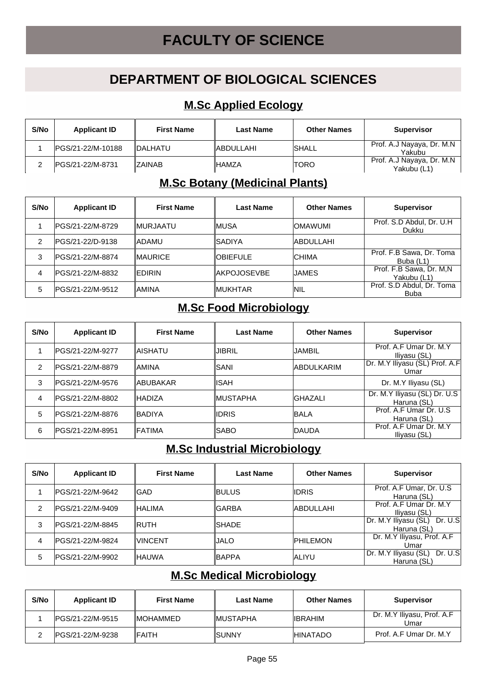# **FACULTY OF SCIENCE**

### **DEPARTMENT OF BIOLOGICAL SCIENCES**

#### **M.Sc Applied Ecology**

| S/No | <b>Applicant ID</b> | <b>First Name</b> | <b>Last Name</b> | <b>Other Names</b> | <b>Supervisor</b>                         |
|------|---------------------|-------------------|------------------|--------------------|-------------------------------------------|
|      | IPGS/21-22/M-10188  | <b>IDALHATU</b>   | <b>ABDULLAHI</b> | <b>ISHALL</b>      | Prof. A.J Nayaya, Dr. M.N.<br>Yakubu      |
|      | IPGS/21-22/M-8731   | <b>IZAINAB</b>    | ∥HAMZA           | ITORO              | Prof. A.J Nayaya, Dr. M.N.<br>Yakubu (L1) |

#### **M.Sc Botany (Medicinal Plants)**

| S/No | <b>Applicant ID</b> | <b>First Name</b> | <b>Last Name</b>    | <b>Other Names</b> | <b>Supervisor</b>                        |
|------|---------------------|-------------------|---------------------|--------------------|------------------------------------------|
|      | IPGS/21-22/M-8729   | <b>IMURJAATU</b>  | ∥MUSA               | <b>OMAWUMI</b>     | Prof. S.D Abdul, Dr. U.H.<br>Dukku       |
| 2    | IPGS/21-22/D-9138   | IADAMU            | ∥SADIYA             | <b>ABDULLAHI</b>   |                                          |
| 3    | IPGS/21-22/M-8874   | <b>IMAURICE</b>   | <b>OBIEFULE</b>     | <b>CHIMA</b>       | Prof. F.B Sawa, Dr. Toma<br>Buba (L1)    |
| 4    | lPGS/21-22/M-8832   | <b>IEDIRIN</b>    | <b>IAKPOJOSEVBE</b> | JAMES              | Prof. F.B Sawa, Dr. M,N<br>Yakubu (L1)   |
| 5    | lPGS/21-22/M-9512   | IAMINA            | ∥MUKHTAR            | INIL               | Prof. S.D Abdul, Dr. Toma<br><b>Buba</b> |

#### **M.Sc Food Microbiology**

| S/No           | <b>Applicant ID</b> | <b>First Name</b> | Last Name | <b>Other Names</b> | <b>Supervisor</b>                           |
|----------------|---------------------|-------------------|-----------|--------------------|---------------------------------------------|
|                | IPGS/21-22/M-9277   | IAISHATU          | JIBRIL    | JAMBIL             | Prof. A.F Umar Dr. M.Y<br>Iliyasu (SL)      |
| $\overline{2}$ | IPGS/21-22/M-8879   | ∥AMINA            | ISANI     | <b>ABDULKARIM</b>  | Dr. M.Y Iliyasu (SL) Prof. A.F<br>Umar      |
| 3              | PGS/21-22/M-9576    | <b>IABUBAKAR</b>  | IISAH     |                    | Dr. M.Y Iliyasu (SL)                        |
| 4              | IPGS/21-22/M-8802   | <b>IHADIZA</b>    | ∥MUSTAPHA | IGHAZALI           | Dr. M.Y Iliyasu (SL) Dr. U.S<br>Haruna (SL) |
| 5              | IPGS/21-22/M-8876   | <b>IBADIYA</b>    | IIDRIS    | <b>BALA</b>        | Prof. A.F Umar Dr. U.S<br>Haruna (SL)       |
| 6              | IPGS/21-22/M-8951   | <b>IFATIMA</b>    | ISABO     | DAUDA              | Prof. A.F Umar Dr. M.Y<br>Iliyasu (SL)      |

#### **M.Sc Industrial Microbiology**

| S/No | <b>Applicant ID</b> | <b>First Name</b> | Last Name | <b>Other Names</b> | <b>Supervisor</b>                               |
|------|---------------------|-------------------|-----------|--------------------|-------------------------------------------------|
|      | IPGS/21-22/M-9642   | ∥GAD              | IBULUS    | <b>IIDRIS</b>      | Prof. A.F Umar, Dr. U.S<br>Haruna (SL)          |
| 2    | IPGS/21-22/M-9409   | ∥HALIMA           | ∥GARBA    | <b>ABDULLAHI</b>   | Prof. A.F Umar Dr. M.Y<br>Iliyasu (SL)          |
| 3    | IPGS/21-22/M-8845   | IRUTH             | ∥SHADE    |                    | Dr. M.Y Iliyasu (SL)<br>Dr. U.SI<br>Haruna (SL) |
| 4    | IPGS/21-22/M-9824   | IVINCENT          | IJALO     | <b>IPHILEMON</b>   | Dr. M.Y Iliyasu, Prof. A.F<br>Umar              |
| 5    | IPGS/21-22/M-9902   | ∥HAUWA            | IBAPPA    | <b>JALIYU</b>      | Dr. U.S<br>Dr. M.Y Iliyasu (SL)<br>Haruna (SL)  |

#### **M.Sc Medical Microbiology**

| S/No | <b>Applicant ID</b> | <b>First Name</b> | <b>Last Name</b>     | <b>Other Names</b> | <b>Supervisor</b>                  |
|------|---------------------|-------------------|----------------------|--------------------|------------------------------------|
|      | IPGS/21-22/M-9515   | <b>IMOHAMMED</b>  | <b>IMUSTAPHA</b>     | <b>IIBRAHIM</b>    | Dr. M.Y Iliyasu, Prof. A.F<br>Umar |
|      | IPGS/21-22/M-9238   | <b>IFAITH</b>     | <i><b>ISUNNY</b></i> | <b>HINATADO</b>    | Prof. A.F Umar Dr. M.Y             |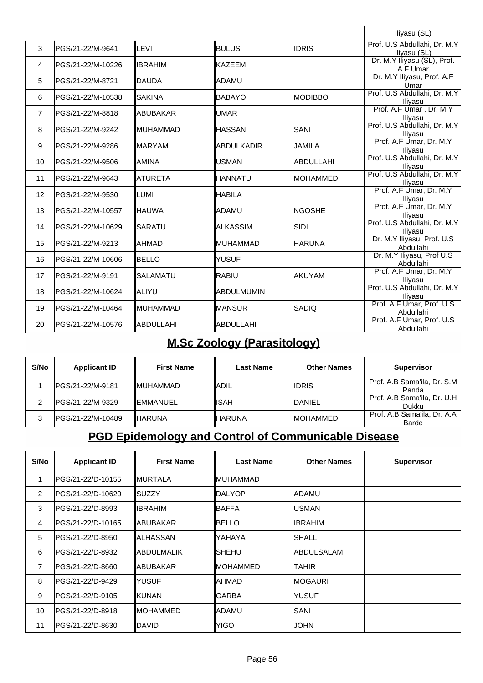|                 |                    |                  |                   |                  | Iliyasu (SL)                                 |
|-----------------|--------------------|------------------|-------------------|------------------|----------------------------------------------|
| 3               | PGS/21-22/M-9641   | ∥LEVI            | <b>BULUS</b>      | <b>IDRIS</b>     | Prof. U.S Abdullahi, Dr. M.Y<br>Iliyasu (SL) |
| $\overline{4}$  | PGS/21-22/M-10226  | <b>IIBRAHIM</b>  | <b>KAZEEM</b>     |                  | Dr. M.Y Iliyasu (SL), Prof.<br>A.F Umar      |
| 5               | PGS/21-22/M-8721   | <b>IDAUDA</b>    | ADAMU             |                  | Dr. M.Y Iliyasu, Prof. A.F<br>Umar           |
| 6               | PGS/21-22/M-10538  | ISAKINA          | <b>BABAYO</b>     | <b>IMODIBBO</b>  | Prof. U.S Abdullahi, Dr. M.Y<br>Iliyasu      |
| $\overline{7}$  | PGS/21-22/M-8818   | ∥ABUBAKAR        | <b>UMAR</b>       |                  | Prof. A.F Umar, Dr. M.Y<br>Iliyasu           |
| 8               | PGS/21-22/M-9242   | <b>IMUHAMMAD</b> | <b>HASSAN</b>     | <b>SANI</b>      | Prof. U.S Abdullahi, Dr. M.Y<br>Ilivasu      |
| 9               | PGS/21-22/M-9286   | <b>IMARYAM</b>   | ABDULKADIR        | <b>JAMILA</b>    | Prof. A.F Umar, Dr. M.Y<br>Iliyasu           |
| 10 <sup>°</sup> | PGS/21-22/M-9506   | IAMINA           | USMAN             | <b>ABDULLAHI</b> | Prof. U.S Abdullahi, Dr. M.Y<br>Iliyasu      |
| 11              | PGS/21-22/M-9643   | <b>IATURETA</b>  | <b>HANNATU</b>    | <b>IMOHAMMED</b> | Prof. U.S Abdullahi, Dr. M.Y<br>Iliyasu      |
| 12              | PGS/21-22/M-9530   | ILUMI            | <b>HABILA</b>     |                  | Prof. A.F Umar, Dr. M.Y<br>Iliyasu           |
| 13              | PGS/21-22/M-10557  | ∥HAUWA           | ADAMU             | <b>INGOSHE</b>   | Prof. A.F Umar, Dr. M.Y<br>Iliyasu           |
| 14              | lPGS/21-22/M-10629 | ∥SARATU          | ∣ALKASSIM         | <b>SIDI</b>      | Prof. U.S Abdullahi, Dr. M.Y<br>Iliyasu      |
| 15              | PGS/21-22/M-9213   | <b>IAHMAD</b>    | MUHAMMAD          | <b>HARUNA</b>    | Dr. M.Y Iliyasu, Prof. U.S.<br>Abdullahi     |
| 16              | lPGS/21-22/M-10606 | <b>IBELLO</b>    | <b>YUSUF</b>      |                  | Dr. M.Y Iliyasu, Prof U.S.<br>Abdullahi      |
| 17              | PGS/21-22/M-9191   | ∥SALAMATU        | <b>RABIU</b>      | AKUYAM           | Prof. A.F Umar, Dr. M.Y<br>Ilivasu           |
| 18              | lPGS/21-22/M-10624 | IALIYU           | <b>ABDULMUMIN</b> |                  | Prof. U.S Abdullahi, Dr. M.Y<br>Ilivasu      |
| 19              | lPGS/21-22/M-10464 | ∥MUHAMMAD        | IMANSUR           | <b>ISADIO</b>    | Prof. A.F Umar, Prof. U.S<br>Abdullahi       |
| 20              | PGS/21-22/M-10576  | ∥ABDULLAHI       | IABDULLAHI        |                  | Prof. A.F Umar, Prof. U.S<br>Abdullahi       |

### **M.Sc Zoology (Parasitology)**

| S/No | <b>Applicant ID</b> | <b>First Name</b> | <b>Last Name</b> | <b>Other Names</b> | <b>Supervisor</b>                    |
|------|---------------------|-------------------|------------------|--------------------|--------------------------------------|
|      | IPGS/21-22/M-9181   | <b>IMUHAMMAD</b>  | IADIL            | IIDRIS             | Prof. A.B Sama'ila, Dr. S.M<br>Panda |
|      | IPGS/21-22/M-9329   | <b>IEMMANUEL</b>  | IISAH            | <b>IDANIEL</b>     | Prof. A.B Sama'ila, Dr. U.H<br>Dukku |
|      | IPGS/21-22/M-10489  | <b>IHARUNA</b>    | ∥HARUNA          | <b>IMOHAMMED</b>   | Prof. A.B Sama'ila, Dr. A.A<br>Barde |

## **PGD Epidemology and Control of Communicable Disease**

| S/No           | <b>Applicant ID</b> | <b>First Name</b> | <b>Last Name</b> | <b>Other Names</b> | <b>Supervisor</b> |
|----------------|---------------------|-------------------|------------------|--------------------|-------------------|
| 1              | PGS/21-22/D-10155   | ∥MURTALA          | ∥MUHAMMAD        |                    |                   |
| 2              | PGS/21-22/D-10620   | ISUZZY            | ∥DALYOP          | IADAMU             |                   |
| 3              | IPGS/21-22/D-8993   | <b>IBRAHIM</b>    | IBAFFA           | IUSMAN             |                   |
| 4              | lPGS/21-22/D-10165  | IABUBAKAR         | IBELLO           | IIBRAHIM           |                   |
| 5              | lPGS/21-22/D-8950   | IALHASSAN         | YAHAYA           | ISHALL             |                   |
| 6              | lPGS/21-22/D-8932   | IABDULMALIK       | ISHEHU           | IABDULSALAM        |                   |
| $\overline{7}$ | IPGS/21-22/D-8660   | IABUBAKAR         | ∥MOHAMMED        | TAHIR              |                   |
| 8              | lPGS/21-22/D-9429   | <b>YUSUF</b>      | IAHMAD           | <b>IMOGAURI</b>    |                   |
| 9              | PGS/21-22/D-9105    | KUNAN             | <b>GARBA</b>     | <b>IYUSUF</b>      |                   |
| 10             | lPGS/21-22/D-8918   | ∥MOHAMMED         | ∥ADAMU           | <b>SANI</b>        |                   |
| 11             | lPGS/21-22/D-8630   | IDAVID            | YIGO             | JOHN               |                   |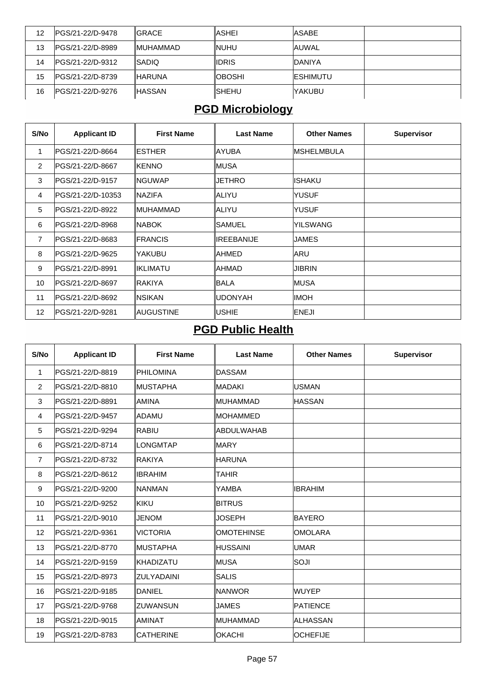| 12 | IPGS/21-22/D-9478 | <b>IGRACE</b> | IASHEI  | <b>IASABE</b>    |  |
|----|-------------------|---------------|---------|------------------|--|
| 13 | IPGS/21-22/D-8989 | IMUHAMMAD     | ∥NUHU   | <b>JAUWAL</b>    |  |
| 14 | IPGS/21-22/D-9312 | ISADIO        | ∥IDRIS  | <b>IDANIYA</b>   |  |
| 15 | IPGS/21-22/D-8739 | ∥HARUNA       | ∥OBOSHI | <b>IESHIMUTU</b> |  |
| 16 | IPGS/21-22/D-9276 | ∥HASSAN       | ISHEHU  | IYAKUBU          |  |

## **PGD Microbiology**

| S/No           | <b>Applicant ID</b> | <b>First Name</b> | <b>Last Name</b> | <b>Other Names</b> | <b>Supervisor</b> |
|----------------|---------------------|-------------------|------------------|--------------------|-------------------|
| 1              | lPGS/21-22/D-8664   | <b>IESTHER</b>    | <b>AYUBA</b>     | <b>IMSHELMBULA</b> |                   |
| $\overline{2}$ | IPGS/21-22/D-8667   | <b>IKENNO</b>     | ∥MUSA            |                    |                   |
| 3              | lPGS/21-22/D-9157   | ∥NGUWAP           | <b>JETHRO</b>    | <b>ISHAKU</b>      |                   |
| 4              | IPGS/21-22/D-10353  | <b>INAZIFA</b>    | ∥ALIYU           | <b>YUSUF</b>       |                   |
| 5              | lPGS/21-22/D-8922   | ∥MUHAMMAD         | IALIYU           | <b>YUSUF</b>       |                   |
| 6              | lPGS/21-22/D-8968   | <b>INABOK</b>     | ISAMUEL          | YILSWANG           |                   |
| 7              | IPGS/21-22/D-8683   | <b>IFRANCIS</b>   | IREEBANIJE       | JAMES              |                   |
| 8              | IPGS/21-22/D-9625   | YAKUBU            | IAHMED           | <b>ARU</b>         |                   |
| 9              | lPGS/21-22/D-8991   | IIKLIMATU         | <b>AHMAD</b>     | <b>JIBRIN</b>      |                   |
| 10             | lPGS/21-22/D-8697   | ∥RAKIYA           | IBALA            | MUSA               |                   |
| 11             | lPGS/21-22/D-8692   | <b>INSIKAN</b>    | <b>UDONYAH</b>   | IIMOH              |                   |
| 12             | lPGS/21-22/D-9281   | ∥AUGUSTINE        | <b>USHIE</b>     | <b>ENEJI</b>       |                   |

### **PGD Public Health**

| S/No            | <b>Applicant ID</b> | <b>First Name</b> | <b>Last Name</b>  | <b>Other Names</b> | <b>Supervisor</b> |
|-----------------|---------------------|-------------------|-------------------|--------------------|-------------------|
| 1               | PGS/21-22/D-8819    | PHILOMINA         | <b>DASSAM</b>     |                    |                   |
| $\overline{2}$  | PGS/21-22/D-8810    | <b>IMUSTAPHA</b>  | <b>MADAKI</b>     | <b>USMAN</b>       |                   |
| 3               | PGS/21-22/D-8891    | <b>AMINA</b>      | <b>MUHAMMAD</b>   | <b>HASSAN</b>      |                   |
| 4               | PGS/21-22/D-9457    | ladamu            | <b>MOHAMMED</b>   |                    |                   |
| 5               | PGS/21-22/D-9294    | RABIU             | ABDULWAHAB        |                    |                   |
| 6               | PGS/21-22/D-8714    | <b>LONGMTAP</b>   | <b>MARY</b>       |                    |                   |
| $\overline{7}$  | PGS/21-22/D-8732    | <b>RAKIYA</b>     | <b>HARUNA</b>     |                    |                   |
| 8               | PGS/21-22/D-8612    | <b>IBRAHIM</b>    | <b>TAHIR</b>      |                    |                   |
| 9               | PGS/21-22/D-9200    | <b>NANMAN</b>     | YAMBA             | <b>IBRAHIM</b>     |                   |
| 10 <sup>°</sup> | PGS/21-22/D-9252    | KIKU              | <b>BITRUS</b>     |                    |                   |
| 11              | PGS/21-22/D-9010    | <b>JENOM</b>      | <b>JOSEPH</b>     | <b>BAYERO</b>      |                   |
| 12              | PGS/21-22/D-9361    | <b>VICTORIA</b>   | <b>OMOTEHINSE</b> | <b>OMOLARA</b>     |                   |
| 13              | PGS/21-22/D-8770    | <b>IMUSTAPHA</b>  | <b>HUSSAINI</b>   | <b>UMAR</b>        |                   |
| 14              | PGS/21-22/D-9159    | ∥KHADIZATU        | MUSA              | SOJI               |                   |
| 15              | PGS/21-22/D-8973    | IZULYADAINI       | <b>SALIS</b>      |                    |                   |
| 16              | PGS/21-22/D-9185    | <b>DANIEL</b>     | NANWOR            | <b>WUYEP</b>       |                   |
| 17              | PGS/21-22/D-9768    | IZUWANSUN         | <b>JAMES</b>      | <b>PATIENCE</b>    |                   |
| 18              | PGS/21-22/D-9015    | <b>AMINAT</b>     | <b>MUHAMMAD</b>   | <b>ALHASSAN</b>    |                   |
| 19              | PGS/21-22/D-8783    | <b>CATHERINE</b>  | <b>OKACHI</b>     | <b>OCHEFIJE</b>    |                   |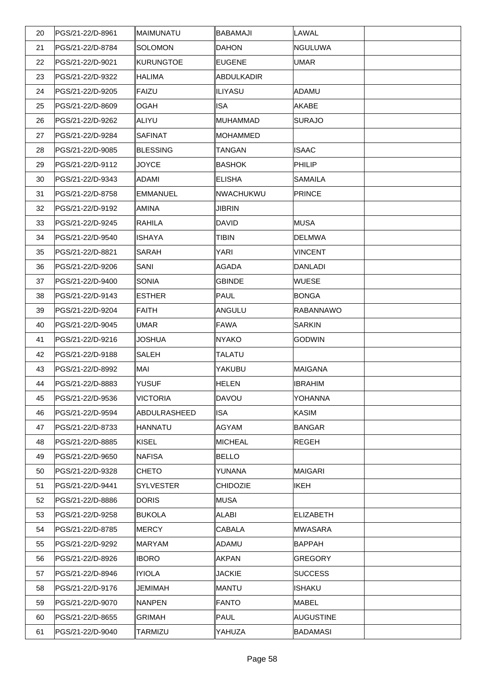| 20 | PGS/21-22/D-8961 | ∥MAIMUNATU      | <b>BABAMAJI</b>   | LAWAL            |  |
|----|------------------|-----------------|-------------------|------------------|--|
| 21 | PGS/21-22/D-8784 | SOLOMON         | <b>DAHON</b>      | <b>NGULUWA</b>   |  |
| 22 | PGS/21-22/D-9021 | KURUNGTOE       | <b>EUGENE</b>     | <b>UMAR</b>      |  |
| 23 | PGS/21-22/D-9322 | <b>HALIMA</b>   | <b>ABDULKADIR</b> |                  |  |
| 24 | PGS/21-22/D-9205 | FAIZU           | <b>ILIYASU</b>    | ADAMU            |  |
| 25 | PGS/21-22/D-8609 | OGAH            | <b>ISA</b>        | <b>AKABE</b>     |  |
| 26 | PGS/21-22/D-9262 | ∣ALIYU          | <b>MUHAMMAD</b>   | <b>SURAJO</b>    |  |
| 27 | PGS/21-22/D-9284 | <b>SAFINAT</b>  | <b>MOHAMMED</b>   |                  |  |
| 28 | PGS/21-22/D-9085 | BLESSING        | <b>TANGAN</b>     | <b>ISAAC</b>     |  |
| 29 | PGS/21-22/D-9112 | <b>JOYCE</b>    | <b>BASHOK</b>     | PHILIP           |  |
| 30 | PGS/21-22/D-9343 | ADAMI           | <b>ELISHA</b>     | <b>SAMAILA</b>   |  |
| 31 | PGS/21-22/D-8758 | EMMANUEL        | NWACHUKWU         | PRINCE           |  |
| 32 | PGS/21-22/D-9192 | AMINA           | <b>JIBRIN</b>     |                  |  |
| 33 | PGS/21-22/D-9245 | RAHILA          | <b>DAVID</b>      | <b>MUSA</b>      |  |
| 34 | PGS/21-22/D-9540 | ISHAYA          | <b>TIBIN</b>      | <b>DELMWA</b>    |  |
| 35 | PGS/21-22/D-8821 | <b>SARAH</b>    | YARI              | <b>VINCENT</b>   |  |
| 36 | PGS/21-22/D-9206 | SANI            | AGADA             | DANLADI          |  |
| 37 | PGS/21-22/D-9400 | SONIA           | <b>GBINDE</b>     | <b>WUESE</b>     |  |
| 38 | PGS/21-22/D-9143 | <b>IESTHER</b>  | <b>PAUL</b>       | <b>BONGA</b>     |  |
| 39 | PGS/21-22/D-9204 | FAITH           | ANGULU            | <b>RABANNAWO</b> |  |
| 40 | PGS/21-22/D-9045 | <b>UMAR</b>     | <b>FAWA</b>       | <b>SARKIN</b>    |  |
| 41 | PGS/21-22/D-9216 | <b>JOSHUA</b>   | <b>NYAKO</b>      | <b>GODWIN</b>    |  |
| 42 | PGS/21-22/D-9188 | <b>SALEH</b>    | <b>TALATU</b>     |                  |  |
| 43 | PGS/21-22/D-8992 | MAI             | YAKUBU            | MAIGANA          |  |
| 44 | PGS/21-22/D-8883 | <b>YUSUF</b>    | <b>HELEN</b>      | <b>IBRAHIM</b>   |  |
| 45 | PGS/21-22/D-9536 | <b>VICTORIA</b> | DAVOU             | <b>YOHANNA</b>   |  |
| 46 | PGS/21-22/D-9594 | ABDULRASHEED    | <b>ISA</b>        | <b>KASIM</b>     |  |
| 47 | PGS/21-22/D-8733 | HANNATU         | <b>AGYAM</b>      | BANGAR           |  |
| 48 | PGS/21-22/D-8885 | KISEL           | <b>MICHEAL</b>    | <b>REGEH</b>     |  |
| 49 | PGS/21-22/D-9650 | NAFISA          | <b>BELLO</b>      |                  |  |
| 50 | PGS/21-22/D-9328 | <b>CHETO</b>    | YUNANA            | MAIGARI          |  |
| 51 | PGS/21-22/D-9441 | SYLVESTER       | <b>CHIDOZIE</b>   | <b>IKEH</b>      |  |
| 52 | PGS/21-22/D-8886 | DORIS           | <b>MUSA</b>       |                  |  |
| 53 | PGS/21-22/D-9258 | BUKOLA          | ALABI             | <b>ELIZABETH</b> |  |
| 54 | PGS/21-22/D-8785 | MERCY           | CABALA            | <b>MWASARA</b>   |  |
| 55 | PGS/21-22/D-9292 | MARYAM          | ADAMU             | BAPPAH           |  |
| 56 | PGS/21-22/D-8926 | <b>IBORO</b>    | <b>AKPAN</b>      | GREGORY          |  |
| 57 | PGS/21-22/D-8946 | <b>IYIOLA</b>   | <b>JACKIE</b>     | <b>SUCCESS</b>   |  |
| 58 | PGS/21-22/D-9176 | <b>JEMIMAH</b>  | <b>MANTU</b>      | ISHAKU           |  |
| 59 | PGS/21-22/D-9070 | NANPEN          | <b>FANTO</b>      | <b>MABEL</b>     |  |
| 60 | PGS/21-22/D-8655 | <b>GRIMAH</b>   | <b>PAUL</b>       | <b>AUGUSTINE</b> |  |
| 61 | PGS/21-22/D-9040 | TARMIZU         | YAHUZA            | <b>BADAMASI</b>  |  |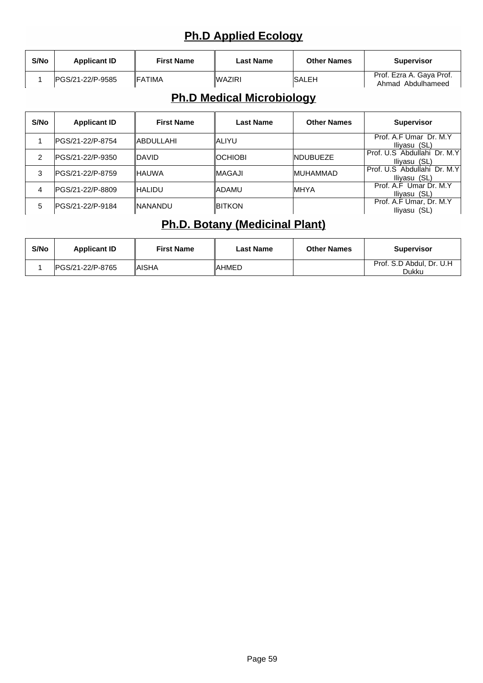## **Ph.D Applied Ecology**

| S/No | <b>Applicant ID</b>      | <b>First Name</b> | Last Name | <b>Other Names</b> | <b>Supervisor</b>                             |
|------|--------------------------|-------------------|-----------|--------------------|-----------------------------------------------|
|      | <b>IPGS/21-22/P-9585</b> | <b>IFATIMA</b>    | ∥WAZIRI   | <b>ISALEH</b>      | Prof. Ezra A. Gaya Prof.<br>Ahmad Abdulhameed |

### **Ph.D Medical Microbiology**

| S/No | <b>Applicant ID</b> | <b>First Name</b> | <b>Last Name</b> | <b>Other Names</b> | <b>Supervisor</b>                             |
|------|---------------------|-------------------|------------------|--------------------|-----------------------------------------------|
|      | IPGS/21-22/P-8754   | <b>IABDULLAHI</b> | ∥ALIYU           |                    | Prof. A.F Umar Dr. M.Y<br>Iliyasu (SL)        |
| 2    | PGS/21-22/P-9350    | IDAVID            | IOCHIOBI         | <b>INDUBUEZE</b>   | Prof. U.S. Abdullahi Dr. M.Y.<br>Iliyasu (SL) |
| 3    | IPGS/21-22/P-8759   | IHAUWA            | ∥MAGAJI          | <b>IMUHAMMAD</b>   | Prof. U.S. Abdullahi Dr. M.Y.<br>Iliyasu (SL) |
| 4    | IPGS/21-22/P-8809   | <b>IHALIDU</b>    | ∥ADAMU           | <b>IMHYA</b>       | Prof. A.F Umar Dr. M.Y<br>Iliyasu (SL)        |
| 5    | IPGS/21-22/P-9184   | INANANDU          | <b>IBITKON</b>   |                    | Prof. A.F Umar, Dr. M.Y<br>Iliyasu (SL)       |

#### **Ph.D. Botany (Medicinal Plant)**

| S/No | <b>Applicant ID</b> | <b>First Name</b> | Last Name | <b>Other Names</b> | <b>Supervisor</b>                 |
|------|---------------------|-------------------|-----------|--------------------|-----------------------------------|
|      | IPGS/21-22/P-8765   | ∥AISHA            | IAHMED    |                    | Prof. S.D Abdul, Dr. U.H<br>Dukku |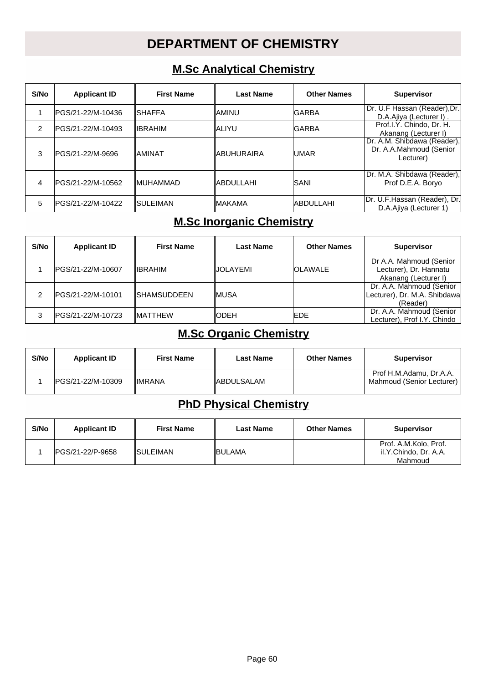## **DEPARTMENT OF CHEMISTRY**

#### **M.Sc Analytical Chemistry**

| S/No | <b>Applicant ID</b> | <b>First Name</b> | Last Name   | <b>Other Names</b> | <b>Supervisor</b>                                                   |
|------|---------------------|-------------------|-------------|--------------------|---------------------------------------------------------------------|
|      | IPGS/21-22/M-10436  | ISHAFFA           | IAMINU      | IGARBA             | Dr. U.F Hassan (Reader), Dr.<br>D.A.Aiiva (Lecturer I).             |
| 2    | IPGS/21-22/M-10493  | <b>IIBRAHIM</b>   | IALIYU      | IGARBA             | Prof.I.Y. Chindo, Dr. H.<br>Akanang (Lecturer I)                    |
| 3    | IPGS/21-22/M-9696   | IAMINAT           | IABUHURAIRA | IUMAR              | Dr. A.M. Shibdawa (Reader),<br>Dr. A.A.Mahmoud (Senior<br>Lecturer) |
| 4    | IPGS/21-22/M-10562  | <b>IMUHAMMAD</b>  | IABDULLAHI  | ISANI              | Dr. M.A. Shibdawa (Reader),<br>Prof D.E.A. Boryo                    |
| 5    | IPGS/21-22/M-10422  | ISULEIMAN         | ∥MAKAMA     | lABDULLAHI         | Dr. U.F.Hassan (Reader), Dr.<br>D.A.Ajiya (Lecturer 1)              |

#### **M.Sc Inorganic Chemistry**

| S/No | <b>Applicant ID</b> | <b>First Name</b>   | <b>Last Name</b> | <b>Other Names</b> | <b>Supervisor</b>                                                         |
|------|---------------------|---------------------|------------------|--------------------|---------------------------------------------------------------------------|
|      | IPGS/21-22/M-10607  | ∥IBRAHIM            | IJOLAYEMI        | <b>OLAWALE</b>     | Dr A.A. Mahmoud (Senior<br>Lecturer), Dr. Hannatu<br>Akanang (Lecturer I) |
| ົ    | PGS/21-22/M-10101   | <b>ISHAMSUDDEEN</b> | ∥MUSA            |                    | Dr. A.A. Mahmoud (Senior<br>Lecturer), Dr. M.A. Shibdawa<br>(Reader)      |
| 3    | IPGS/21-22/M-10723  | <b>IMATTHEW</b>     | ∥ODEH            | <b>IEDE</b>        | Dr. A.A. Mahmoud (Senior<br>Lecturer), Prof I.Y. Chindo                   |

#### **M.Sc Organic Chemistry**

| S/No | <b>Applicant ID</b> | <b>First Name</b> | <b>Last Name</b> | <b>Other Names</b> | <b>Supervisor</b>                                    |
|------|---------------------|-------------------|------------------|--------------------|------------------------------------------------------|
|      | IPGS/21-22/M-10309  | <b>IIMRANA</b>    | ∥ABDULSALAM      |                    | Prof H.M.Adamu, Dr.A.A.<br>Mahmoud (Senior Lecturer) |

#### **PhD Physical Chemistry**

| S/No | <b>Applicant ID</b> | <b>First Name</b> | <b>Last Name</b> | <b>Other Names</b> | Supervisor                                                |
|------|---------------------|-------------------|------------------|--------------------|-----------------------------------------------------------|
|      | IPGS/21-22/P-9658   | <b>ISULEIMAN</b>  | <b>IBULAMA</b>   |                    | Prof. A.M.Kolo, Prof.<br>il.Y.Chindo, Dr. A.A.<br>Mahmoud |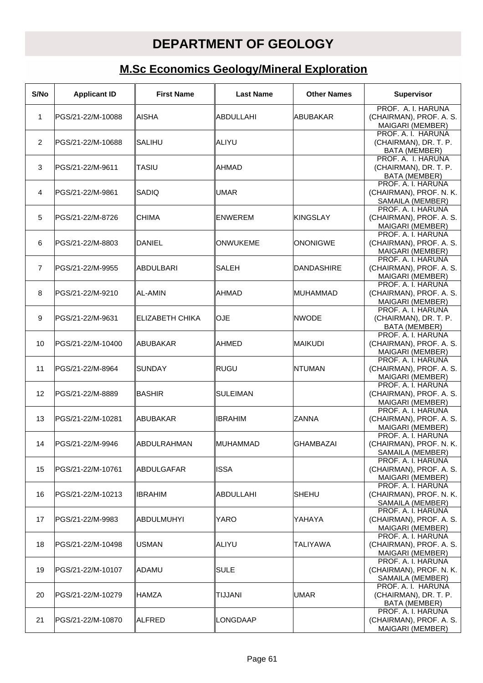### **DEPARTMENT OF GEOLOGY**

## **M.Sc Economics Geology/Mineral Exploration**

| S/No           | <b>Applicant ID</b> | <b>First Name</b> | <b>Last Name</b> | <b>Other Names</b> | <b>Supervisor</b>                                                   |
|----------------|---------------------|-------------------|------------------|--------------------|---------------------------------------------------------------------|
| 1              | PGS/21-22/M-10088   | IAISHA            | ABDULLAHI        | ABUBAKAR           | PROF. A. I. HARUNA<br>(CHAIRMAN), PROF. A. S.<br>MAIGARI (MEMBER)   |
| 2              | PGS/21-22/M-10688   | <b>SALIHU</b>     | ∣ALIYU           |                    | PROF. A. I. HARUNA<br>(CHAIRMAN), DR. T. P.<br><b>BATA (MEMBER)</b> |
| 3              | PGS/21-22/M-9611    | <b>TASIU</b>      | AHMAD            |                    | PROF. A. I. HARUNA<br>(CHAIRMAN), DR. T. P.<br>BATA (MEMBER)        |
| 4              | PGS/21-22/M-9861    | ISADIQ            | <b>UMAR</b>      |                    | PROF. A. I. HARUNA<br>(CHAIRMAN), PROF. N. K.<br>SAMAILA (MEMBER)   |
| 5              | PGS/21-22/M-8726    | <b>CHIMA</b>      | <b>ENWEREM</b>   | <b>KINGSLAY</b>    | PROF. A. I. HARUNA<br>(CHAIRMAN), PROF. A. S.<br>MAIGARI (MEMBER)   |
| 6              | PGS/21-22/M-8803    | DANIEL            | ONWUKEME         | <b>ONONIGWE</b>    | PROF. A. I. HARUNA<br>(CHAIRMAN), PROF. A. S.<br>MAIGARI (MEMBER)   |
| $\overline{7}$ | PGS/21-22/M-9955    | <b>ABDULBARI</b>  | <b>SALEH</b>     | DANDASHIRE         | PROF. A. I. HARUNA<br>(CHAIRMAN), PROF. A. S.<br>MAIGARI (MEMBER)   |
| 8              | PGS/21-22/M-9210    | AL-AMIN           | AHMAD            | <b>MUHAMMAD</b>    | PROF. A. I. HARUNA<br>(CHAIRMAN), PROF. A. S.<br>MAIGARI (MEMBER)   |
| 9              | PGS/21-22/M-9631    | ELIZABETH CHIKA   | <b>OJE</b>       | <b>INWODE</b>      | PROF. A. I. HARUNA<br>(CHAIRMAN), DR. T. P.<br>BATA (MEMBER)        |
| 10             | PGS/21-22/M-10400   | IABUBAKAR         | AHMED            | <b>MAIKUDI</b>     | PROF. A. I. HARUNA<br>(CHAIRMAN), PROF. A. S.<br>MAIGARI (MEMBER)   |
| 11             | PGS/21-22/M-8964    | ISUNDAY           | <b>RUGU</b>      | INTUMAN            | PROF. A. I. HARUNA<br>(CHAIRMAN), PROF. A. S.<br>MAIGARI (MEMBER)   |
| 12             | PGS/21-22/M-8889    | ∣BASHIR           | <b>SULEIMAN</b>  |                    | PROF. A. I. HARUNA<br>(CHAIRMAN), PROF. A. S.<br>MAIGARI (MEMBER)   |
| 13             | PGS/21-22/M-10281   | <b>ABUBAKAR</b>   | <b>IBRAHIM</b>   | <b>ZANNA</b>       | PROF. A. I. HARUNA<br>(CHAIRMAN), PROF. A. S.<br>MAIGARI (MEMBER)   |
| 14             | PGS/21-22/M-9946    | ABDULRAHMAN       | ∥MUHAMMAD        | GHAMBAZAI          | PROF. A. I. HARUNA<br>(CHAIRMAN), PROF. N. K.<br>SAMAILA (MEMBER)   |
| 15             | PGS/21-22/M-10761   | ∥ABDULGAFAR       | <b>ISSA</b>      |                    | PROF. A. I. HARUNA<br>(CHAIRMAN), PROF. A. S.<br>MAIGARI (MEMBER)   |
| 16             | PGS/21-22/M-10213   | <b>IBRAHIM</b>    | ABDULLAHI        | ISHEHU             | PROF. A. I. HARUNA<br>(CHAIRMAN), PROF. N. K.<br>SAMAILA (MEMBER)   |
| 17             | PGS/21-22/M-9983    | ABDULMUHYI        | <b>YARO</b>      | YAHAYA             | PROF. A. I. HARUNA<br>(CHAIRMAN), PROF. A. S.<br>MAIGARI (MEMBER)   |
| 18             | PGS/21-22/M-10498   | <b>USMAN</b>      | ∥ALIYU           | <b>TALIYAWA</b>    | PROF. A. I. HARUNA<br>(CHAIRMAN), PROF. A. S.<br>MAIGARI (MEMBER)   |
| 19             | PGS/21-22/M-10107   | ∣ADAMU            | <b>SULE</b>      |                    | PROF. A. I. HARUNA<br>(CHAIRMAN), PROF. N. K.<br>SAMAILA (MEMBER)   |
| 20             | PGS/21-22/M-10279   | <b>HAMZA</b>      | <b>TIJJANI</b>   | <b>UMAR</b>        | PROF. A. I. HARUNA<br>(CHAIRMAN), DR. T. P.<br>BATA (MEMBER)        |
| 21             | PGS/21-22/M-10870   | ∥ALFRED           | LONGDAAP         |                    | PROF. A. I. HARUNA<br>(CHAIRMAN), PROF. A. S.<br>MAIGARI (MEMBER)   |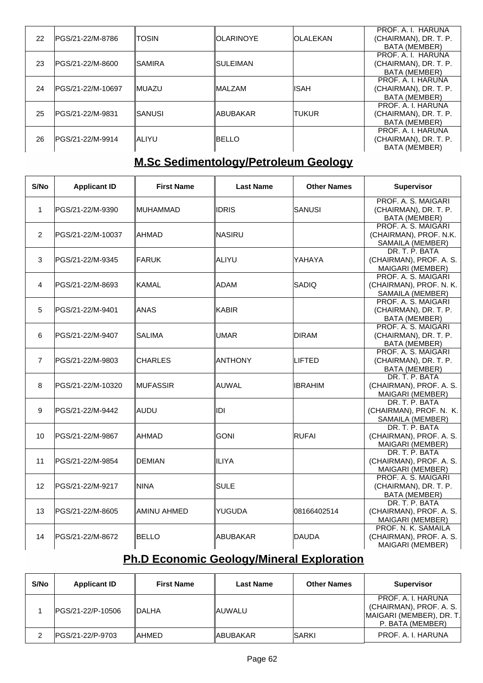| 22 | PGS/21-22/M-8786  | <b>ITOSIN</b> | <b>IOLARINOYE</b> | <b>IOLALEKAN</b> | PROF. A. I. HARUNA<br>(CHAIRMAN), DR. T. P.<br><b>BATA (MEMBER)</b> |
|----|-------------------|---------------|-------------------|------------------|---------------------------------------------------------------------|
| 23 | IPGS/21-22/M-8600 | ISAMIRA       | ∥SULEIMAN         |                  | PROF. A. I. HARUNA<br>(CHAIRMAN), DR. T. P.<br>BATA (MEMBER)        |
| 24 | PGS/21-22/M-10697 | <b>IMUAZU</b> | <b>IMALZAM</b>    | <b>IISAH</b>     | PROF. A. I. HARUNA<br>(CHAIRMAN), DR. T. P.<br><b>BATA (MEMBER)</b> |
| 25 | IPGS/21-22/M-9831 | ISANUSI       | ∥ABUBAKAR         | <b>TUKUR</b>     | PROF. A. I. HARUNA<br>(CHAIRMAN), DR. T. P.<br><b>BATA (MEMBER)</b> |
| 26 | IPGS/21-22/M-9914 | IALIYU        | IBELLO            |                  | PROF. A. I. HARUNA<br>(CHAIRMAN), DR. T. P.<br><b>BATA (MEMBER)</b> |

### **M.Sc Sedimentology/Petroleum Geology**

| S/No           | <b>Applicant ID</b> | <b>First Name</b> | <b>Last Name</b> | <b>Other Names</b> | <b>Supervisor</b>                                                    |
|----------------|---------------------|-------------------|------------------|--------------------|----------------------------------------------------------------------|
| $\mathbf{1}$   | PGS/21-22/M-9390    | IMUHAMMAD         | <b>IDRIS</b>     | SANUSI             | PROF. A. S. MAIGARI<br>(CHAIRMAN), DR. T. P.<br><b>BATA (MEMBER)</b> |
| $\overline{2}$ | lPGS/21-22/M-10037  | AHMAD             | NASIRU           |                    | PROF. A. S. MAIGARI<br>(CHAIRMAN), PROF. N.K.<br>SAMAILA (MEMBER)    |
| 3              | lPGS/21-22/M-9345   | <b>FARUK</b>      | IALIYU           | YAHAYA             | DR. T. P. BATA<br>(CHAIRMAN), PROF. A. S.<br>MAIGARI (MEMBER)        |
| 4              | IPGS/21-22/M-8693   | IKAMAL            | ADAM             | <b>SADIQ</b>       | PROF. A. S. MAIGARI<br>(CHAIRMAN), PROF. N. K.<br>SAMAILA (MEMBER)   |
| 5              | lPGS/21-22/M-9401   | <b>ANAS</b>       | KABIR            |                    | PROF. A. S. MAIGARI<br>(CHAIRMAN), DR. T. P.<br><b>BATA (MEMBER)</b> |
| 6              | PGS/21-22/M-9407    | SALIMA            | <b>UMAR</b>      | <b>DIRAM</b>       | PROF. A. S. MAIGARI<br>(CHAIRMAN), DR. T. P.<br><b>BATA (MEMBER)</b> |
| $\overline{7}$ | PGS/21-22/M-9803    | <b>CHARLES</b>    | <b>ANTHONY</b>   | LIFTED             | PROF. A. S. MAIGARI<br>(CHAIRMAN), DR. T. P.<br><b>BATA (MEMBER)</b> |
| 8              | PGS/21-22/M-10320   | IMUFASSIR         | lauwal           | IBRAHIM            | DR. T. P. BATA<br>(CHAIRMAN), PROF. A. S.<br>MAIGARI (MEMBER)        |
| 9              | IPGS/21-22/M-9442   | laudu             | IDI              |                    | DR. T. P. BATA<br>(CHAIRMAN), PROF. N. K.<br>SAMAILA (MEMBER)        |
| 10             | PGS/21-22/M-9867    | AHMAD             | <b>GONI</b>      | <b>RUFAI</b>       | DR. T. P. BATA<br>(CHAIRMAN), PROF. A. S.<br>MAIGARI (MEMBER)        |
| 11             | PGS/21-22/M-9854    | <b>DEMIAN</b>     | <b>ILIYA</b>     |                    | DR. T. P. BATA<br>(CHAIRMAN), PROF. A. S.<br>MAIGARI (MEMBER)        |
| 12             | PGS/21-22/M-9217    | ININA             | SULE             |                    | PROF. A. S. MAIGARI<br>(CHAIRMAN), DR. T. P.<br>BATA (MEMBER)        |
| 13             | IPGS/21-22/M-8605   | IAMINU AHMED      | YUGUDA           | 08166402514        | DR. T. P. BATA<br>(CHAIRMAN), PROF. A. S.<br>MAIGARI (MEMBER)        |
| 14             | PGS/21-22/M-8672    | <b>BELLO</b>      | ABUBAKAR         | <b>DAUDA</b>       | PROF. N. K. SAMAILA<br>(CHAIRMAN), PROF. A. S.<br>MAIGARI (MEMBER)   |

# **Ph.D Economic Geology/Mineral Exploration**

| S/No | <b>Applicant ID</b> | <b>First Name</b> | <b>Last Name</b> | <b>Other Names</b> | <b>Supervisor</b>                                                                                |
|------|---------------------|-------------------|------------------|--------------------|--------------------------------------------------------------------------------------------------|
|      | IPGS/21-22/P-10506  | <b>IDALHA</b>     | <b>IAUWALU</b>   |                    | PROF. A. I. HARUNA<br>$(CHAIRMAN)$ , PROF. A. S.<br>MAIGARI (MEMBER), DR. T.<br>P. BATA (MEMBER) |
|      | IPGS/21-22/P-9703   | ∥AHMED            | ∥ABUBAKAR        | <b>ISARKI</b>      | PROF. A. I. HARUNA                                                                               |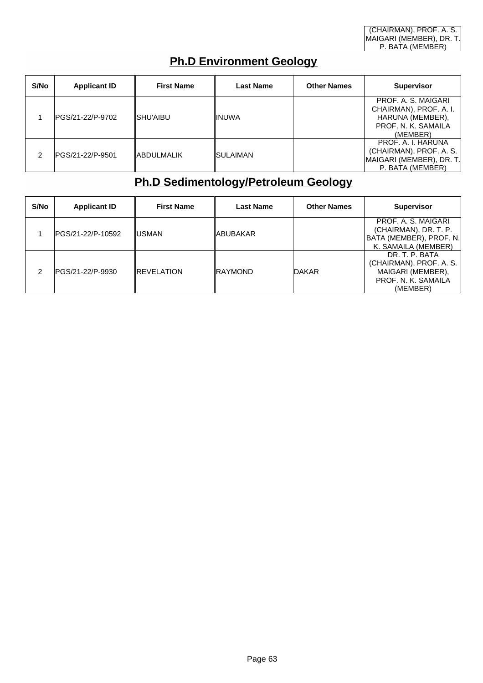#### **Ph.D Environment Geology**

| S/No | <b>Applicant ID</b> | <b>First Name</b>  | <b>Last Name</b> | <b>Other Names</b> | <b>Supervisor</b>                                                                                    |
|------|---------------------|--------------------|------------------|--------------------|------------------------------------------------------------------------------------------------------|
|      | IPGS/21-22/P-9702   | ISHU'AIBU          | <b>IINUWA</b>    |                    | PROF. A. S. MAIGARI<br>CHAIRMAN), PROF. A. I.<br>HARUNA (MEMBER),<br>PROF. N. K. SAMAILA<br>(MEMBER) |
|      | IPGS/21-22/P-9501   | <b>IABDULMALIK</b> | ISULAIMAN        |                    | PROF. A. I. HARUNA<br>(CHAIRMAN), PROF. A. S.<br>MAIGARI (MEMBER), DR. T.<br>P. BATA (MEMBER)        |

#### **Ph.D Sedimentology/Petroleum Geology**

| S/No | <b>Applicant ID</b> | <b>First Name</b>  | <b>Last Name</b> | <b>Other Names</b> | <b>Supervisor</b>                                                                                 |
|------|---------------------|--------------------|------------------|--------------------|---------------------------------------------------------------------------------------------------|
|      | IPGS/21-22/P-10592  | ∥USMAN             | ∥ABUBAKAR        |                    | PROF. A. S. MAIGARI<br>(CHAIRMAN), DR. T. P.<br>BATA (MEMBER), PROF. N.<br>K. SAMAILA (MEMBER)    |
|      | PGS/21-22/P-9930    | <b>IREVELATION</b> | <b>IRAYMOND</b>  | <b>DAKAR</b>       | DR. T. P. BATA<br>(CHAIRMAN), PROF. A. S.<br>MAIGARI (MEMBER),<br>PROF. N. K. SAMAILA<br>(MEMBER) |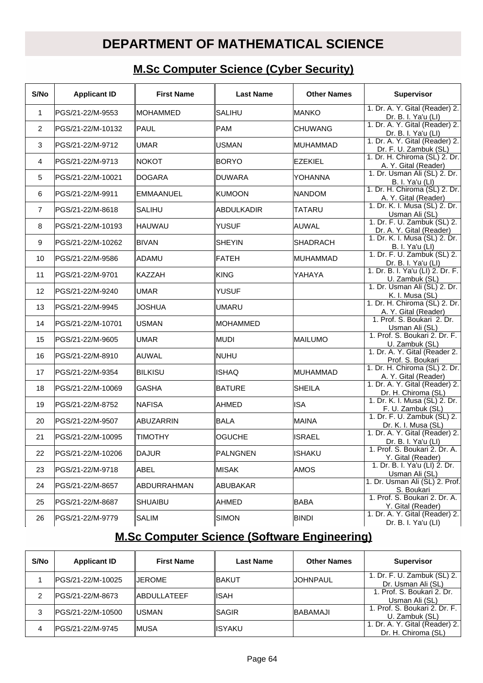### **DEPARTMENT OF MATHEMATICAL SCIENCE**

#### **M.Sc Computer Science (Cyber Security)**

| S/No           | <b>Applicant ID</b> | <b>First Name</b> | <b>Last Name</b> | <b>Other Names</b> | <b>Supervisor</b>                                       |
|----------------|---------------------|-------------------|------------------|--------------------|---------------------------------------------------------|
| 1              | PGS/21-22/M-9553    | <b>IMOHAMMED</b>  | <b>SALIHU</b>    | <b>MANKO</b>       | 1. Dr. A. Y. Gital (Reader) 2.<br>Dr. B. I. Ya'u (LI)   |
| $\overline{2}$ | IPGS/21-22/M-10132  | <b>IPAUL</b>      | <b>PAM</b>       | <b>ICHUWANG</b>    | 1. Dr. A. Y. Gital (Reader) 2.<br>Dr. B. I. Ya'u (LI)   |
| 3              | PGS/21-22/M-9712    | <b>UMAR</b>       | <b>IUSMAN</b>    | <b>MUHAMMAD</b>    | 1. Dr. A. Y. Gital (Reader) 2.<br>Dr. F. U. Zambuk (SL) |
| 4              | PGS/21-22/M-9713    | INOKOT            | <b>BORYO</b>     | EZEKIEL            | 1. Dr. H. Chiroma (SL) 2. Dr.<br>A. Y. Gital (Reader)   |
| 5              | lPGS/21-22/M-10021  | <b>DOGARA</b>     | DUWARA           | lyohanna           | 1. Dr. Usman Ali (SL) 2. Dr.<br><b>B. I. Ya'u (LI)</b>  |
| 6              | PGS/21-22/M-9911    | <b>EMMAANUEL</b>  | <b>IKUMOON</b>   | <b>NANDOM</b>      | 1. Dr. H. Chiroma (SL) 2. Dr.<br>A. Y. Gital (Reader)   |
| $\overline{7}$ | PGS/21-22/M-8618    | <b>SALIHU</b>     | ABDULKADIR       | <b>TATARU</b>      | 1. Dr. K. I. Musa (SL) 2. Dr.<br>Usman Ali (SL)         |
| 8              | PGS/21-22/M-10193   | ∥HAUWAU           | ∥YUSUF           | <b>AUWAL</b>       | 1. Dr. F. U. Zambuk (SL) 2.<br>Dr. A. Y. Gital (Reader) |
| 9              | PGS/21-22/M-10262   | BIVAN             | <b>SHEYIN</b>    | ISHADRACH          | 1. Dr. K. I. Musa (SL) 2. Dr.<br><b>B. I. Ya'u (LI)</b> |
| 10             | PGS/21-22/M-9586    | ADAMU             | FATEH            | <b>MUHAMMAD</b>    | 1. Dr. F. U. Zambuk (SL) 2.<br>Dr. B. I. Ya'u (LI)      |
| 11             | PGS/21-22/M-9701    | ∥KAZZAH           | ∣KING            | YAHAYA             | 1. Dr. B. I. Ya'u (LI) 2. Dr. F.<br>U. Zambuk (SL)      |
| 12             | PGS/21-22/M-9240    | <b>UMAR</b>       | <b>YUSUF</b>     |                    | 1. Dr. Usman Ali (SL) 2. Dr.<br>K. I. Musa (SL)         |
| 13             | PGS/21-22/M-9945    | <b>JOSHUA</b>     | UMARU            |                    | 1. Dr. H. Chiroma (SL) 2. Dr.<br>A. Y. Gital (Reader)   |
| 14             | PGS/21-22/M-10701   | USMAN             | ∥MOHAMMED        |                    | 1. Prof. S. Boukari 2. Dr.<br>Usman Ali (SL)            |
| 15             | PGS/21-22/M-9605    | <b>UMAR</b>       | ∥MUDI            | <b>MAILUMO</b>     | 1. Prof. S. Boukari 2. Dr. F.<br>U. Zambuk (SL)         |
| 16             | PGS/21-22/M-8910    | lauwal            | Inuhu            |                    | 1. Dr. A. Y. Gital (Reader 2.<br>Prof. S. Boukari       |
| 17             | PGS/21-22/M-9354    | ∥BILKISU          | <b>ISHAQ</b>     | MUHAMMAD           | 1. Dr. H. Chiroma (SL) 2. Dr.<br>A. Y. Gital (Reader)   |
| 18             | PGS/21-22/M-10069   | <b>GASHA</b>      | ∥BATURE          | <b>SHEILA</b>      | 1. Dr. A. Y. Gital (Reader) 2.<br>Dr. H. Chiroma (SL)   |
| 19             | PGS/21-22/M-8752    | INAFISA           | <b>AHMED</b>     | <b>ISA</b>         | 1. Dr. K. I. Musa (SL) 2. Dr.<br>F. U. Zambuk (SL)      |
| 20             | PGS/21-22/M-9507    | ABUZARRIN         | ∥BALA            | <b>MAINA</b>       | 1. Dr. F. U. Zambuk (SL) 2.<br>Dr. K. I. Musa (SL)      |
| 21             | PGS/21-22/M-10095   | <b>TIMOTHY</b>    | <b>OGUCHE</b>    | <b>ISRAEL</b>      | 1. Dr. A. Y. Gital (Reader) 2.<br>Dr. B. I. Ya'u (LI)   |
| 22             | PGS/21-22/M-10206   | ∥DAJUR            | ∥PALNGNEN        | <b>ISHAKU</b>      | 1. Prof. S. Boukari 2. Dr. A.<br>Y. Gital (Reader)      |
| 23             | PGS/21-22/M-9718    | ∥ABEL             | ∥MISAK           | <b>AMOS</b>        | 1. Dr. B. I. Ya'u (LI) 2. Dr.<br>Usman Ali (SL)         |
| 24             | PGS/21-22/M-8657    | ∥ABDURRAHMAN      | ∥ABUBAKAR        |                    | 1. Dr. Usman Ali (SL) 2. Prof.<br>S. Boukari            |
| 25             | PGS/21-22/M-8687    | <b>SHUAIBU</b>    | ∥AHMED           | <b>BABA</b>        | 1. Prof. S. Boukari 2. Dr. A.<br>Y. Gital (Reader)      |
| 26             | PGS/21-22/M-9779    | ∥SALIM            | ∣SIMON           | <b>BINDI</b>       | 1. Dr. A. Y. Gital (Reader) 2.<br>Dr. B. I. Ya'u (LI)   |

#### **M.Sc Computer Science (Software Engineering)**

| S/No | <b>Applicant ID</b> | <b>First Name</b>   | Last Name | <b>Other Names</b> | <b>Supervisor</b>                                     |
|------|---------------------|---------------------|-----------|--------------------|-------------------------------------------------------|
|      | IPGS/21-22/M-10025  | <b>IJEROME</b>      | ∥BAKUT    | <b>JOHNPAUL</b>    | 1. Dr. F. U. Zambuk (SL) 2.<br>Dr. Usman Ali (SL)     |
|      | IPGS/21-22/M-8673   | <b>IABDULLATEEF</b> | ∥ISAH     |                    | 1. Prof. S. Boukari 2. Dr.<br>Usman Ali (SL)          |
| 3    | PGS/21-22/M-10500   | ∥USMAN              | ISAGIR    | <b>BABAMAJI</b>    | 1. Prof. S. Boukari 2. Dr. F.  <br>U. Zambuk (SL)     |
| 4    | IPGS/21-22/M-9745   | IMUSA               | ∥ISYAKU   |                    | 1. Dr. A. Y. Gital (Reader) 2.<br>Dr. H. Chiroma (SL) |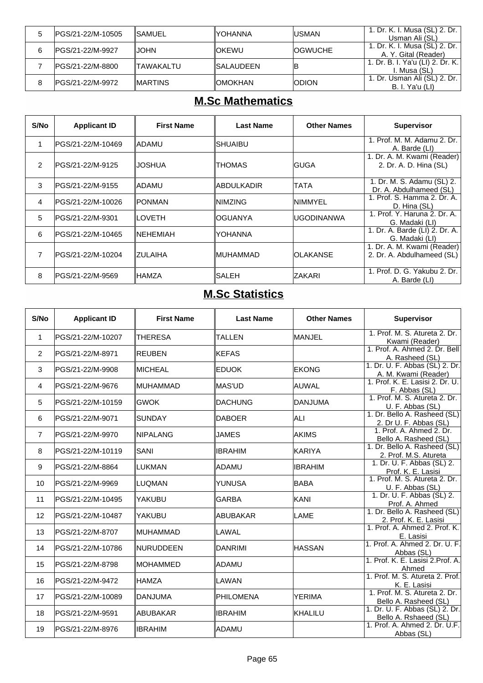|   | IPGS/21-22/M-10505 | <b>ISAMUEL</b>  | IYOHANNA          | <b>IUSMAN</b>   | 1. Dr. K. I. Musa (SL) 2. Dr.<br>Usman Ali (SL)        |
|---|--------------------|-----------------|-------------------|-----------------|--------------------------------------------------------|
| 6 | IPGS/21-22/M-9927  | <b>IJOHN</b>    | <b>IOKEWU</b>     | <b>IOGWUCHE</b> | 1. Dr. K. I. Musa (SL) 2. Dr.<br>A. Y. Gital (Reader)  |
|   | IPGS/21-22/M-8800  | ITAWAKALTU      | <b>ISALAUDEEN</b> | ΙB              | 1. Dr. B. I. Ya'u (LI) 2. Dr. K.<br>I. Musa (SL)       |
| 8 | IPGS/21-22/M-9972  | <b>IMARTINS</b> | <b>IOMOKHAN</b>   | <b>IODION</b>   | 1. Dr. Usman Ali (SL) 2. Dr.<br><b>B. I. Ya'u (LI)</b> |

# **M.Sc Mathematics**

| S/No           | <b>Applicant ID</b> | <b>First Name</b> | <b>Last Name</b> | <b>Other Names</b> | <b>Supervisor</b>                                         |
|----------------|---------------------|-------------------|------------------|--------------------|-----------------------------------------------------------|
| 1              | lPGS/21-22/M-10469  | IADAMU            | SHUAIBU          |                    | 1. Prof. M. M. Adamu 2. Dr.<br>A. Barde (LI)              |
| $\overline{2}$ | IPGS/21-22/M-9125   | JOSHUA            | THOMAS           | IGUGA              | 1. Dr. A. M. Kwami (Reader)<br>2. Dr. A. D. Hina (SL)     |
| 3              | IPGS/21-22/M-9155   | ladamu            | IABDULKADIR      | <b>TATA</b>        | 1. Dr. M. S. Adamu (SL) 2.<br>Dr. A. Abdulhameed (SL)     |
| $\overline{4}$ | PGS/21-22/M-10026   | IPONMAN           | <b>NIMZING</b>   | <b>INIMMYEL</b>    | 1. Prof. S. Hamma 2. Dr. A.<br>D. Hina (SL)               |
| 5              | IPGS/21-22/M-9301   | <b>LOVETH</b>     | OGUANYA          | IUGODINANWA        | 1. Prof. Y. Haruna 2. Dr. A.<br>G. Madaki (LI)            |
| 6              | IPGS/21-22/M-10465  | ∥NEHEMIAH         | YOHANNA          |                    | 1. Dr. A. Barde (LI) 2. Dr. A.<br>G. Madaki (LI)          |
| 7              | IPGS/21-22/M-10204  | <b>ZULAIHA</b>    | <b>IMUHAMMAD</b> | IOLAKANSE          | 1. Dr. A. M. Kwami (Reader)<br>2. Dr. A. Abdulhameed (SL) |
| 8              | IPGS/21-22/M-9569   | ∥HAMZA            | ISALEH           | IZAKARI            | 1. Prof. D. G. Yakubu 2. Dr.<br>A. Barde (LI)             |

#### **M.Sc Statistics**

| S/No           | <b>Applicant ID</b> | <b>First Name</b> | <b>Last Name</b> | <b>Other Names</b> | <b>Supervisor</b>                                       |
|----------------|---------------------|-------------------|------------------|--------------------|---------------------------------------------------------|
| $\mathbf{1}$   | PGS/21-22/M-10207   | <b>THERESA</b>    | <b>TALLEN</b>    | MANJEL             | 1. Prof. M. S. Atureta 2. Dr.<br>Kwami (Reader)         |
| 2              | PGS/21-22/M-8971    | <b>REUBEN</b>     | <b>KEFAS</b>     |                    | 1. Prof. A. Ahmed 2. Dr. Bell<br>A. Rasheed (SL)        |
| 3              | PGS/21-22/M-9908    | <b>MICHEAL</b>    | <b>EDUOK</b>     | <b>EKONG</b>       | 1. Dr. U. F. Abbas (SL) 2. Dr.<br>A. M. Kwami (Reader)  |
| $\overline{4}$ | PGS/21-22/M-9676    | ∥MUHAMMAD         | MAS'UD           | AUWAL              | 1. Prof. K. E. Lasisi 2. Dr. U.<br>F. Abbas (SL)        |
| 5              | PGS/21-22/M-10159   | <b>GWOK</b>       | <b>DACHUNG</b>   | <b>DANJUMA</b>     | 1. Prof. M. S. Atureta 2. Dr.<br>U. F. Abbas (SL)       |
| 6              | PGS/21-22/M-9071    | <b>SUNDAY</b>     | <b>DABOER</b>    | ALI                | 1. Dr. Bello A. Rasheed (SL)<br>2. Dr U. F. Abbas (SL)  |
| $\overline{7}$ | PGS/21-22/M-9970    | <b>INIPALANG</b>  | JAMES            | <b>AKIMS</b>       | 1. Prof. A. Ahmed 2. Dr.<br>Bello A. Rasheed (SL)       |
| 8              | PGS/21-22/M-10119   | SANI              | <b>IBRAHIM</b>   | KARIYA             | 1. Dr. Bello A. Rasheed (SL)<br>2. Prof. M.S. Atureta   |
| 9              | PGS/21-22/M-8864    | LUKMAN            | <b>ADAMU</b>     | <b>IBRAHIM</b>     | 1. Dr. U. F. Abbas (SL) 2.<br>Prof. K. E. Lasisi        |
| 10             | PGS/21-22/M-9969    | LUQMAN            | <b>YUNUSA</b>    | <b>BABA</b>        | 1. Prof. M. S. Atureta 2. Dr.<br>U. F. Abbas (SL)       |
| 11             | PGS/21-22/M-10495   | YAKUBU            | <b>GARBA</b>     | KANI               | 1. Dr. U. F. Abbas (SL) 2.<br>Prof. A. Ahmed            |
| 12             | PGS/21-22/M-10487   | YAKUBU            | ABUBAKAR         | LAME               | 1. Dr. Bello A. Rasheed (SL)<br>2. Prof. K. E. Lasisi   |
| 13             | PGS/21-22/M-8707    | <b>MUHAMMAD</b>   | LAWAL            |                    | 1. Prof. A. Ahmed 2. Prof. K.<br>E. Lasisi              |
| 14             | PGS/21-22/M-10786   | ∥NURUDDEEN        | DANRIMI          | <b>HASSAN</b>      | 1. Prof. A. Ahmed 2. Dr. U. F.<br>Abbas (SL)            |
| 15             | PGS/21-22/M-8798    | <b>IMOHAMMED</b>  | <b>ADAMU</b>     |                    | 1. Prof. K. E. Lasisi 2. Prof. A.<br>Ahmed              |
| 16             | PGS/21-22/M-9472    | HAMZA             | LAWAN            |                    | 1. Prof. M. S. Atureta 2. Prof.<br>K. E. Lasisi         |
| 17             | PGS/21-22/M-10089   | DANJUMA           | PHILOMENA        | <b>YERIMA</b>      | 1. Prof. M. S. Atureta 2. Dr.<br>Bello A. Rasheed (SL)  |
| 18             | PGS/21-22/M-9591    | <b>ABUBAKAR</b>   | <b>IBRAHIM</b>   | <b>KHALILU</b>     | 1. Dr. U. F. Abbas (SL) 2. Dr.<br>Bello A. Rshaeed (SL) |
| 19             | PGS/21-22/M-8976    | <b>IBRAHIM</b>    | ADAMU            |                    | 1. Prof. A. Ahmed 2. Dr. U.F.<br>Abbas (SL)             |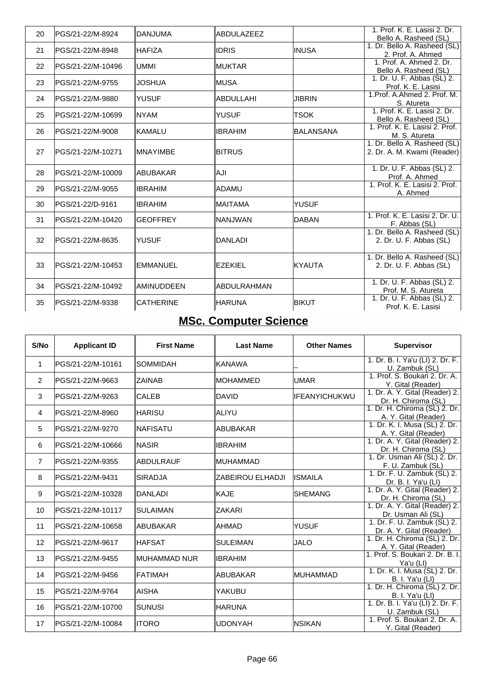| 20 | lPGS/21-22/M-8924  | ∥DANJUMA          | <b>ABDULAZEEZ</b>  |                  | 1. Prof. K. E. Lasisi 2. Dr.<br>Bello A. Rasheed (SL)       |
|----|--------------------|-------------------|--------------------|------------------|-------------------------------------------------------------|
| 21 | PGS/21-22/M-8948   | <b>IHAFIZA</b>    | <b>IDRIS</b>       | <b>IINUSA</b>    | 1. Dr. Bello A. Rasheed (SL)<br>2. Prof. A. Ahmed           |
| 22 | PGS/21-22/M-10496  | IUMMI             | <b>MUKTAR</b>      |                  | 1. Prof. A. Ahmed 2. Dr.<br>Bello A. Rasheed (SL)           |
| 23 | PGS/21-22/M-9755   | IJOSHUA           | MUSA               |                  | 1. Dr. U. F. Abbas (SL) 2.<br>Prof. K. E. Lasisi            |
| 24 | lPGS/21-22/M-9880  | IYUSUF            | <b>ABDULLAHI</b>   | <b>JIBRIN</b>    | 1. Prof. A. Ahmed 2. Prof. M.<br>S. Atureta                 |
| 25 | lPGS/21-22/M-10699 | INYAM             | <b>YUSUF</b>       | <b>TSOK</b>      | 1. Prof. K. E. Lasisi 2. Dr.<br>Bello A. Rasheed (SL)       |
| 26 | PGS/21-22/M-9008   | ∥KAMALU           | <b>IBRAHIM</b>     | <b>BALANSANA</b> | 1. Prof. K. E. Lasisi 2. Prof.<br>M. S. Atureta             |
| 27 | IPGS/21-22/M-10271 | <b>IMNAYIMBE</b>  | <b>BITRUS</b>      |                  | 1. Dr. Bello A. Rasheed (SL)<br>2. Dr. A. M. Kwami (Reader) |
| 28 | PGS/21-22/M-10009  | ∥ABUBAKAR         | llAJI              |                  | 1. Dr. U. F. Abbas (SL) 2.<br>Prof. A. Ahmed                |
| 29 | PGS/21-22/M-9055   | <b>IIBRAHIM</b>   | ∥ADAMU             |                  | 1. Prof. K. E. Lasisi 2. Prof.<br>A. Ahmed                  |
| 30 | lPGS/21-22/D-9161  | IIBRAHIM          | IMAITAMA           | <b>YUSUF</b>     |                                                             |
| 31 | PGS/21-22/M-10420  | <b>GEOFFREY</b>   | NANJWAN            | <b>DABAN</b>     | 1. Prof. K. E. Lasisi 2. Dr. U.<br>F. Abbas (SL)            |
| 32 | PGS/21-22/M-8635   | IYUSUF            | <b>DANLADI</b>     |                  | 1. Dr. Bello A. Rasheed (SL)<br>2. Dr. U. F. Abbas (SL)     |
| 33 | PGS/21-22/M-10453  | ∥EMMANUEL         | <b>EZEKIEL</b>     | <b>KYAUTA</b>    | 1. Dr. Bello A. Rasheed (SL)<br>2. Dr. U. F. Abbas (SL)     |
| 34 | PGS/21-22/M-10492  | <b>AMINUDDEEN</b> | <b>ABDULRAHMAN</b> |                  | 1. Dr. U. F. Abbas (SL) 2.<br>Prof. M. S. Atureta           |
| 35 | PGS/21-22/M-9338   | <b>CATHERINE</b>  | <b>HARUNA</b>      | <b>BIKUT</b>     | 1. Dr. U. F. Abbas (SL) 2.<br>Prof. K. E. Lasisi            |

# **MSc. Computer Science**

| S/No           | <b>Applicant ID</b> | <b>First Name</b> | <b>Last Name</b>        | <b>Other Names</b> | <b>Supervisor</b>                                       |
|----------------|---------------------|-------------------|-------------------------|--------------------|---------------------------------------------------------|
| $\mathbf 1$    | PGS/21-22/M-10161   | <b>SOMMIDAH</b>   | ∥KANAWA                 |                    | 1. Dr. B. I. Ya'u (LI) 2. Dr. F.<br>U. Zambuk (SL)      |
| 2              | PGS/21-22/M-9663    | <b>ZAINAB</b>     | <b>IMOHAMMED</b>        | <b>UMAR</b>        | 1. Prof. S. Boukari 2. Dr. A.<br>Y. Gital (Reader)      |
| 3              | PGS/21-22/M-9263    | <b>CALEB</b>      | DAVID                   | IFEANYICHUKWU      | 1. Dr. A. Y. Gital (Reader) 2.<br>Dr. H. Chiroma (SL)   |
| $\overline{4}$ | IPGS/21-22/M-8960   | ∥HARISU           | ∥ALIYU                  |                    | 1. Dr. H. Chiroma (SL) 2. Dr.<br>A. Y. Gital (Reader)   |
| 5              | IPGS/21-22/M-9270   | ∥NAFISATU         | ∥ABUBAKAR               |                    | 1. Dr. K. I. Musa (SL) 2. Dr.<br>A. Y. Gital (Reader)   |
| 6              | PGS/21-22/M-10666   | INASIR            | ∥IBRAHIM                |                    | 1. Dr. A. Y. Gital (Reader) 2.<br>Dr. H. Chiroma (SL)   |
| $\overline{7}$ | IPGS/21-22/M-9355   | <b>ABDULRAUF</b>  | ∥MUHAMMAD               |                    | 1. Dr. Usman Ali (SL) 2. Dr.<br>F. U. Zambuk (SL)       |
| 8              | PGS/21-22/M-9431    | <b>SIRADJA</b>    | <b>ZABEIROU ELHADJI</b> | <b>ISMAILA</b>     | 1. Dr. F. U. Zambuk (SL) 2.<br>Dr. B. I. Ya'u (LI)      |
| 9              | PGS/21-22/M-10328   | DANLADI           | ∥KAJE                   | ISHEMANG           | 1. Dr. A. Y. Gital (Reader) 2.<br>Dr. H. Chiroma (SL)   |
| 10             | PGS/21-22/M-10117   | <b>SULAIMAN</b>   | <b>IZAKARI</b>          |                    | 1. Dr. A. Y. Gital (Reader) 2.<br>Dr. Usman Ali (SL)    |
| 11             | PGS/21-22/M-10658   | ∥ABUBAKAR         | ∥AHMAD                  | <b>YUSUF</b>       | 1. Dr. F. U. Zambuk (SL) 2.<br>Dr. A. Y. Gital (Reader) |
| 12             | PGS/21-22/M-9617    | ∥HAFSAT           | ISULEIMAN               | <b>JALO</b>        | 1. Dr. H. Chiroma (SL) 2. Dr.<br>A. Y. Gital (Reader)   |
| 13             | PGS/21-22/M-9455    | ∥MUHAMMAD NUR     | ∥IBRAHIM                |                    | 1. Prof. S. Boukari 2. Dr. B. I.<br>Ya'u (LI)           |
| 14             | PGS/21-22/M-9456    | <b>IFATIMAH</b>   | ∥ABUBAKAR               | <b>MUHAMMAD</b>    | 1. Dr. K. I. Musa (SL) 2. Dr.<br>B. I. Ya'u (LI)        |
| 15             | PGS/21-22/M-9764    | ∥AISHA            | lyakubu                 |                    | 1. Dr. H. Chiroma (SL) 2. Dr.<br><b>B. I. Ya'u (LI)</b> |
| 16             | PGS/21-22/M-10700   | <b>SUNUSI</b>     | ∥HARUNA                 |                    | 1. Dr. B. I. Ya'u (LI) 2. Dr. F.<br>U. Zambuk (SL)      |
| 17             | PGS/21-22/M-10084   | ∥ITORO            | ∥UDONYAH                | <b>NSIKAN</b>      | 1. Prof. S. Boukari 2. Dr. A.<br>Y. Gital (Reader)      |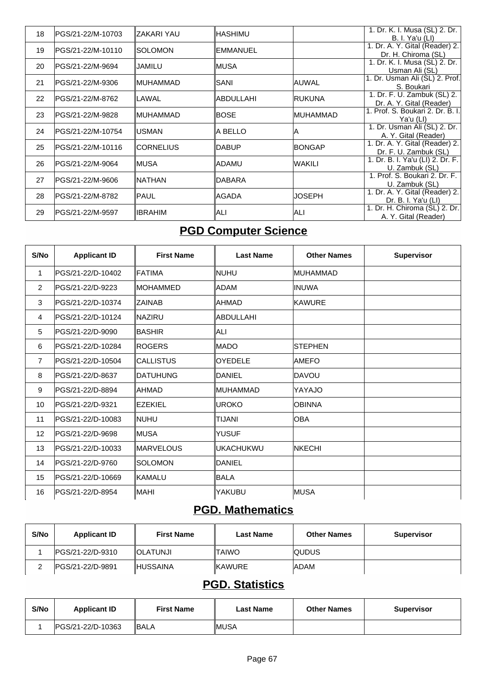| 18 | IPGS/21-22/M-10703 | IZAKARI YAU    | ∥HASHIMU   |                  | 1. Dr. K. I. Musa (SL) 2. Dr.                                |
|----|--------------------|----------------|------------|------------------|--------------------------------------------------------------|
|    |                    |                |            |                  | <b>B. I. Ya'u (LI)</b><br>1. Dr. A. Y. Gital (Reader) 2.     |
| 19 | IPGS/21-22/M-10110 | ISOLOMON       | IEMMANUEL  |                  | Dr. H. Chiroma (SL)                                          |
| 20 | IPGS/21-22/M-9694  | JAMILU         | ∥MUSA      |                  | 1. Dr. K. I. Musa (SL) 2. Dr.                                |
|    |                    |                |            |                  | Usman Ali (SL)                                               |
| 21 | PGS/21-22/M-9306   | ∥MUHAMMAD      | ISANI      | AUWAL            | 1. Dr. Usman Ali (SL) 2. Prof.                               |
|    |                    |                |            |                  | S. Boukari                                                   |
| 22 | lPGS/21-22/M-8762  | <b>LAWAL</b>   | ∥ABDULLAHI | <b>IRUKUNA</b>   | 1. Dr. F. U. Zambuk (SL) 2.                                  |
|    |                    |                |            |                  | Dr. A. Y. Gital (Reader)<br>1. Prof. S. Boukari 2. Dr. B. I. |
| 23 | IPGS/21-22/M-9828  | ∥MUHAMMAD      | IBOSE      | <b>IMUHAMMAD</b> | Ya'u (LI)                                                    |
|    |                    |                |            |                  | 1. Dr. Usman Ali (SL) 2. Dr.                                 |
| 24 | IPGS/21-22/M-10754 | <b>USMAN</b>   | la bello   | İΑ               | A. Y. Gital (Reader)                                         |
| 25 | IPGS/21-22/M-10116 | ∥CORNELIUS     | ∥DABUP     | <b>BONGAP</b>    | 1. Dr. A. Y. Gital (Reader) 2.                               |
|    |                    |                |            |                  | Dr. F. U. Zambuk (SL)                                        |
| 26 | IPGS/21-22/M-9064  | ∥MUSA          | ∥ADAMU     | <b>WAKILI</b>    | 1. Dr. B. I. Ya'u (LI) 2. Dr. F.                             |
|    |                    |                |            |                  | U. Zambuk (SL)                                               |
| 27 | IPGS/21-22/M-9606  | INATHAN        | ∥DABARA    |                  | 1. Prof. S. Boukari 2. Dr. F.                                |
|    |                    |                |            |                  | U. Zambuk (SL)<br>1. Dr. A. Y. Gital (Reader) 2.             |
| 28 | IPGS/21-22/M-8782  | ∥PAUL          | ∥AGADA     | IJOSEPH          | Dr. B. I. Ya'u (LI)                                          |
|    |                    |                |            |                  | 1. Dr. H. Chiroma (SL) 2. Dr.                                |
| 29 | IPGS/21-22/M-9597  | <b>IBRAHIM</b> | ∥ALI       | <b>ALI</b>       | A. Y. Gital (Reader)                                         |
|    |                    |                |            |                  |                                                              |

# **PGD Computer Science**

| S/No           | <b>Applicant ID</b> | <b>First Name</b> | <b>Last Name</b> | <b>Other Names</b> | <b>Supervisor</b> |
|----------------|---------------------|-------------------|------------------|--------------------|-------------------|
| $\mathbf{1}$   | PGS/21-22/D-10402   | ∥FATIMA           | <b>NUHU</b>      | MUHAMMAD           |                   |
| $\overline{2}$ | PGS/21-22/D-9223    | IMOHAMMED         | ADAM             | <b>INUWA</b>       |                   |
| 3              | PGS/21-22/D-10374   | <b>IZAINAB</b>    | AHMAD            | <b>KAWURE</b>      |                   |
| 4              | lPGS/21-22/D-10124  | INAZIRU           | <b>ABDULLAHI</b> |                    |                   |
| 5              | PGS/21-22/D-9090    | <b>BASHIR</b>     | ALI              |                    |                   |
| 6              | PGS/21-22/D-10284   | <b>ROGERS</b>     | MADO             | <b>STEPHEN</b>     |                   |
| $\overline{7}$ | PGS/21-22/D-10504   | ICALLISTUS        | <b>OYEDELE</b>   | <b>AMEFO</b>       |                   |
| 8              | PGS/21-22/D-8637    | <b>IDATUHUNG</b>  | IDANIEL          | <b>DAVOU</b>       |                   |
| 9              | PGS/21-22/D-8894    | ∥AHMAD            | <b>IMUHAMMAD</b> | YAYAJO             |                   |
| 10             | PGS/21-22/D-9321    | <b>EZEKIEL</b>    | <b>UROKO</b>     | <b>OBINNA</b>      |                   |
| 11             | PGS/21-22/D-10083   | Inuhu             | <b>TIJANI</b>    | <b>OBA</b>         |                   |
| 12             | PGS/21-22/D-9698    | ∥MUSA             | <b>YUSUF</b>     |                    |                   |
| 13             | PGS/21-22/D-10033   | <b>IMARVELOUS</b> | <b>UKACHUKWU</b> | <b>INKECHI</b>     |                   |
| 14             | PGS/21-22/D-9760    | <b>SOLOMON</b>    | DANIEL           |                    |                   |
| 15             | IPGS/21-22/D-10669  | ∥KAMALU           | <b>BALA</b>      |                    |                   |
| 16             | PGS/21-22/D-8954    | ∥MAHI             | YAKUBU           | <b>MUSA</b>        |                   |

### **PGD. Mathematics**

| S/No | <b>Applicant ID</b> | <b>First Name</b> | <b>Last Name</b> | <b>Other Names</b> | <b>Supervisor</b> |
|------|---------------------|-------------------|------------------|--------------------|-------------------|
|      | IPGS/21-22/D-9310   | <b>IOLATUNJI</b>  | <b>ITAIWO</b>    | <b>QUDUS</b>       |                   |
|      | IPGS/21-22/D-9891   | <b>IHUSSAINA</b>  | <b>IKAWURE</b>   | <b>IADAM</b>       |                   |

## **PGD. Statistics**

| S/No | <b>Applicant ID</b> | <b>First Name</b> | Last Name | <b>Other Names</b> | <b>Supervisor</b> |
|------|---------------------|-------------------|-----------|--------------------|-------------------|
|      | IPGS/21-22/D-10363  | IBALA             | IMUSA     |                    |                   |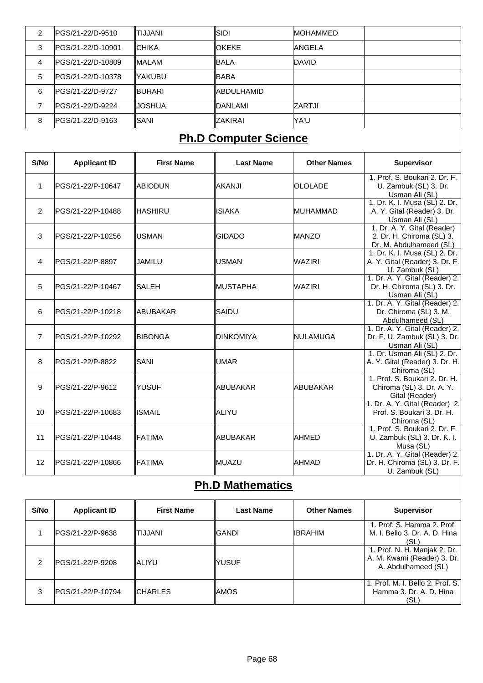| 2 | IPGS/21-22/D-9510  | <b>ITIJJANI</b> | ISIDI           | <b>IMOHAMMED</b> |  |
|---|--------------------|-----------------|-----------------|------------------|--|
| 3 | IPGS/21-22/D-10901 | ICHIKA          | <b>IOKEKE</b>   | <b>ANGELA</b>    |  |
| 4 | IPGS/21-22/D-10809 | <b>IMALAM</b>   | ∥BALA           | <b>IDAVID</b>    |  |
| 5 | IPGS/21-22/D-10378 | IYAKUBU         | ∥BABA           |                  |  |
| 6 | IPGS/21-22/D-9727  | IBUHARI         | IABDULHAMID     |                  |  |
|   | IPGS/21-22/D-9224  | <b>IJOSHUA</b>  | <b>IDANLAMI</b> | <b>ZARTJI</b>    |  |
| 8 | IPGS/21-22/D-9163  | ISANI           | IZAKIRAI        | lYA'U            |  |

# **Ph.D Computer Science**

| S/No           | <b>Applicant ID</b>      | <b>First Name</b> | <b>Last Name</b> | <b>Other Names</b> | <b>Supervisor</b>                                                                   |
|----------------|--------------------------|-------------------|------------------|--------------------|-------------------------------------------------------------------------------------|
| $\mathbf 1$    | PGS/21-22/P-10647        | <b>ABIODUN</b>    | lakanji          | <b>OLOLADE</b>     | 1. Prof. S. Boukari 2. Dr. F.<br>U. Zambuk (SL) 3. Dr.<br>Usman Ali (SL)            |
| $\overline{2}$ | IPGS/21-22/P-10488       | IHASHIRU          | IISIAKA          | <b>MUHAMMAD</b>    | 1. Dr. K. I. Musa (SL) 2. Dr.<br>A. Y. Gital (Reader) 3. Dr.<br>Usman Ali (SL)      |
| 3              | PGS/21-22/P-10256        | IUSMAN            | <b>GIDADO</b>    | <b>MANZO</b>       | 1. Dr. A. Y. Gital (Reader)<br>2. Dr. H. Chiroma (SL) 3.<br>Dr. M. Abdulhameed (SL) |
| $\overline{4}$ | <b>IPGS/21-22/P-8897</b> | JAMILU            | IUSMAN           | <b>WAZIRI</b>      | 1. Dr. K. I. Musa (SL) 2. Dr.<br>A. Y. Gital (Reader) 3. Dr. F.<br>U. Zambuk (SL)   |
| 5              | PGS/21-22/P-10467        | <b>SALEH</b>      | <b>MUSTAPHA</b>  | <b>WAZIRI</b>      | 1. Dr. A. Y. Gital (Reader) 2.<br>Dr. H. Chiroma (SL) 3. Dr.<br>Usman Ali (SL)      |
| 6              | PGS/21-22/P-10218        | <b>ABUBAKAR</b>   | <b>SAIDU</b>     |                    | 1. Dr. A. Y. Gital (Reader) 2.<br>Dr. Chiroma (SL) 3. M.<br>Abdulhameed (SL)        |
| $\overline{7}$ | PGS/21-22/P-10292        | <b>BIBONGA</b>    | DINKOMIYA        | <b>INULAMUGA</b>   | 1. Dr. A. Y. Gital (Reader) 2.<br>Dr. F. U. Zambuk (SL) 3. Dr.<br>Usman Ali (SL)    |
| 8              | PGS/21-22/P-8822         | SANI              | UMAR             |                    | 1. Dr. Usman Ali (SL) 2. Dr.<br>A. Y. Gital (Reader) 3. Dr. H.<br>Chiroma (SL)      |
| 9              | PGS/21-22/P-9612         | <b>YUSUF</b>      | ∥ABUBAKAR        | <b>ABUBAKAR</b>    | 1. Prof. S. Boukari 2. Dr. H.<br>Chiroma (SL) 3. Dr. A. Y.<br>Gital (Reader)        |
| 10             | PGS/21-22/P-10683        | <b>ISMAIL</b>     | ∥ALIYU           |                    | 1. Dr. A. Y. Gital (Reader) 2.<br>Prof. S. Boukari 3. Dr. H.<br>Chiroma (SL)        |
| 11             | PGS/21-22/P-10448        | <b>FATIMA</b>     | IABUBAKAR        | AHMED              | 1. Prof. S. Boukari 2. Dr. F.<br>U. Zambuk (SL) 3. Dr. K. I.<br>Musa (SL)           |
| 12             | PGS/21-22/P-10866        | <b>IFATIMA</b>    | ∥MUAZU           | AHMAD              | 1. Dr. A. Y. Gital (Reader) 2.<br>Dr. H. Chiroma (SL) 3. Dr. F.<br>U. Zambuk (SL)   |

#### **Ph.D Mathematics**

| S/No | <b>Applicant ID</b>     | <b>First Name</b> | <b>Last Name</b> | <b>Other Names</b> | <b>Supervisor</b>                                                                  |
|------|-------------------------|-------------------|------------------|--------------------|------------------------------------------------------------------------------------|
|      | <b>PGS/21-22/P-9638</b> | ITIJJANI          | GANDI            | <b>IIBRAHIM</b>    | 1. Prof. S. Hamma 2. Prof.<br>M. I. Bello 3. Dr. A. D. Hina<br>(SL)                |
|      | PGS/21-22/P-9208        | <b>ALIYU</b>      | <b>YUSUF</b>     |                    | 1. Prof. N. H. Manjak 2. Dr.<br>A. M. Kwami (Reader) 3. Dr.<br>A. Abdulhameed (SL) |
| 3    | IPGS/21-22/P-10794      | <b>CHARLES</b>    | <b>IAMOS</b>     |                    | 1. Prof. M. I. Bello 2. Prof. S.<br>Hamma 3, Dr. A, D. Hina<br>(SL)                |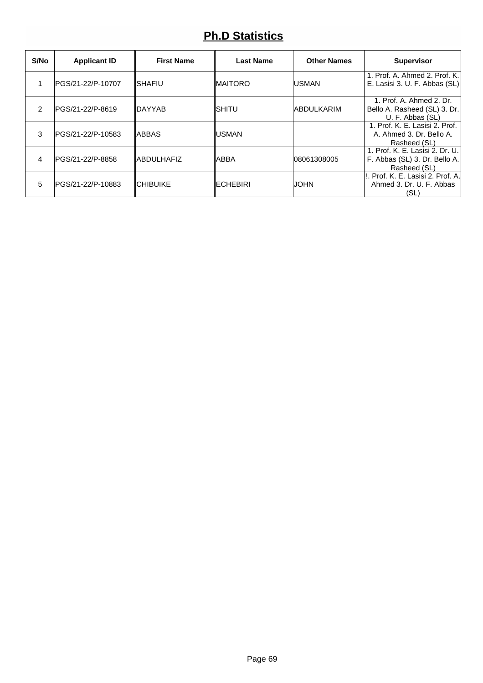### **Ph.D Statistics**

| S/No | <b>Applicant ID</b>      | <b>First Name</b> | <b>Last Name</b> | <b>Other Names</b> | <b>Supervisor</b>                                                                |
|------|--------------------------|-------------------|------------------|--------------------|----------------------------------------------------------------------------------|
|      | PGS/21-22/P-10707        | <b>ISHAFIU</b>    | <b>MAITORO</b>   | <b>USMAN</b>       | 1. Prof. A. Ahmed 2. Prof. K.<br>E. Lasisi 3. U. F. Abbas (SL)                   |
| 2    | <b>IPGS/21-22/P-8619</b> | <b>IDAYYAB</b>    | ISHITU           | <b>ABDULKARIM</b>  | 1. Prof. A. Ahmed 2. Dr.<br>Bello A. Rasheed (SL) 3. Dr.<br>U. F. Abbas (SL)     |
| 3    | IPGS/21-22/P-10583       | <b>ABBAS</b>      | <b>USMAN</b>     |                    | 1. Prof. K. E. Lasisi 2. Prof.<br>A. Ahmed 3. Dr. Bello A.<br>Rasheed (SL)       |
| 4    | IPGS/21-22/P-8858        | <b>ABDULHAFIZ</b> | <b>ABBA</b>      | 08061308005        | 1. Prof. K. E. Lasisi 2. Dr. U.<br>F. Abbas (SL) 3. Dr. Bello A.<br>Rasheed (SL) |
| 5    | IPGS/21-22/P-10883       | <b>CHIBUIKE</b>   | <b>IECHEBIRI</b> | <b>JOHN</b>        | II. Prof. K. E. Lasisi 2. Prof. A.I<br>Ahmed 3, Dr. U. F. Abbas<br>(SL)          |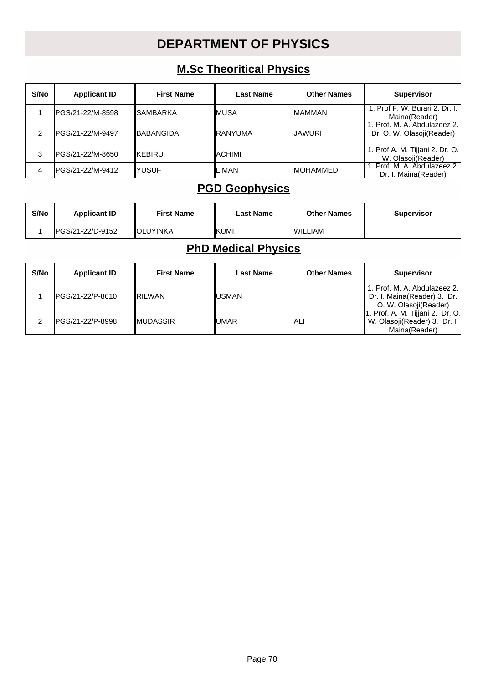### **DEPARTMENT OF PHYSICS**

#### **M.Sc Theoritical Physics**

| S/No | <b>Applicant ID</b> | <b>First Name</b> | <b>Last Name</b> | <b>Other Names</b> | <b>Supervisor</b>                                         |
|------|---------------------|-------------------|------------------|--------------------|-----------------------------------------------------------|
|      | IPGS/21-22/M-8598   | <b>ISAMBARKA</b>  | ∥MUSA            | <b>MAMMAN</b>      | 1. Prof F. W. Burari 2. Dr. I.<br>Maina(Reader)           |
| າ    | IPGS/21-22/M-9497   | <b>IBABANGIDA</b> | <b>IRANYUMA</b>  | IJAWURI            | 1. Prof. M. A. Abdulazeez 2.<br>Dr. O. W. Olasoji(Reader) |
| 3    | PGS/21-22/M-8650    | <b>IKEBIRU</b>    | ∥ACHIMI          |                    | 1. Prof A. M. Tijjani 2. Dr. O.<br>W. Olasoji(Reader)     |
| 4    | IPGS/21-22/M-9412   | IYUSUF            | ∥LIMAN           | <b>IMOHAMMED</b>   | 1. Prof. M. A. Abdulazeez 2.<br>Dr. I. Maina(Reader)      |

#### **PGD Geophysics**

| S/No | <b>Applicant ID</b> | <b>First Name</b> | Last Name | <b>Other Names</b> | <b>Supervisor</b> |
|------|---------------------|-------------------|-----------|--------------------|-------------------|
|      | IPGS/21-22/D-9152   | <b>IOLUYINKA</b>  | KUMI      | <b>WILLIAM</b>     |                   |

### **PhD Medical Physics**

| S/No | <b>Applicant ID</b> | <b>First Name</b> | <b>Last Name</b> | <b>Other Names</b> | <b>Supervisor</b>                                                                      |
|------|---------------------|-------------------|------------------|--------------------|----------------------------------------------------------------------------------------|
|      | IPGS/21-22/P-8610   | <b>RILWAN</b>     | ∥USMAN           |                    | 1. Prof. M. A. Abdulazeez 2.<br>Dr. I. Maina(Reader) 3. Dr.  <br>O. W. Olasoji(Reader) |
|      | IPGS/21-22/P-8998   | <b>IMUDASSIR</b>  | ∥UMAR            | IALI               | 1. Prof. A. M. Tijjani 2. Dr. O.<br>W. Olasoji(Reader) 3. Dr. I.<br>Maina(Reader)      |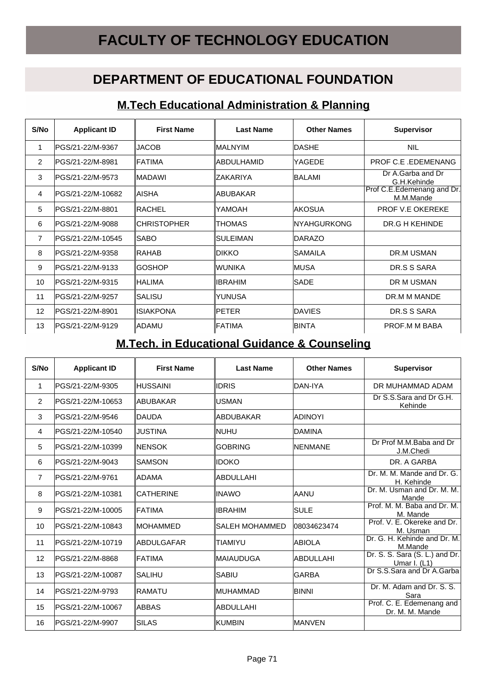# **FACULTY OF TECHNOLOGY EDUCATION**

### **DEPARTMENT OF EDUCATIONAL FOUNDATION**

#### **M.Tech Educational Administration & Planning**

| S/No           | <b>Applicant ID</b>      | <b>First Name</b>   | <b>Last Name</b> | <b>Other Names</b> | <b>Supervisor</b>                       |
|----------------|--------------------------|---------------------|------------------|--------------------|-----------------------------------------|
|                | IPGS/21-22/M-9367        | <b>JACOB</b>        | ∥MAL NYIM        | <b>DASHE</b>       | <b>NIL</b>                              |
| 2              | <b>IPGS/21-22/M-8981</b> | <b>IFATIMA</b>      | ∥ABDULHAMID      | lYAGEDE            | <b>PROF C.E. EDEMENANG</b>              |
| 3              | IPGS/21-22/M-9573        | <b>MADAWI</b>       | <b>IZAKARIYA</b> | BALAMI             | Dr A.Garba and Dr<br>G.H.Kehinde        |
| 4              | IPGS/21-22/M-10682       | IAISHA              | ∥ABUBAKAR        |                    | Prof C.E.Edemenang and Dr.<br>M.M.Mande |
| 5              | IPGS/21-22/M-8801        | <b>IRACHEL</b>      | IYAMOAH          | <b>IAKOSUA</b>     | <b>PROF V.E OKEREKE</b>                 |
| 6              | <b>IPGS/21-22/M-9088</b> | <b>ICHRISTOPHER</b> | ∥THOMAS          | INYAHGURKONG       | DR.G H KEHINDE                          |
| $\overline{7}$ | IPGS/21-22/M-10545       | <b>ISABO</b>        | ISULEIMAN        | <b>IDARAZO</b>     |                                         |
| 8              | IPGS/21-22/M-9358        | IRAHAB              | ∥dikko           | ISAMAILA           | DR.M USMAN                              |
| 9              | PGS/21-22/M-9133         | GOSHOP              | ∥WUNIKA          | IMUSA              | DR.S S SARA                             |
| 10             | IPGS/21-22/M-9315        | IHALIMA             | ∥IBRAHIM         | <b>SADE</b>        | DR M USMAN                              |
| 11             | IPGS/21-22/M-9257        | ISALISU             | IYUNUSA          |                    | DR.M M MANDE                            |
| 12             | IPGS/21-22/M-8901        | <b>ISIAKPONA</b>    | <b>PETER</b>     | <b>DAVIES</b>      | DR.S S SARA                             |
| 13             | IPGS/21-22/M-9129        | <b>IADAMU</b>       | ∥FATIMA          | <b>BINTA</b>       | PROF.M M BABA                           |

#### **M.Tech. in Educational Guidance & Counseling**

| S/No           | <b>Applicant ID</b>     | <b>First Name</b> | <b>Last Name</b> | <b>Other Names</b> | <b>Supervisor</b>                                |
|----------------|-------------------------|-------------------|------------------|--------------------|--------------------------------------------------|
| 1              | PGS/21-22/M-9305        | ∥HUSSAINI         | ∥IDRIS           | IDAN-IYA           | DR MUHAMMAD ADAM                                 |
| 2              | PGS/21-22/M-10653       | ∥ABUBAKAR         | IUSMAN           |                    | Dr S.S.Sara and Dr G.H.<br>Kehinde               |
| 3              | IPGS/21-22/M-9546       | <b>IDAUDA</b>     | ∥ABDUBAKAR       | IADINOYI           |                                                  |
| 4              | IPGS/21-22/M-10540      | IJUSTINA          | ∥NUHU            | DAMINA             |                                                  |
| 5              | IPGS/21-22/M-10399      | ∥NENSOK           | IGOBRING         | <b>INENMANE</b>    | Dr Prof M.M.Baba and Dr<br>J.M.Chedi             |
| 6              | IPGS/21-22/M-9043       | <b>SAMSON</b>     | ∥idoko           |                    | DR. A GARBA                                      |
| $\overline{7}$ | PGS/21-22/M-9761        | ∥ADAMA            | ∥ABDULLAHI       |                    | Dr. M. M. Mande and Dr. G.<br>H. Kehinde         |
| 8              | IPGS/21-22/M-10381      | <b>CATHERINE</b>  | ∥INAWO           | AANU               | Dr. M. Usman and Dr. M. M.<br>Mande              |
| 9              | IPGS/21-22/M-10005      | IFATIMA           | IIBRAHIM         | <b>SULE</b>        | Prof. M. M. Baba and Dr. M.<br>M. Mande          |
| 10             | IPGS/21-22/M-10843      | ∥MOHAMMED         | ISALEH MOHAMMED  | 08034623474        | Prof. V. E. Okereke and Dr.<br>M. Usman          |
| 11             | PGS/21-22/M-10719       | <b>ABDULGAFAR</b> | ITIAMIYU         | <b>ABIOLA</b>      | Dr. G. H. Kehinde and Dr. M.<br>M.Mande          |
| 12             | <b>PGS/21-22/M-8868</b> | IFATIMA           | ∥MAIAUDUGA       | <b>ABDULLAHI</b>   | Dr. S. S. Sara (S. L.) and Dr.<br>Umar I. $(L1)$ |
| 13             | IPGS/21-22/M-10087      | ISALIHU           | ∥SABIU           | <b>GARBA</b>       | Dr S.S.Sara and Dr A.Garba                       |
| 14             | PGS/21-22/M-9793        | IRAMATU           | IMUHAMMAD        | <b>BINNI</b>       | Dr. M. Adam and Dr. S. S.<br>Sara                |
| 15             | IPGS/21-22/M-10067      | IABBAS            | <b>ABDULLAHI</b> |                    | Prof. C. E. Edemenang and<br>Dr. M. M. Mande     |
| 16             | PGS/21-22/M-9907        | <b>SILAS</b>      | <b>IKUMBIN</b>   | <b>MANVEN</b>      |                                                  |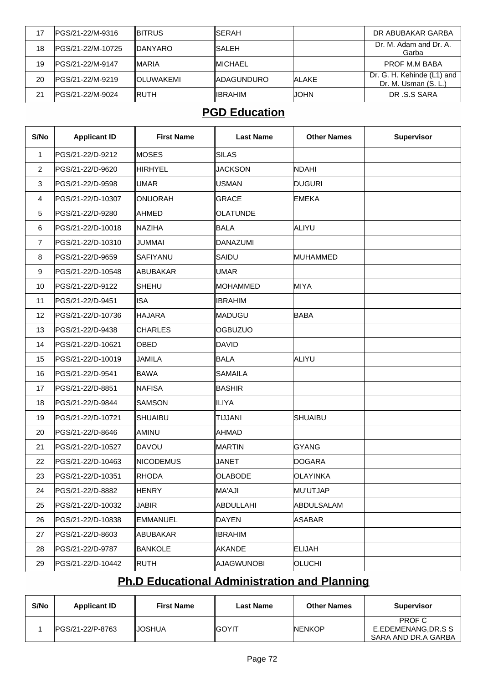| 17 | PGS/21-22/M-9316   | <b>IBITRUS</b>    | ISERAH      |              | DR ABUBAKAR GARBA                                  |
|----|--------------------|-------------------|-------------|--------------|----------------------------------------------------|
| 18 | IPGS/21-22/M-10725 | <b>IDANYARO</b>   | ISALEH      |              | Dr. M. Adam and Dr. A.<br>Garba                    |
| 19 | IPGS/21-22/M-9147  | <b>IMARIA</b>     | ∥MICHAEL    |              | PROF M.M BABA                                      |
| 20 | IPGS/21-22/M-9219  | <b>IOLUWAKEMI</b> | IADAGUNDURO | <b>ALAKE</b> | Dr. G. H. Kehinde (L1) and<br>Dr. M. Usman (S. L.) |
| 21 | IPGS/21-22/M-9024  | <b>IRUTH</b>      | ⊪IBRAHIM    | <b>JOHN</b>  | DR .S.S SARA                                       |

#### **PGD Education**

| S/No           | <b>Applicant ID</b> | <b>First Name</b> | <b>Last Name</b> | <b>Other Names</b> | Supervisor |
|----------------|---------------------|-------------------|------------------|--------------------|------------|
| $\mathbf{1}$   | PGS/21-22/D-9212    | IMOSES            | SILAS            |                    |            |
| $\overline{2}$ | PGS/21-22/D-9620    | HIRHYEL           | <b>JACKSON</b>   | <b>NDAHI</b>       |            |
| 3              | PGS/21-22/D-9598    | <b>UMAR</b>       | <b>USMAN</b>     | <b>DUGURI</b>      |            |
| 4              | PGS/21-22/D-10307   | ONUORAH           | <b>GRACE</b>     | <b>EMEKA</b>       |            |
| 5              | PGS/21-22/D-9280    | AHMED             | <b>OLATUNDE</b>  |                    |            |
| 6              | PGS/21-22/D-10018   | <b>INAZIHA</b>    | BALA             | ALIYU              |            |
| $\overline{7}$ | PGS/21-22/D-10310   | JUMMAI            | <b>DANAZUMI</b>  |                    |            |
| 8              | PGS/21-22/D-9659    | SAFIYANU          | SAIDU            | MUHAMMED           |            |
| 9              | PGS/21-22/D-10548   | ABUBAKAR          | <b>UMAR</b>      |                    |            |
| 10             | PGS/21-22/D-9122    | <b>SHEHU</b>      | MOHAMMED         | MIYA               |            |
| 11             | PGS/21-22/D-9451    | <b>ISA</b>        | <b>IBRAHIM</b>   |                    |            |
| 12             | PGS/21-22/D-10736   | HAJARA            | MADUGU           | <b>BABA</b>        |            |
| 13             | PGS/21-22/D-9438    | <b>CHARLES</b>    | <b>OGBUZUO</b>   |                    |            |
| 14             | PGS/21-22/D-10621   | <b>OBED</b>       | <b>DAVID</b>     |                    |            |
| 15             | PGS/21-22/D-10019   | JAMILA            | BALA             | ALIYU              |            |
| 16             | PGS/21-22/D-9541    | <b>BAWA</b>       | <b>SAMAILA</b>   |                    |            |
| 17             | PGS/21-22/D-8851    | NAFISA            | BASHIR           |                    |            |
| 18             | PGS/21-22/D-9844    | <b>SAMSON</b>     | ILIYA            |                    |            |
| 19             | PGS/21-22/D-10721   | <b>SHUAIBU</b>    | <b>TIJJANI</b>   | <b>SHUAIBU</b>     |            |
| 20             | PGS/21-22/D-8646    | AMINU             | AHMAD            |                    |            |
| 21             | PGS/21-22/D-10527   | <b>DAVOU</b>      | MARTIN           | <b>GYANG</b>       |            |
| 22             | PGS/21-22/D-10463   | NICODEMUS         | <b>JANET</b>     | <b>DOGARA</b>      |            |
| 23             | PGS/21-22/D-10351   | <b>RHODA</b>      | <b>OLABODE</b>   | <b>OLAYINKA</b>    |            |
| 24             | PGS/21-22/D-8882    | <b>HENRY</b>      | MA'AJI           | MU'UTJAP           |            |
| 25             | PGS/21-22/D-10032   | JABIR             | ABDULLAHI        | ABDULSALAM         |            |
| 26             | PGS/21-22/D-10838   | <b>EMMANUEL</b>   | DAYEN            | <b>ASABAR</b>      |            |
| 27             | PGS/21-22/D-8603    | ABUBAKAR          | <b>IBRAHIM</b>   |                    |            |
| 28             | PGS/21-22/D-9787    | <b>BANKOLE</b>    | AKANDE           | <b>ELIJAH</b>      |            |
| 29             | PGS/21-22/D-10442   | RUTH              | AJAGWUNOBI       | <b>OLUCHI</b>      |            |

## **Ph.D Educational Administration and Planning**

| S/No | <b>Applicant ID</b>      | <b>First Name</b> | <b>Last Name</b> | <b>Other Names</b> | <b>Supervisor</b>            |
|------|--------------------------|-------------------|------------------|--------------------|------------------------------|
|      | <b>IPGS/21-22/P-8763</b> | IJOSHUA           | <b>IGOYIT</b>    | <b>INENKOP</b>     | PROF C<br>E.EDEMENANG.DR.S S |
|      |                          |                   |                  |                    | SARA AND DR.A GARBA          |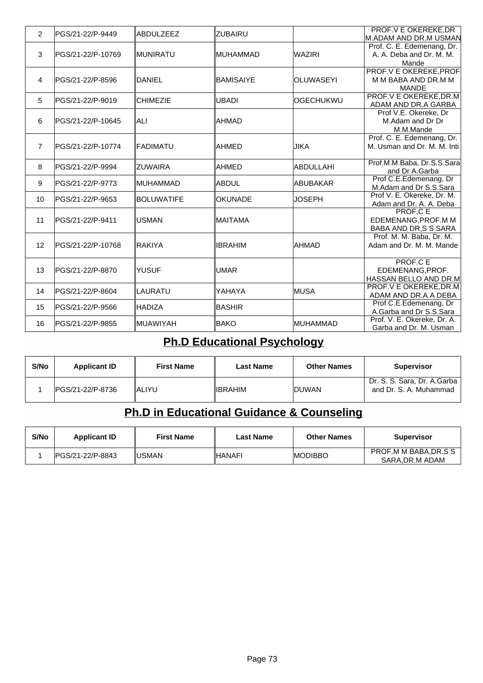| $\overline{2}$ | PGS/21-22/P-9449  | <b>ABDULZEEZ</b>  | IZUBAIRU       |                   | <b>PROF.V E OKEREKE.DR</b>                          |
|----------------|-------------------|-------------------|----------------|-------------------|-----------------------------------------------------|
|                |                   |                   |                |                   | M.ADAM AND DR.M USMAN<br>Prof. C. E. Edemenang, Dr. |
| 3              | PGS/21-22/P-10769 | ∥MUNIRATU         | ∥MUHAMMAD      | <b>WAZIRI</b>     | A. A. Deba and Dr. M. M.                            |
|                |                   |                   |                |                   | Mande                                               |
|                |                   |                   |                |                   | <b>PROF.V E OKEREKE, PROF</b>                       |
| 4              | PGS/21-22/P-8596  | <b>DANIEL</b>     | BAMISAIYE      | <b>OLUWASEYI</b>  | M M BABA AND DR.M M                                 |
|                |                   |                   |                |                   | <b>MANDE</b>                                        |
| 5              | lPGS/21-22/P-9019 | <b>CHIMEZIE</b>   | <b>UBADI</b>   | <b>lOGECHUKWU</b> | <b>PROF.V E OKEREKE, DR.M</b>                       |
|                |                   |                   |                |                   | ADAM AND DR.A GARBA                                 |
|                |                   |                   |                |                   | Prof V.E. Okereke, Dr                               |
| 6              | PGS/21-22/P-10645 | IALI              | <b>IAHMAD</b>  |                   | M.Adam and Dr Dr                                    |
|                |                   |                   |                |                   | M.M.Mande                                           |
|                |                   |                   |                |                   | Prof. C. E. Edemenang, Dr.                          |
| $\overline{7}$ | PGS/21-22/P-10774 | ∥FADIMATU         | <b>AHMED</b>   | <b>JIKA</b>       | M. Usman and Dr. M. M. Inti                         |
|                |                   |                   |                |                   |                                                     |
| 8              | lPGS/21-22/P-9994 | IZUWAIRA          | <b>AHMED</b>   | ABDULLAHI         | Prof.M.M.Baba, Dr.S.S.Sara                          |
|                |                   |                   |                |                   | and Dr A.Garba<br>Prof C.E.Edemenang, Dr            |
| 9              | PGS/21-22/P-9773  | IMUHAMMAD         | ∥ABDUL         | IABUBAKAR         | M.Adam and Dr S.S.Sara                              |
|                |                   |                   |                |                   | Prof V. E. Okereke, Dr. M.                          |
| 10             | PGS/21-22/P-9653  | <b>BOLUWATIFE</b> | <b>OKUNADE</b> | JOSEPH            | Adam and Dr. A. A. Deba                             |
|                |                   |                   |                |                   | <b>PROF,CE</b>                                      |
| 11             | PGS/21-22/P-9411  | <b>USMAN</b>      | ∥MAITAMA       |                   | EDEMENANG, PROF.M M                                 |
|                |                   |                   |                |                   | BABA AND DR, S S SARA                               |
|                |                   |                   |                |                   | Prof. M. M. Baba, Dr. M.                            |
| 12             | PGS/21-22/P-10768 | IRAKIYA           | <b>IBRAHIM</b> | AHMAD             | Adam and Dr. M. M. Mande                            |
|                |                   |                   |                |                   |                                                     |
|                |                   |                   |                |                   | <b>PROF.CE</b>                                      |
| 13             | lPGS/21-22/P-8870 | lyusuf            | <b>UMAR</b>    |                   | EDEMENANG.PROF.                                     |
|                |                   |                   |                |                   | HASSAN BELLO AND DR.M                               |
| 14             | PGS/21-22/P-8604  | ILAURATU          | YAHAYA         | <b>MUSA</b>       | <b>PROF.V E OKEREKE, DR.M</b>                       |
|                |                   |                   |                |                   | ADAM AND DR.A A DEBA<br>Prof C.E.Edemenang, Dr      |
| 15             | PGS/21-22/P-9566  | HADIZA            | <b>BASHIR</b>  |                   | A.Garba and Dr S.S.Sara                             |
|                |                   |                   |                |                   | Prof. V. E. Okereke, Dr. A.                         |
| 16             | PGS/21-22/P-9855  | ∥MUAWIYAH         | <b>BAKO</b>    | MUHAMMAD          | Garba and Dr. M. Usman                              |

# **Ph.D Educational Psychology**

| S/No | <b>Applicant ID</b> | <b>First Name</b> | Last Name | <b>Other Names</b> | <b>Supervisor</b>                                       |
|------|---------------------|-------------------|-----------|--------------------|---------------------------------------------------------|
|      | IPGS/21-22/P-8736   | IALIYU            | ∥IBRAHIM  | <b>IDUWAN</b>      | Dr. S. S. Sara, Dr. A.Garba  <br>and Dr. S. A. Muhammad |

# **Ph.D in Educational Guidance & Counseling**

| S/No | <b>Applicant ID</b> | <b>First Name</b> | Last Name | <b>Other Names</b> | <b>Supervisor</b>                      |
|------|---------------------|-------------------|-----------|--------------------|----------------------------------------|
|      | IPGS/21-22/P-8843   | IUSMAN            | ∥HANAFI   | <b>IMODIBBO</b>    | PROF.M M BABA.DR.S S<br>SARA.DR.M ADAM |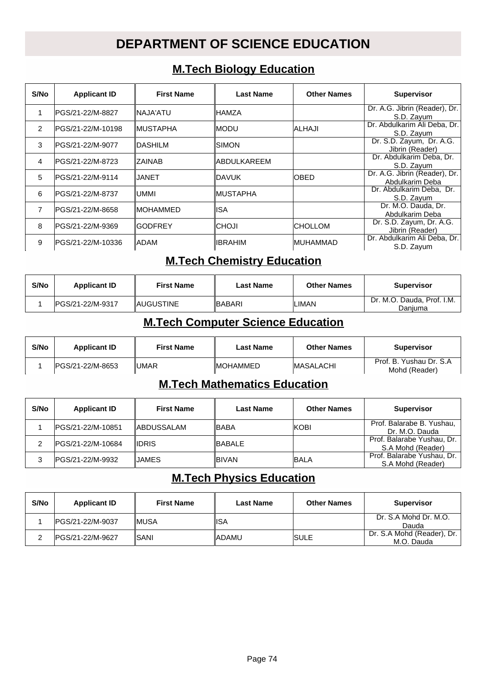# **DEPARTMENT OF SCIENCE EDUCATION**

#### **M.Tech Biology Education**

| S/No          | <b>Applicant ID</b> | <b>First Name</b> | <b>Last Name</b>    | <b>Other Names</b> | <b>Supervisor</b>                                |
|---------------|---------------------|-------------------|---------------------|--------------------|--------------------------------------------------|
|               | IPGS/21-22/M-8827   | INAJA'ATU         | ∥HAMZA              |                    | Dr. A.G. Jibrin (Reader), Dr.<br>S.D. Zayum      |
| $\mathcal{P}$ | IPGS/21-22/M-10198  | ∥MUSTAPHA         | ∥MODU               | ALHAJI             | Dr. Abdulkarim Ali Deba, Dr.<br>S.D. Zavum       |
| 3             | IPGS/21-22/M-9077   | <b>IDASHILM</b>   | IISIMON             |                    | Dr. S.D. Zayum, Dr. A.G.<br>Jibrin (Reader)      |
| 4             | IPGS/21-22/M-8723   | <b>IZAINAB</b>    | <b>IABDULKAREEM</b> |                    | Dr. Abdulkarim Deba, Dr.<br>S.D. Zayum           |
| 5             | IPGS/21-22/M-9114   | IJANET            | IDAVUK.             | <b>OBED</b>        | Dr. A.G. Jibrin (Reader), Dr.<br>Abdulkarim Deba |
| 6             | IPGS/21-22/M-8737   | IUMMI             | ∥MUSTAPHA           |                    | Dr. Abdulkarim Deba, Dr.<br>S.D. Zavum           |
| 7             | IPGS/21-22/M-8658   | ∥MOHAMMED         | ∥ISA                |                    | Dr. M.O. Dauda, Dr.<br>Abdulkarim Deba           |
| 8             | IPGS/21-22/M-9369   | IGODFREY          | ∥CHOJI              | ICHOLLOM           | Dr. S.D. Zayum, Dr. A.G.<br>Jibrin (Reader)      |
| 9             | IPGS/21-22/M-10336  | IADAM             | ∥IBRAHIM            | IMUHAMMAD          | Dr. Abdulkarim Ali Deba, Dr.<br>S.D. Zayum       |

#### **M.Tech Chemistry Education**

| S/No | <b>Applicant ID</b> | <b>First Name</b> | Last Name      | <b>Other Names</b> | <b>Supervisor</b>                     |
|------|---------------------|-------------------|----------------|--------------------|---------------------------------------|
|      | IPGS/21-22/M-9317   | <b>IAUGUSTINE</b> | <b>IBABARI</b> | <b>LIMAN</b>       | Dr. M.O. Dauda, Prof. I.M.<br>Daniuma |

#### **M.Tech Computer Science Education**

| S/No | <b>Applicant ID</b> | <b>First Name</b> | Last Name        | <b>Other Names</b> | <b>Supervisor</b>                        |
|------|---------------------|-------------------|------------------|--------------------|------------------------------------------|
|      | IPGS/21-22/M-8653   | I∪MAR             | <b>IMOHAMMED</b> | <b>IMASALACHI</b>  | Prof. B. Yushau Dr. S.A<br>Mohd (Reader) |

#### **M.Tech Mathematics Education**

| S/No | <b>Applicant ID</b> | <b>First Name</b>  | <b>Last Name</b> | <b>Other Names</b> | <b>Supervisor</b>                                 |
|------|---------------------|--------------------|------------------|--------------------|---------------------------------------------------|
|      | IPGS/21-22/M-10851  | <b>IABDUSSALAM</b> | <b>IBABA</b>     | <b>KOBI</b>        | Prof. Balarabe B. Yushau.<br>Dr. M.O. Dauda       |
|      | IPGS/21-22/M-10684  | <b>IDRIS</b>       | IBABAL F         |                    | Prof. Balarabe Yushau, Dr.  <br>S.A Mohd (Reader) |
|      | IPGS/21-22/M-9932   | IJAMES             | <b>BIVAN</b>     | <b>BALA</b>        | Prof. Balarabe Yushau, Dr.<br>S.A Mohd (Reader)   |

## **M.Tech Physics Education**

| S/No | <b>Applicant ID</b> | <b>First Name</b> | Last Name | <b>Other Names</b> | <b>Supervisor</b>                        |
|------|---------------------|-------------------|-----------|--------------------|------------------------------------------|
|      | IPGS/21-22/M-9037   | IMUSA             | ISA       |                    | Dr. S.A Mohd Dr. M.O.<br>Dauda           |
|      | IPGS/21-22/M-9627   | ISANI             | ∥ADAMU    | <b>ISULE</b>       | Dr. S.A Mohd (Reader), Dr.<br>M.O. Dauda |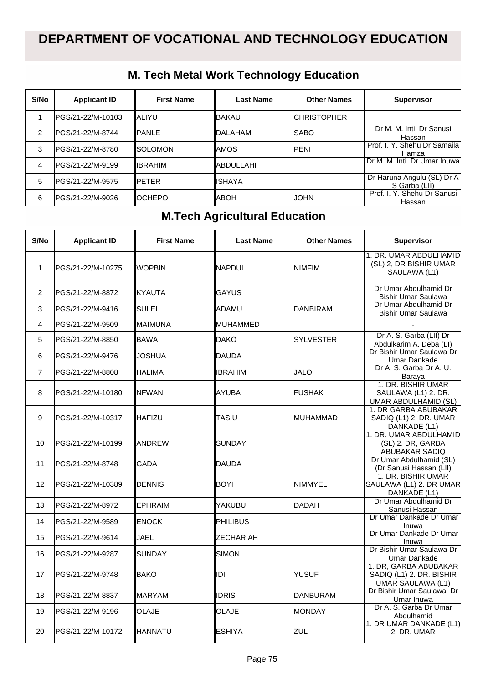| S/No | <b>Applicant ID</b> | <b>First Name</b> | Last Name  | <b>Other Names</b>  | <b>Supervisor</b>                           |
|------|---------------------|-------------------|------------|---------------------|---------------------------------------------|
|      | PGS/21-22/M-10103   | IALIYU            | ∥BAKAU     | <b>ICHRISTOPHER</b> |                                             |
| 2    | lPGS/21-22/M-8744   | <b>IPANLE</b>     | ∥DALAHAM   | <b>ISABO</b>        | Dr M. M. Inti Dr Sanusi<br>Hassan           |
| 3    | lPGS/21-22/M-8780   | ISOLOMON          | llAMOS     | <b>IPENI</b>        | Prof. I. Y. Shehu Dr Samaila<br>Hamza       |
| 4    | lPGS/21-22/M-9199   | ∥IBRAHIM          | ∥ABDULLAHI |                     | Dr M. M. Inti Dr Umar Inuwal                |
| 5    | lPGS/21-22/M-9575   | <b>IPFTER</b>     | ∥ISHAYA    |                     | Dr Haruna Angulu (SL) Dr A<br>S Garba (LII) |
| 6    | lPGS/21-22/M-9026   | IOCHEPO           | ∥ABOH      | <b>JOHN</b>         | Prof. I. Y. Shehu Dr Sanusi<br>Hassan       |

## **M. Tech Metal Work Technology Education**

# **M.Tech Agricultural Education**

| S/No           | <b>Applicant ID</b> | <b>First Name</b> | <b>Last Name</b> | <b>Other Names</b> | <b>Supervisor</b>                                                             |
|----------------|---------------------|-------------------|------------------|--------------------|-------------------------------------------------------------------------------|
| $\mathbf{1}$   | PGS/21-22/M-10275   | <b>WOPBIN</b>     | ∥NAPDUL          | <b>NIMFIM</b>      | 1. DR. UMAR ABDULHAMID<br>(SL) 2, DR BISHIR UMAR<br>SAULAWA (L1)              |
| $\overline{2}$ | PGS/21-22/M-8872    | KYAUTA            | <b>GAYUS</b>     |                    | Dr Umar Abdulhamid Dr<br>Bishir Umar Saulawa                                  |
| 3              | PGS/21-22/M-9416    | <b>SULEI</b>      | IADAMU           | <b>DANBIRAM</b>    | Dr Umar Abdulhamid Dr<br><b>Bishir Umar Saulawa</b>                           |
| 4              | PGS/21-22/M-9509    | MAIMUNA           | IMUHAMMED        |                    |                                                                               |
| 5              | PGS/21-22/M-8850    | <b>BAWA</b>       | <b>DAKO</b>      | <b>SYLVESTER</b>   | Dr A. S. Garba (LII) Dr<br>Abdulkarim A. Deba (LI)                            |
| 6              | PGS/21-22/M-9476    | JOSHUA            | <b>IDAUDA</b>    |                    | Dr Bishir Umar Saulawa Dr<br><b>Umar Dankade</b>                              |
| $\overline{7}$ | PGS/21-22/M-8808    | <b>HALIMA</b>     | IIBRAHIM         | <b>JALO</b>        | Dr A. S. Garba Dr A. U.<br>Barava                                             |
| 8              | PGS/21-22/M-10180   | INFWAN            | ∥AYUBA           | <b>FUSHAK</b>      | 1. DR. BISHIR UMAR<br>SAULAWA (L1) 2. DR.<br>UMAR ABDULHAMID (SL)             |
| 9              | PGS/21-22/M-10317   | <b>IHAFIZU</b>    | <b>TASIU</b>     | MUHAMMAD           | 1. DR GARBA ABUBAKAR<br>SADIQ (L1) 2. DR. UMAR<br>DANKADE (L1)                |
| 10             | PGS/21-22/M-10199   | <b>IANDREW</b>    | ISUNDAY          |                    | 1. DR. UMAR ABDULHAMID<br>(SL) 2. DR, GARBA<br><b>ABUBAKAR SADIQ</b>          |
| 11             | PGS/21-22/M-8748    | GADA              | <b>DAUDA</b>     |                    | Dr Umar Abdulhamid (SL)<br>(Dr Sanusi Hassan (LII)                            |
| 12             | PGS/21-22/M-10389   | <b>DENNIS</b>     | <b>BOYI</b>      | <b>NIMMYEL</b>     | 1. DR. BISHIR UMAR<br>SAULAWA (L1) 2. DR UMAR<br>DANKADE (L1)                 |
| 13             | PGS/21-22/M-8972    | <b>EPHRAIM</b>    | YAKUBU           | <b>DADAH</b>       | Dr Umar Abdulhamid Dr<br>Sanusi Hassan                                        |
| 14             | PGS/21-22/M-9589    | <b>ENOCK</b>      | PHILIBUS         |                    | Dr Umar Dankade Dr Umar<br>Inuwa                                              |
| 15             | PGS/21-22/M-9614    | <b>JAEL</b>       | <b>ZECHARIAH</b> |                    | Dr Umar Dankade Dr Umar<br>Inuwa                                              |
| 16             | PGS/21-22/M-9287    | <b>SUNDAY</b>     | SIMON            |                    | Dr Bishir Umar Saulawa Dr<br>Umar Dankade                                     |
| 17             | PGS/21-22/M-9748    | <b>BAKO</b>       | ∣IDI             | YUSUF              | 1. DR, GARBA ABUBAKAR<br>SADIQ (L1) 2. DR. BISHIR<br><b>UMAR SAULAWA (L1)</b> |
| 18             | PGS/21-22/M-8837    | <b>MARYAM</b>     | ∥IDRIS           | <b>DANBURAM</b>    | Dr Bishir Umar Saulawa Dr<br>Umar Inuwa                                       |
| 19             | PGS/21-22/M-9196    | OLAJE             | <b>OLAJE</b>     | <b>MONDAY</b>      | Dr A. S. Garba Dr Umar<br>Abdulhamid                                          |
| 20             | PGS/21-22/M-10172   | IHANNATU          | IESHIYA          | <b>ZUL</b>         | 1. DR UMAR DANKADE (L1)<br>2. DR. UMAR                                        |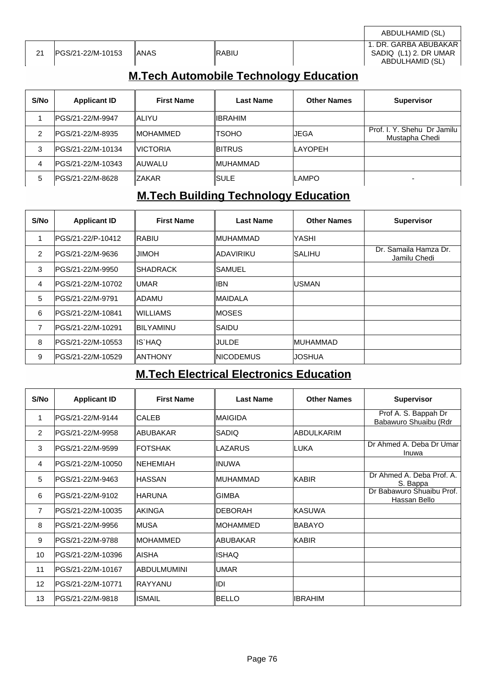|    |                    |       |               | ABDULHAMID (SL)                                                   |
|----|--------------------|-------|---------------|-------------------------------------------------------------------|
| 21 | IPGS/21-22/M-10153 | IANAS | <b>IRABIU</b> | 1. DR. GARBA ABUBAKAR<br>SADIQ (L1) 2. DR UMAR<br>ABDULHAMID (SL) |

## **M.Tech Automobile Technology Education**

| S/No | <b>Applicant ID</b> | <b>First Name</b> | <b>Last Name</b> | <b>Other Names</b> | <b>Supervisor</b>                             |
|------|---------------------|-------------------|------------------|--------------------|-----------------------------------------------|
|      | IPGS/21-22/M-9947   | IALIYU            | <b>IIBRAHIM</b>  |                    |                                               |
| 2    | IPGS/21-22/M-8935   | <b>IMOHAMMED</b>  | ITSOHO           | IJEGA              | Prof. I. Y. Shehu Dr Jamilu<br>Mustapha Chedi |
| 3    | IPGS/21-22/M-10134  | <b>IVICTORIA</b>  | <b>IBITRUS</b>   | <b>LAYOPEH</b>     |                                               |
| 4    | IPGS/21-22/M-10343  | IAUWALU           | <b>IMUHAMMAD</b> |                    |                                               |
| 5    | IPGS/21-22/M-8628   | <b>IZAKAR</b>     | ISULE            | ILAMPO             | -                                             |

# **M.Tech Building Technology Education**

| S/No           | <b>Applicant ID</b> | <b>First Name</b> | <b>Last Name</b>  | <b>Other Names</b> | <b>Supervisor</b>                     |
|----------------|---------------------|-------------------|-------------------|--------------------|---------------------------------------|
| 1              | lPGS/21-22/P-10412  | IRABIU            | ∥MUHAMMAD         | <b>YASHI</b>       |                                       |
| 2              | lPGS/21-22/M-9636   | HOMIL             | <b>ADAVIRIKU</b>  | <b>ISALIHU</b>     | Dr. Samaila Hamza Dr.<br>Jamilu Chedi |
| 3              | IPGS/21-22/M-9950   | <b>ISHADRACK</b>  | ISAMUEL           |                    |                                       |
| $\overline{4}$ | PGS/21-22/M-10702   | lumar             | libn              | <b>IUSMAN</b>      |                                       |
| 5              | lPGS/21-22/M-9791   | <b>IADAMU</b>     | ∥MAIDALA          |                    |                                       |
| 6              | lPGS/21-22/M-10841  | IWILLIAMS         | IMOSES            |                    |                                       |
| 7              | IPGS/21-22/M-10291  | ∥BILYAMINU        | ∥SAIDU            |                    |                                       |
| 8              | IPGS/21-22/M-10553  | ∥IS`HAQ           | <b>JULDE</b>      | <b>IMUHAMMAD</b>   |                                       |
| 9              | lPGS/21-22/M-10529  | ∥ANTHONY          | <b>INICODEMUS</b> | IJOSHUA            |                                       |

# **M.Tech Electrical Electronics Education**

| S/No           | <b>Applicant ID</b> | <b>First Name</b>   | <b>Last Name</b> | <b>Other Names</b> | <b>Supervisor</b>                             |
|----------------|---------------------|---------------------|------------------|--------------------|-----------------------------------------------|
|                | IPGS/21-22/M-9144   | ∥CALEB              | ∥MAIGIDA         |                    | Prof A. S. Bappah Dr<br>Babawuro Shuaibu (Rdr |
| 2              | IPGS/21-22/M-9958   | <b>IABUBAKAR</b>    | ∥SADIQ           | <b>ABDULKARIM</b>  |                                               |
| 3              | IPGS/21-22/M-9599   | <b>IFOTSHAK</b>     | ∥LAZARUS         | <b>LUKA</b>        | Dr Ahmed A. Deba Dr Umar<br>Inuwa             |
| 4              | IPGS/21-22/M-10050  | INEHEMIAH           | ∥INUWA           |                    |                                               |
| 5              | PGS/21-22/M-9463    | ∥HASSAN             | ∥MUHAMMAD        | <b>KABIR</b>       | Dr Ahmed A. Deba Prof. A.<br>S. Bappa         |
| 6              | IPGS/21-22/M-9102   | ∥HARUNA             | IGIMBA           |                    | Dr Babawuro Shuaibu Prof.<br>Hassan Bello     |
| $\overline{7}$ | IPGS/21-22/M-10035  | ∥AKINGA             | ∥DEBORAH         | <b>KASUWA</b>      |                                               |
| 8              | PGS/21-22/M-9956    | IMUSA               | IMOHAMMED        | <b>BABAYO</b>      |                                               |
| 9              | IPGS/21-22/M-9788   | IMOHAMMED           | ∥ABUBAKAR        | <b>KABIR</b>       |                                               |
| 10             | IPGS/21-22/M-10396  | IAISHA              | ∥ISHAQ           |                    |                                               |
| 11             | IPGS/21-22/M-10167  | <b>IABDULMUMINI</b> | ∥UMAR            |                    |                                               |
| 12             | IPGS/21-22/M-10771  | ∥RAYYANU            | ∥IDI             |                    |                                               |
| 13             | IPGS/21-22/M-9818   | IISMAIL             | IBELLO           | IIBRAHIM           |                                               |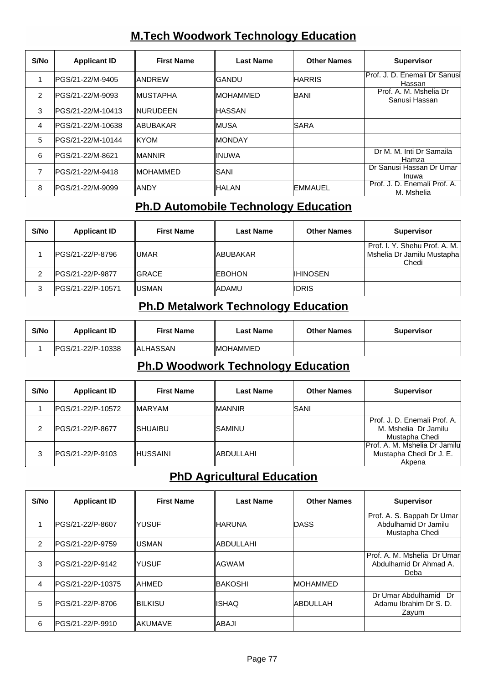## **M.Tech Woodwork Technology Education**

| S/No           | <b>Applicant ID</b> | <b>First Name</b> | Last Name        | <b>Other Names</b> | <b>Supervisor</b>                          |
|----------------|---------------------|-------------------|------------------|--------------------|--------------------------------------------|
|                | IPGS/21-22/M-9405   | <b>IANDREW</b>    | ∥GANDU           | <b>HARRIS</b>      | IProf. J. D. Enemali Dr Sanusil<br>Hassan  |
| $\overline{2}$ | IPGS/21-22/M-9093   | <b>IMUSTAPHA</b>  | <b>IMOHAMMED</b> | <b>IBANI</b>       | Prof. A. M. Mshelia Dr<br>Sanusi Hassan    |
| 3              | IPGS/21-22/M-10413  | <b>INURUDEEN</b>  | <b>IHASSAN</b>   |                    |                                            |
| $\overline{4}$ | IPGS/21-22/M-10638  | <b>IABUBAKAR</b>  | ∥MUSA            | <b>ISARA</b>       |                                            |
| 5              | IPGS/21-22/M-10144  | <b>IKYOM</b>      | <b>IMONDAY</b>   |                    |                                            |
| 6              | IPGS/21-22/M-8621   | <b>IMANNIR</b>    | <b>IINUWA</b>    |                    | Dr M. M. Inti Dr Samaila<br>Hamza          |
| 7              | IPGS/21-22/M-9418   | <b>IMOHAMMED</b>  | ∥SANI            |                    | Dr Sanusi Hassan Dr Umar<br>Inuwa          |
| 8              | IPGS/21-22/M-9099   | IANDY             | ∥HALAN           | <b>EMMAUEL</b>     | Prof. J. D. Enemali Prof. A.<br>M. Mshelia |

## **Ph.D Automobile Technology Education**

| S/No | <b>Applicant ID</b> | <b>First Name</b> | <b>Last Name</b> | <b>Other Names</b> | <b>Supervisor</b>                                                    |
|------|---------------------|-------------------|------------------|--------------------|----------------------------------------------------------------------|
|      | IPGS/21-22/P-8796   | lumar             | <b>IABUBAKAR</b> |                    | Prof. I. Y. Shehu Prof. A. M.<br>Mshelia Dr Jamilu Mustapha<br>Chedi |
|      | IPGS/21-22/P-9877   | <b>IGRACE</b>     | <b>IEBOHON</b>   | <b>IIHINOSEN</b>   |                                                                      |
|      | IPGS/21-22/P-10571  | <b>IUSMAN</b>     | <b>IADAMU</b>    | <b>IIDRIS</b>      |                                                                      |

#### **Ph.D Metalwork Technology Education**

| S/No | <b>Applicant ID</b> | <b>First Name</b> | Last Name        | <b>Other Names</b> | <b>Supervisor</b> |
|------|---------------------|-------------------|------------------|--------------------|-------------------|
|      | IPGS/21-22/P-10338  | ∥ALHASSAN         | <b>IMOHAMMED</b> |                    |                   |

#### **Ph.D Woodwork Technology Education**

| S/No | <b>Applicant ID</b> | <b>First Name</b> | <b>Last Name</b> | <b>Other Names</b> | <b>Supervisor</b>                                                      |
|------|---------------------|-------------------|------------------|--------------------|------------------------------------------------------------------------|
|      | IPGS/21-22/P-10572  | <b>IMARYAM</b>    | ∥MANNIR          | ISANI              |                                                                        |
| ົ    | IPGS/21-22/P-8677   | <b>ISHUAIBU</b>   | ISAMINU          |                    | Prof. J. D. Enemali Prof. A.<br>M. Mshelia Dr Jamilu<br>Mustapha Chedi |
| 3    | PGS/21-22/P-9103    | <b>IHUSSAINI</b>  | ∥ABDULLAHI       |                    | Prof. A. M. Mshelia Dr Jamilu<br>Mustapha Chedi Dr J. E.<br>Akpena     |

## **PhD Agricultural Education**

| S/No          | <b>Applicant ID</b> | <b>First Name</b> | <b>Last Name</b> | <b>Other Names</b> | <b>Supervisor</b>                                                    |
|---------------|---------------------|-------------------|------------------|--------------------|----------------------------------------------------------------------|
|               | IPGS/21-22/P-8607   | IYUSUF            | ∥HARUNA          | <b>IDASS</b>       | Prof. A. S. Bappah Dr Umar<br>Abdulhamid Dr Jamilu<br>Mustapha Chedi |
| $\mathcal{P}$ | IPGS/21-22/P-9759   | ∥USMAN            | <b>ABDULLAHI</b> |                    |                                                                      |
| 3             | IPGS/21-22/P-9142   | IYUSUF            | IAGWAM           |                    | Prof. A. M. Mshelia Dr Umar<br>Abdulhamid Dr Ahmad A.<br>Deba        |
| 4             | IPGS/21-22/P-10375  | IAHMED            | IBAKOSHI         | <b>IMOHAMMED</b>   |                                                                      |
| 5             | IPGS/21-22/P-8706   | IBILKISU          | <b>ISHAQ</b>     | <b>ABDULLAH</b>    | Dr Umar Abdulhamid Dr<br>Adamu Ibrahim Dr S. D.<br>Zayum             |
| 6             | IPGS/21-22/P-9910   | ∥AKUMAVE          | IABAJI           |                    |                                                                      |